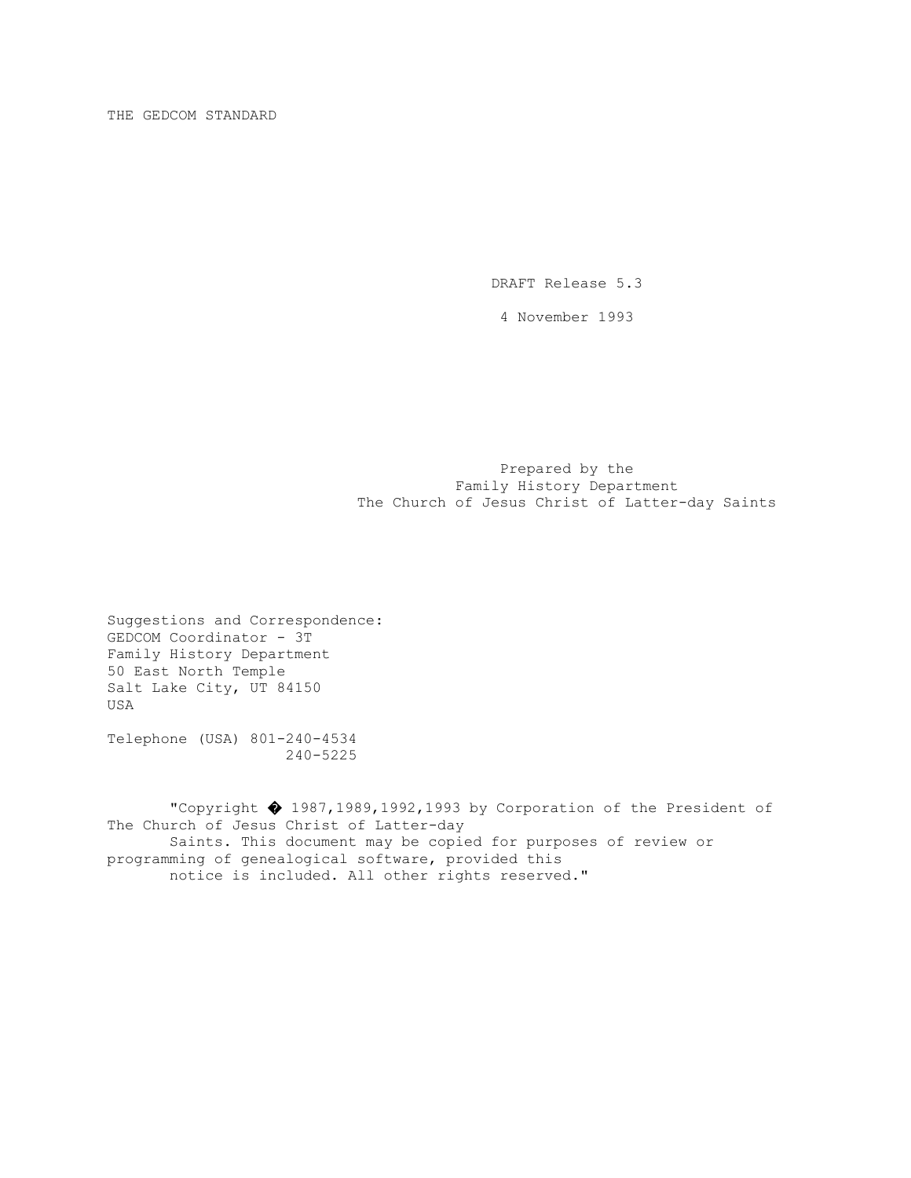DRAFT Release 5.3

4 November 1993

 Prepared by the Family History Department The Church of Jesus Christ of Latter-day Saints

Suggestions and Correspondence: GEDCOM Coordinator - 3T Family History Department 50 East North Temple Salt Lake City, UT 84150 USA

Telephone (USA) 801-240-4534 240-5225

 "Copyright � 1987,1989,1992,1993 by Corporation of the President of The Church of Jesus Christ of Latter-day Saints. This document may be copied for purposes of review or programming of genealogical software, provided this notice is included. All other rights reserved."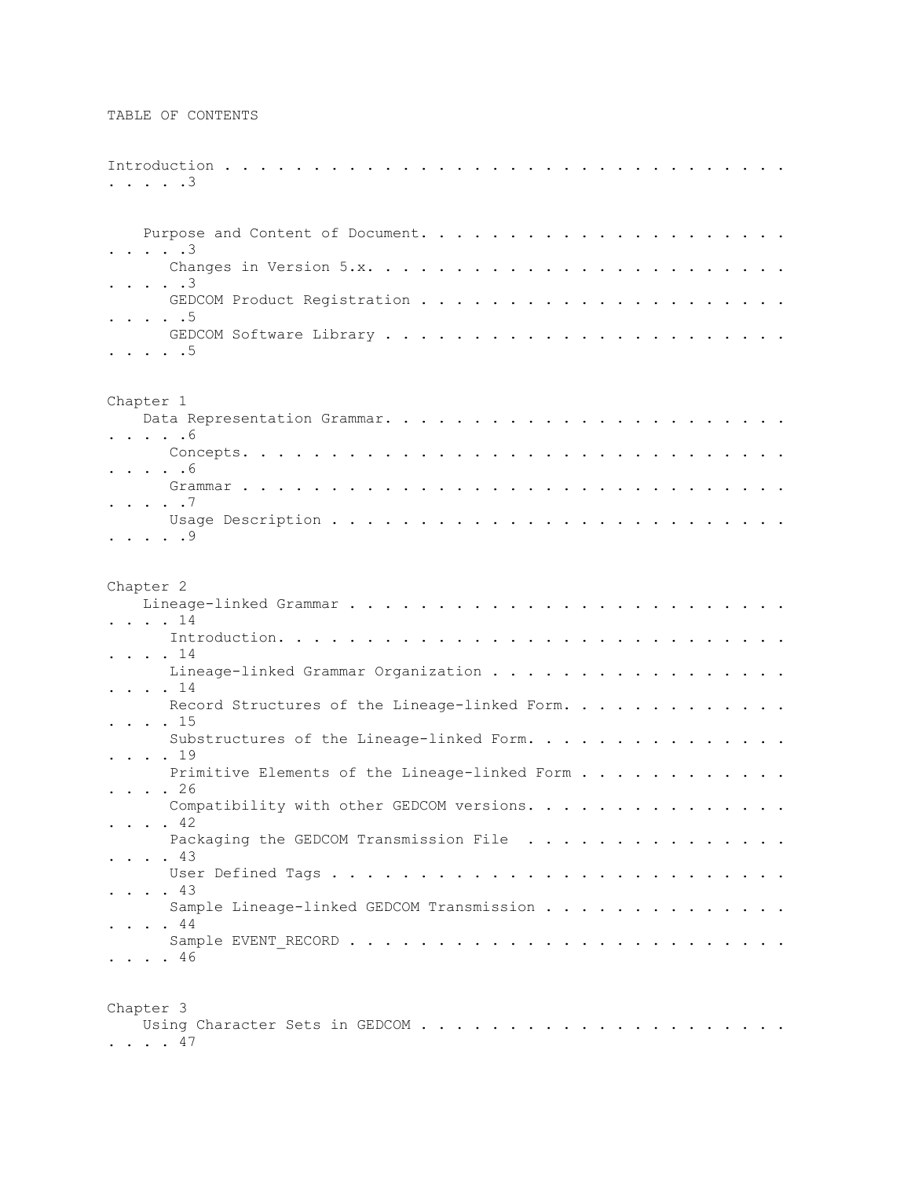```
Introduction . . . . . . . . . . . . . . . . . . . . . . . . . . . . . . . . 
. . . . .3
     Purpose and Content of Document. . . . . . . . . . . . . . . . . . . . . 
 . . . . .3
       Changes in Version 5.x. . . . . . . . . . . . . . . . . . . . . . . . 
. . . . .3
       GEDCOM Product Registration . . . . . . . . . . . . . . . . . . . . . 
. . . . .5
       GEDCOM Software Library . . . . . . . . . . . . . . . . . . . . . . . 
. . . . .5
Chapter 1
     Data Representation Grammar. . . . . . . . . . . . . . . . . . . . . . . 
. . . . .6
        Concepts. . . . . . . . . . . . . . . . . . . . . . . . . . . . . . . 
. . . . .6
       Grammar . . . . . . . . . . . . . . . . . . . . . . . . . . . . . . . 
. . . . .7
       Usage Description . . . . . . . . . . . . . . . . . . . . . . . . . . 
. . . . .9
Chapter 2
     Lineage-linked Grammar . . . . . . . . . . . . . . . . . . . . . . . . . 
. . . . 14
        Introduction. . . . . . . . . . . . . . . . . . . . . . . . . . . . . 
. . . . 14
        Lineage-linked Grammar Organization . . . . . . . . . . . . . . . . . 
. . . . 14
       Record Structures of the Lineage-linked Form. . . . . . . . . . . . .
. . . . 15
       Substructures of the Lineage-linked Form. . . . . . . . . . . . . . . .
. . . . 19
      Primitive Elements of the Lineage-linked Form . . . . . . . . . . . .
. . . . 26
       Compatibility with other GEDCOM versions. . . . . . . . . . . . . . . .
. . . . 42
        Packaging the GEDCOM Transmission File . . . . . . . . . . . . . . . 
. . . . 43
        User Defined Tags . . . . . . . . . . . . . . . . . . . . . . . . . . 
. . . . 43
        Sample Lineage-linked GEDCOM Transmission . . . . . . . . . . . . . . 
 . . . . 44
        Sample EVENT_RECORD . . . . . . . . . . . . . . . . . . . . . . . . . 
. . . . 46
Chapter 3
    Using Character Sets in GEDCOM . . . . . . . . . . . . . . . . . . . . .
```
. . . . 47

TABLE OF CONTENTS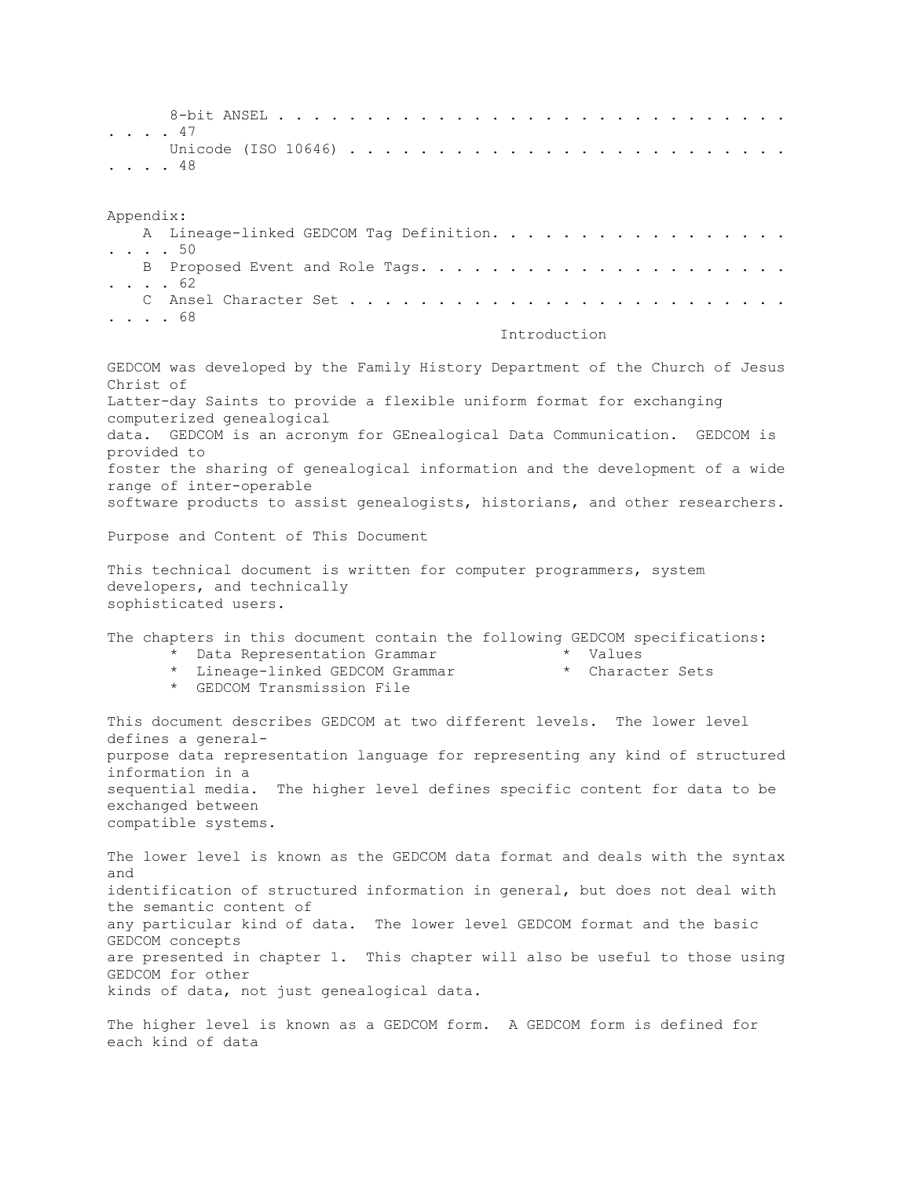8-bit ANSEL . . . . . . . . . . . . . . . . . . . . . . . . . . . . . . . . . 47 Unicode (ISO 10646) . . . . . . . . . . . . . . . . . . . . . . . . . . . . . 48 Appendix: A Lineage-linked GEDCOM Tag Definition. . . . . . . . . . . . . . . . . . . . . . 50 B Proposed Event and Role Tags. . . . . . . . . . . . . . . . . . . . . . . . . 62 C Ansel Character Set . . . . . . . . . . . . . . . . . . . . . . . . . . . . . 68 Introduction GEDCOM was developed by the Family History Department of the Church of Jesus Christ of Latter-day Saints to provide a flexible uniform format for exchanging computerized genealogical data. GEDCOM is an acronym for GEnealogical Data Communication. GEDCOM is provided to foster the sharing of genealogical information and the development of a wide range of inter-operable software products to assist genealogists, historians, and other researchers. Purpose and Content of This Document This technical document is written for computer programmers, system developers, and technically sophisticated users. The chapters in this document contain the following GEDCOM specifications: \* Data Representation Grammar \* \* Values \* Lineage-linked GEDCOM Grammar \* Character Sets \* GEDCOM Transmission File

This document describes GEDCOM at two different levels. The lower level defines a generalpurpose data representation language for representing any kind of structured information in a sequential media. The higher level defines specific content for data to be exchanged between compatible systems.

The lower level is known as the GEDCOM data format and deals with the syntax and identification of structured information in general, but does not deal with the semantic content of any particular kind of data. The lower level GEDCOM format and the basic GEDCOM concepts are presented in chapter 1. This chapter will also be useful to those using GEDCOM for other kinds of data, not just genealogical data.

The higher level is known as a GEDCOM form. A GEDCOM form is defined for each kind of data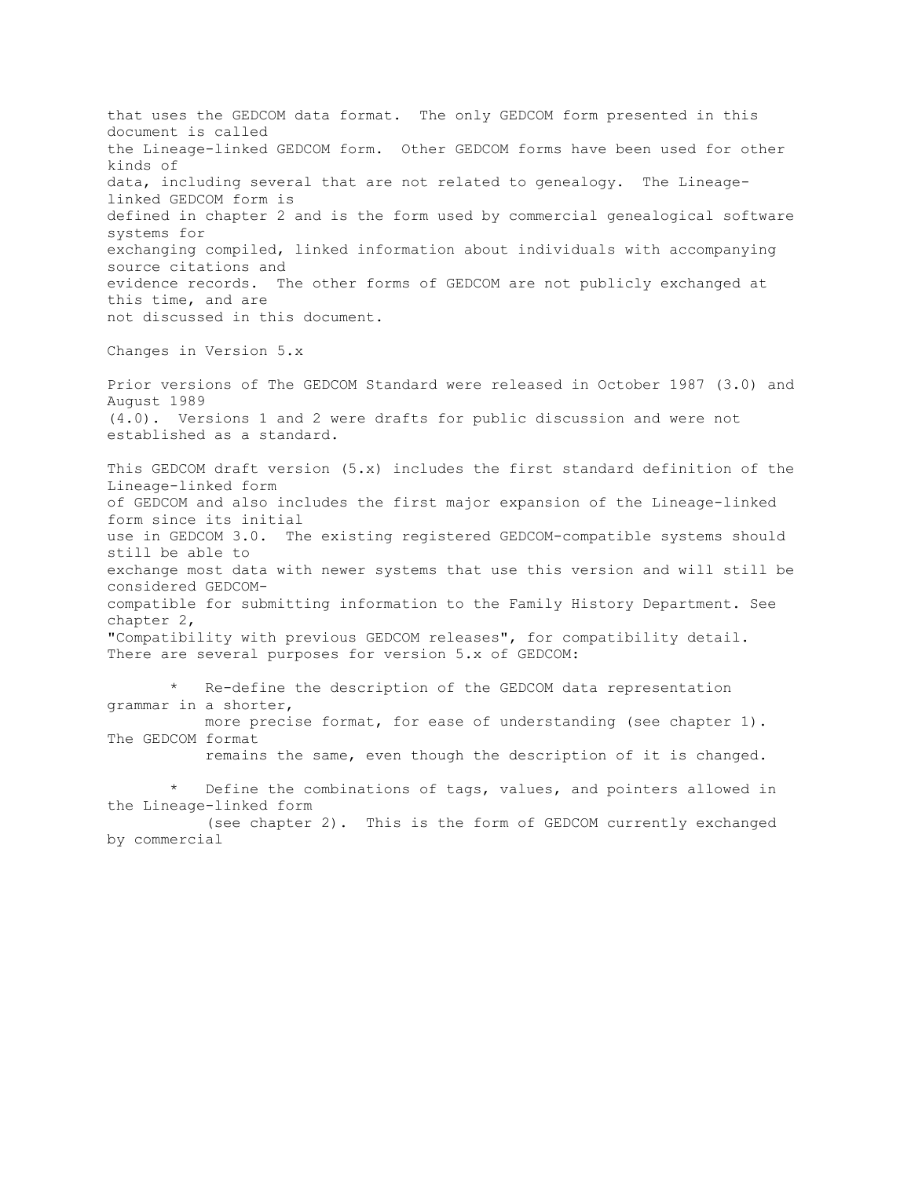that uses the GEDCOM data format. The only GEDCOM form presented in this document is called the Lineage-linked GEDCOM form. Other GEDCOM forms have been used for other kinds of data, including several that are not related to genealogy. The Lineagelinked GEDCOM form is defined in chapter 2 and is the form used by commercial genealogical software systems for exchanging compiled, linked information about individuals with accompanying source citations and evidence records. The other forms of GEDCOM are not publicly exchanged at this time, and are not discussed in this document. Changes in Version 5.x Prior versions of The GEDCOM Standard were released in October 1987 (3.0) and

August 1989 (4.0). Versions 1 and 2 were drafts for public discussion and were not established as a standard.

This GEDCOM draft version (5.x) includes the first standard definition of the Lineage-linked form of GEDCOM and also includes the first major expansion of the Lineage-linked form since its initial use in GEDCOM 3.0. The existing registered GEDCOM-compatible systems should still be able to exchange most data with newer systems that use this version and will still be considered GEDCOMcompatible for submitting information to the Family History Department. See chapter 2, "Compatibility with previous GEDCOM releases", for compatibility detail. There are several purposes for version 5.x of GEDCOM:

Re-define the description of the GEDCOM data representation grammar in a shorter, more precise format, for ease of understanding (see chapter 1). The GEDCOM format remains the same, even though the description of it is changed.

Define the combinations of tags, values, and pointers allowed in the Lineage-linked form

 (see chapter 2). This is the form of GEDCOM currently exchanged by commercial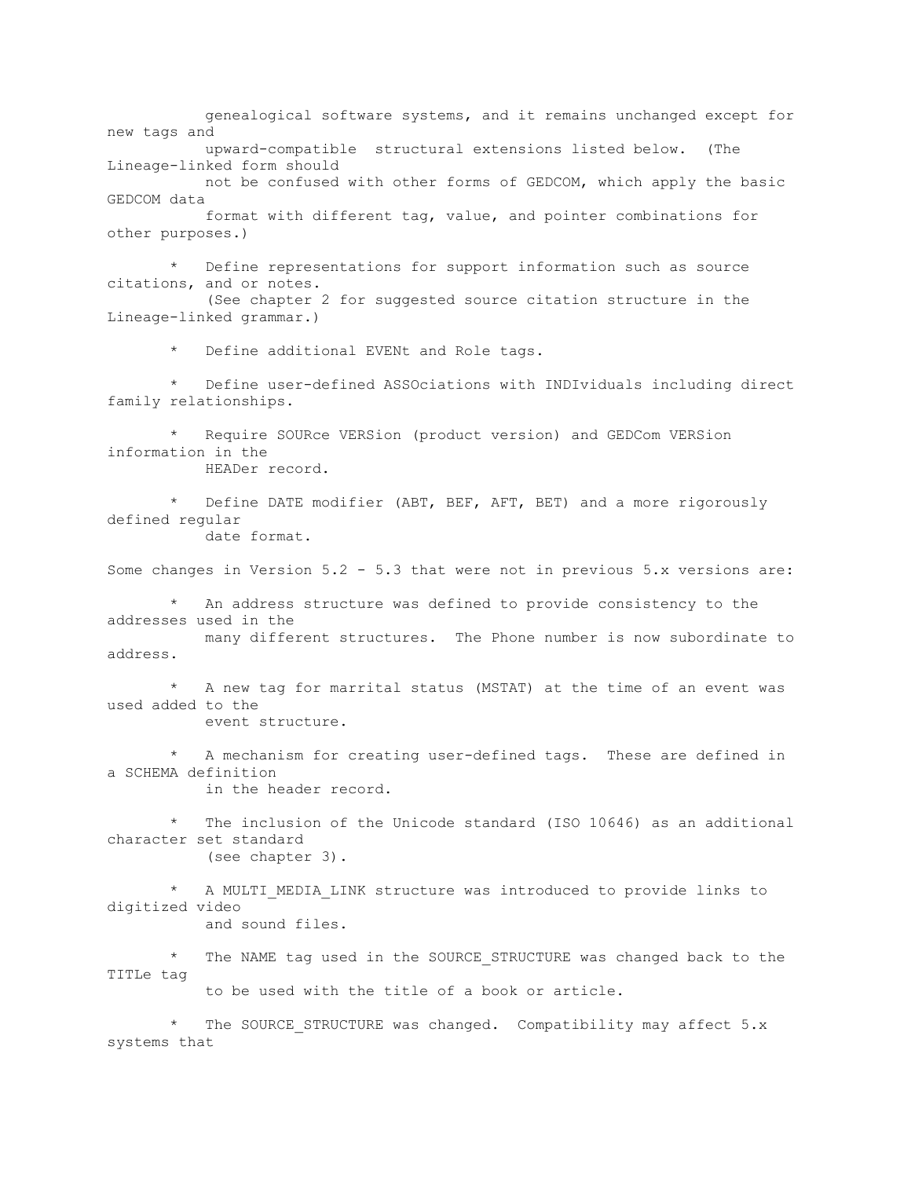genealogical software systems, and it remains unchanged except for new tags and upward-compatible structural extensions listed below. (The Lineage-linked form should not be confused with other forms of GEDCOM, which apply the basic GEDCOM data format with different tag, value, and pointer combinations for other purposes.) Define representations for support information such as source

citations, and or notes. (See chapter 2 for suggested source citation structure in the Lineage-linked grammar.)

\* Define additional EVENt and Role tags.

Define user-defined ASSOciations with INDIviduals including direct family relationships.

Require SOURce VERSion (product version) and GEDCom VERSion information in the HEADer record.

Define DATE modifier (ABT, BEF, AFT, BET) and a more rigorously defined regular date format.

Some changes in Version 5.2 - 5.3 that were not in previous 5.x versions are:

An address structure was defined to provide consistency to the addresses used in the many different structures. The Phone number is now subordinate to address.

A new tag for marrital status (MSTAT) at the time of an event was used added to the event structure.

A mechanism for creating user-defined tags. These are defined in a SCHEMA definition in the header record.

 \* The inclusion of the Unicode standard (ISO 10646) as an additional character set standard (see chapter 3).

A MULTI MEDIA LINK structure was introduced to provide links to digitized video and sound files.

The NAME tag used in the SOURCE STRUCTURE was changed back to the TITLe tag

to be used with the title of a book or article.

The SOURCE STRUCTURE was changed. Compatibility may affect 5.x systems that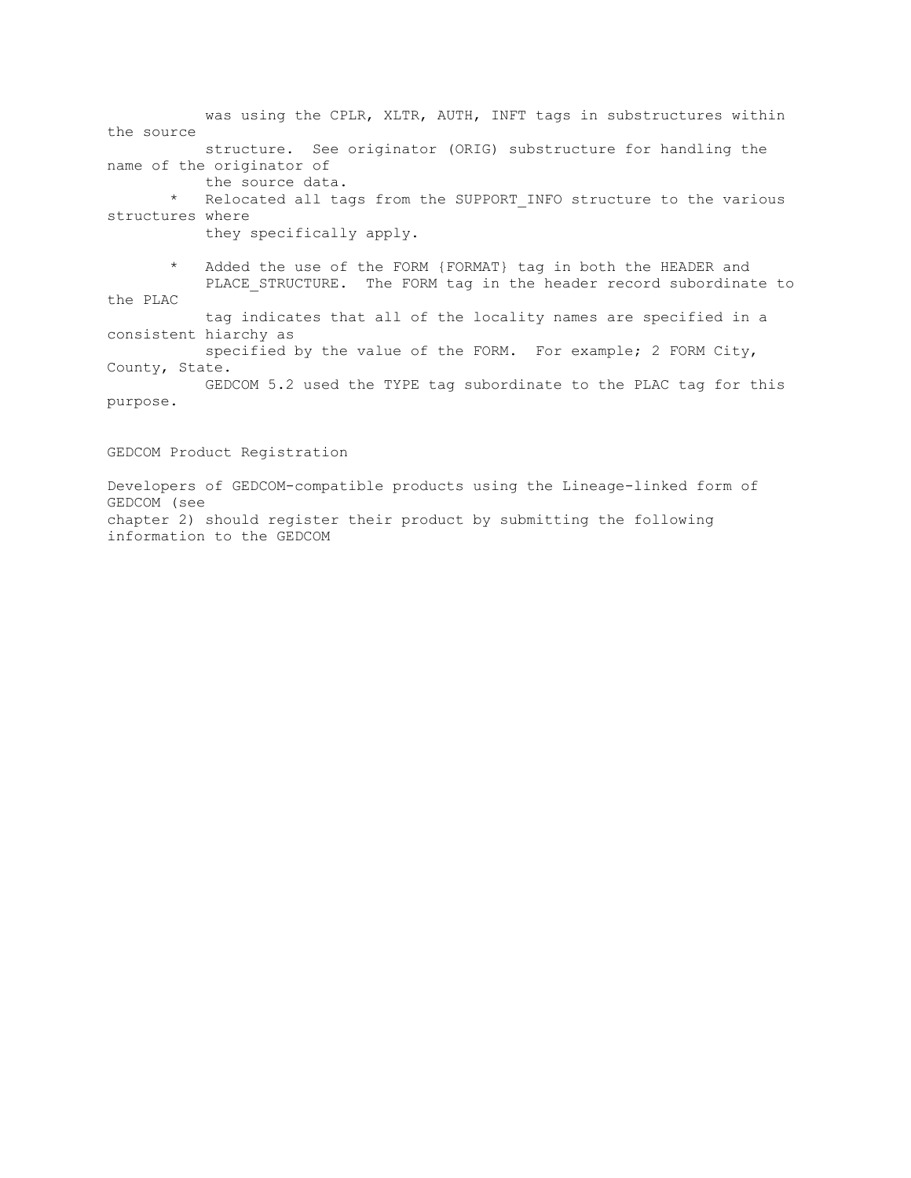was using the CPLR, XLTR, AUTH, INFT tags in substructures within the source structure. See originator (ORIG) substructure for handling the name of the originator of the source data. \* Relocated all tags from the SUPPORT\_INFO structure to the various structures where

they specifically apply.

 \* Added the use of the FORM {FORMAT} tag in both the HEADER and PLACE STRUCTURE. The FORM tag in the header record subordinate to the PLAC

 tag indicates that all of the locality names are specified in a consistent hiarchy as

 specified by the value of the FORM. For example; 2 FORM City, County, State.

 GEDCOM 5.2 used the TYPE tag subordinate to the PLAC tag for this purpose.

GEDCOM Product Registration

Developers of GEDCOM-compatible products using the Lineage-linked form of GEDCOM (see chapter 2) should register their product by submitting the following information to the GEDCOM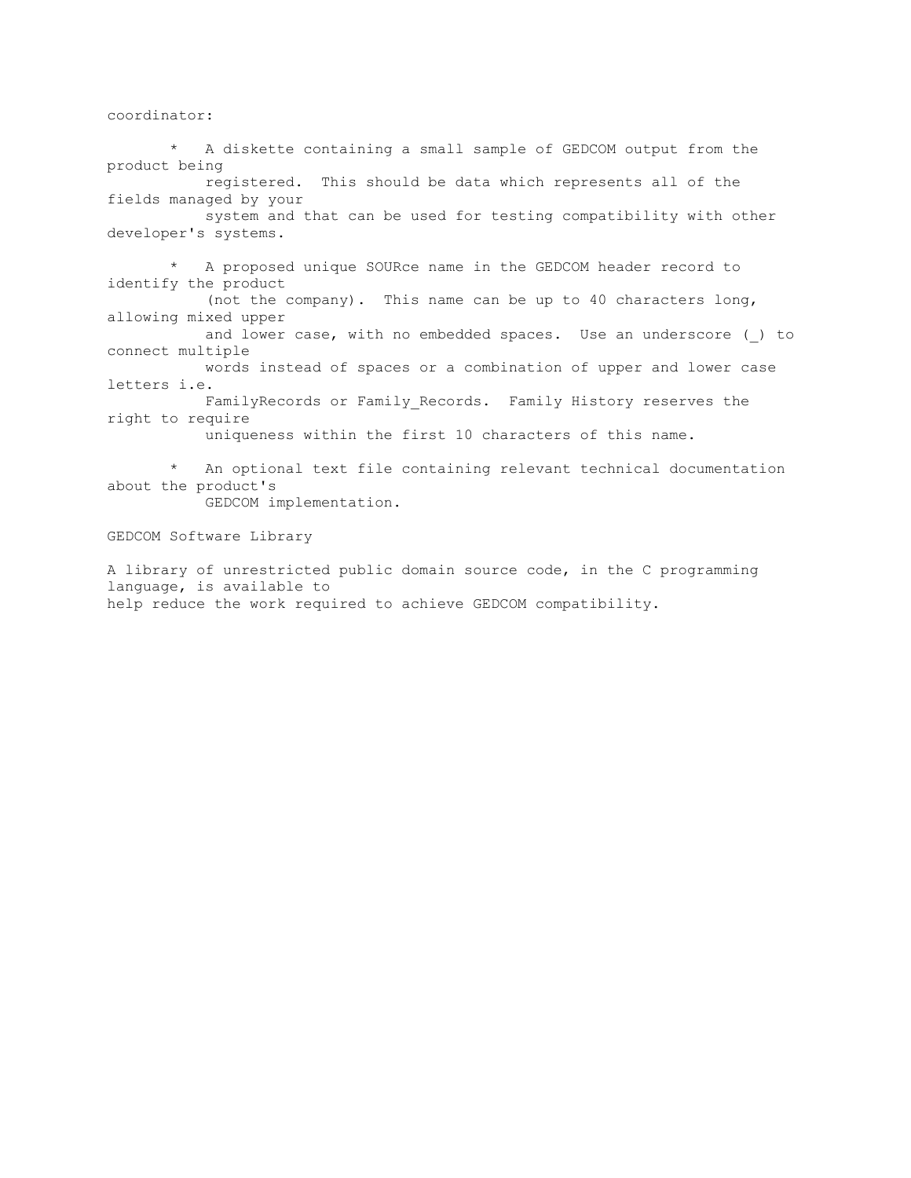coordinator:

 \* A diskette containing a small sample of GEDCOM output from the product being registered. This should be data which represents all of the fields managed by your system and that can be used for testing compatibility with other developer's systems. \* A proposed unique SOURce name in the GEDCOM header record to identify the product (not the company). This name can be up to 40 characters long, allowing mixed upper and lower case, with no embedded spaces. Use an underscore ( ) to connect multiple words instead of spaces or a combination of upper and lower case letters i.e. FamilyRecords or Family Records. Family History reserves the right to require uniqueness within the first 10 characters of this name. An optional text file containing relevant technical documentation about the product's GEDCOM implementation. GEDCOM Software Library

A library of unrestricted public domain source code, in the C programming language, is available to help reduce the work required to achieve GEDCOM compatibility.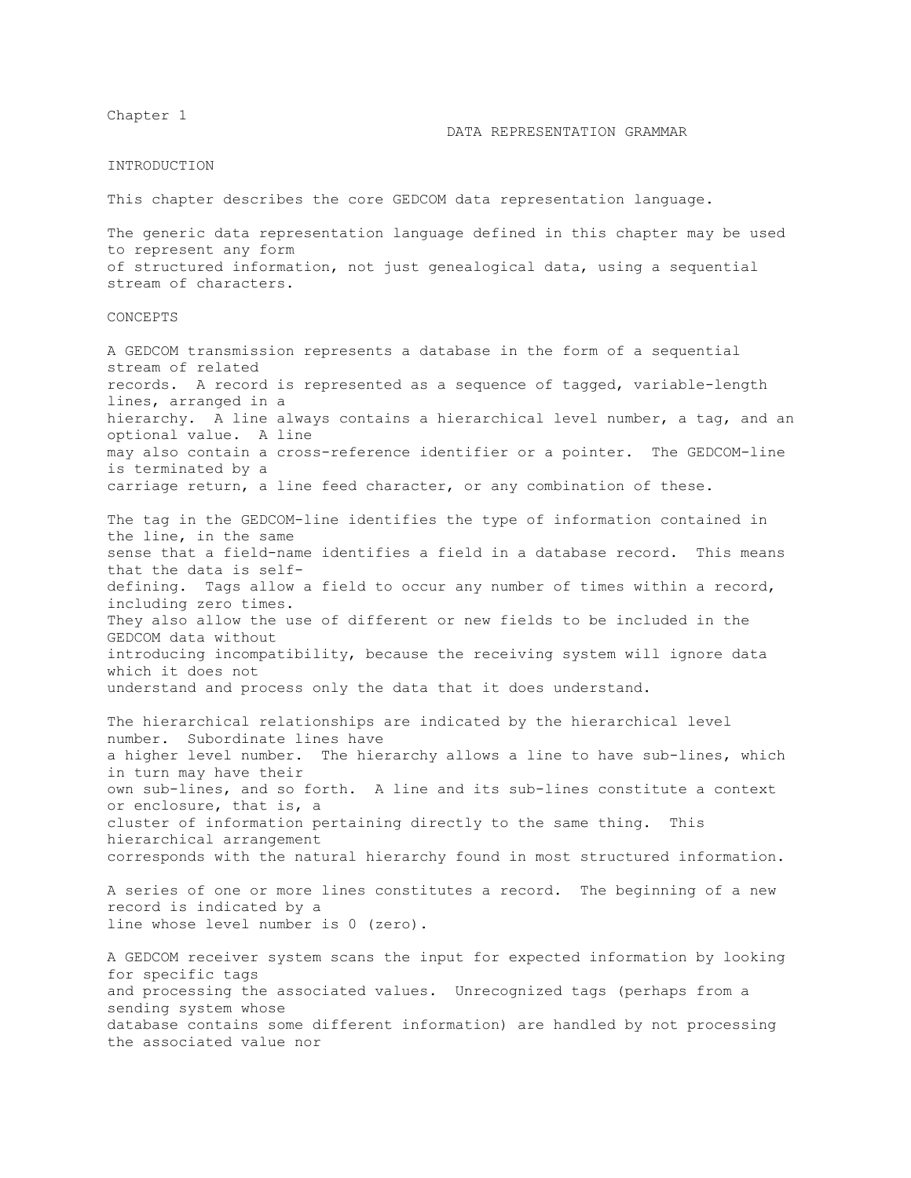Chapter 1

### DATA REPRESENTATION GRAMMAR

#### INTRODUCTION

This chapter describes the core GEDCOM data representation language.

The generic data representation language defined in this chapter may be used to represent any form of structured information, not just genealogical data, using a sequential stream of characters.

### CONCEPTS

A GEDCOM transmission represents a database in the form of a sequential stream of related records. A record is represented as a sequence of tagged, variable-length lines, arranged in a hierarchy. A line always contains a hierarchical level number, a tag, and an optional value. A line may also contain a cross-reference identifier or a pointer. The GEDCOM-line is terminated by a carriage return, a line feed character, or any combination of these.

The tag in the GEDCOM-line identifies the type of information contained in the line, in the same sense that a field-name identifies a field in a database record. This means that the data is selfdefining. Tags allow a field to occur any number of times within a record, including zero times. They also allow the use of different or new fields to be included in the GEDCOM data without introducing incompatibility, because the receiving system will ignore data which it does not understand and process only the data that it does understand.

The hierarchical relationships are indicated by the hierarchical level number. Subordinate lines have a higher level number. The hierarchy allows a line to have sub-lines, which in turn may have their own sub-lines, and so forth. A line and its sub-lines constitute a context or enclosure, that is, a cluster of information pertaining directly to the same thing. This hierarchical arrangement corresponds with the natural hierarchy found in most structured information.

A series of one or more lines constitutes a record. The beginning of a new record is indicated by a line whose level number is 0 (zero).

A GEDCOM receiver system scans the input for expected information by looking for specific tags and processing the associated values. Unrecognized tags (perhaps from a sending system whose database contains some different information) are handled by not processing the associated value nor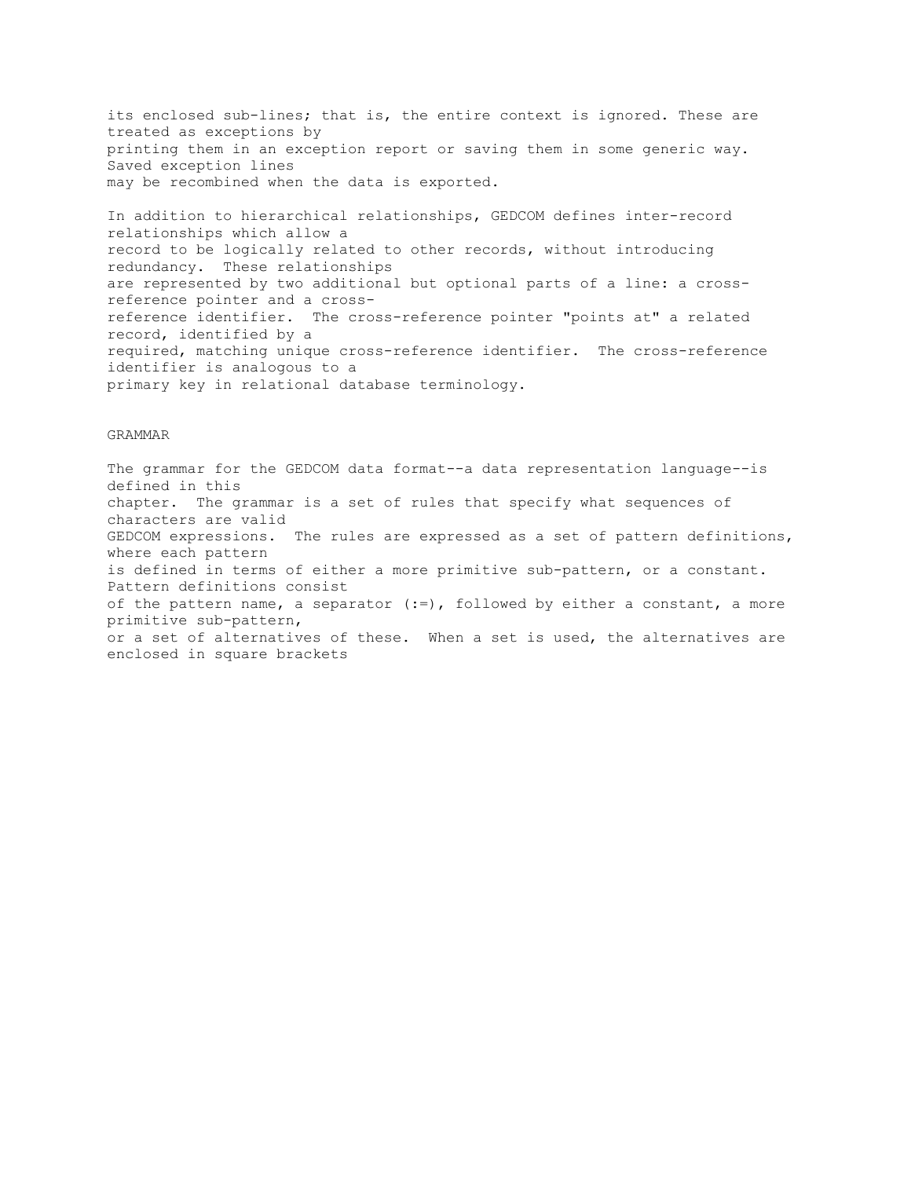its enclosed sub-lines; that is, the entire context is ignored. These are treated as exceptions by printing them in an exception report or saving them in some generic way. Saved exception lines may be recombined when the data is exported.

In addition to hierarchical relationships, GEDCOM defines inter-record relationships which allow a record to be logically related to other records, without introducing redundancy. These relationships are represented by two additional but optional parts of a line: a crossreference pointer and a crossreference identifier. The cross-reference pointer "points at" a related record, identified by a required, matching unique cross-reference identifier. The cross-reference identifier is analogous to a primary key in relational database terminology.

### GRAMMAR

The grammar for the GEDCOM data format--a data representation language--is defined in this chapter. The grammar is a set of rules that specify what sequences of characters are valid GEDCOM expressions. The rules are expressed as a set of pattern definitions, where each pattern is defined in terms of either a more primitive sub-pattern, or a constant. Pattern definitions consist of the pattern name, a separator (:=), followed by either a constant, a more primitive sub-pattern, or a set of alternatives of these. When a set is used, the alternatives are enclosed in square brackets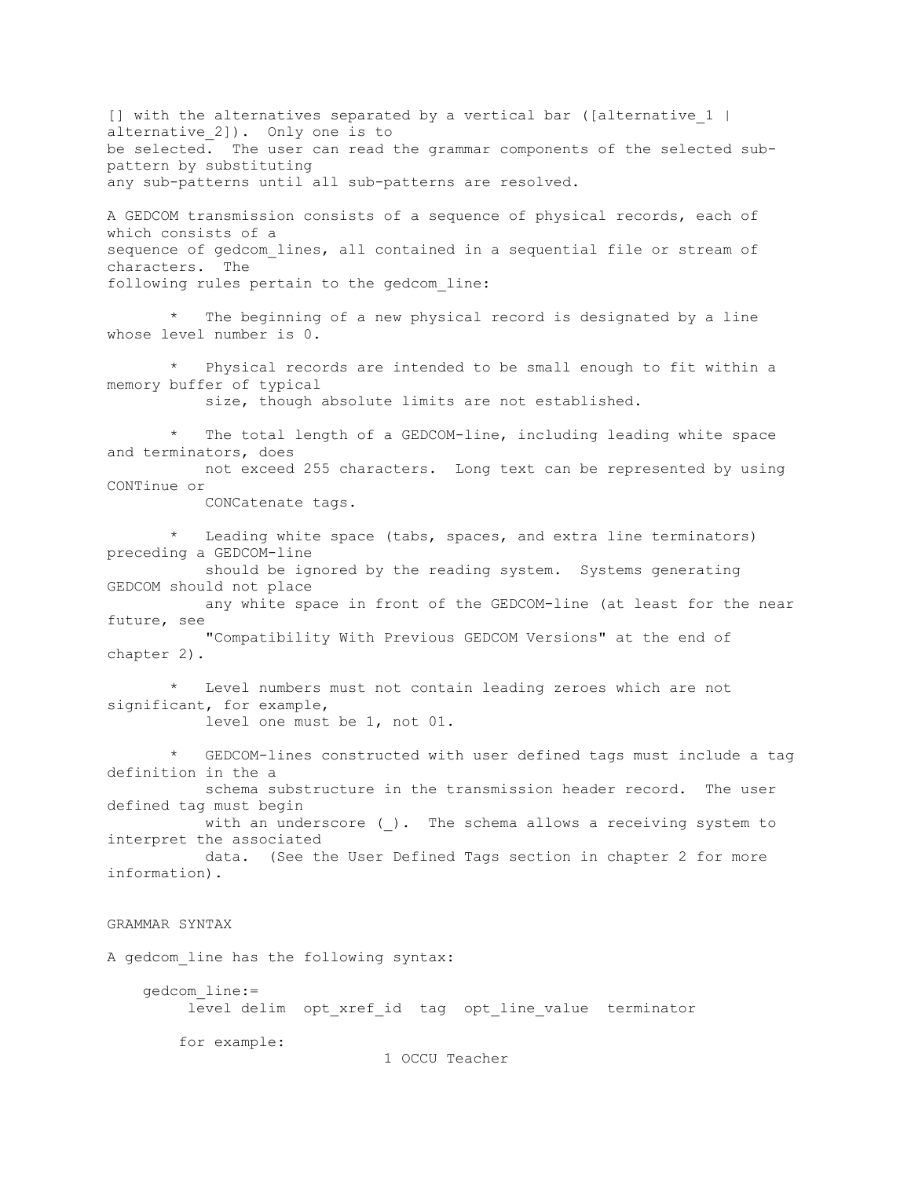[] with the alternatives separated by a vertical bar ([alternative 1 | alternative 2]). Only one is to be selected. The user can read the grammar components of the selected subpattern by substituting any sub-patterns until all sub-patterns are resolved.

A GEDCOM transmission consists of a sequence of physical records, each of which consists of a sequence of gedcom lines, all contained in a sequential file or stream of characters. The following rules pertain to the gedcom\_line:

The beginning of a new physical record is designated by a line whose level number is 0.

 \* Physical records are intended to be small enough to fit within a memory buffer of typical

size, though absolute limits are not established.

The total length of a GEDCOM-line, including leading white space and terminators, does not exceed 255 characters. Long text can be represented by using

CONTinue or

CONCatenate tags.

Leading white space (tabs, spaces, and extra line terminators) preceding a GEDCOM-line

 should be ignored by the reading system. Systems generating GEDCOM should not place

 any white space in front of the GEDCOM-line (at least for the near future, see

 "Compatibility With Previous GEDCOM Versions" at the end of chapter 2).

Level numbers must not contain leading zeroes which are not significant, for example, level one must be 1, not 01.

GEDCOM-lines constructed with user defined tags must include a tag definition in the a

 schema substructure in the transmission header record. The user defined tag must begin

with an underscore (). The schema allows a receiving system to interpret the associated

 data. (See the User Defined Tags section in chapter 2 for more information).

# GRAMMAR SYNTAX

A gedcom\_line has the following syntax:

 gedcom\_line:= level delim opt xref id tag opt line value terminator

for example:

1 OCCU Teacher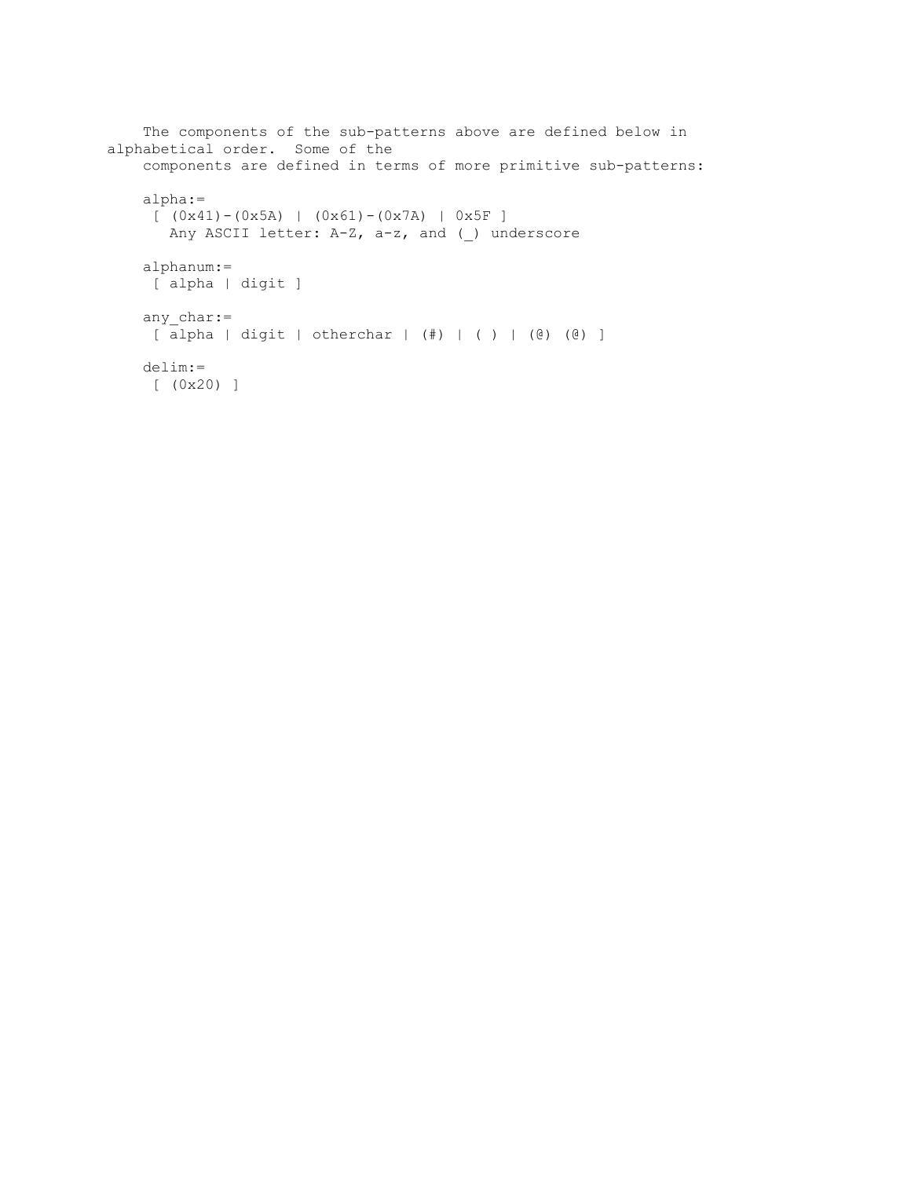```
 The components of the sub-patterns above are defined below in 
alphabetical order. Some of the
     components are defined in terms of more primitive sub-patterns:
     alpha:=
    [ (0x41) - (0x5A) | (0x61) - (0x7A) | 0x5F ]
       Any ASCII letter: A-Z, a-z, and ( ) underscore
     alphanum:=
      [ alpha | digit ]
    any char:=
     [ alpha | digit | otherchar | (#) | ( ) | (@) (@) ]
     delim:=
     [ (0x20) ]
```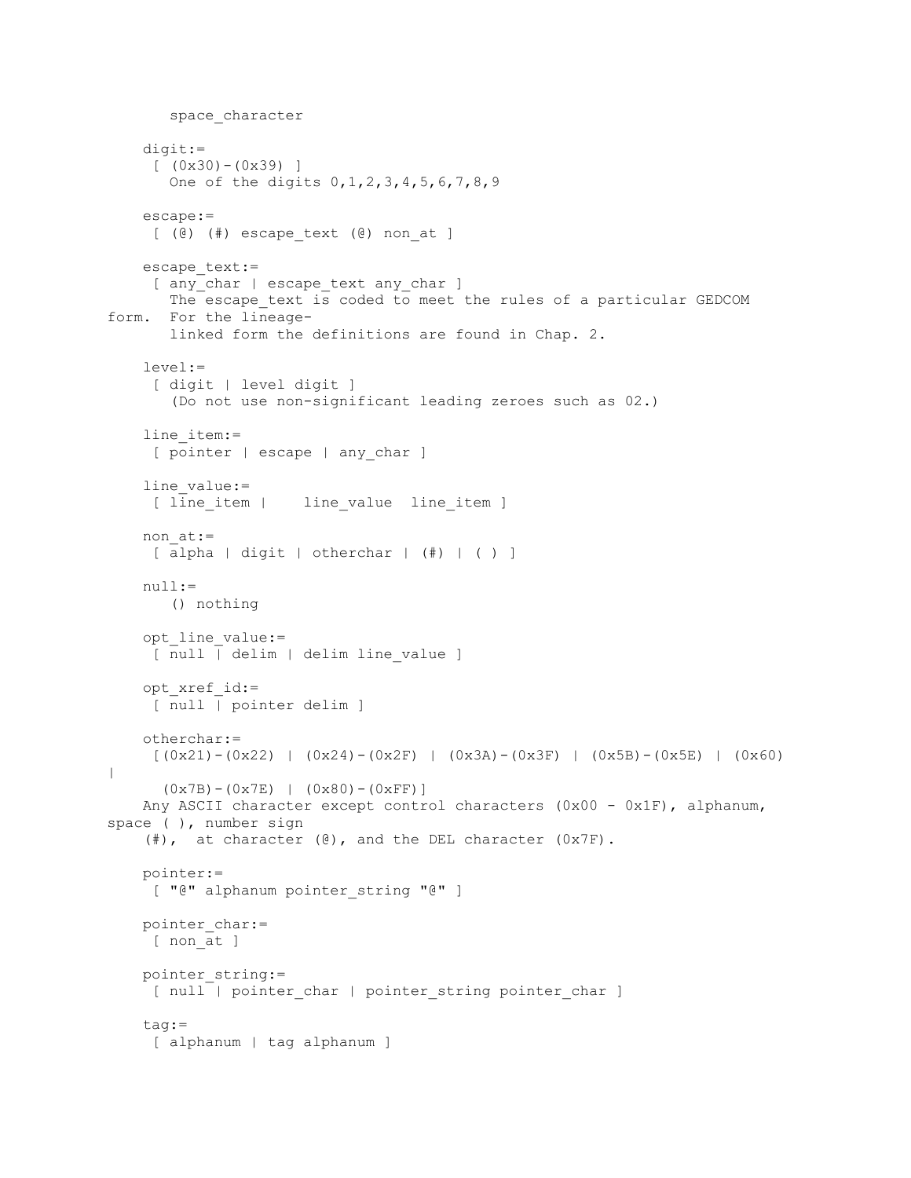```
 space_character
     digit:=
     [ (0x30) - (0x39) ]One of the digits 0, 1, 2, 3, 4, 5, 6, 7, 8, 9 escape:=
    [ (@) (#) escape text (@) non at ]
    escape text:=
     [ any char | escape text any char ]
       The escape text is coded to meet the rules of a particular GEDCOM
form. For the lineage-
       linked form the definitions are found in Chap. 2.
     level:=
      [ digit | level digit ]
        (Do not use non-significant leading zeroes such as 02.)
    line_item:=
    [ pointer | escape | any char ]
    line_value:=
     [ line item | line value line item ]
    non at:=
     [ alpha | digit | otherchar | (#) | ( ) ]
     null:=
        () nothing
     opt_line_value:=
    [ null | delim | delim line value ]
     opt_xref_id:=
     [ null | pointer delim ]
     otherchar:=
    [(0x21)-(0x22) (0x24)-(0x2F) (0x3F) (0x3F) (0x5B)-(0x5F) (0x60)|
      (0x7B) - (0x7E) | (0x80) - (0xFF)]
    Any ASCII character except control characters (0x00 - 0x1F), alphanum,
space ( ), number sign
    (\#), at character (\Theta), and the DEL character (0x7F).
     pointer:=
    [ "@" alphanum pointer string "@" ]
   pointer_char:=
    [ non at ]
     pointer_string:=
     [ null | pointer char | pointer string pointer char ]
     tag:=
      [ alphanum | tag alphanum ]
```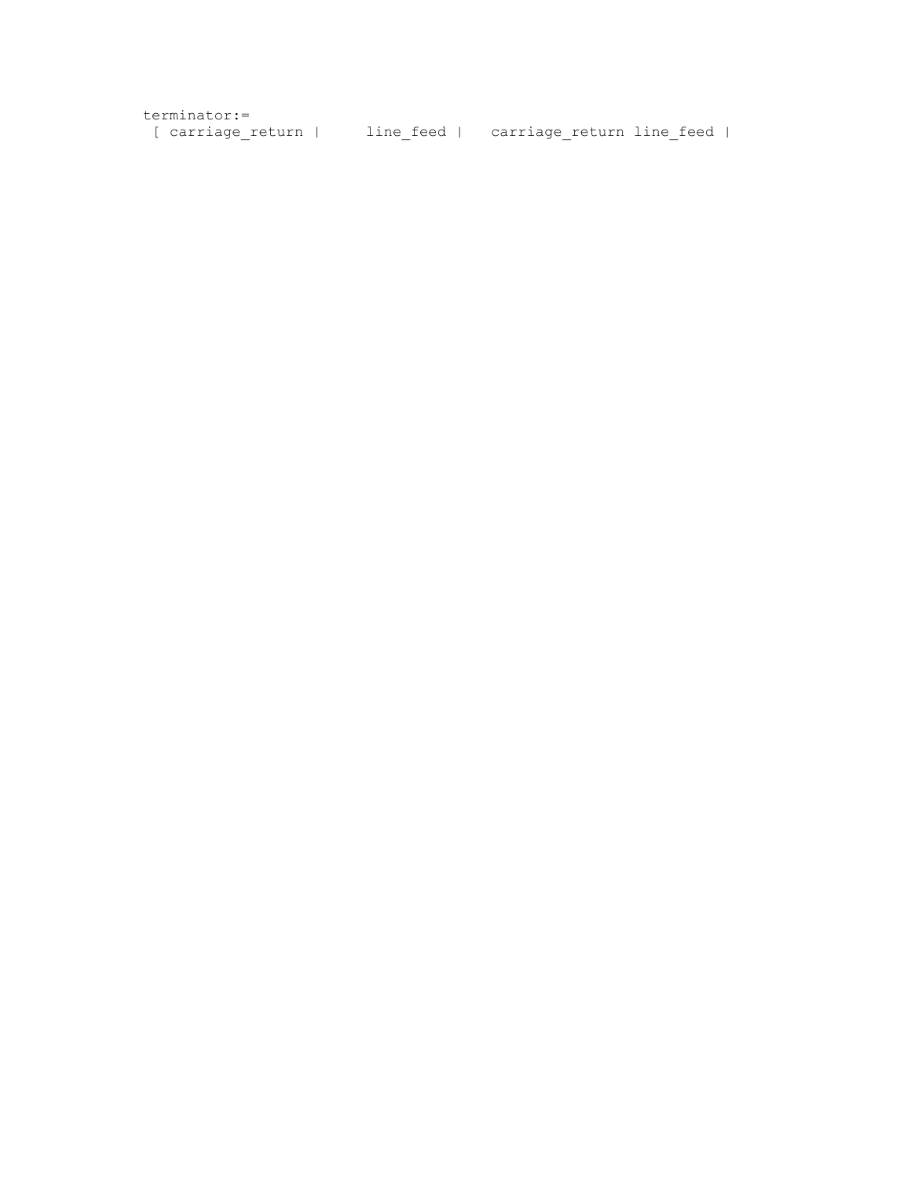| terminator:=      |                                       |  |
|-------------------|---------------------------------------|--|
| [ carriage return | line feed   carriage return line feed |  |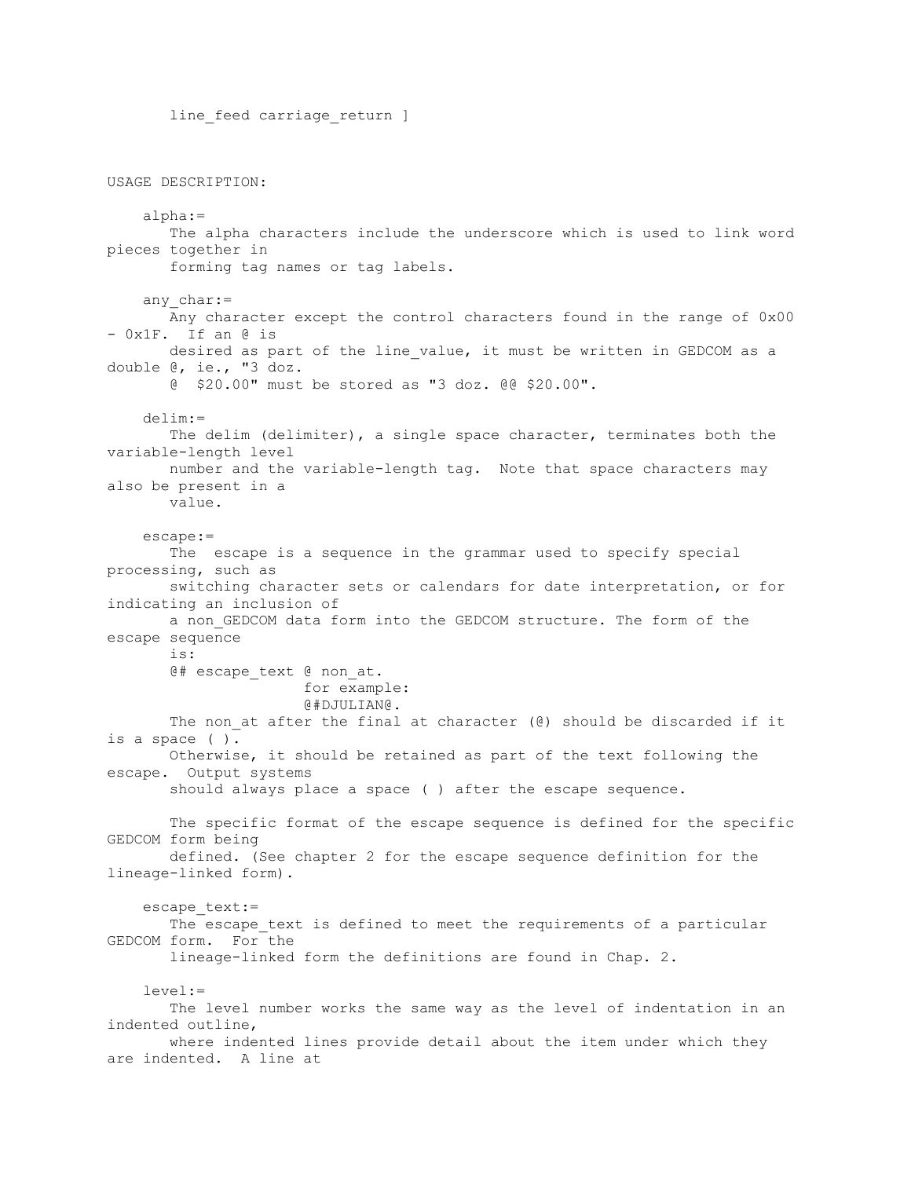line feed carriage return ] USAGE DESCRIPTION: alpha:= The alpha characters include the underscore which is used to link word pieces together in forming tag names or tag labels. any char:= Any character except the control characters found in the range of 0x00 - 0x1F. If an @ is desired as part of the line value, it must be written in GEDCOM as a double @, ie., "3 doz. @ \$20.00" must be stored as "3 doz. @@ \$20.00". delim:= The delim (delimiter), a single space character, terminates both the variable-length level number and the variable-length tag. Note that space characters may also be present in a value. escape:= The escape is a sequence in the grammar used to specify special processing, such as switching character sets or calendars for date interpretation, or for indicating an inclusion of a non GEDCOM data form into the GEDCOM structure. The form of the escape sequence is: @# escape\_text @ non\_at. for example: @#DJULIAN@. The non at after the final at character ( $\theta$ ) should be discarded if it is a space ( ). Otherwise, it should be retained as part of the text following the escape. Output systems should always place a space ( ) after the escape sequence. The specific format of the escape sequence is defined for the specific GEDCOM form being defined. (See chapter 2 for the escape sequence definition for the lineage-linked form). escape text:= The escape text is defined to meet the requirements of a particular GEDCOM form. For the lineage-linked form the definitions are found in Chap. 2. level:= The level number works the same way as the level of indentation in an indented outline, where indented lines provide detail about the item under which they are indented. A line at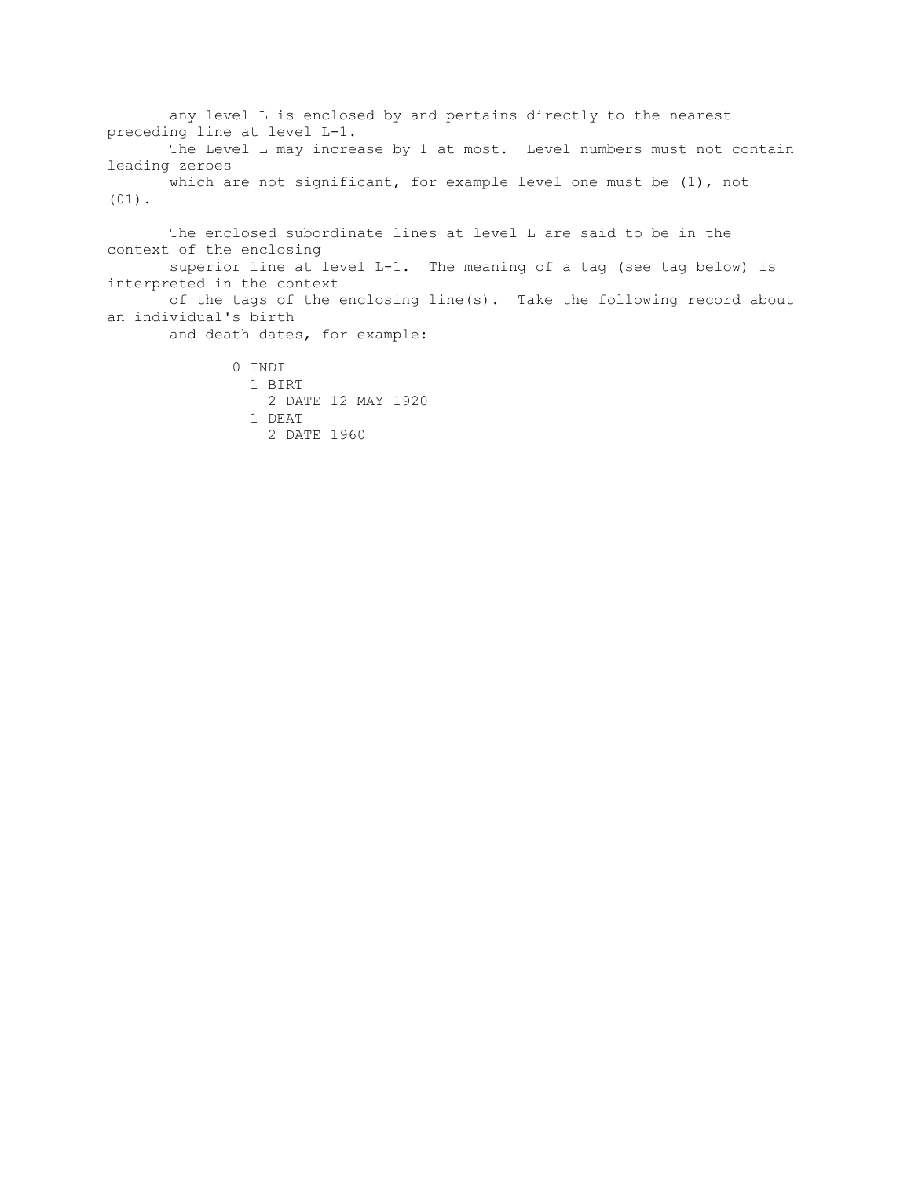any level L is enclosed by and pertains directly to the nearest preceding line at level L-1. The Level L may increase by 1 at most. Level numbers must not contain leading zeroes which are not significant, for example level one must be (1), not (01).

 The enclosed subordinate lines at level L are said to be in the context of the enclosing superior line at level L-1. The meaning of a tag (see tag below) is interpreted in the context of the tags of the enclosing line(s). Take the following record about an individual's birth and death dates, for example:

> 0 INDI 1 BIRT 2 DATE 12 MAY 1920 1 DEAT 2 DATE 1960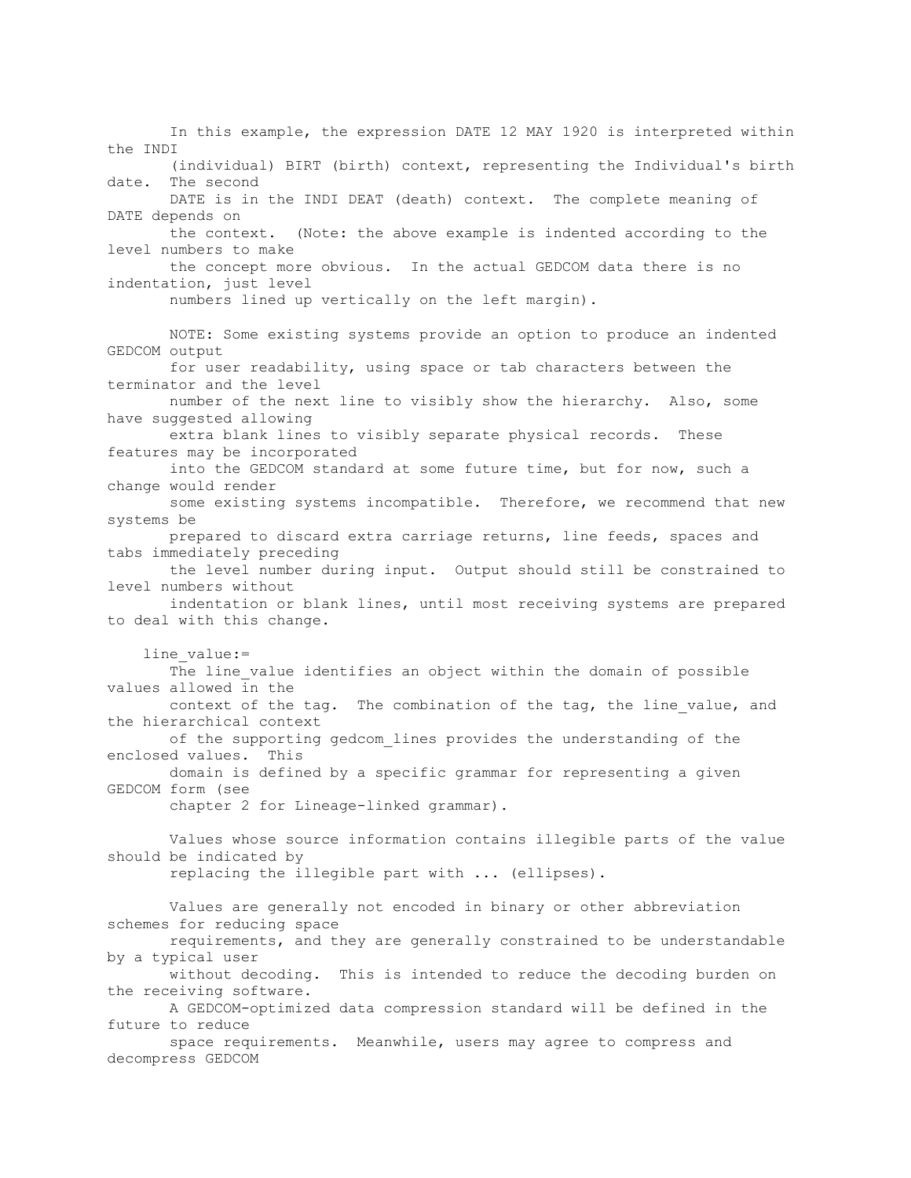In this example, the expression DATE 12 MAY 1920 is interpreted within the INDI (individual) BIRT (birth) context, representing the Individual's birth date. The second DATE is in the INDI DEAT (death) context. The complete meaning of DATE depends on the context. (Note: the above example is indented according to the level numbers to make the concept more obvious. In the actual GEDCOM data there is no indentation, just level numbers lined up vertically on the left margin). NOTE: Some existing systems provide an option to produce an indented GEDCOM output for user readability, using space or tab characters between the terminator and the level number of the next line to visibly show the hierarchy. Also, some have suggested allowing extra blank lines to visibly separate physical records. These features may be incorporated into the GEDCOM standard at some future time, but for now, such a change would render some existing systems incompatible. Therefore, we recommend that new systems be prepared to discard extra carriage returns, line feeds, spaces and tabs immediately preceding the level number during input. Output should still be constrained to level numbers without indentation or blank lines, until most receiving systems are prepared to deal with this change. line\_value:= The line value identifies an object within the domain of possible values allowed in the context of the tag. The combination of the tag, the line value, and the hierarchical context of the supporting gedcom lines provides the understanding of the enclosed values. This domain is defined by a specific grammar for representing a given GEDCOM form (see chapter 2 for Lineage-linked grammar). Values whose source information contains illegible parts of the value should be indicated by replacing the illegible part with ... (ellipses). Values are generally not encoded in binary or other abbreviation schemes for reducing space requirements, and they are generally constrained to be understandable by a typical user without decoding. This is intended to reduce the decoding burden on the receiving software. A GEDCOM-optimized data compression standard will be defined in the future to reduce space requirements. Meanwhile, users may agree to compress and decompress GEDCOM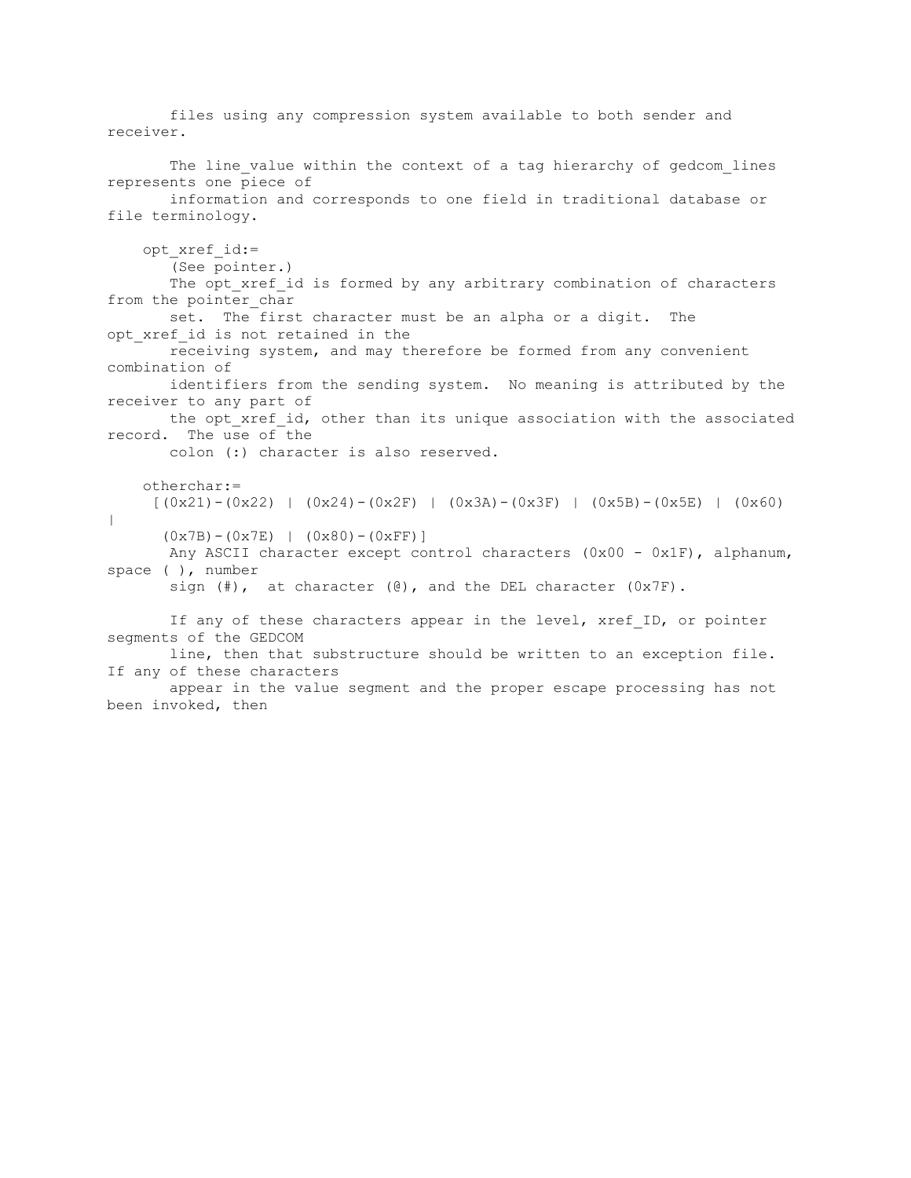files using any compression system available to both sender and receiver. The line value within the context of a tag hierarchy of gedcom lines represents one piece of information and corresponds to one field in traditional database or file terminology. opt\_xref\_id:= (See pointer.) The opt xref id is formed by any arbitrary combination of characters from the pointer char set. The first character must be an alpha or a digit. The opt xref id is not retained in the receiving system, and may therefore be formed from any convenient combination of identifiers from the sending system. No meaning is attributed by the receiver to any part of the opt xref id, other than its unique association with the associated record. The use of the colon (:) character is also reserved. otherchar:=  $[(0x21)-(0x22)]$   $(0x24)-(0x2F)]$   $(0x3A)-(0x3F)]$   $(0x5B)-(0x5E)]$   $(0x60)$ |  $(0x7B) - (0x7E)$  |  $(0x80) - (0xFF)$ ] Any ASCII character except control characters (0x00 - 0x1F), alphanum, space ( ), number sign  $(\#)$ , at character  $(\mathcal{C})$ , and the DEL character  $(0 \times 7F)$ . If any of these characters appear in the level, xref ID, or pointer segments of the GEDCOM line, then that substructure should be written to an exception file. If any of these characters appear in the value segment and the proper escape processing has not been invoked, then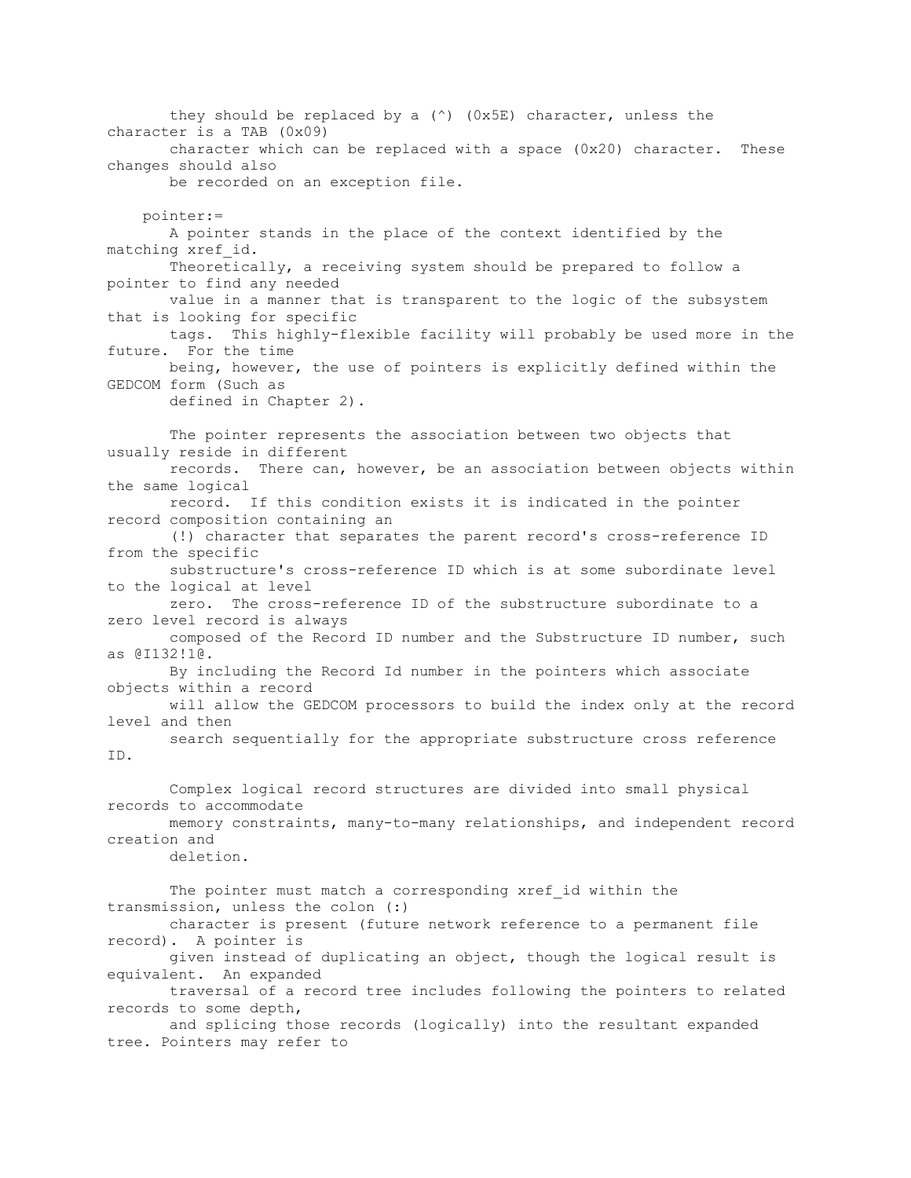they should be replaced by a (^) (0x5E) character, unless the character is a TAB (0x09) character which can be replaced with a space (0x20) character. These changes should also be recorded on an exception file. pointer:= A pointer stands in the place of the context identified by the matching xref\_id. Theoretically, a receiving system should be prepared to follow a pointer to find any needed value in a manner that is transparent to the logic of the subsystem that is looking for specific tags. This highly-flexible facility will probably be used more in the future. For the time being, however, the use of pointers is explicitly defined within the GEDCOM form (Such as defined in Chapter 2). The pointer represents the association between two objects that usually reside in different records. There can, however, be an association between objects within the same logical record. If this condition exists it is indicated in the pointer record composition containing an (!) character that separates the parent record's cross-reference ID from the specific substructure's cross-reference ID which is at some subordinate level to the logical at level zero. The cross-reference ID of the substructure subordinate to a zero level record is always composed of the Record ID number and the Substructure ID number, such as @I132!1@. By including the Record Id number in the pointers which associate objects within a record will allow the GEDCOM processors to build the index only at the record level and then search sequentially for the appropriate substructure cross reference ID. Complex logical record structures are divided into small physical records to accommodate memory constraints, many-to-many relationships, and independent record creation and deletion. The pointer must match a corresponding xref id within the transmission, unless the colon (:) character is present (future network reference to a permanent file record). A pointer is given instead of duplicating an object, though the logical result is equivalent. An expanded traversal of a record tree includes following the pointers to related records to some depth, and splicing those records (logically) into the resultant expanded tree. Pointers may refer to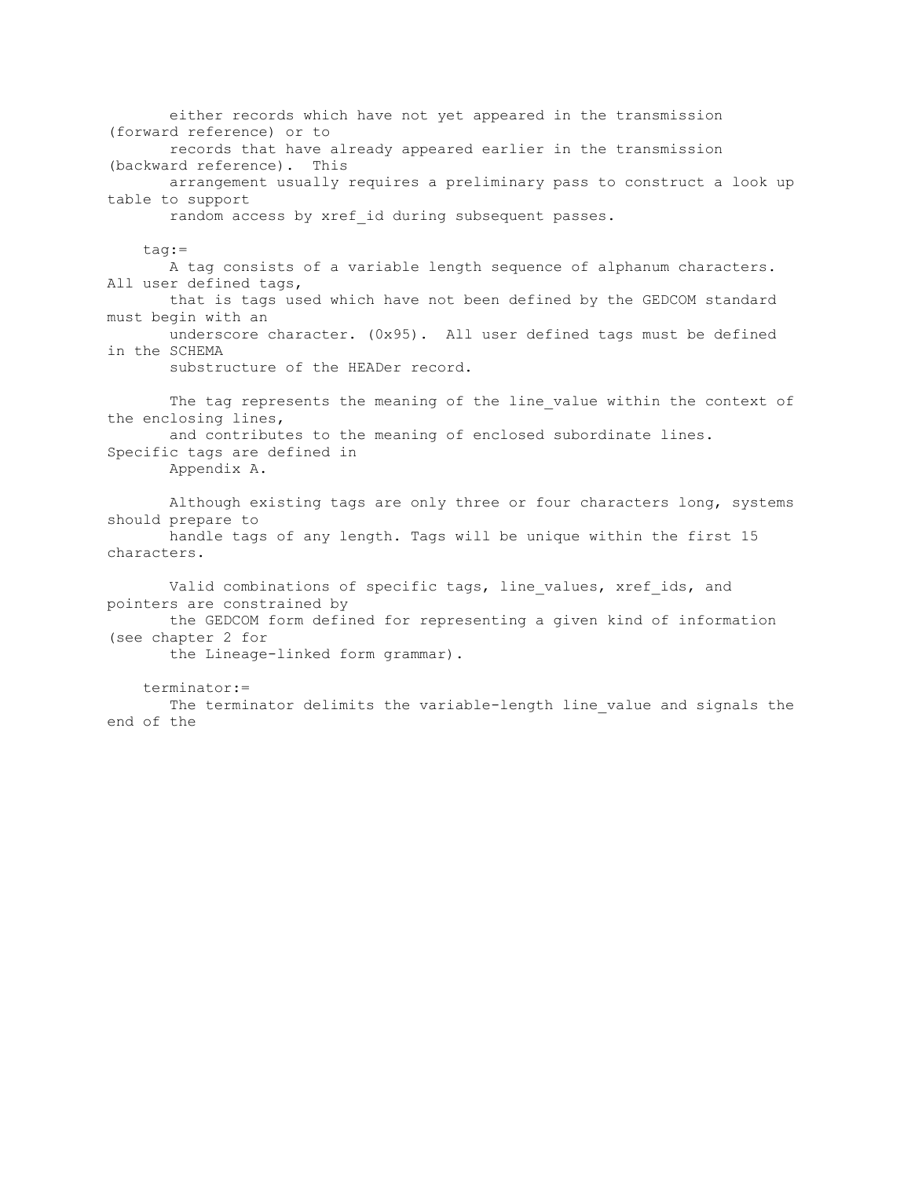either records which have not yet appeared in the transmission (forward reference) or to records that have already appeared earlier in the transmission (backward reference). This arrangement usually requires a preliminary pass to construct a look up table to support random access by xref id during subsequent passes. tag:= A tag consists of a variable length sequence of alphanum characters. All user defined tags, that is tags used which have not been defined by the GEDCOM standard must begin with an underscore character. (0x95). All user defined tags must be defined in the SCHEMA substructure of the HEADer record. The tag represents the meaning of the line value within the context of the enclosing lines, and contributes to the meaning of enclosed subordinate lines. Specific tags are defined in Appendix A. Although existing tags are only three or four characters long, systems should prepare to handle tags of any length. Tags will be unique within the first 15 characters. Valid combinations of specific tags, line values, xref ids, and pointers are constrained by the GEDCOM form defined for representing a given kind of information (see chapter 2 for the Lineage-linked form grammar). terminator:= The terminator delimits the variable-length line value and signals the end of the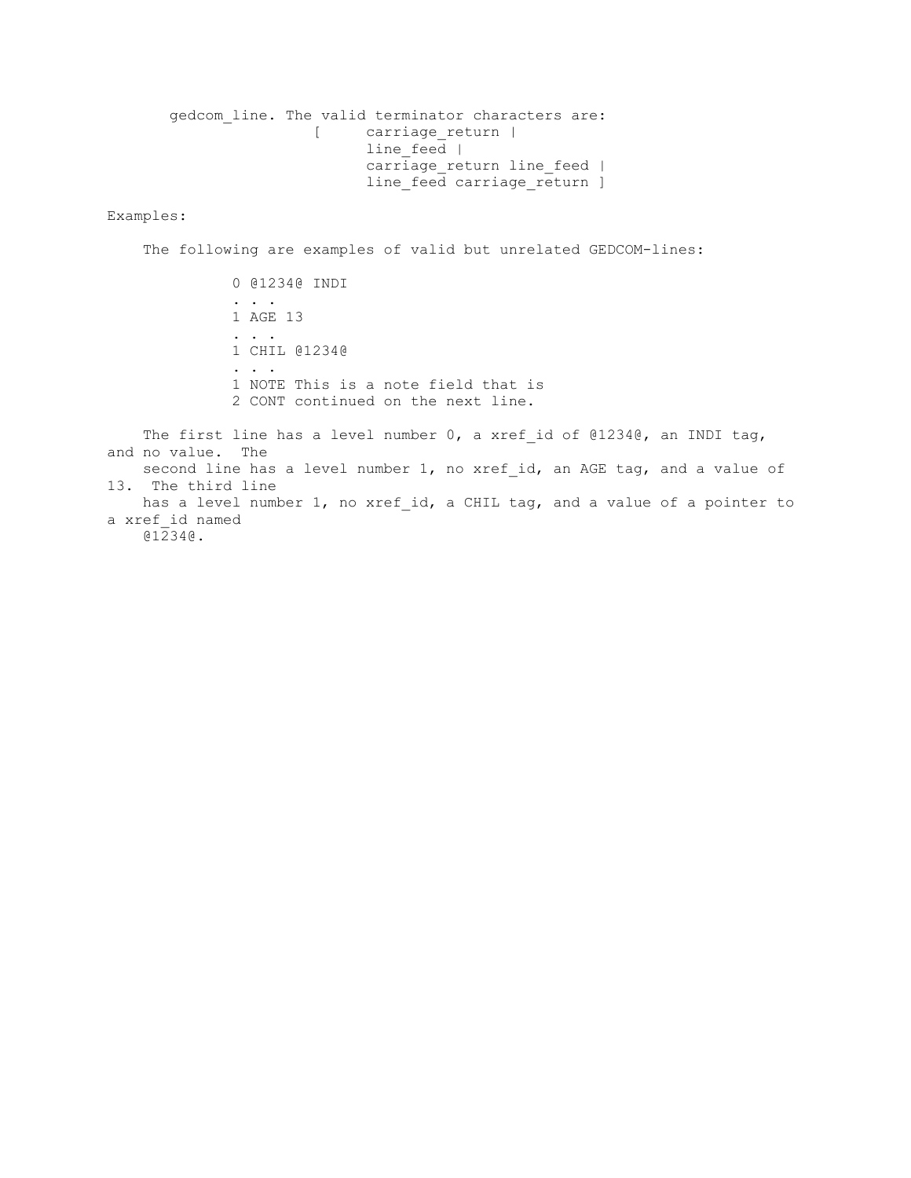gedcom line. The valid terminator characters are: [ carriage\_return | line feed  $|$ carriage return line feed | line\_feed carriage\_return ]

### Examples:

The following are examples of valid but unrelated GEDCOM-lines:

 0 @1234@ INDI . . . . 1 AGE 13 . . . 1 CHIL @1234@ . . . 1 NOTE This is a note field that is 2 CONT continued on the next line.

The first line has a level number 0, a xref id of  $@1234@$ , an INDI tag, and no value. The second line has a level number 1, no xref id, an AGE tag, and a value of 13. The third line has a level number 1, no xref id, a CHIL tag, and a value of a pointer to a xref\_id named @1234@.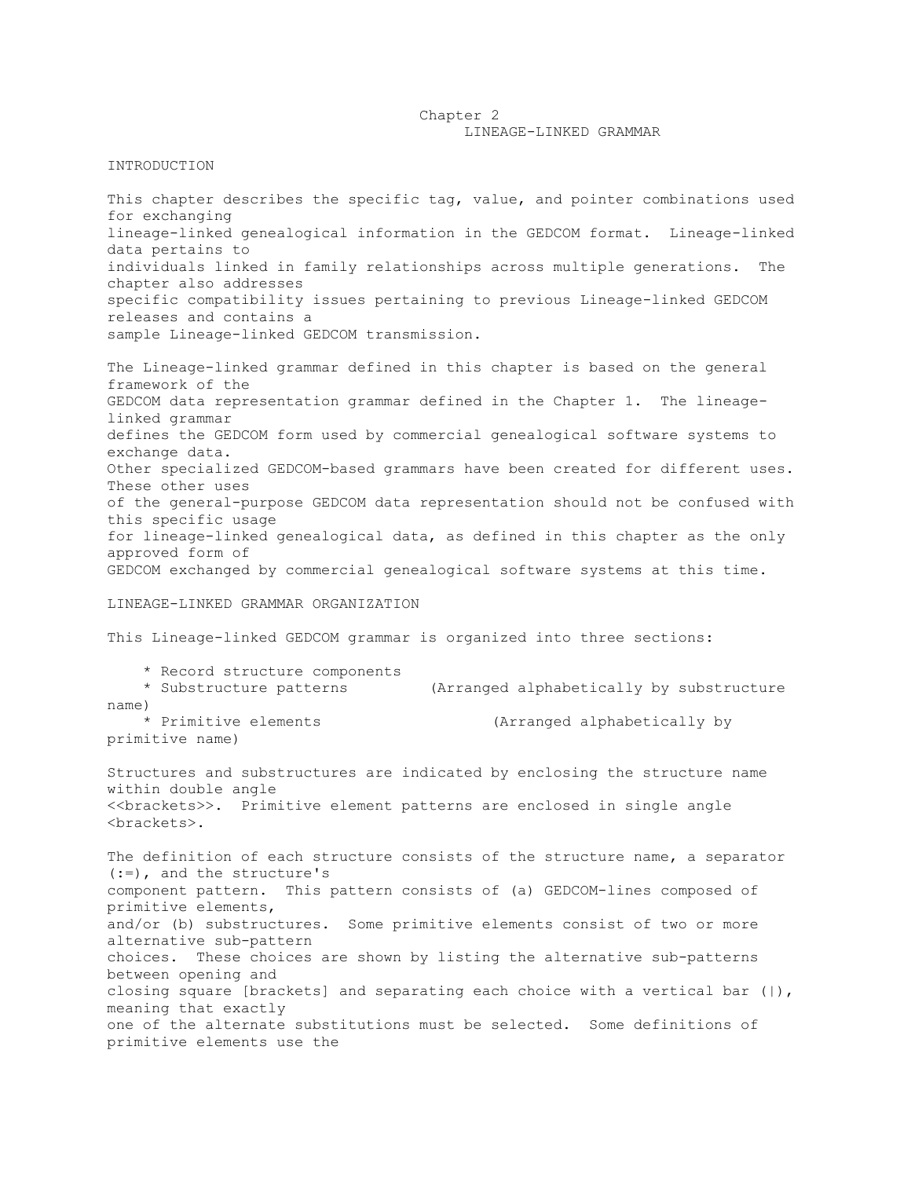## Chapter 2 LINEAGE-LINKED GRAMMAR

### INTRODUCTION

This chapter describes the specific tag, value, and pointer combinations used for exchanging lineage-linked genealogical information in the GEDCOM format. Lineage-linked data pertains to individuals linked in family relationships across multiple generations. The chapter also addresses specific compatibility issues pertaining to previous Lineage-linked GEDCOM releases and contains a sample Lineage-linked GEDCOM transmission.

The Lineage-linked grammar defined in this chapter is based on the general framework of the GEDCOM data representation grammar defined in the Chapter 1. The lineagelinked grammar defines the GEDCOM form used by commercial genealogical software systems to exchange data. Other specialized GEDCOM-based grammars have been created for different uses. These other uses of the general-purpose GEDCOM data representation should not be confused with this specific usage for lineage-linked genealogical data, as defined in this chapter as the only approved form of GEDCOM exchanged by commercial genealogical software systems at this time.

## LINEAGE-LINKED GRAMMAR ORGANIZATION

This Lineage-linked GEDCOM grammar is organized into three sections:

 \* Record structure components \* Substructure patterns (Arranged alphabetically by substructure name) \* Primitive elements (Arranged alphabetically by primitive name)

Structures and substructures are indicated by enclosing the structure name within double angle <<brackets>>. Primitive element patterns are enclosed in single angle <brackets>.

The definition of each structure consists of the structure name, a separator (:=), and the structure's component pattern. This pattern consists of (a) GEDCOM-lines composed of primitive elements, and/or (b) substructures. Some primitive elements consist of two or more alternative sub-pattern choices. These choices are shown by listing the alternative sub-patterns between opening and closing square [brackets] and separating each choice with a vertical bar  $(|)$ , meaning that exactly one of the alternate substitutions must be selected. Some definitions of primitive elements use the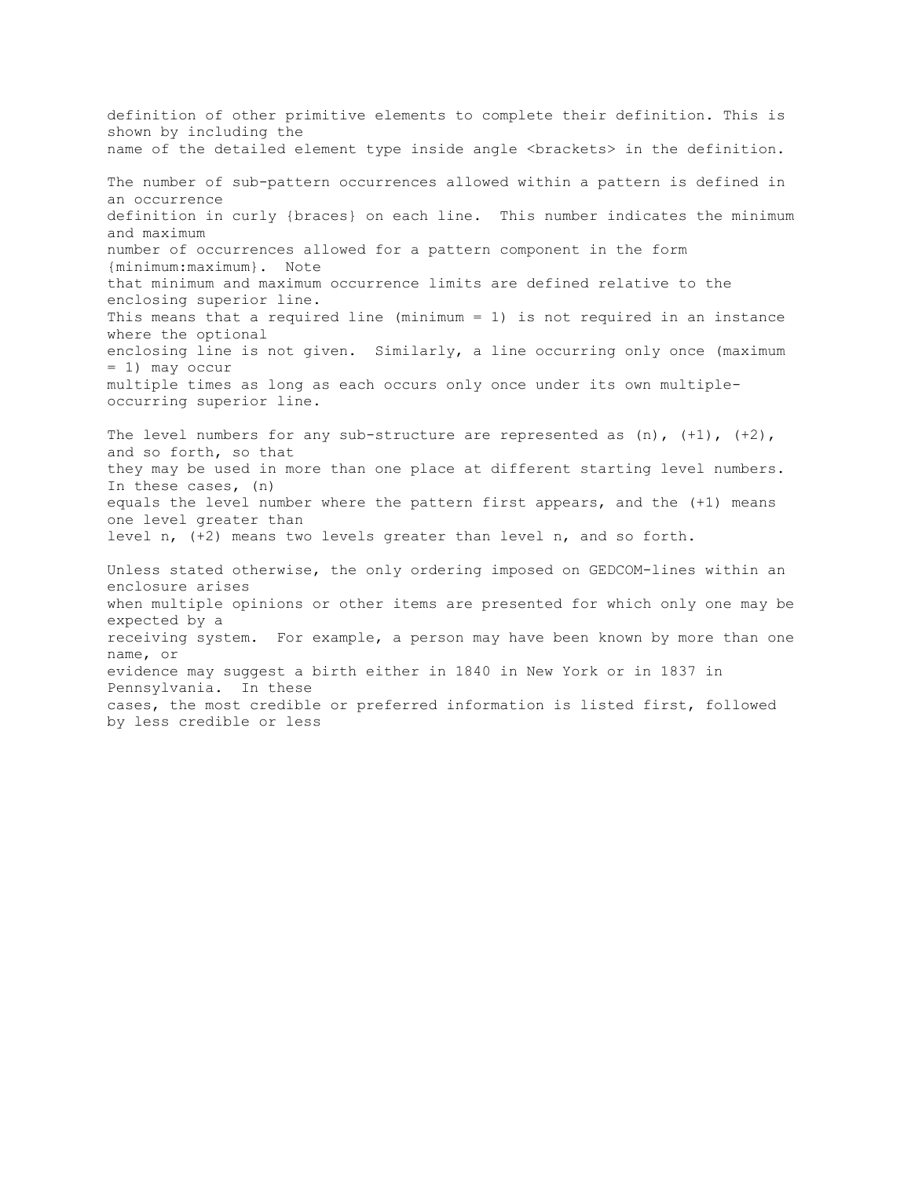definition of other primitive elements to complete their definition. This is shown by including the name of the detailed element type inside angle <br/>brackets> in the definition. The number of sub-pattern occurrences allowed within a pattern is defined in an occurrence definition in curly {braces} on each line. This number indicates the minimum and maximum number of occurrences allowed for a pattern component in the form {minimum:maximum}. Note that minimum and maximum occurrence limits are defined relative to the enclosing superior line. This means that a required line (minimum = 1) is not required in an instance where the optional enclosing line is not given. Similarly, a line occurring only once (maximum = 1) may occur multiple times as long as each occurs only once under its own multipleoccurring superior line. The level numbers for any sub-structure are represented as  $(n)$ ,  $(+1)$ ,  $(+2)$ , and so forth, so that they may be used in more than one place at different starting level numbers. In these cases, (n) equals the level number where the pattern first appears, and the (+1) means one level greater than level n, (+2) means two levels greater than level n, and so forth. Unless stated otherwise, the only ordering imposed on GEDCOM-lines within an enclosure arises when multiple opinions or other items are presented for which only one may be expected by a receiving system. For example, a person may have been known by more than one name, or evidence may suggest a birth either in 1840 in New York or in 1837 in Pennsylvania. In these cases, the most credible or preferred information is listed first, followed by less credible or less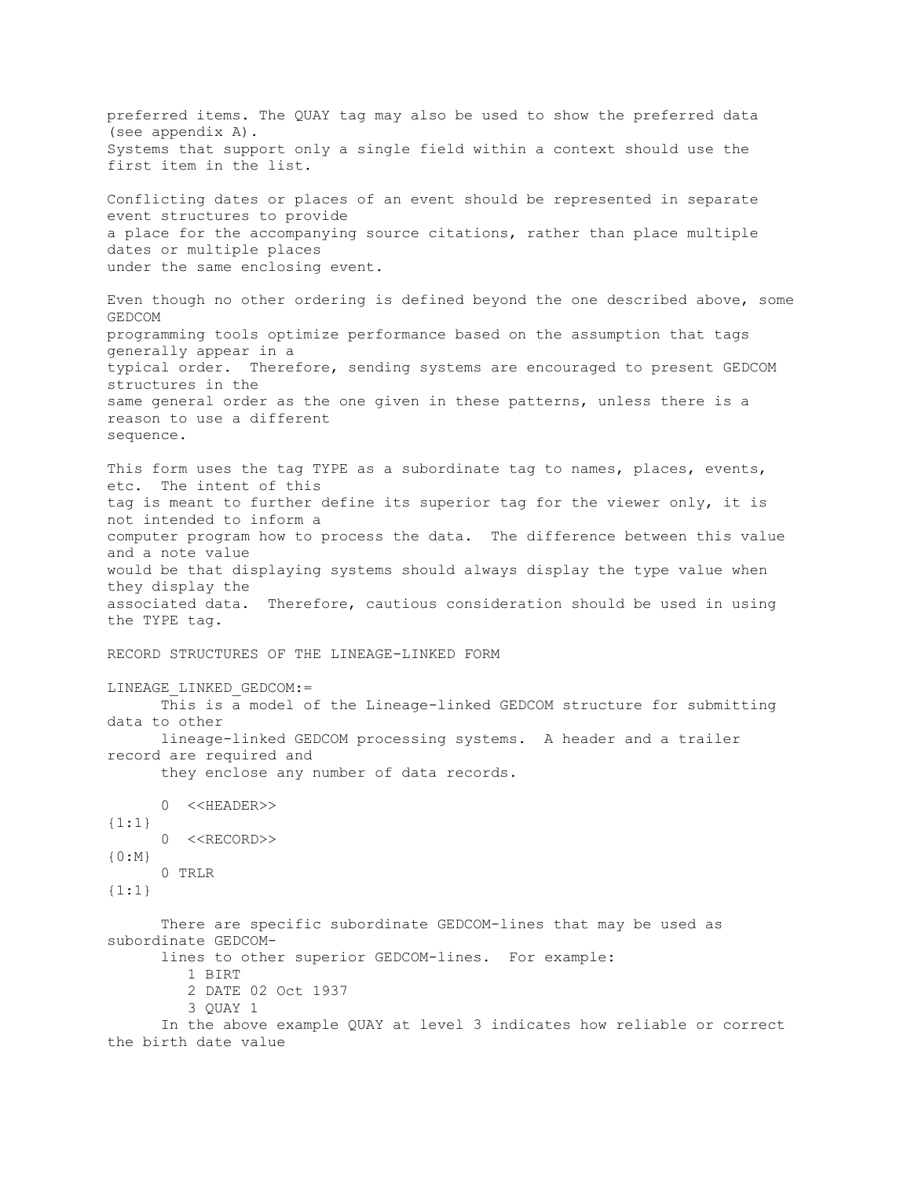preferred items. The QUAY tag may also be used to show the preferred data (see appendix A). Systems that support only a single field within a context should use the first item in the list. Conflicting dates or places of an event should be represented in separate event structures to provide a place for the accompanying source citations, rather than place multiple dates or multiple places under the same enclosing event. Even though no other ordering is defined beyond the one described above, some GEDCOM programming tools optimize performance based on the assumption that tags generally appear in a typical order. Therefore, sending systems are encouraged to present GEDCOM structures in the same general order as the one given in these patterns, unless there is a reason to use a different sequence. This form uses the tag TYPE as a subordinate tag to names, places, events, etc. The intent of this tag is meant to further define its superior tag for the viewer only, it is not intended to inform a computer program how to process the data. The difference between this value and a note value would be that displaying systems should always display the type value when they display the associated data. Therefore, cautious consideration should be used in using the TYPE tag. RECORD STRUCTURES OF THE LINEAGE-LINKED FORM LINEAGE\_LINKED\_GEDCOM:= This is a model of the Lineage-linked GEDCOM structure for submitting data to other lineage-linked GEDCOM processing systems. A header and a trailer record are required and they enclose any number of data records. 0 <<HEADER>>  $\{1:1\}$  0 <<RECORD>> {0:M} 0 TRLR {1:1} There are specific subordinate GEDCOM-lines that may be used as subordinate GEDCOM lines to other superior GEDCOM-lines. For example: 1 BIRT 2 DATE 02 Oct 1937 3 QUAY 1 In the above example QUAY at level 3 indicates how reliable or correct the birth date value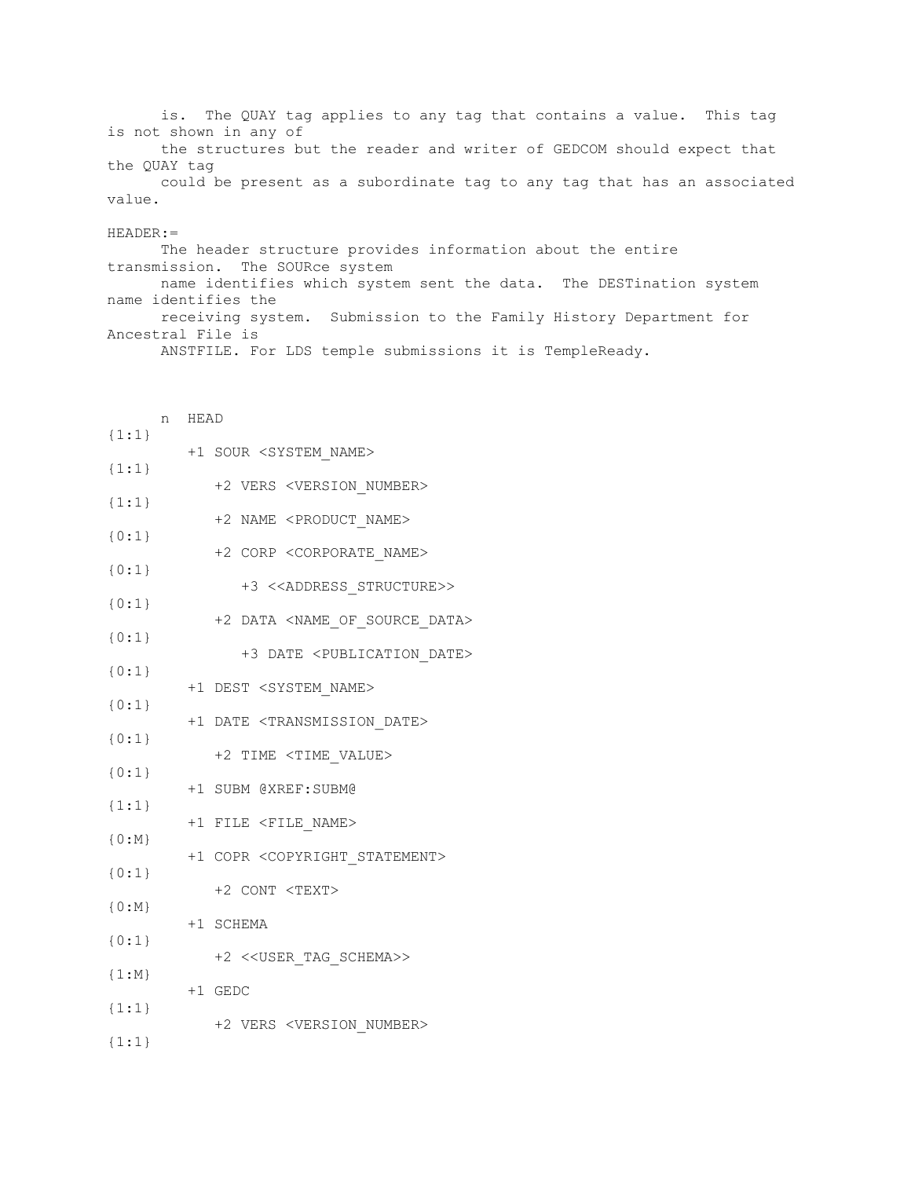is. The QUAY tag applies to any tag that contains a value. This tag is not shown in any of

 the structures but the reader and writer of GEDCOM should expect that the QUAY tag

 could be present as a subordinate tag to any tag that has an associated value.

### HEADER:=

 The header structure provides information about the entire transmission. The SOURce system name identifies which system sent the data. The DESTination system name identifies the receiving system. Submission to the Family History Department for Ancestral File is

ANSTFILE. For LDS temple submissions it is TempleReady.

|           | n | HEAD                                                |
|-----------|---|-----------------------------------------------------|
| ${1:1}$   |   | +1 SOUR <system_name></system_name>                 |
| ${1:1}$   |   |                                                     |
| ${1:1}$   |   | +2 VERS <version number=""></version>               |
| ${0:1}$   |   | +2 NAME <product name=""></product>                 |
| ${0:1}$   |   | +2 CORP <corporate name=""></corporate>             |
| ${0:1}$   |   | +3 < <address_structure>&gt;</address_structure>    |
|           |   | +2 DATA <name_of_source_data></name_of_source_data> |
| ${0:1}$   |   | +3 DATE <publication date=""></publication>         |
| ${0:1}$   |   | +1 DEST <system_name></system_name>                 |
| ${0:1}$   |   | +1 DATE <transmission date=""></transmission>       |
| ${0:1}$   |   |                                                     |
| ${0:1}$   |   | +2 TIME <time value=""></time>                      |
| ${1:1}$   |   | +1 SUBM @XREF:SUBM@                                 |
| ${0:M}$   |   | +1 FILE <file name=""></file>                       |
|           |   | +1 COPR <copyright_statement></copyright_statement> |
| ${0:1}$   |   | +2 CONT <text></text>                               |
| ${0:M}$   |   | +1 SCHEMA                                           |
| ${0:1}$   |   | +2 << USER TAG SCHEMA>>                             |
| $\{1:N\}$ |   | +1 GEDC                                             |
| ${1:1}$   |   |                                                     |
| $\{1:1\}$ |   | +2 VERS <version number=""></version>               |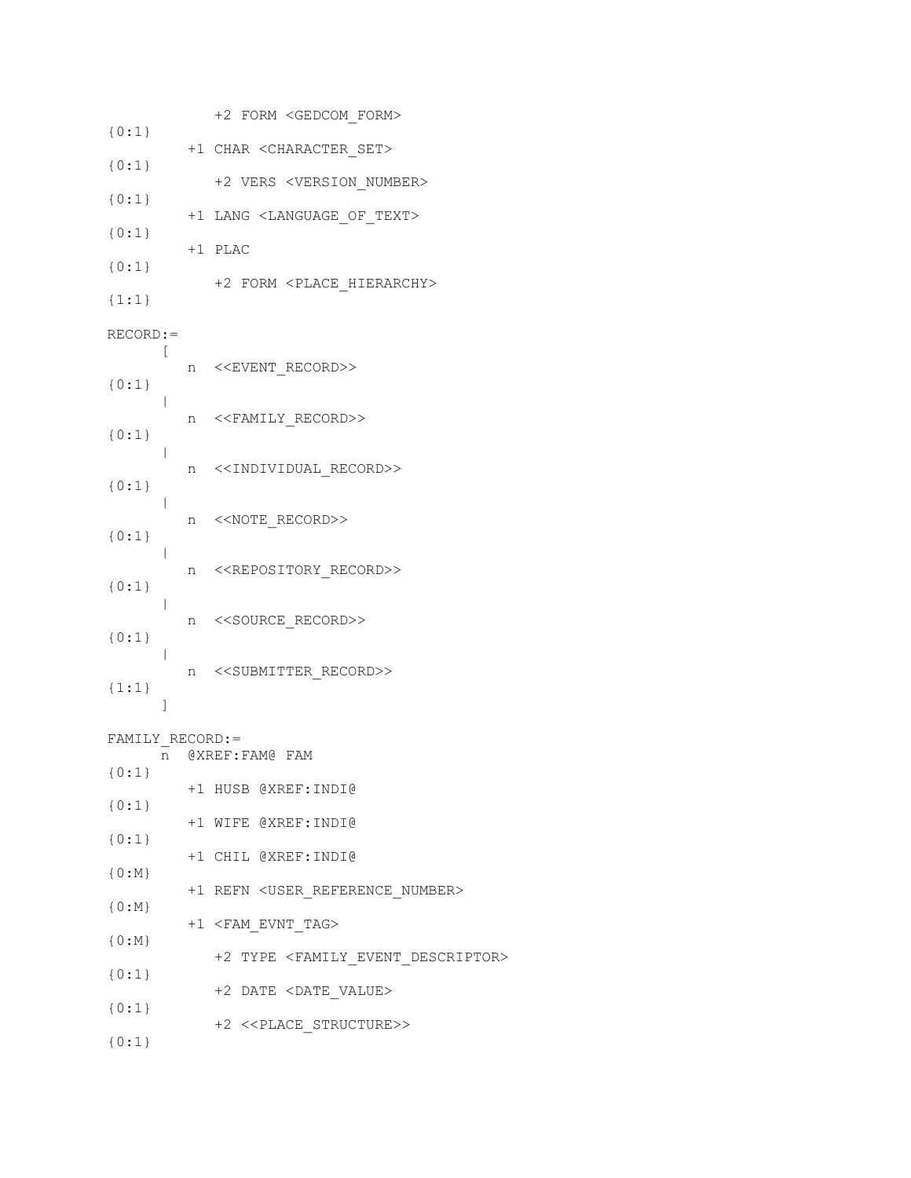|                  |   | +2 FORM <gedcom form=""></gedcom>                           |
|------------------|---|-------------------------------------------------------------|
| ${0:1}$          |   | +1 CHAR < CHARACTER SET>                                    |
| ${0:1}$          |   |                                                             |
| ${0:1}$          |   | +2 VERS <version number=""></version>                       |
| ${0:1}$          |   | +1 LANG <language of="" text=""></language>                 |
| ${0:1}$          |   | +1 PLAC                                                     |
| $\{1:1\}$        |   | +2 FORM <place hierarchy=""></place>                        |
| $RECORD :=$      |   |                                                             |
| ${0:1}$          |   | n < <event record="">&gt;</event>                           |
| ${0:1}$          | n | < <family_record>&gt;</family_record>                       |
| ${0:1}$          |   | n < <individual record="">&gt;</individual>                 |
| ${0:1}$          |   | n < <note record="">&gt;</note>                             |
| ${0:1}$          |   | n < <repository_record>&gt;</repository_record>             |
| ${0:1}$          |   | n < <source record=""/> >                                   |
| ${1:1}$          |   | n < <submitter record="">&gt;</submitter>                   |
| 1                |   |                                                             |
| FAMILY RECORD: = |   | n @XREF:FAM@ FAM                                            |
| $\{0:1\}$        |   | +1 HUSB @XREF:INDI@                                         |
| ${0:1}$          |   | +1 WIFE @XREF:INDI@                                         |
| ${0:1}$          |   | +1 CHIL @XREF: INDI@                                        |
| ${0:M}$          |   |                                                             |
| ${0:M}$          |   | +1 REFN <user_reference_number></user_reference_number>     |
| ${0:M}$          |   | +1 <fam_evnt_tag></fam_evnt_tag>                            |
| ${0:1}$          |   | +2 TYPE <family_event_descriptor></family_event_descriptor> |
| ${0:1}$          |   | +2 DATE <date_value></date_value>                           |
| ${0:1}$          |   | +2 < <place_structure>&gt;</place_structure>                |
|                  |   |                                                             |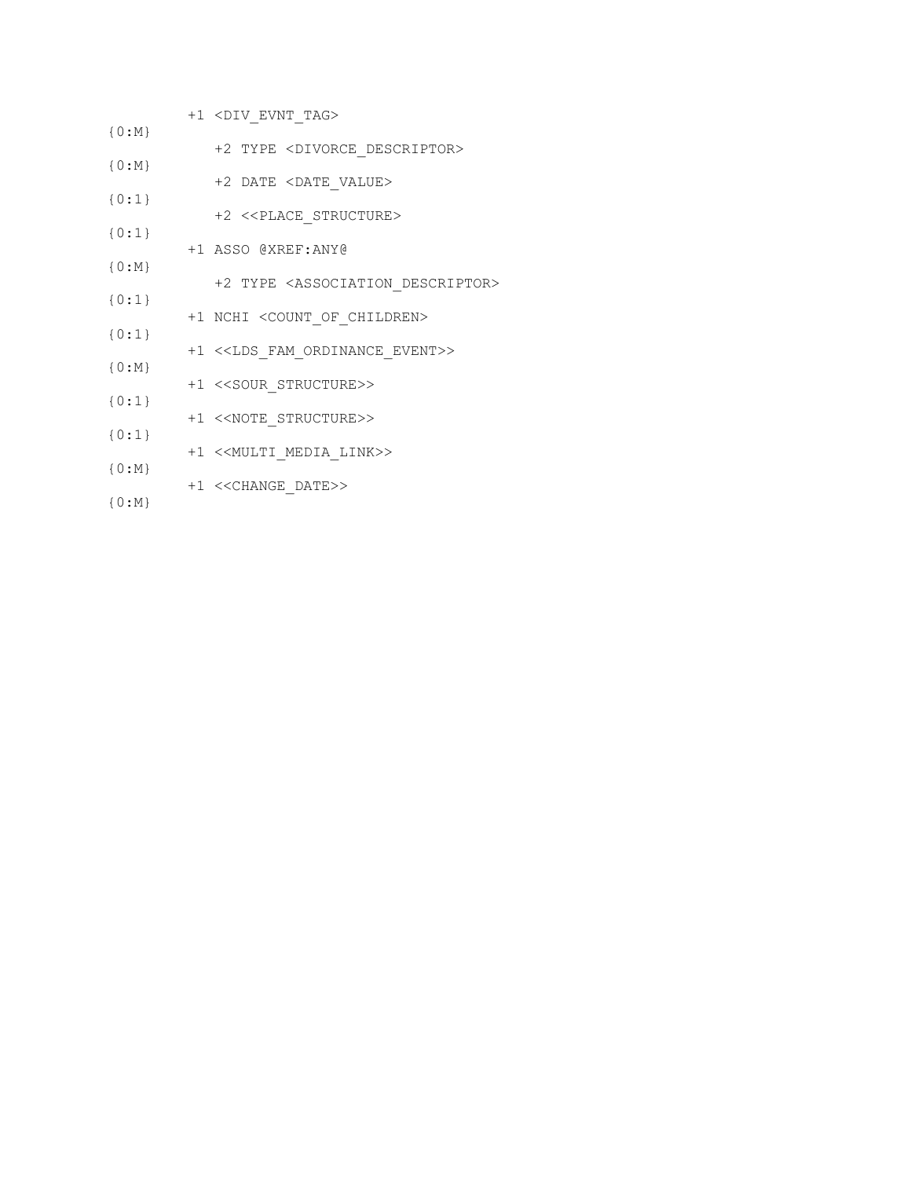- +1 <DIV\_EVNT\_TAG> {0:M}
- +2 TYPE <DIVORCE\_DESCRIPTOR> {0:M}
- +2 DATE <DATE\_VALUE>
- {0:1} +2 <<PLACE\_STRUCTURE>
- +1 ASSO @XREF:ANY@
	- +2 TYPE <ASSOCIATION\_DESCRIPTOR>
- +1 NCHI <COUNT\_OF\_CHILDREN>
- {0:1} +1 <<LDS\_FAM\_ORDINANCE\_EVENT>>
- {0:M} +1 <<SOUR\_STRUCTURE>>
- {0:1} +1 <<NOTE\_STRUCTURE>>
- +1 <<MULTI\_MEDIA\_LINK>>
- {0:M} +1 <<CHANGE\_DATE>>
- {0:M}

{0:1}

{0:1}

{0:M}

{0:1}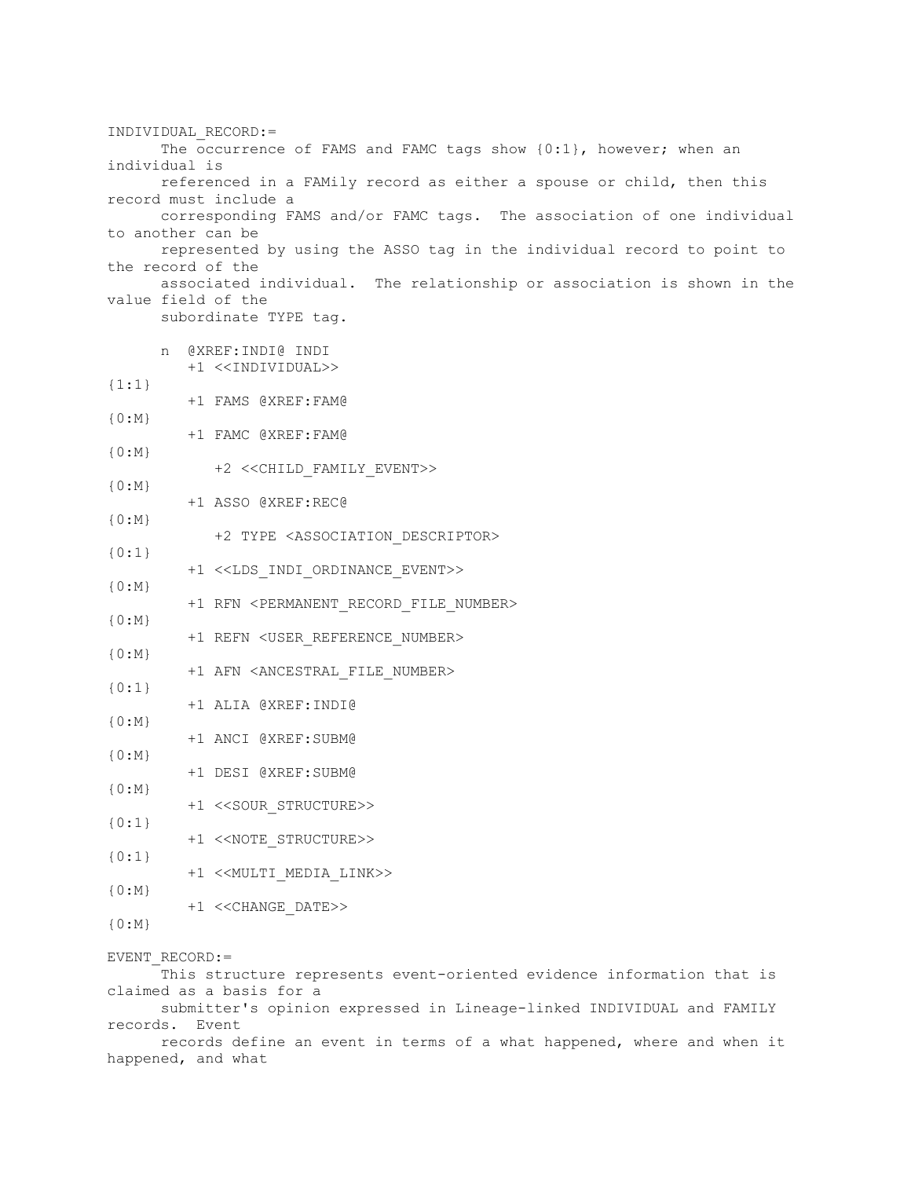INDIVIDUAL\_RECORD:= The occurrence of FAMS and FAMC tags show  $\{0:1\}$ , however; when an individual is referenced in a FAMily record as either a spouse or child, then this record must include a corresponding FAMS and/or FAMC tags. The association of one individual to another can be represented by using the ASSO tag in the individual record to point to the record of the associated individual. The relationship or association is shown in the value field of the subordinate TYPE tag. n @XREF:INDI@ INDI +1 <<INDIVIDUAL>> {1:1} +1 FAMS @XREF:FAM@ {0:M} +1 FAMC @XREF:FAM@  ${0:M}$  +2 <<CHILD\_FAMILY\_EVENT>> {0:M} +1 ASSO @XREF:REC@  $\{0:N\}$  +2 TYPE <ASSOCIATION\_DESCRIPTOR> {0:1} +1 <<LDS\_INDI\_ORDINANCE\_EVENT>>  ${0:M}$ +1 RFN <PERMANENT RECORD FILE NUMBER> {0:M} +1 REFN <USER\_REFERENCE\_NUMBER> {0:M} +1 AFN <ANCESTRAL\_FILE\_NUMBER> {0:1} +1 ALIA @XREF:INDI@  ${0:M}$  +1 ANCI @XREF:SUBM@  ${0:M}$  +1 DESI @XREF:SUBM@ {0:M} +1 <<SOUR\_STRUCTURE>> {0:1} +1 <<NOTE\_STRUCTURE>> {0:1} +1 <<MULTI\_MEDIA\_LINK>> {0:M} +1 <<CHANGE\_DATE>> {0:M} EVENT\_RECORD:= This structure represents event-oriented evidence information that is claimed as a basis for a

 submitter's opinion expressed in Lineage-linked INDIVIDUAL and FAMILY records. Event

 records define an event in terms of a what happened, where and when it happened, and what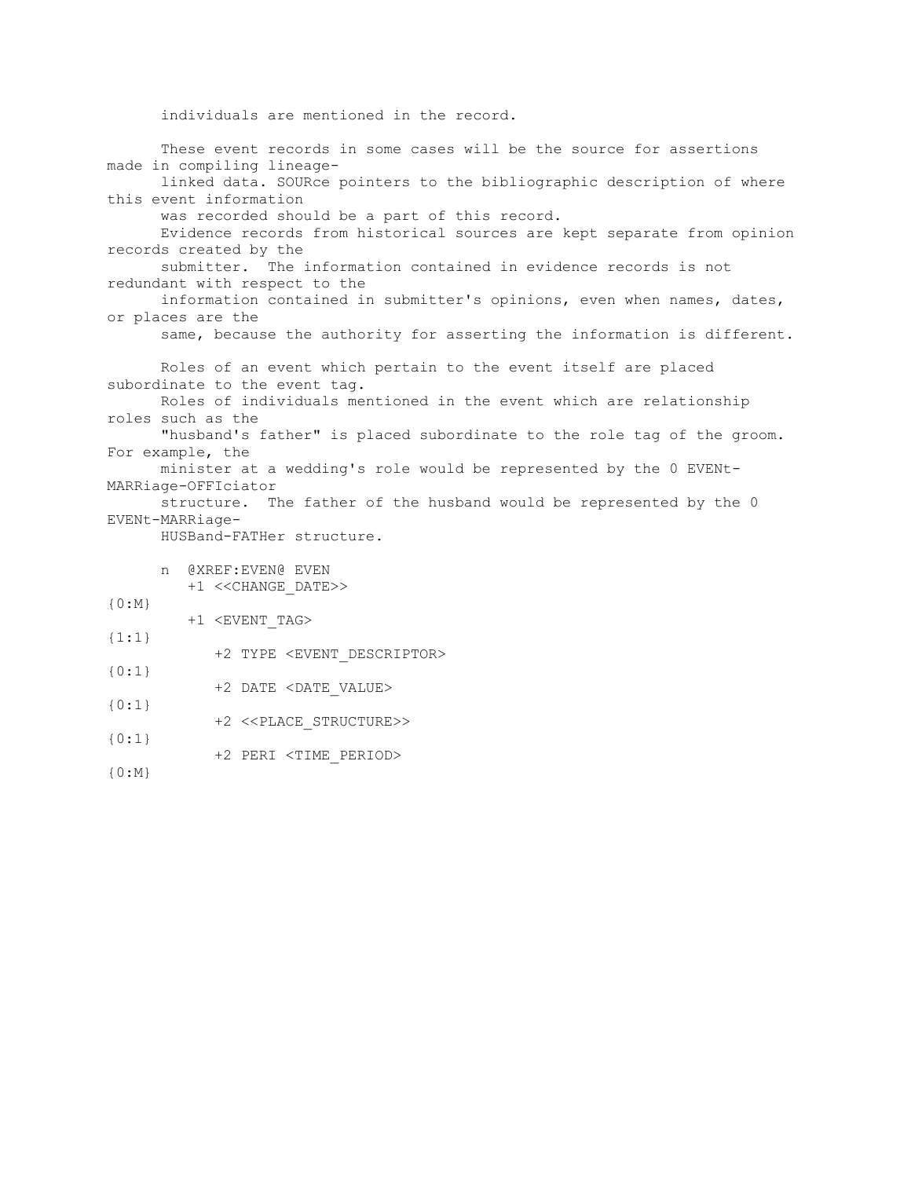```
 individuals are mentioned in the record.
       These event records in some cases will be the source for assertions 
made in compiling lineage-
      linked data. SOURce pointers to the bibliographic description of where 
this event information
      was recorded should be a part of this record. 
       Evidence records from historical sources are kept separate from opinion 
records created by the
      submitter. The information contained in evidence records is not 
redundant with respect to the
      information contained in submitter's opinions, even when names, dates, 
or places are the
       same, because the authority for asserting the information is different.
       Roles of an event which pertain to the event itself are placed 
subordinate to the event tag. 
       Roles of individuals mentioned in the event which are relationship 
roles such as the
      "husband's father" is placed subordinate to the role tag of the groom. 
For example, the
      minister at a wedding's role would be represented by the 0 EVENt-
MARRiage-OFFIciator
      structure. The father of the husband would be represented by the 0 
EVENt-MARRiage-
      HUSBand-FATHer structure. 
       n @XREF:EVEN@ EVEN
          +1 <<CHANGE_DATE>> 
{0:M}
         +1 <EVENT_TAG> 
{1:1} 
             +2 TYPE <EVENT_DESCRIPTOR> 
{0:1}
             +2 DATE <DATE_VALUE> 
{0:1} 
             +2 <<PLACE_STRUCTURE>> 
{0:1} 
             +2 PERI <TIME_PERIOD> 
{0:M}
```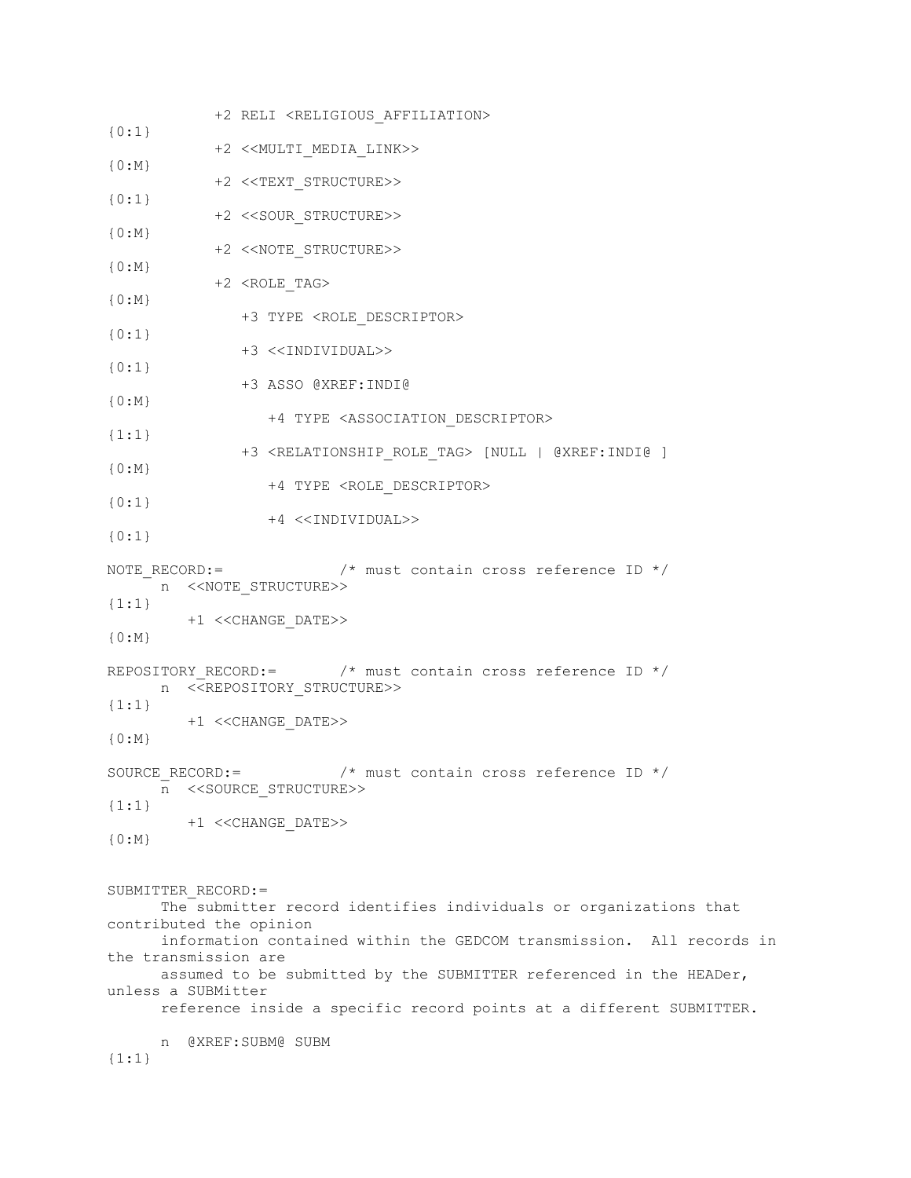```
 +2 RELI <RELIGIOUS_AFFILIATION> 
{0:1}
             +2 <<MULTI_MEDIA_LINK>> 
{0:M}
            +2 <<TEXT_STRUCTURE>> 
{0:1}
            +2 <<SOUR_STRUCTURE>> 
{0:M} +2 <<NOTE_STRUCTURE>> 
{0:M} +2 <ROLE_TAG> 
{0:M}
               +3 TYPE <ROLE_DESCRIPTOR> 
{0:1} 
               +3 <<INDIVIDUAL>> 
{0:1} 
               +3 ASSO @XREF:INDI@ 
{0:M}
                   +4 TYPE <ASSOCIATION_DESCRIPTOR> 
{1:1}
               +3 <RELATIONSHIP_ROLE_TAG> [NULL | @XREF:INDI@ ] 
{0:M}
                  +4 TYPE <ROLE_DESCRIPTOR> 
{0:1} 
                  +4 <<INDIVIDUAL>> 
{0:1} 
NOTE RECORD:= \frac{1}{2} /* must contain cross reference ID */
      n <<NOTE_STRUCTURE>> 
{1:1} 
         +1 <<CHANGE_DATE>> 
{0:M}
REPOSITORY RECORD:= \frac{1}{2} /* must contain cross reference ID */
     n <<REPOSITORY STRUCTURE>>
{1:1}
         +1 <<CHANGE_DATE>> 
{0:M}SOURCE RECORD:= /* must contain cross reference ID */
     n <<SOURCE_STRUCTURE>> 
{1:1}
        +1 <<CHANGE_DATE>> 
{0:M}SUBMITTER_RECORD:=
      The submitter record identifies individuals or organizations that 
contributed the opinion
      information contained within the GEDCOM transmission. All records in 
the transmission are
      assumed to be submitted by the SUBMITTER referenced in the HEADer, 
unless a SUBMitter
      reference inside a specific record points at a different SUBMITTER.
     n @XREF:SUBM@ SUBM 
{1:1}
```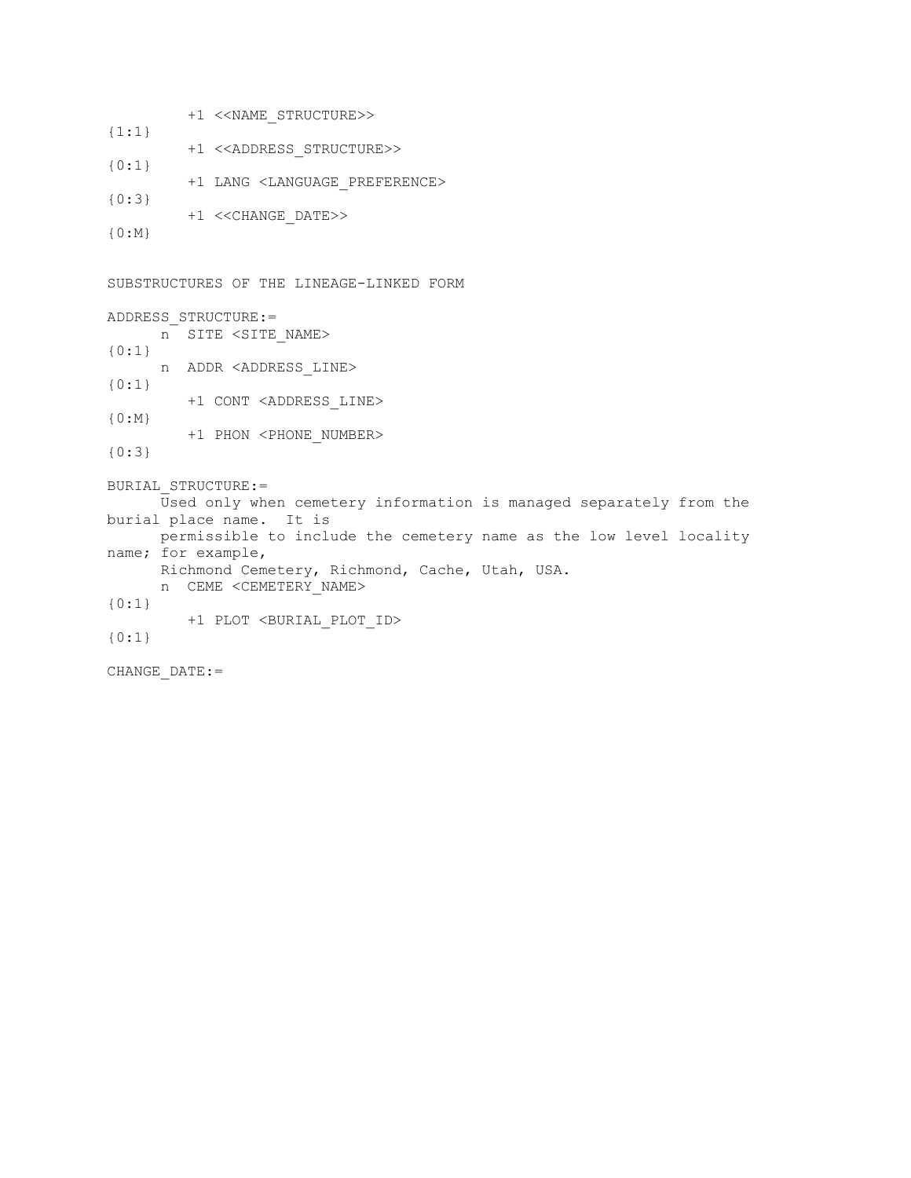|           | +1 << NAME STRUCTURE>>                      |
|-----------|---------------------------------------------|
| $\{1:1\}$ |                                             |
|           | +1 < <address structure="">&gt;</address>   |
| $\{0:1\}$ |                                             |
| ${0:3}$   | +1 LANG <language preference=""></language> |
|           | +1 << CHANGE DATE>>                         |
| $\{0:M\}$ |                                             |

SUBSTRUCTURES OF THE LINEAGE-LINKED FORM ADDRESS\_STRUCTURE:= n SITE <SITE\_NAME> {0:1} n ADDR <ADDRESS\_LINE> {0:1} +1 CONT <ADDRESS\_LINE> {0:M} +1 PHON <PHONE\_NUMBER> {0:3} BURIAL\_STRUCTURE:=  $\bar{U}$ sed only when cemetery information is managed separately from the burial place name. It is permissible to include the cemetery name as the low level locality name; for example, Richmond Cemetery, Richmond, Cache, Utah, USA. n CEME <CEMETERY\_NAME> {0:1} +1 PLOT <BURIAL\_PLOT\_ID> {0:1} CHANGE\_DATE:=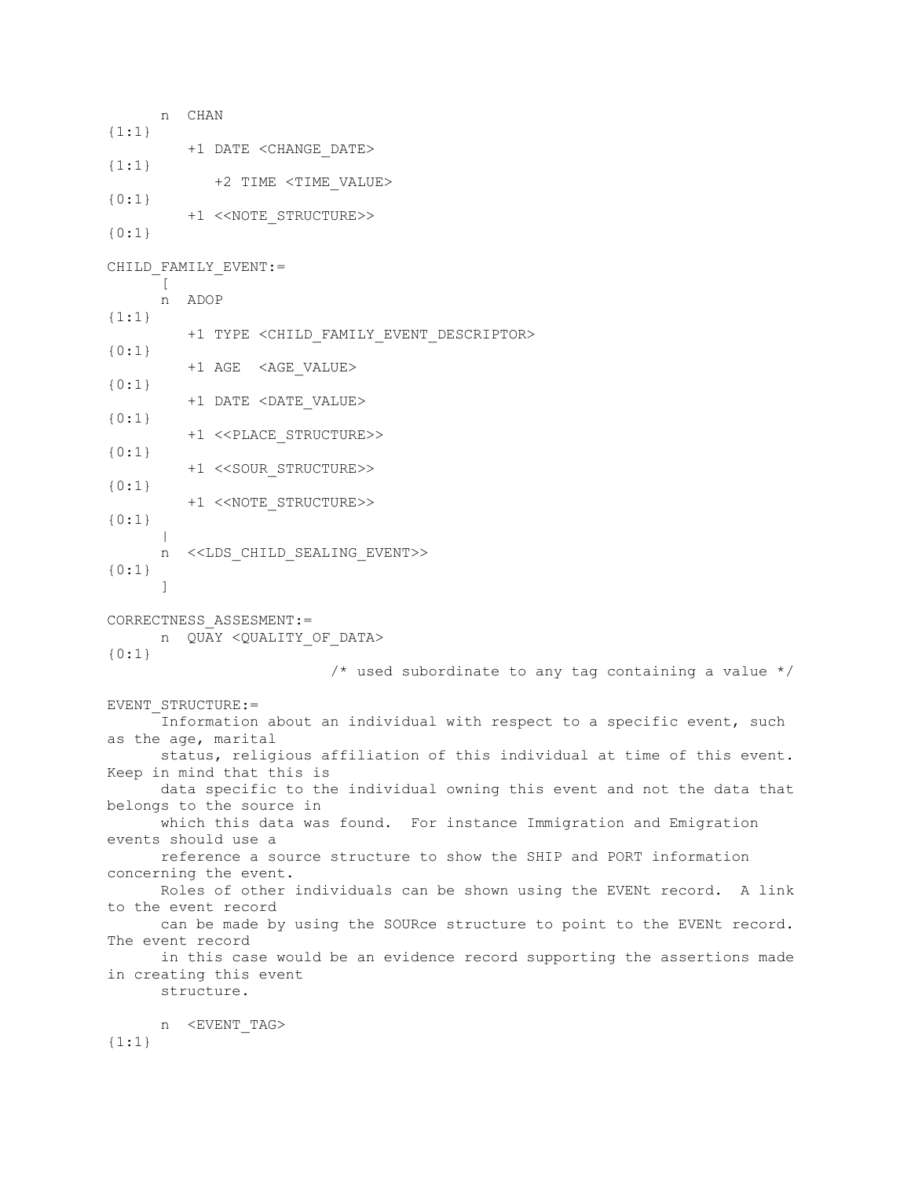n CHAN {1:1} +1 DATE <CHANGE\_DATE> {1:1} +2 TIME <TIME\_VALUE> {0:1} +1 <<NOTE\_STRUCTURE>> {0:1} CHILD\_FAMILY\_EVENT:=  $\lceil$  n ADOP {1:1} +1 TYPE <CHILD\_FAMILY\_EVENT\_DESCRIPTOR> {0:1} +1 AGE <AGE\_VALUE> {0:1} +1 DATE <DATE\_VALUE> {0:1} +1 <<PLACE\_STRUCTURE>> {0:1} +1 <<SOUR\_STRUCTURE>> {0:1} +1 <<NOTE\_STRUCTURE>> {0:1}  $\blacksquare$  n <<LDS\_CHILD\_SEALING\_EVENT>> {0:1} ] CORRECTNESS\_ASSESMENT:= n QUAY < QUALITY OF DATA> {0:1} /\* used subordinate to any tag containing a value \*/ EVENT\_STRUCTURE:= Information about an individual with respect to a specific event, such as the age, marital status, religious affiliation of this individual at time of this event. Keep in mind that this is data specific to the individual owning this event and not the data that belongs to the source in which this data was found. For instance Immigration and Emigration events should use a reference a source structure to show the SHIP and PORT information concerning the event. Roles of other individuals can be shown using the EVENt record. A link to the event record can be made by using the SOURce structure to point to the EVENt record. The event record in this case would be an evidence record supporting the assertions made in creating this event structure. n <EVENT\_TAG>  ${1:1}$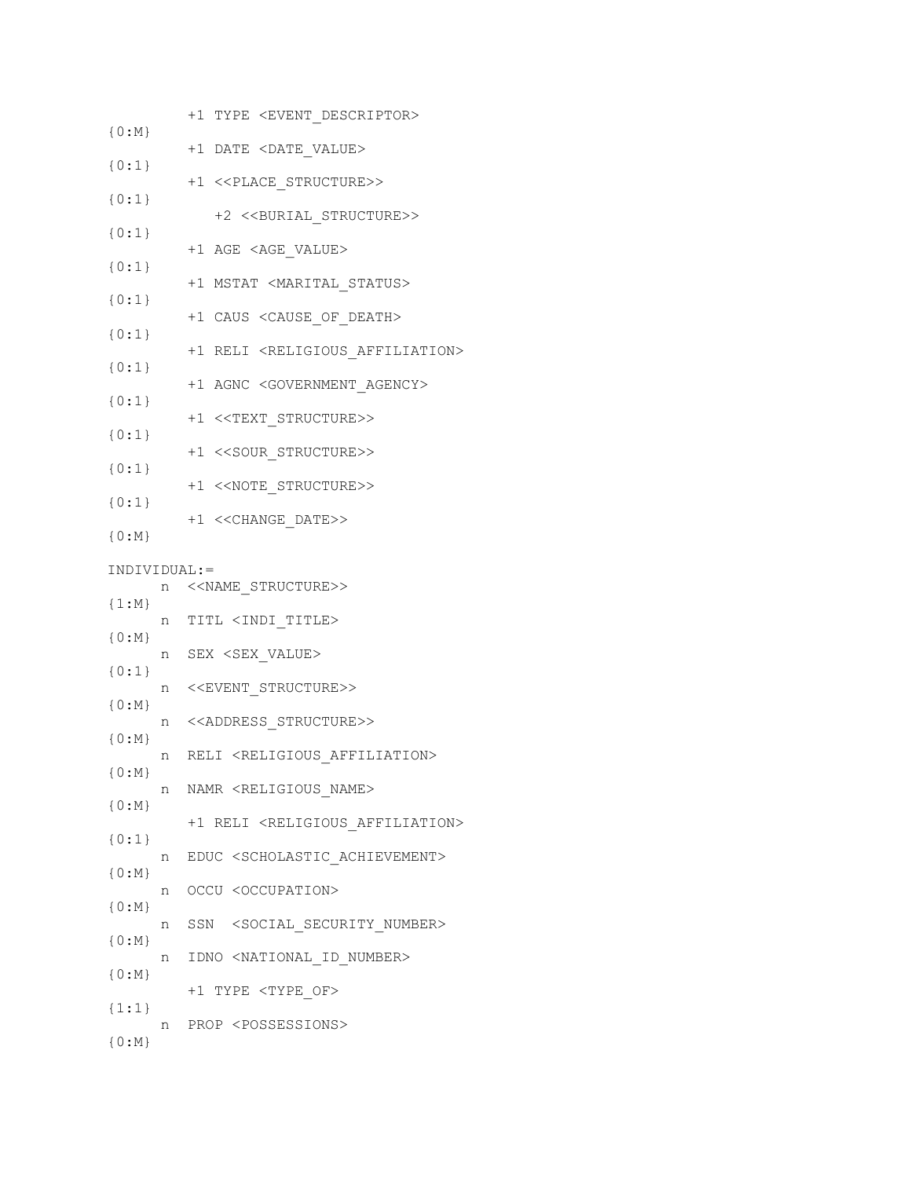|                    | +1 TYPE <event_descriptor></event_descriptor>           |
|--------------------|---------------------------------------------------------|
| ${0:M}$            | +1 DATE <date value=""></date>                          |
| ${0:1}$            | +1 < <place structure="">&gt;</place>                   |
| ${0:1}$            |                                                         |
| ${0:1}$            | +2 << BURIAL STRUCTURE>>                                |
| ${0:1}$            | +1 AGE <age_value></age_value>                          |
| ${0:1}$            | +1 MSTAT <marital status=""></marital>                  |
| ${0:1}$            | +1 CAUS <cause death="" of=""></cause>                  |
| ${0:1}$            | +1 RELI <religious_affiliation></religious_affiliation> |
|                    | +1 AGNC <government agency=""></government>             |
| ${0:1}$            | +1 < <text_structure>&gt;</text_structure>              |
| ${0:1}$            | +1 << SOUR STRUCTURE>>                                  |
| ${0:1}$            | +1 << NOTE STRUCTURE>>                                  |
| ${0:1}$            | +1 << CHANGE_DATE>>                                     |
| ${0:M}$            |                                                         |
| INDIVIDUAL:=       |                                                         |
| $\{1:N\}$          | n < <name_structure>&gt;</name_structure>               |
| ${0:M}$            | n TITL <indi title=""></indi>                           |
| ${0:1}$            | n SEX <sex value=""></sex>                              |
|                    | n < <event_structure>&gt;</event_structure>             |
| $\{0:\mathbb{M}\}$ | n < <address_structure>&gt;</address_structure>         |
| ${0:M}$<br>n       | RELI <religious affiliation=""></religious>             |
| ${0:M}$<br>n -     | NAMR <religious name=""></religious>                    |
| $\{0:M\}$          | +1 RELI <religious affiliation=""></religious>          |
| $\{0:1\}$          | EDUC <scholastic achievement=""></scholastic>           |
| n -<br>${0:M}$     |                                                         |
| n<br>${0:M}$       | OCCU <occupation></occupation>                          |
| n<br>${0:M}$       | SSN <social number="" security=""></social>             |
| ${0:M}$            | n IDNO <national id="" number=""></national>            |
| ${1:1}$            | +1 TYPE <type of=""></type>                             |
| n                  | PROP <possessions></possessions>                        |
| ${0:M}$            |                                                         |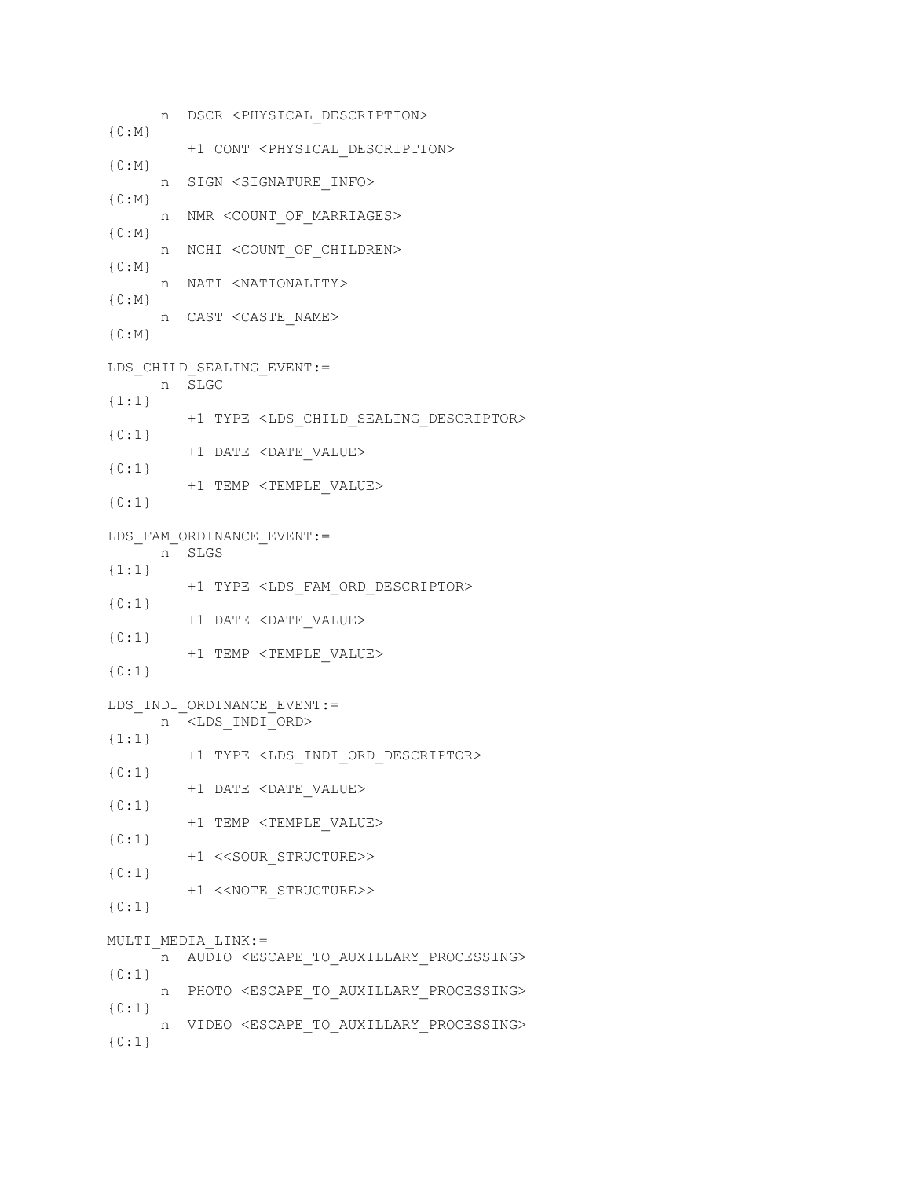n DSCR <PHYSICAL\_DESCRIPTION> {0:M} +1 CONT <PHYSICAL\_DESCRIPTION> {0:M} n SIGN <SIGNATURE\_INFO>  ${0:M}$  n NMR <COUNT\_OF\_MARRIAGES>  ${0:M}$  n NCHI <COUNT\_OF\_CHILDREN>  ${0:M}$  n NATI <NATIONALITY> {0:M} n CAST <CASTE\_NAME> {0:M} LDS\_CHILD\_SEALING\_EVENT:= n SLGC {1:1} +1 TYPE <LDS\_CHILD\_SEALING\_DESCRIPTOR> {0:1} +1 DATE <DATE\_VALUE> {0:1} +1 TEMP <TEMPLE\_VALUE> {0:1} LDS\_FAM\_ORDINANCE\_EVENT:= n SLGS  ${1:1}$  +1 TYPE <LDS\_FAM\_ORD\_DESCRIPTOR> {0:1} +1 DATE <DATE\_VALUE> {0:1} +1 TEMP <TEMPLE\_VALUE> {0:1} LDS\_INDI\_ORDINANCE\_EVENT:= n <LDS INDI ORD> {1:1} +1 TYPE <LDS\_INDI\_ORD\_DESCRIPTOR> {0:1} +1 DATE <DATE\_VALUE> {0:1} +1 TEMP <TEMPLE\_VALUE> {0:1} +1 <<SOUR\_STRUCTURE>> {0:1} +1 <<NOTE\_STRUCTURE>> {0:1} MULTI\_MEDIA\_LINK:= n AUDIO <ESCAPE TO AUXILLARY PROCESSING> {0:1} n PHOTO <ESCAPE\_TO\_AUXILLARY\_PROCESSING> {0:1} n VIDEO <ESCAPE\_TO\_AUXILLARY\_PROCESSING> {0:1}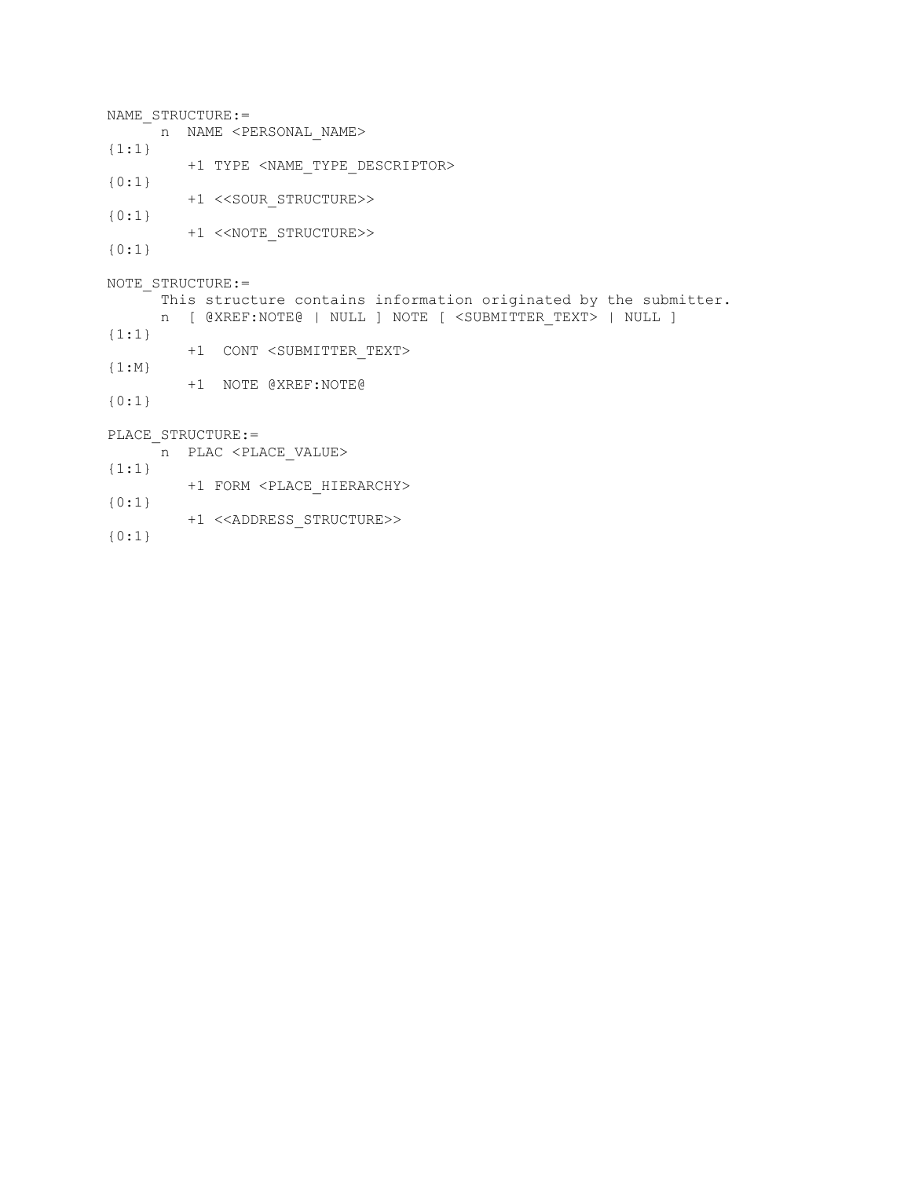NAME STRUCTURE:= n NAME <PERSONAL NAME> {1:1} +1 TYPE <NAME\_TYPE\_DESCRIPTOR> {0:1} +1 <<SOUR\_STRUCTURE>> {0:1} +1 <<NOTE\_STRUCTURE>> {0:1} NOTE STRUCTURE:= This structure contains information originated by the submitter. n [ @XREF:NOTE@ | NULL ] NOTE [ <SUBMITTER\_TEXT> | NULL ] {1:1} +1 CONT <SUBMITTER\_TEXT> {1:M} +1 NOTE @XREF:NOTE@ {0:1} PLACE STRUCTURE:= n PLAC <PLACE\_VALUE> {1:1} +1 FORM <PLACE\_HIERARCHY> {0:1} +1 <<ADDRESS\_STRUCTURE>>

{0:1}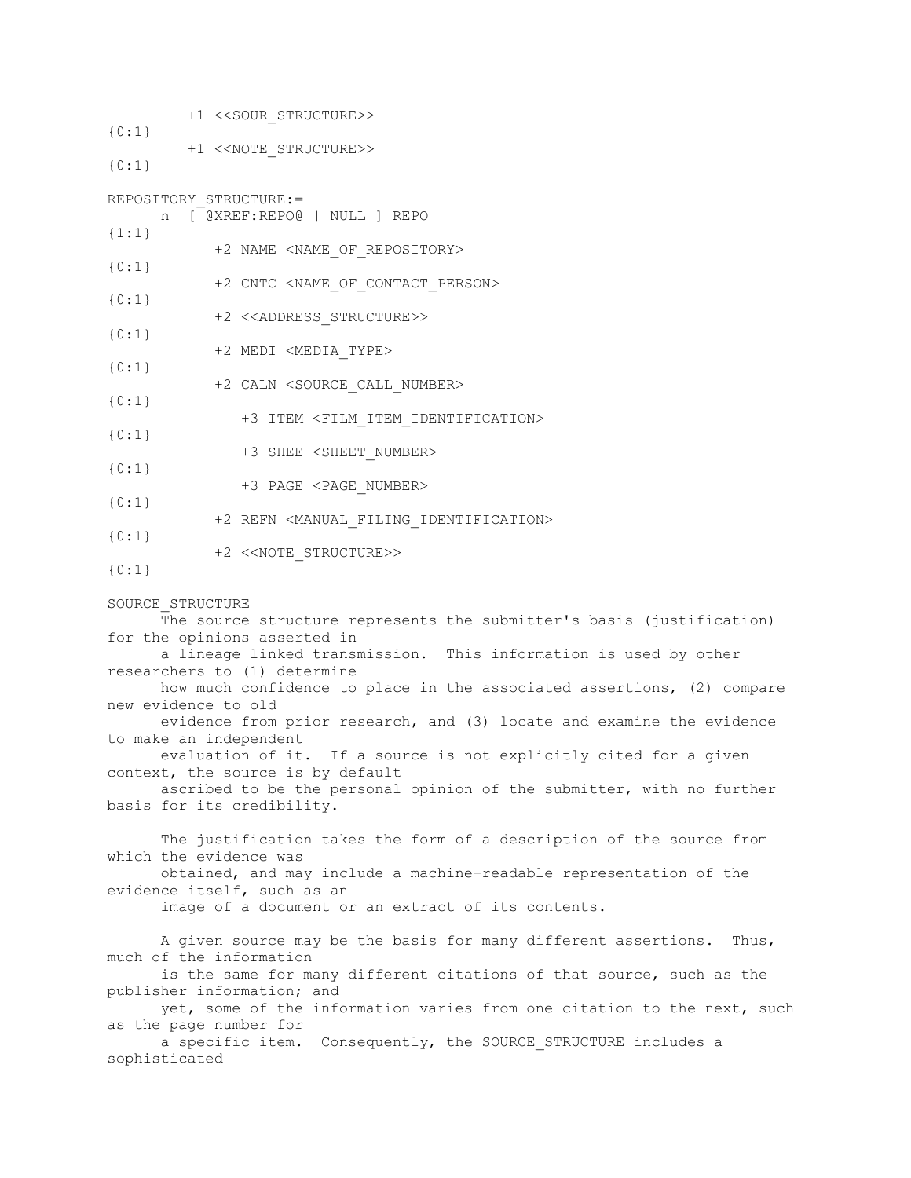+1 <<SOUR\_STRUCTURE>> {0:1} +1 <<NOTE\_STRUCTURE>> {0:1} REPOSITORY\_STRUCTURE:= n [ @XREF:REPO@ | NULL ] REPO {1:1} +2 NAME <NAME\_OF\_REPOSITORY> {0:1} +2 CNTC <NAME\_OF\_CONTACT\_PERSON> {0:1} +2 <<ADDRESS\_STRUCTURE>> {0:1} +2 MEDI <MEDIA\_TYPE> {0:1} +2 CALN <SOURCE\_CALL\_NUMBER> {0:1} +3 ITEM <FILM\_ITEM\_IDENTIFICATION> {0:1} +3 SHEE <SHEET\_NUMBER> {0:1} +3 PAGE <PAGE\_NUMBER> {0:1} +2 REFN <MANUAL\_FILING\_IDENTIFICATION>  ${0:1}$  +2 <<NOTE\_STRUCTURE>> {0:1} SOURCE\_STRUCTURE The source structure represents the submitter's basis (justification) for the opinions asserted in a lineage linked transmission. This information is used by other researchers to (1) determine how much confidence to place in the associated assertions, (2) compare new evidence to old evidence from prior research, and (3) locate and examine the evidence to make an independent evaluation of it. If a source is not explicitly cited for a given context, the source is by default ascribed to be the personal opinion of the submitter, with no further basis for its credibility. The justification takes the form of a description of the source from which the evidence was obtained, and may include a machine-readable representation of the evidence itself, such as an image of a document or an extract of its contents. A given source may be the basis for many different assertions. Thus, much of the information is the same for many different citations of that source, such as the publisher information; and yet, some of the information varies from one citation to the next, such as the page number for a specific item. Consequently, the SOURCE STRUCTURE includes a sophisticated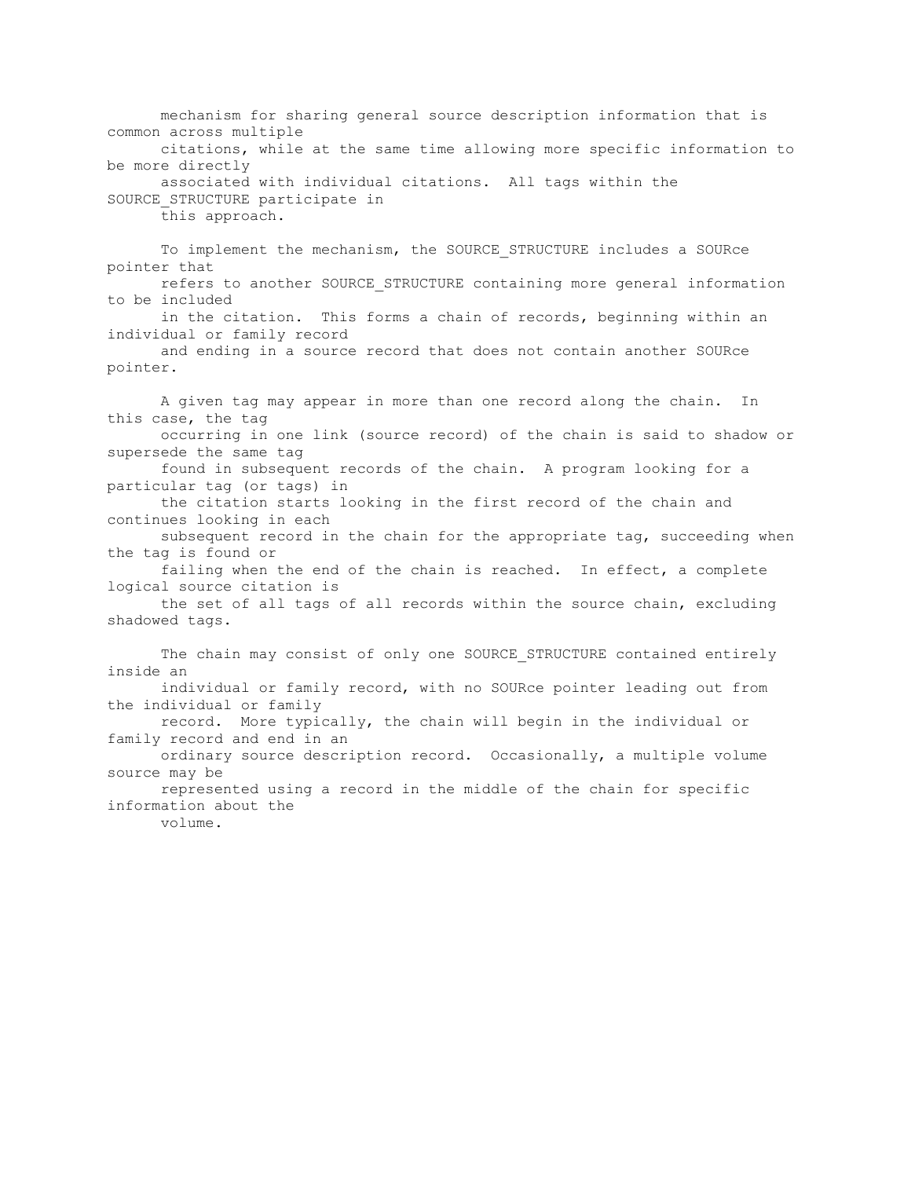mechanism for sharing general source description information that is common across multiple citations, while at the same time allowing more specific information to be more directly associated with individual citations. All tags within the SOURCE\_STRUCTURE participate in this approach.

 To implement the mechanism, the SOURCE\_STRUCTURE includes a SOURce pointer that refers to another SOURCE\_STRUCTURE containing more general information to be included in the citation. This forms a chain of records, beginning within an individual or family record and ending in a source record that does not contain another SOURce pointer. A given tag may appear in more than one record along the chain. In this case, the tag occurring in one link (source record) of the chain is said to shadow or supersede the same tag found in subsequent records of the chain. A program looking for a particular tag (or tags) in the citation starts looking in the first record of the chain and continues looking in each subsequent record in the chain for the appropriate tag, succeeding when the tag is found or failing when the end of the chain is reached. In effect, a complete logical source citation is the set of all tags of all records within the source chain, excluding shadowed tags. The chain may consist of only one SOURCE STRUCTURE contained entirely inside an individual or family record, with no SOURce pointer leading out from the individual or family record. More typically, the chain will begin in the individual or family record and end in an ordinary source description record. Occasionally, a multiple volume source may be represented using a record in the middle of the chain for specific information about the volume.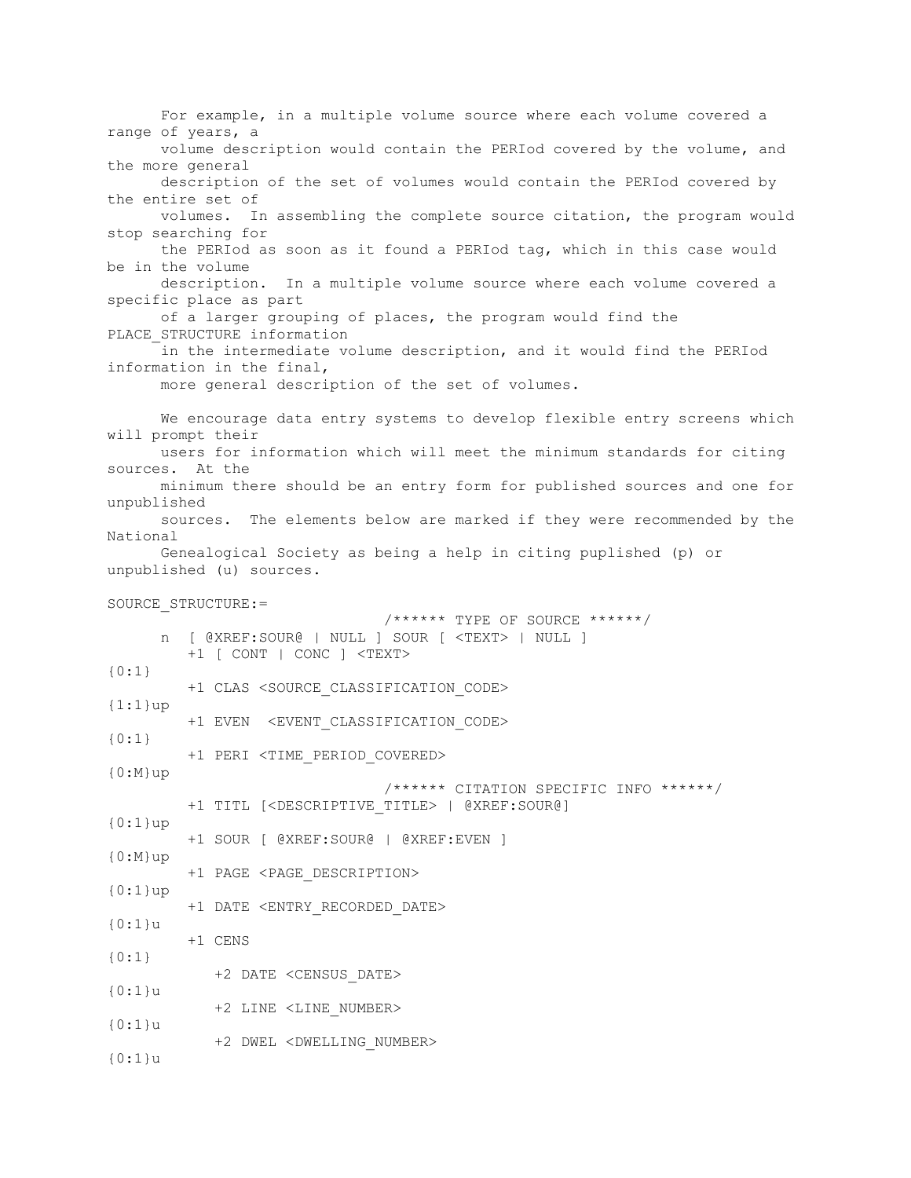For example, in a multiple volume source where each volume covered a range of years, a volume description would contain the PERIod covered by the volume, and the more general description of the set of volumes would contain the PERIod covered by the entire set of volumes. In assembling the complete source citation, the program would stop searching for the PERIod as soon as it found a PERIod tag, which in this case would be in the volume description. In a multiple volume source where each volume covered a specific place as part of a larger grouping of places, the program would find the PLACE STRUCTURE information in the intermediate volume description, and it would find the PERIod information in the final, more general description of the set of volumes. We encourage data entry systems to develop flexible entry screens which will prompt their users for information which will meet the minimum standards for citing sources. At the minimum there should be an entry form for published sources and one for unpublished sources. The elements below are marked if they were recommended by the National Genealogical Society as being a help in citing puplished (p) or unpublished (u) sources. SOURCE\_STRUCTURE:= /\*\*\*\*\*\* TYPE OF SOURCE \*\*\*\*\*\*/ n [ @XREF:SOUR@ | NULL ] SOUR [ <TEXT> | NULL ] +1 [ CONT | CONC ] <TEXT>  ${0:1}$  +1 CLAS <SOURCE\_CLASSIFICATION\_CODE>  $\{1:1\}$ up +1 EVEN <EVENT\_CLASSIFICATION\_CODE> {0:1} +1 PERI <TIME\_PERIOD\_COVERED> {0:M}up /\*\*\*\*\*\* CITATION SPECIFIC INFO \*\*\*\*\*\*/ +1 TITL [<DESCRIPTIVE\_TITLE> | @XREF:SOUR@] {0:1}up +1 SOUR [ @XREF:SOUR@ | @XREF:EVEN ] {0:M}up +1 PAGE <PAGE\_DESCRIPTION> {0:1}up +1 DATE <ENTRY\_RECORDED\_DATE> {0:1}u +1 CENS {0:1} +2 DATE <CENSUS\_DATE> {0:1}u +2 LINE <LINE\_NUMBER> {0:1}u +2 DWEL <DWELLING\_NUMBER> {0:1}u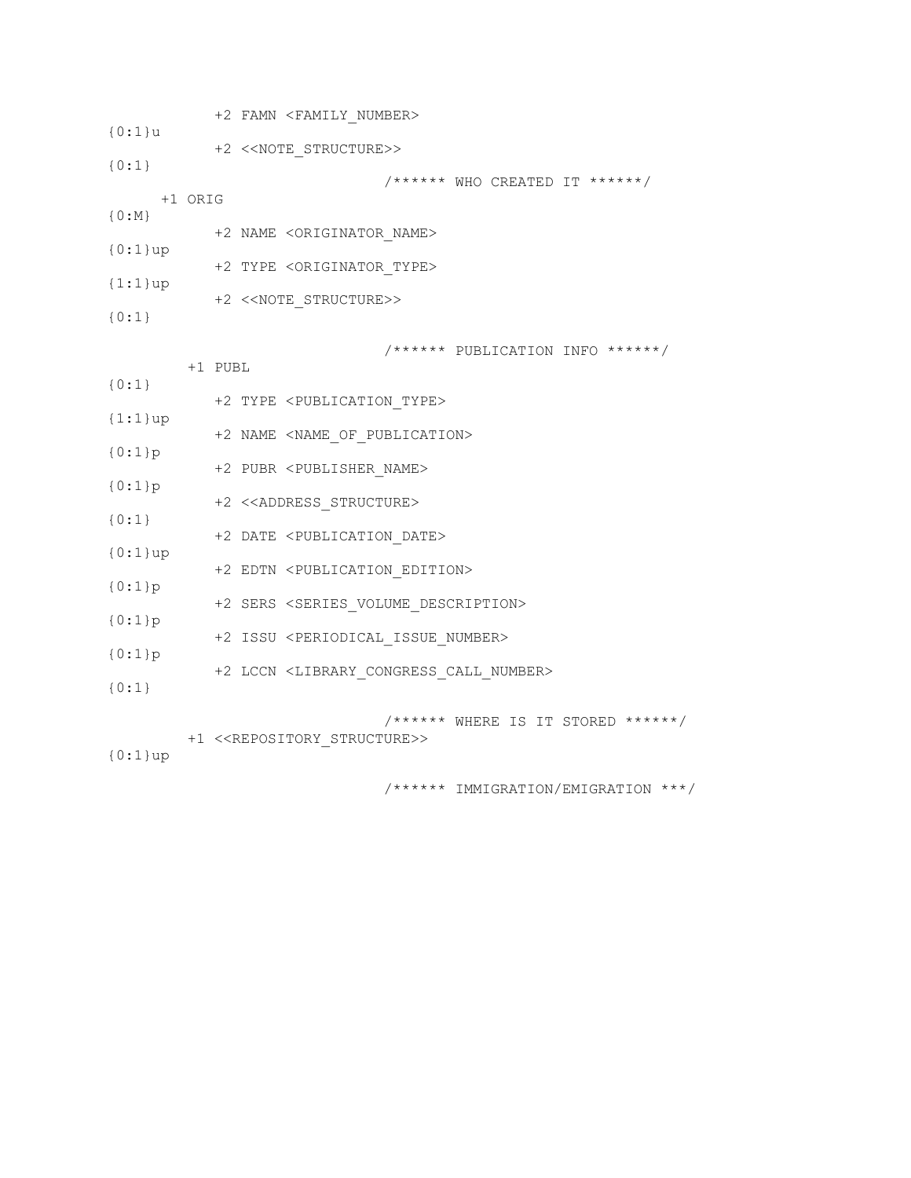+2 FAMN <FAMILY\_NUMBER> {0:1}u +2 <<NOTE\_STRUCTURE>> {0:1} /\*\*\*\*\*\* WHO CREATED IT \*\*\*\*\*\*/ +1 ORIG {0:M} +2 NAME <ORIGINATOR\_NAME> {0:1}up +2 TYPE <ORIGINATOR\_TYPE> {1:1}up +2 <<NOTE\_STRUCTURE>> {0:1} /\*\*\*\*\*\* PUBLICATION INFO \*\*\*\*\*\*/ +1 PUBL {0:1} +2 TYPE <PUBLICATION\_TYPE> {1:1}up +2 NAME <NAME\_OF\_PUBLICATION> {0:1}p +2 PUBR <PUBLISHER\_NAME> {0:1}p +2 <<ADDRESS\_STRUCTURE> {0:1} +2 DATE <PUBLICATION\_DATE> {0:1}up +2 EDTN <PUBLICATION\_EDITION> {0:1}p +2 SERS <SERIES\_VOLUME\_DESCRIPTION> {0:1}p +2 ISSU <PERIODICAL\_ISSUE\_NUMBER> {0:1}p +2 LCCN <LIBRARY\_CONGRESS\_CALL\_NUMBER> {0:1} /\*\*\*\*\*\* WHERE IS IT STORED \*\*\*\*\*\*/ +1 <<REPOSITORY\_STRUCTURE>> {0:1}up /\*\*\*\*\*\* IMMIGRATION/EMIGRATION \*\*\*/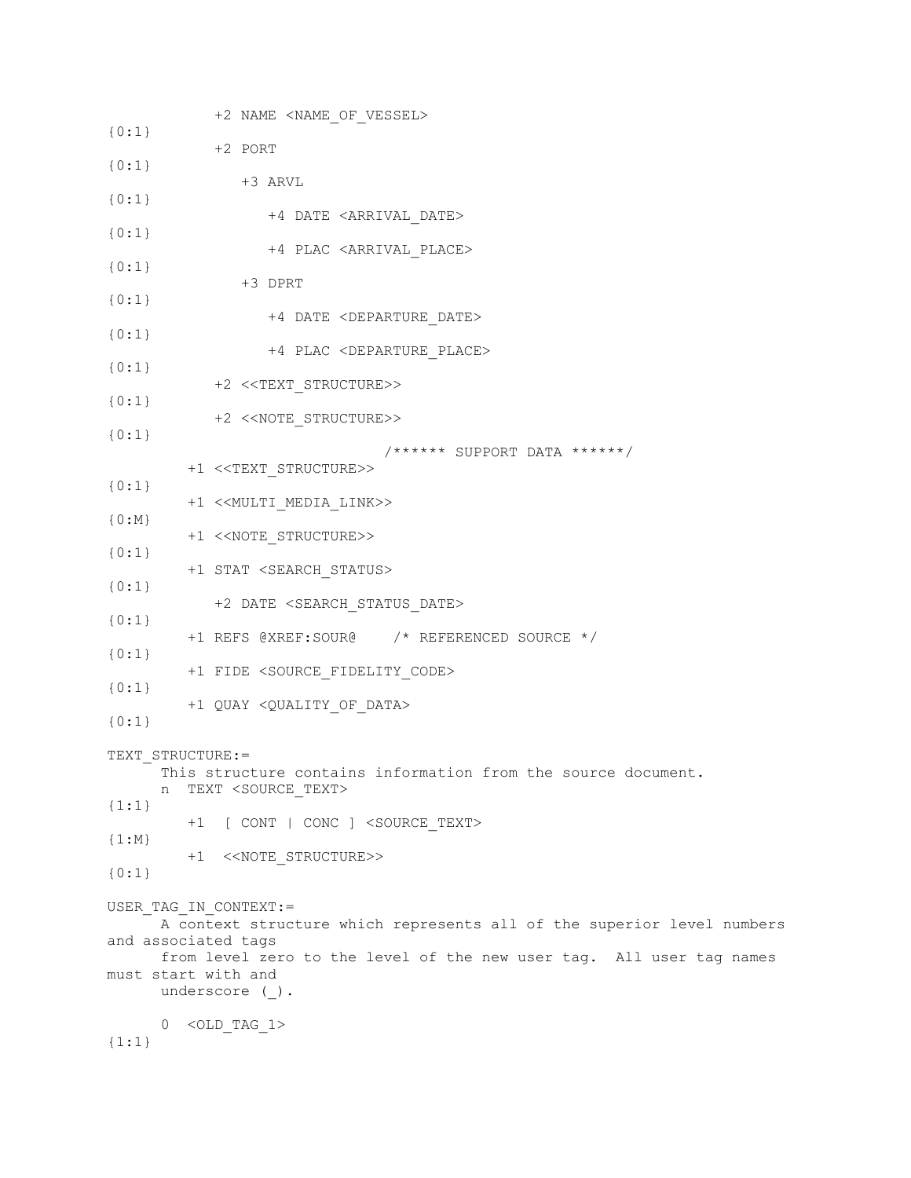+2 NAME <NAME\_OF\_VESSEL> {0:1} +2 PORT {0:1} +3 ARVL {0:1} +4 DATE <ARRIVAL\_DATE> {0:1} +4 PLAC <ARRIVAL\_PLACE> {0:1} +3 DPRT {0:1} +4 DATE <DEPARTURE\_DATE> {0:1} +4 PLAC <DEPARTURE\_PLACE> {0:1} +2 <<TEXT\_STRUCTURE>> {0:1} +2 <<NOTE\_STRUCTURE>> {0:1} /\*\*\*\*\*\* SUPPORT DATA \*\*\*\*\*\*/ +1 <<TEXT\_STRUCTURE>> {0:1} +1 <<MULTI\_MEDIA\_LINK>>  $\{0:N\}$  +1 <<NOTE\_STRUCTURE>> {0:1} +1 STAT <SEARCH\_STATUS> {0:1} +2 DATE <SEARCH\_STATUS\_DATE> {0:1} +1 REFS @XREF:SOUR@ /\* REFERENCED SOURCE \*/ {0:1} +1 FIDE <SOURCE\_FIDELITY\_CODE> {0:1} +1 QUAY <QUALITY\_OF\_DATA> {0:1} TEXT\_STRUCTURE:= This structure contains information from the source document. n TEXT <SOURCE\_TEXT> {1:1} +1 [ CONT | CONC ] <SOURCE\_TEXT>  ${1:M}$  +1 <<NOTE\_STRUCTURE>> {0:1} USER TAG IN CONTEXT:= A context structure which represents all of the superior level numbers and associated tags from level zero to the level of the new user tag. All user tag names must start with and underscore (). 0 <OLD\_TAG\_1> {1:1}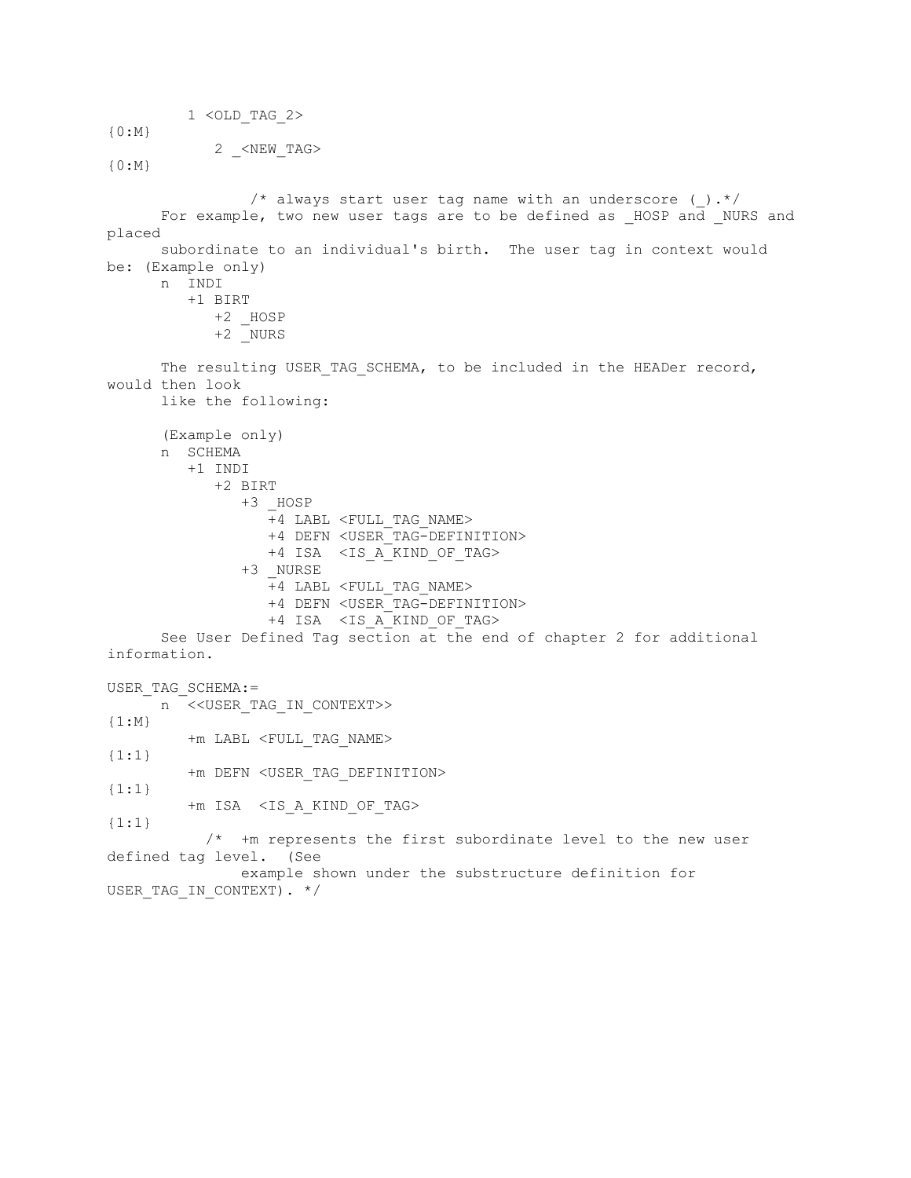1 <OLD\_TAG\_2>

{0:M} 2 <NEW TAG>

{0:M}

/\* always start user tag name with an underscore ( ).\*/ For example, two new user tags are to be defined as \_HOSP and \_NURS and placed subordinate to an individual's birth. The user tag in context would be: (Example only) n INDI +1 BIRT +2 \_HOSP  $+2$  NURS The resulting USER TAG SCHEMA, to be included in the HEADer record, would then look like the following: (Example only) n SCHEMA +1 INDI +2 BIRT +3 \_HOSP +4 LABL <FULL\_TAG\_NAME> +4 DEFN <USER\_TAG-DEFINITION> +4 ISA <IS\_A\_KIND\_OF\_TAG> +3 \_NURSE +4 LABL <FULL\_TAG\_NAME> +4 DEFN <USER\_TAG-DEFINITION> +4 ISA <IS A KIND OF TAG> See User Defined Tag section at the end of chapter 2 for additional information. USER\_TAG\_SCHEMA:= n <<USER\_TAG\_IN\_CONTEXT>>  ${1:M}$  +m LABL <FULL\_TAG\_NAME> {1:1} +m DEFN <USER\_TAG\_DEFINITION> {1:1} +m ISA <IS\_A\_KIND\_OF\_TAG>  ${1:1}$  /\* +m represents the first subordinate level to the new user defined tag level. (See example shown under the substructure definition for USER TAG IN CONTEXT). \*/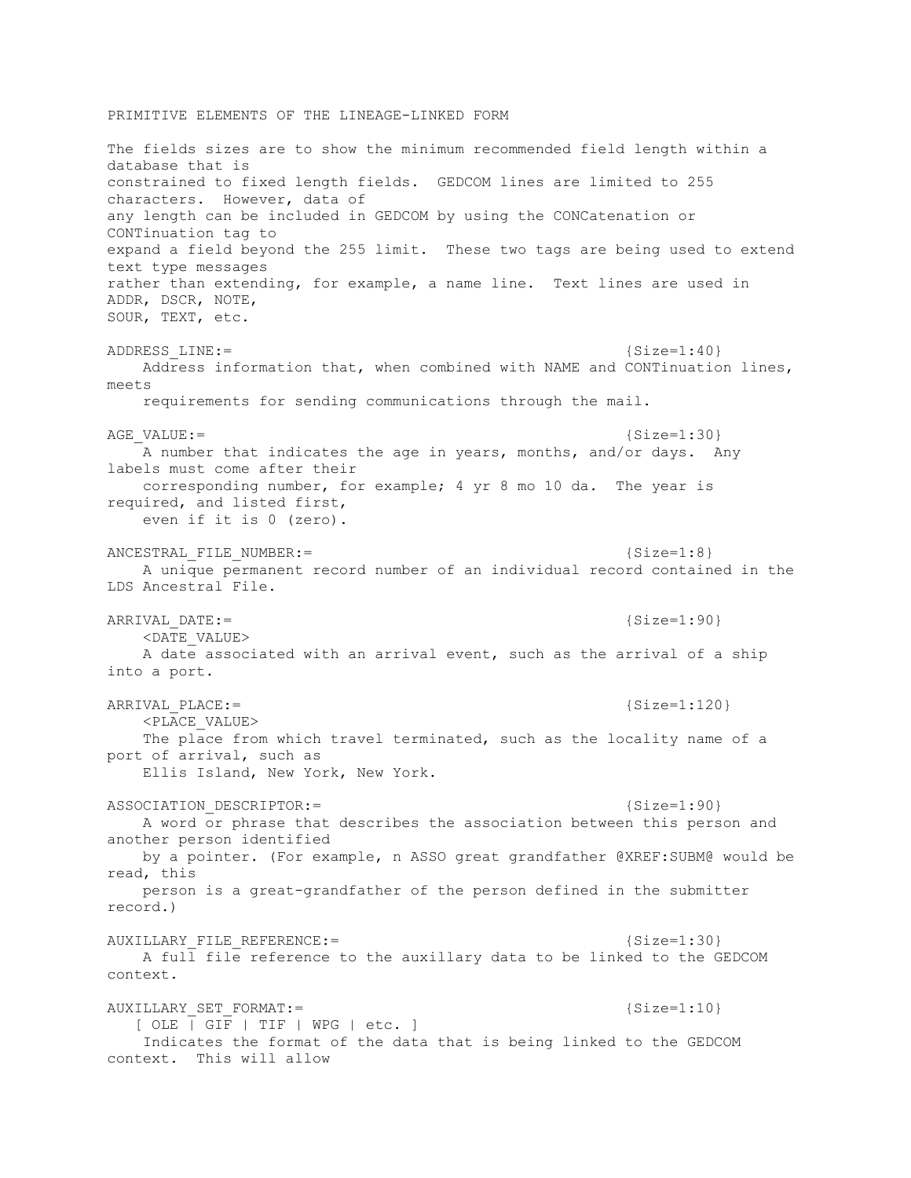## PRIMITIVE ELEMENTS OF THE LINEAGE-LINKED FORM

The fields sizes are to show the minimum recommended field length within a database that is constrained to fixed length fields. GEDCOM lines are limited to 255 characters. However, data of any length can be included in GEDCOM by using the CONCatenation or CONTinuation tag to expand a field beyond the 255 limit. These two tags are being used to extend text type messages rather than extending, for example, a name line. Text lines are used in ADDR, DSCR, NOTE, SOUR, TEXT, etc. ADDRESS LINE:= {Size=1:40} Address information that, when combined with NAME and CONTinuation lines, meets requirements for sending communications through the mail.  $AGE$   ${NALUE :=$   ${Size=1:30}$  A number that indicates the age in years, months, and/or days. Any labels must come after their corresponding number, for example; 4 yr 8 mo 10 da. The year is required, and listed first, even if it is 0 (zero). ANCESTRAL FILE NUMBER:  $=$  {Size=1:8} A unique permanent record number of an individual record contained in the LDS Ancestral File. ARRIVAL DATE:= {Size=1:90}  $\overline{\text{CDATE}}$  VALUE> A date associated with an arrival event, such as the arrival of a ship into a port. ARRIVAL PLACE:= {Size=1:120} <PLACE\_VALUE> The place from which travel terminated, such as the locality name of a port of arrival, such as Ellis Island, New York, New York. ASSOCIATION DESCRIPTOR:= {Size=1:90} A word or phrase that describes the association between this person and another person identified by a pointer. (For example, n ASSO great grandfather @XREF:SUBM@ would be read, this person is a great-grandfather of the person defined in the submitter record.) AUXILLARY\_FILE\_REFERENCE:=  ${Size=1:30}$  A full file reference to the auxillary data to be linked to the GEDCOM context. AUXILLARY SET FORMAT:= {Size=1:10} [ OLE | GIF | TIF | WPG | etc. ] Indicates the format of the data that is being linked to the GEDCOM context. This will allow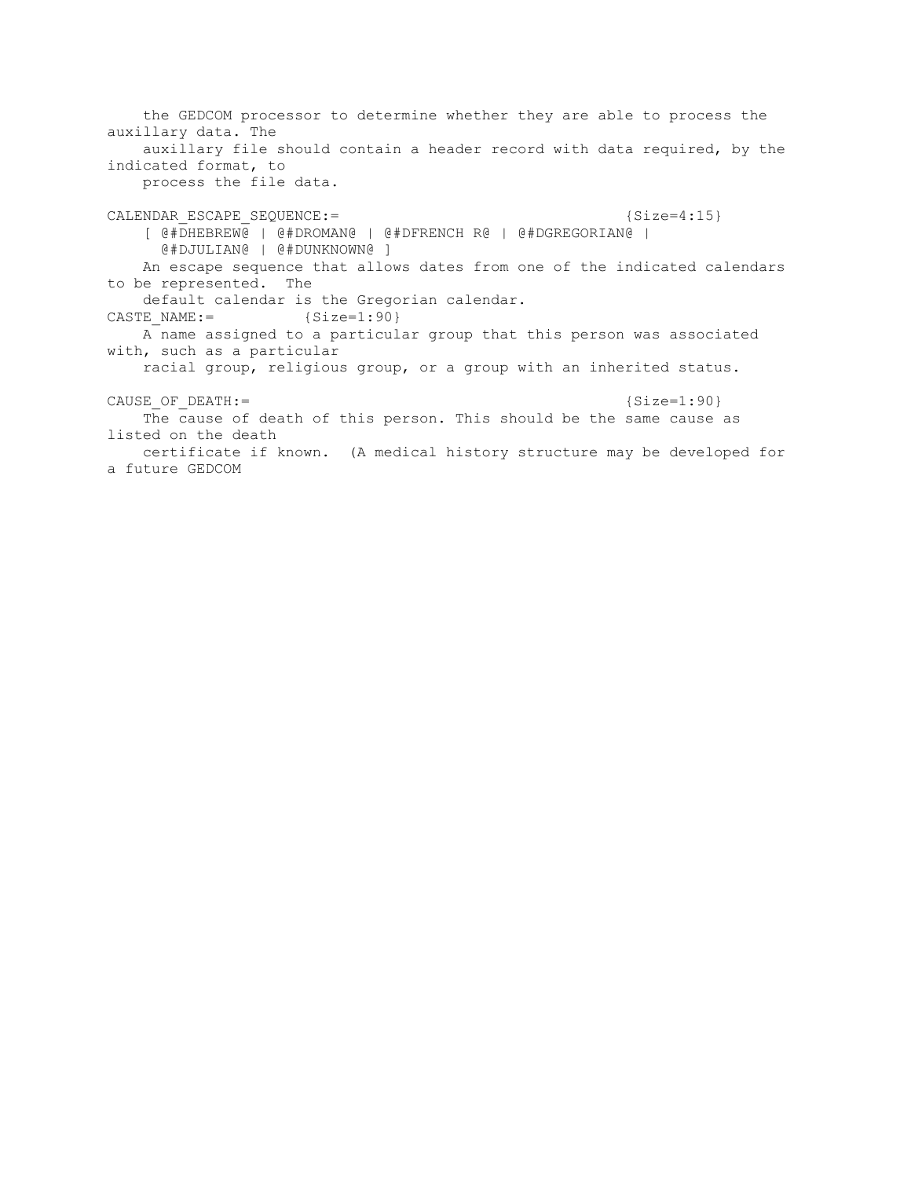the GEDCOM processor to determine whether they are able to process the auxillary data. The auxillary file should contain a header record with data required, by the indicated format, to process the file data. CALENDAR ESCAPE SEQUENCE:=  ${Sice=4:15}$  [ @#DHEBREW@ | @#DROMAN@ | @#DFRENCH R@ | @#DGREGORIAN@ | @#DJULIAN@ | @#DUNKNOWN@ ] An escape sequence that allows dates from one of the indicated calendars to be represented. The default calendar is the Gregorian calendar. CASTE NAME:=  ${Size=1:90}$  A name assigned to a particular group that this person was associated with, such as a particular racial group, religious group, or a group with an inherited status. CAUSE OF DEATH:=  ${Size=1:90}$  The cause of death of this person. This should be the same cause as listed on the death certificate if known. (A medical history structure may be developed for a future GEDCOM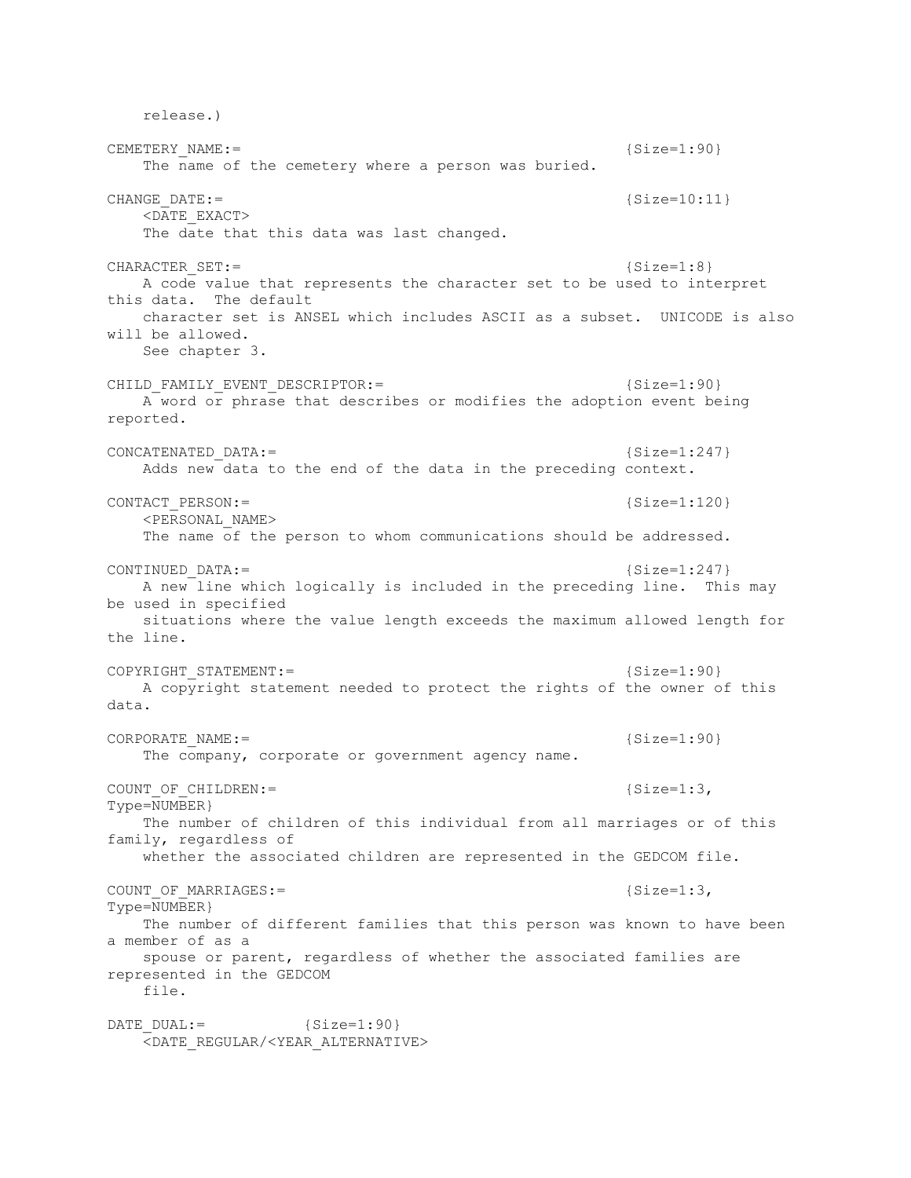release.) CEMETERY\_NAME:= {Size=1:90} The name of the cemetery where a person was buried. CHANGE DATE:= {Size=10:11} <DATE\_EXACT> The date that this data was last changed.  $CHARACTER$   $SET: =$  {Size=1:8} A code value that represents the character set to be used to interpret this data. The default character set is ANSEL which includes ASCII as a subset. UNICODE is also will be allowed. See chapter 3. CHILD\_FAMILY\_EVENT\_DESCRIPTOR:=  ${Size=1:90}$  A word or phrase that describes or modifies the adoption event being reported. CONCATENATED DATA:= {Size=1:247} Adds new data to the end of the data in the preceding context. CONTACT PERSON:=  ${Size=1:120}$  <PERSONAL\_NAME> The name of the person to whom communications should be addressed. CONTINUED DATA:= {Size=1:247} A new line which logically is included in the preceding line. This may be used in specified situations where the value length exceeds the maximum allowed length for the line. COPYRIGHT STATEMENT:=  ${Size=1:90}$  A copyright statement needed to protect the rights of the owner of this data. CORPORATE NAME:= {Size=1:90} The company, corporate or government agency name. COUNT OF CHILDREN:=  ${S_1S_2}$ Type=NUMBER} The number of children of this individual from all marriages or of this family, regardless of whether the associated children are represented in the GEDCOM file. COUNT OF MARRIAGES:=  ${Size=1:3}$ , Type=NUMBER} The number of different families that this person was known to have been a member of as a spouse or parent, regardless of whether the associated families are represented in the GEDCOM file. DATE DUAL:=  ${Size=1:90}$ <DATE\_REGULAR/<YEAR\_ALTERNATIVE>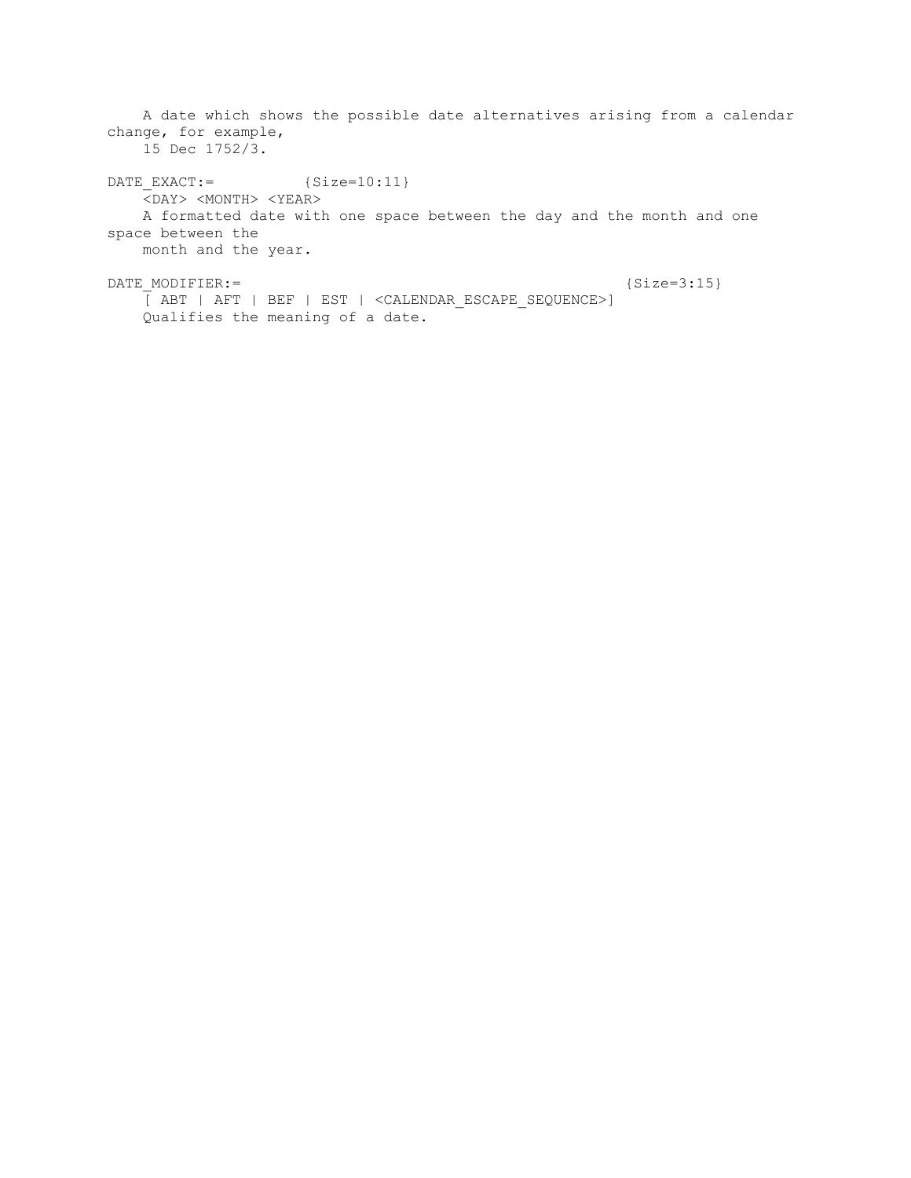A date which shows the possible date alternatives arising from a calendar change, for example, 15 Dec 1752/3. DATE EXACT:=  ${Size=10:11}$  $\overline{<}$ DAY>  $\langle$ MONTH>  $\langle$ YEAR> A formatted date with one space between the day and the month and one space between the month and the year. DATE MODIFIER:= {Size=3:15} [ ABT | AFT | BEF | EST | <CALENDAR\_ESCAPE\_SEQUENCE>]

Qualifies the meaning of a date.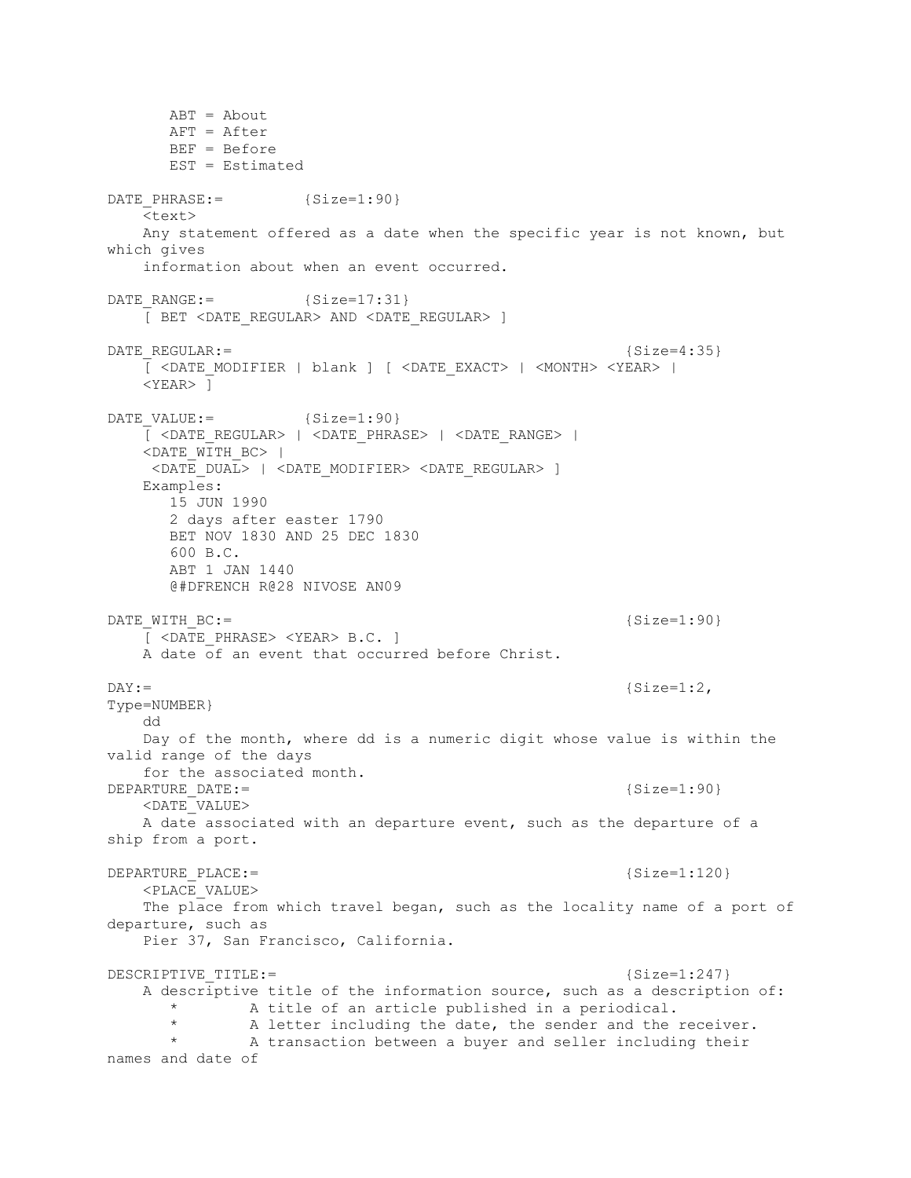ABT = About AFT = After BEF = Before EST = Estimated DATE PHRASE:=  ${Size=1:90}$  <text> Any statement offered as a date when the specific year is not known, but which gives information about when an event occurred. DATE RANGE:=  ${Size=17:31}$  [ BET <DATE\_REGULAR> AND <DATE\_REGULAR> ] DATE\_REGULAR:= {Size=4:35}  $\overline{C}$  <DATE\_MODIFIER | blank ]  $\overline{C}$  <DATE\_EXACT> | <MONTH> <YEAR> | <YEAR> ] DATE VALUE:=  ${Size=1:90}$  [ <DATE\_REGULAR> | <DATE\_PHRASE> | <DATE\_RANGE> | <DATE\_WITH\_BC> | <DATE\_DUAL> | <DATE\_MODIFIER> <DATE\_REGULAR> ] Examples: 15 JUN 1990 2 days after easter 1790 BET NOV 1830 AND 25 DEC 1830 600 B.C. ABT 1 JAN 1440 @#DFRENCH R@28 NIVOSE AN09 DATE WITH BC:= {Size=1:90} [ <DATE\_PHRASE> <YEAR> B.C. ] A date of an event that occurred before Christ.  $DX :=$  {Size=1:2,} Type=NUMBER} dd Day of the month, where dd is a numeric digit whose value is within the valid range of the days for the associated month.  $DEPARTURE$   $DATE :=$   ${Size=1:90}$  <DATE\_VALUE> A date associated with an departure event, such as the departure of a ship from a port. DEPARTURE PLACE:= {Size=1:120} <PLACE\_VALUE> The place from which travel began, such as the locality name of a port of departure, such as Pier 37, San Francisco, California. DESCRIPTIVE TITLE:=  ${Size=1:247}$  A descriptive title of the information source, such as a description of: A title of an article published in a periodical. A letter including the date, the sender and the receiver. A transaction between a buyer and seller including their names and date of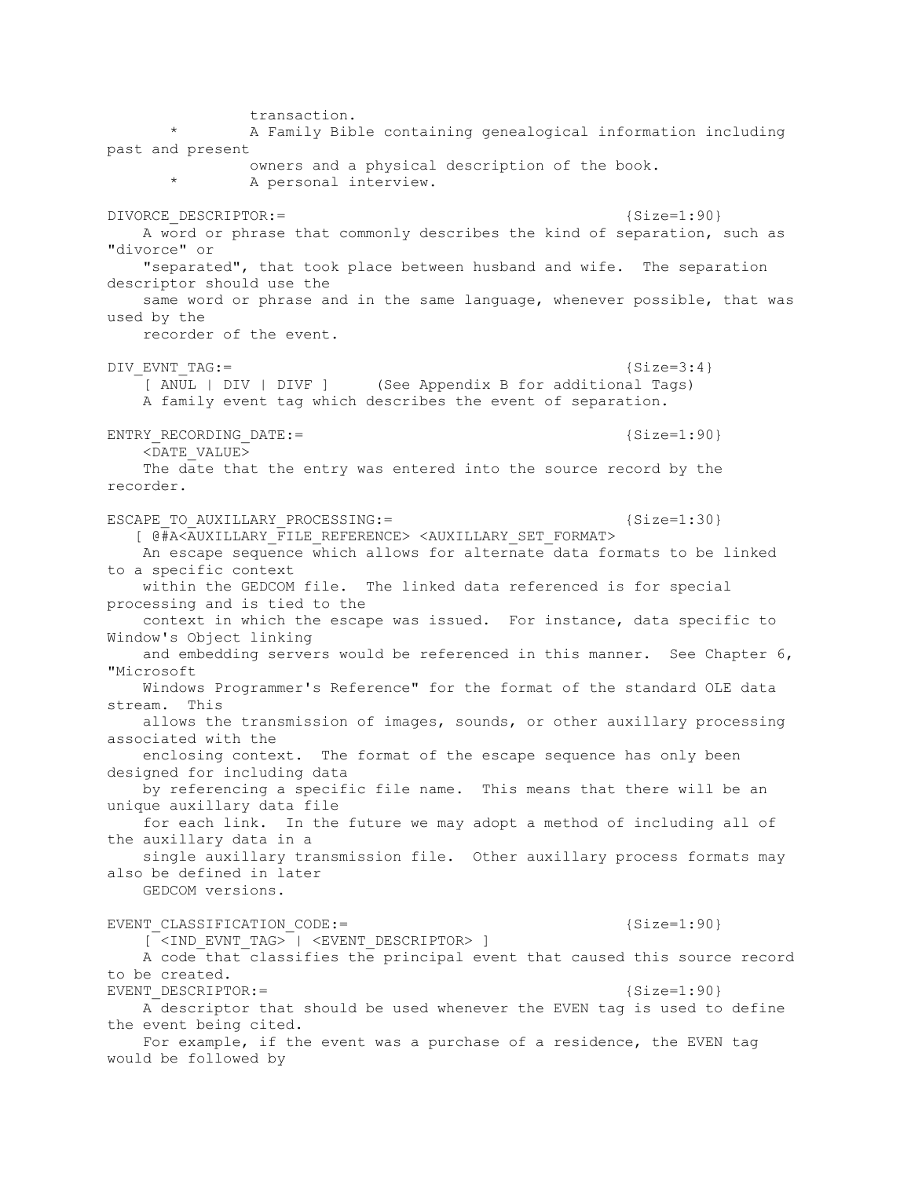transaction. A Family Bible containing genealogical information including past and present owners and a physical description of the book. A personal interview. DIVORCE DESCRIPTOR:=  ${Size=1:90}$  A word or phrase that commonly describes the kind of separation, such as "divorce" or "separated", that took place between husband and wife. The separation descriptor should use the same word or phrase and in the same language, whenever possible, that was used by the recorder of the event. DIV EVNT TAG:=  ${Size=3:4}$  [ ANUL | DIV | DIVF ] (See Appendix B for additional Tags) A family event tag which describes the event of separation. ENTRY RECORDING DATE:=  ${Size=1:90}$  <DATE\_VALUE> The date that the entry was entered into the source record by the recorder. ESCAPE TO AUXILLARY PROCESSING:=  $\{Size=1:30\}$  [ @#A<AUXILLARY\_FILE\_REFERENCE> <AUXILLARY\_SET\_FORMAT> An escape sequence which allows for alternate data formats to be linked to a specific context within the GEDCOM file. The linked data referenced is for special processing and is tied to the context in which the escape was issued. For instance, data specific to Window's Object linking and embedding servers would be referenced in this manner. See Chapter 6, "Microsoft Windows Programmer's Reference" for the format of the standard OLE data stream. This allows the transmission of images, sounds, or other auxillary processing associated with the enclosing context. The format of the escape sequence has only been designed for including data by referencing a specific file name. This means that there will be an unique auxillary data file for each link. In the future we may adopt a method of including all of the auxillary data in a single auxillary transmission file. Other auxillary process formats may also be defined in later GEDCOM versions. EVENT CLASSIFICATION CODE:=  ${Size=1:90}$  [ <IND\_EVNT\_TAG> | <EVENT\_DESCRIPTOR> ] A code that classifies the principal event that caused this source record to be created. EVENT DESCRIPTOR: =  ${Size=1:90}$  A descriptor that should be used whenever the EVEN tag is used to define the event being cited. For example, if the event was a purchase of a residence, the EVEN tag would be followed by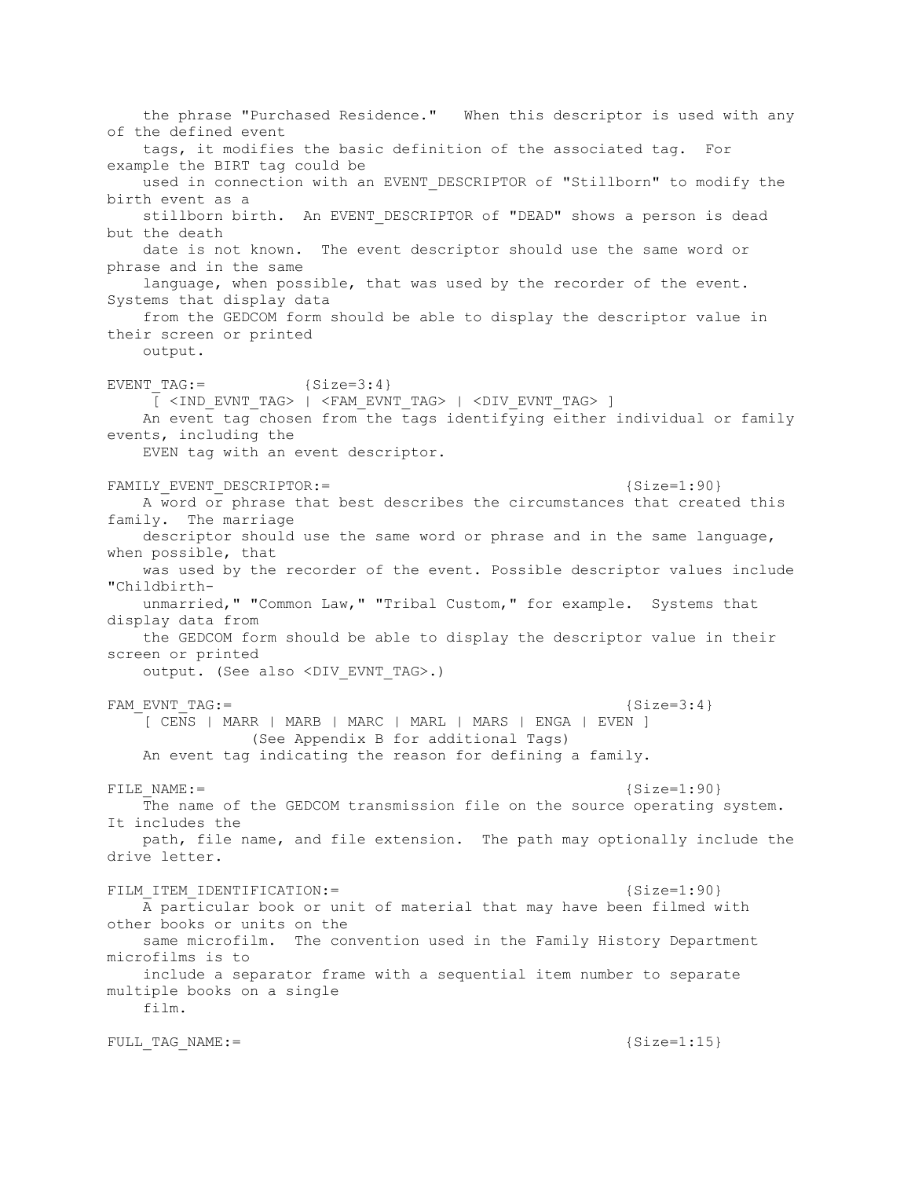the phrase "Purchased Residence." When this descriptor is used with any of the defined event tags, it modifies the basic definition of the associated tag. For example the BIRT tag could be used in connection with an EVENT DESCRIPTOR of "Stillborn" to modify the birth event as a stillborn birth. An EVENT DESCRIPTOR of "DEAD" shows a person is dead but the death date is not known. The event descriptor should use the same word or phrase and in the same language, when possible, that was used by the recorder of the event. Systems that display data from the GEDCOM form should be able to display the descriptor value in their screen or printed output. EVENT TAG:=  ${Size=3:4}$  $\overline{C}$  <IND EVNT TAG> | <FAM EVNT TAG> | <DIV EVNT TAG> ] An event tag chosen from the tags identifying either individual or family events, including the EVEN tag with an event descriptor. FAMILY\_EVENT\_DESCRIPTOR:=  ${Size=1:90}$  A word or phrase that best describes the circumstances that created this family. The marriage descriptor should use the same word or phrase and in the same language, when possible, that was used by the recorder of the event. Possible descriptor values include "Childbirth unmarried," "Common Law," "Tribal Custom," for example. Systems that display data from the GEDCOM form should be able to display the descriptor value in their screen or printed output. (See also <DIV EVNT TAG>.) FAM EVNT TAG:=  ${Size=3:4}$  [ CENS | MARR | MARB | MARC | MARL | MARS | ENGA | EVEN ] (See Appendix B for additional Tags) An event tag indicating the reason for defining a family. FILE NAME:=  ${Size=1:90}$  The name of the GEDCOM transmission file on the source operating system. It includes the path, file name, and file extension. The path may optionally include the drive letter. FILM ITEM IDENTIFICATION:=  $\{Size=1:90\}$  A particular book or unit of material that may have been filmed with other books or units on the same microfilm. The convention used in the Family History Department microfilms is to include a separator frame with a sequential item number to separate multiple books on a single film. FULL TAG NAME:=  ${Size=1:15}$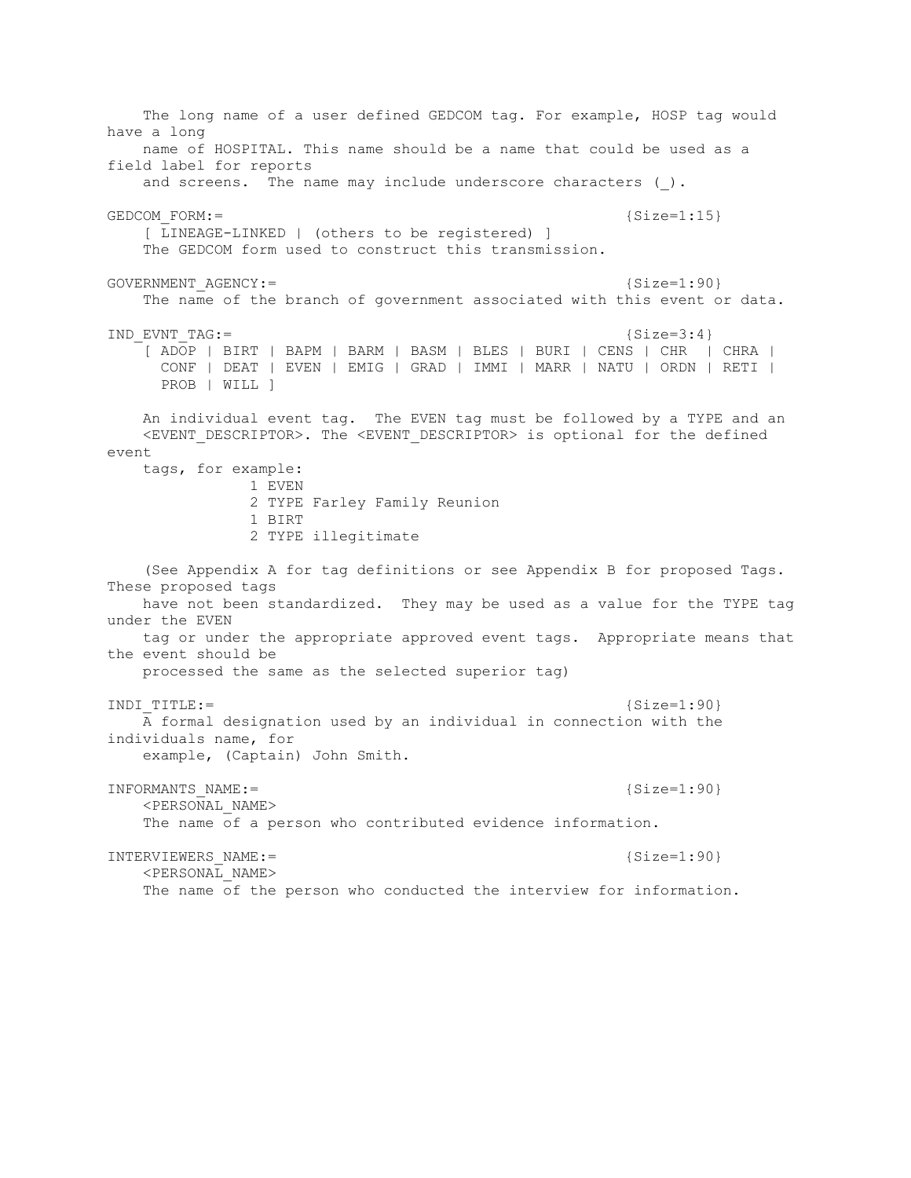The long name of a user defined GEDCOM tag. For example, HOSP tag would have a long name of HOSPITAL. This name should be a name that could be used as a field label for reports and screens. The name may include underscore characters ().  $GEDCOM$   $\text{FORM} :=$  {Size=1:15} [ LINEAGE-LINKED | (others to be registered) ] The GEDCOM form used to construct this transmission. GOVERNMENT  $AGENCY:=$   ${Size=1:90}$  The name of the branch of government associated with this event or data. IND EVNT TAG:=  ${Size=3:4}$  [ ADOP | BIRT | BAPM | BARM | BASM | BLES | BURI | CENS | CHR | CHRA | CONF | DEAT | EVEN | EMIG | GRAD | IMMI | MARR | NATU | ORDN | RETI | PROB | WILL ] An individual event tag. The EVEN tag must be followed by a TYPE and an <EVENT\_DESCRIPTOR>. The <EVENT\_DESCRIPTOR> is optional for the defined event tags, for example: 1 EVEN 2 TYPE Farley Family Reunion 1 BIRT 2 TYPE illegitimate (See Appendix A for tag definitions or see Appendix B for proposed Tags. These proposed tags have not been standardized. They may be used as a value for the TYPE tag under the EVEN tag or under the appropriate approved event tags. Appropriate means that the event should be processed the same as the selected superior tag) INDI TITLE:= {Size=1:90} A formal designation used by an individual in connection with the individuals name, for example, (Captain) John Smith. INFORMANTS NAME:= {Size=1:90}  $\leq$ PERSONAL NAME> The name of a person who contributed evidence information. INTERVIEWERS NAME:= {Size=1:90} <PERSONAL\_NAME> The name of the person who conducted the interview for information.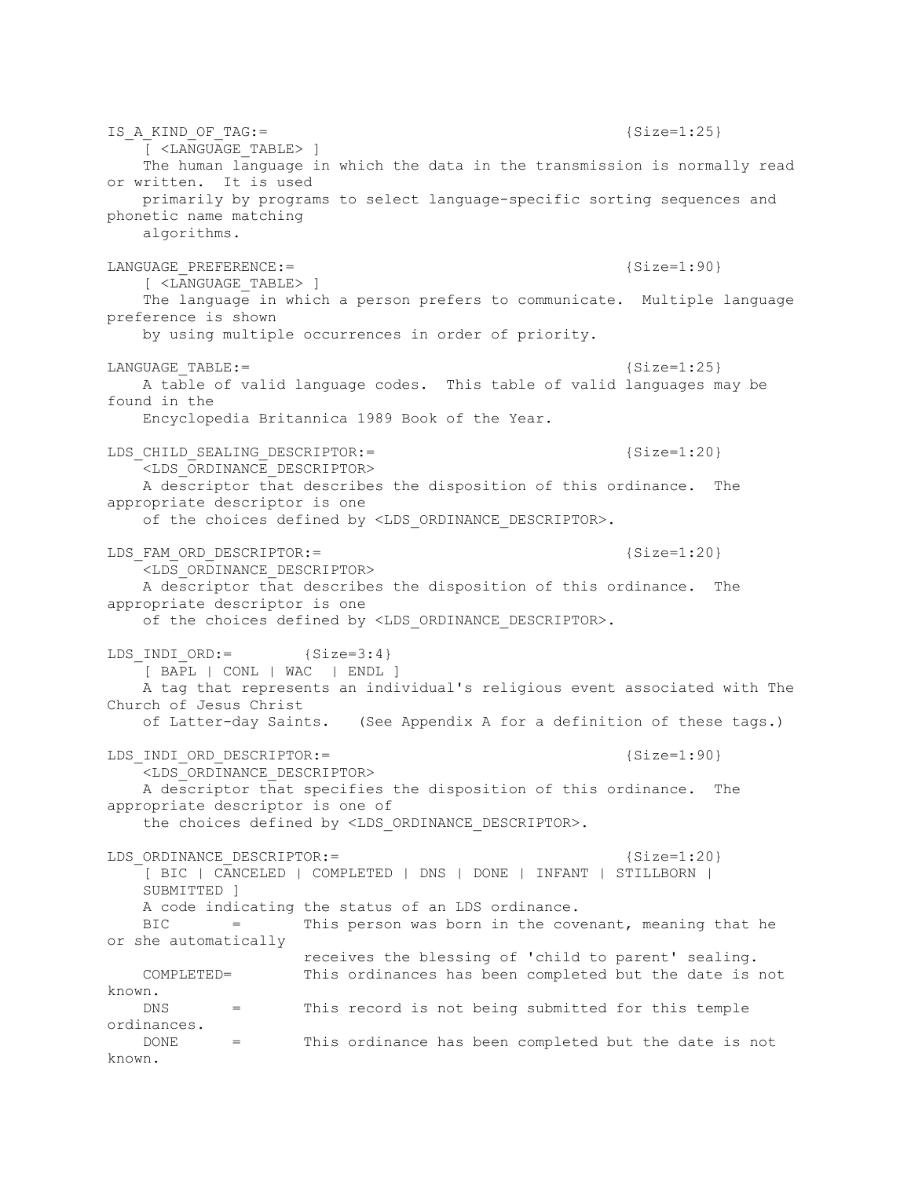IS A KIND OF TAG:=  ${Size=1:25}$  [ <LANGUAGE\_TABLE> ] The human language in which the data in the transmission is normally read or written. It is used primarily by programs to select language-specific sorting sequences and phonetic name matching algorithms. LANGUAGE PREFERENCE:= {Size=1:90} [ <LANGUAGE\_TABLE> ] The language in which a person prefers to communicate. Multiple language preference is shown by using multiple occurrences in order of priority. LANGUAGE TABLE:= {Size=1:25} A table of valid language codes. This table of valid languages may be found in the Encyclopedia Britannica 1989 Book of the Year. LDS CHILD SEALING DESCRIPTOR:=  ${Size=1:20}$  <LDS\_ORDINANCE\_DESCRIPTOR> A descriptor that describes the disposition of this ordinance. The appropriate descriptor is one of the choices defined by <LDS ORDINANCE DESCRIPTOR>. LDS FAM ORD DESCRIPTOR:= {Size=1:20} <LDS\_ORDINANCE\_DESCRIPTOR> A descriptor that describes the disposition of this ordinance. The appropriate descriptor is one of the choices defined by <LDS ORDINANCE DESCRIPTOR>. LDS INDI  $ORD :=$  {Size=3:4} [ BAPL | CONL | WAC | ENDL ] A tag that represents an individual's religious event associated with The Church of Jesus Christ of Latter-day Saints. (See Appendix A for a definition of these tags.) LDS INDI ORD DESCRIPTOR:= {Size=1:90} <LDS\_ORDINANCE\_DESCRIPTOR> A descriptor that specifies the disposition of this ordinance. The appropriate descriptor is one of the choices defined by <LDS ORDINANCE DESCRIPTOR>. LDS ORDINANCE DESCRIPTOR:=  ${Size=1:20}$  [ BIC | CANCELED | COMPLETED | DNS | DONE | INFANT | STILLBORN | SUBMITTED ] A code indicating the status of an LDS ordinance. BIC = This person was born in the covenant, meaning that he or she automatically receives the blessing of 'child to parent' sealing. COMPLETED= This ordinances has been completed but the date is not known. DNS = This record is not being submitted for this temple ordinances. DONE = This ordinance has been completed but the date is not known.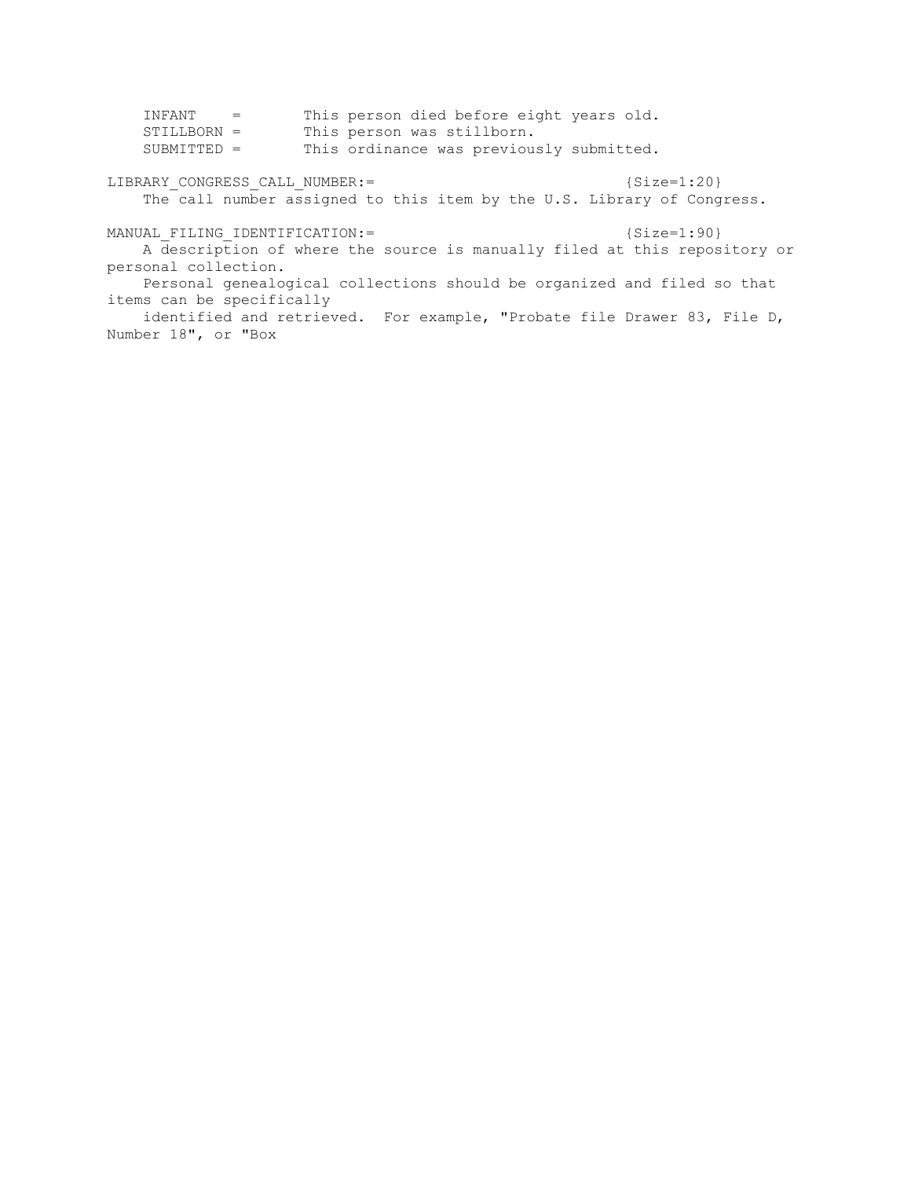| INFANT =<br>$STILLBORN =$<br>$SUBMITTED =$                                                                                 | This person died before eight years old.<br>This person was stillborn.<br>This ordinance was previously submitted.                                 |                                                                                            |
|----------------------------------------------------------------------------------------------------------------------------|----------------------------------------------------------------------------------------------------------------------------------------------------|--------------------------------------------------------------------------------------------|
| ${Size=1:20}$<br>LIBRARY CONGRESS CALL NUMBER: =<br>The call number assigned to this item by the U.S. Library of Congress. |                                                                                                                                                    |                                                                                            |
| MANUAL FILING IDENTIFICATION:=<br>personal collection.<br>items can be specifically<br>Number 18", or "Box                 | Personal genealogical collections should be organized and filed so that<br>identified and retrieved. For example, "Probate file Drawer 83, File D, | ${Size=1:90}$<br>A description of where the source is manually filed at this repository or |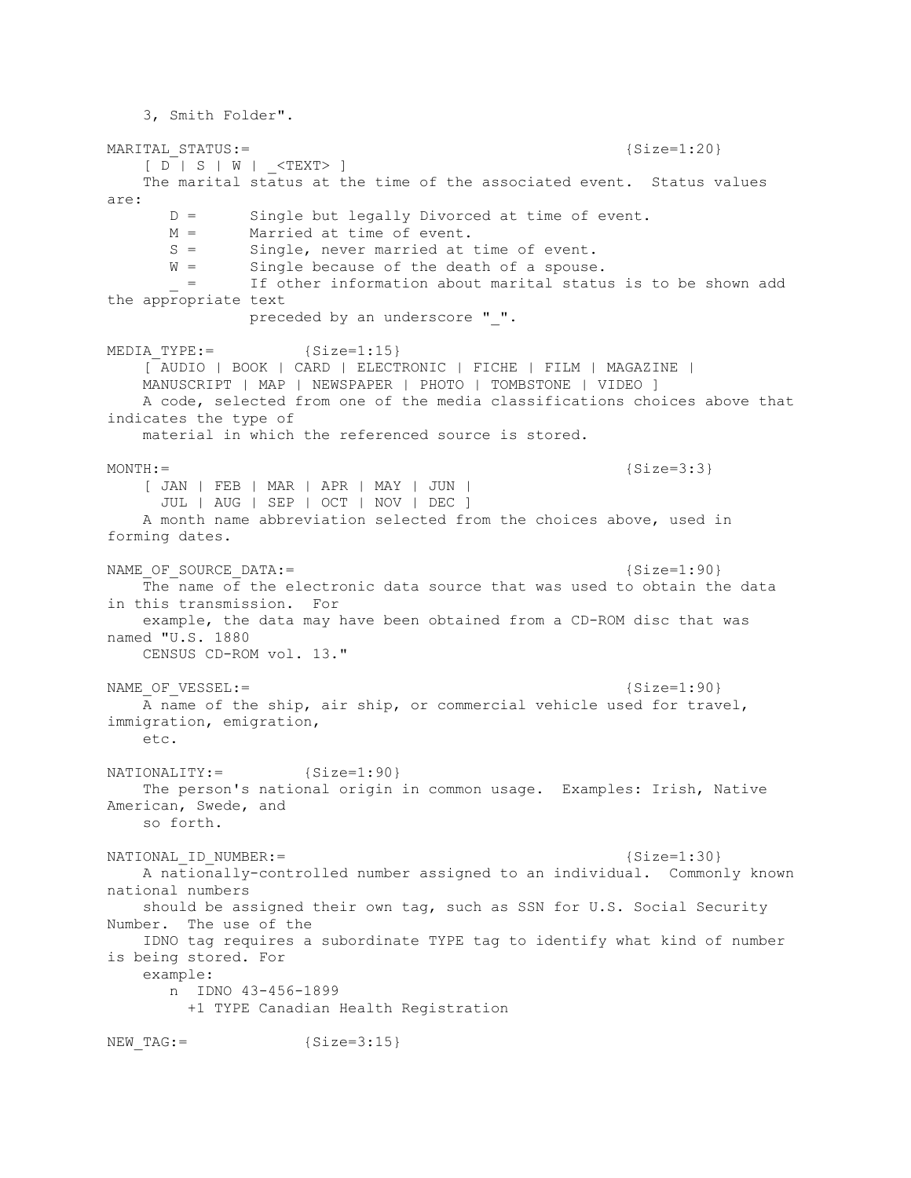3, Smith Folder". MARITAL STATUS:=  ${Size=1:20}$  $[D \mid S \mid W \mid \langle TEXT \rangle]$  The marital status at the time of the associated event. Status values are: D = Single but legally Divorced at time of event. M = Married at time of event. S = Single, never married at time of event. W = Single because of the death of a spouse. \_ = If other information about marital status is to be shown add the appropriate text preceded by an underscore " ". MEDIA TYPE:=  ${Size=1:15}$  [ AUDIO | BOOK | CARD | ELECTRONIC | FICHE | FILM | MAGAZINE | MANUSCRIPT | MAP | NEWSPAPER | PHOTO | TOMBSTONE | VIDEO ] A code, selected from one of the media classifications choices above that indicates the type of material in which the referenced source is stored.  $MONTH :=$  {Size=3:3} [ JAN | FEB | MAR | APR | MAY | JUN | JUL | AUG | SEP | OCT | NOV | DEC ] A month name abbreviation selected from the choices above, used in forming dates. NAME OF SOURCE DATA:= {Size=1:90} The name of the electronic data source that was used to obtain the data in this transmission. For example, the data may have been obtained from a CD-ROM disc that was named "U.S. 1880 CENSUS CD-ROM vol. 13." NAME OF VESSEL:= {Size=1:90} A name of the ship, air ship, or commercial vehicle used for travel, immigration, emigration, etc. NATIONALITY:= {Size=1:90} The person's national origin in common usage. Examples: Irish, Native American, Swede, and so forth. NATIONAL ID NUMBER:=  ${Size=1:30}$  A nationally-controlled number assigned to an individual. Commonly known national numbers should be assigned their own tag, such as SSN for U.S. Social Security Number. The use of the IDNO tag requires a subordinate TYPE tag to identify what kind of number is being stored. For example: n IDNO 43-456-1899 +1 TYPE Canadian Health Registration NEW TAG:=  ${Size=3:15}$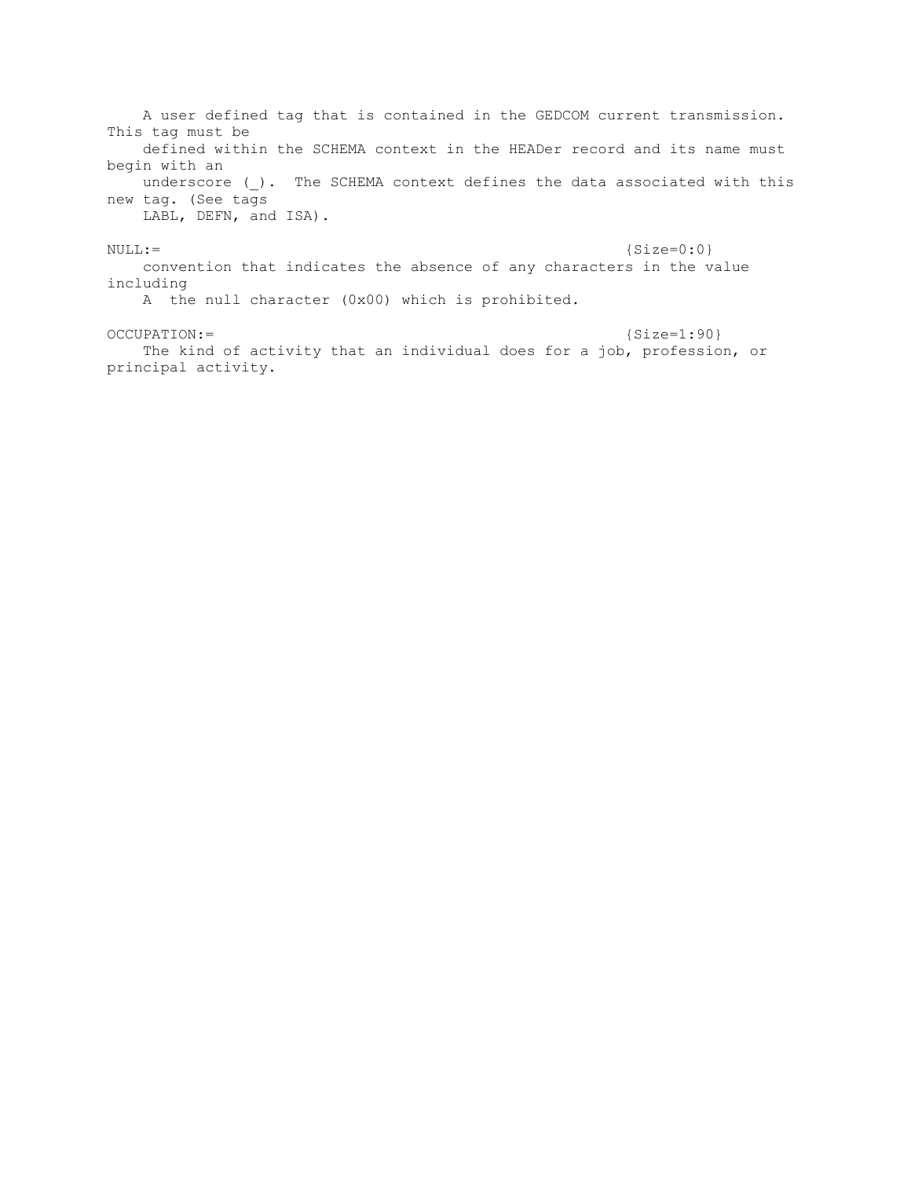A user defined tag that is contained in the GEDCOM current transmission. This tag must be defined within the SCHEMA context in the HEADer record and its name must begin with an underscore (). The SCHEMA context defines the data associated with this new tag. (See tags LABL, DEFN, and ISA).  $NULL :=$  {Size=0:0} convention that indicates the absence of any characters in the value including

A the null character (0x00) which is prohibited.

## OCCUPATION:= {Size=1:90}

 The kind of activity that an individual does for a job, profession, or principal activity.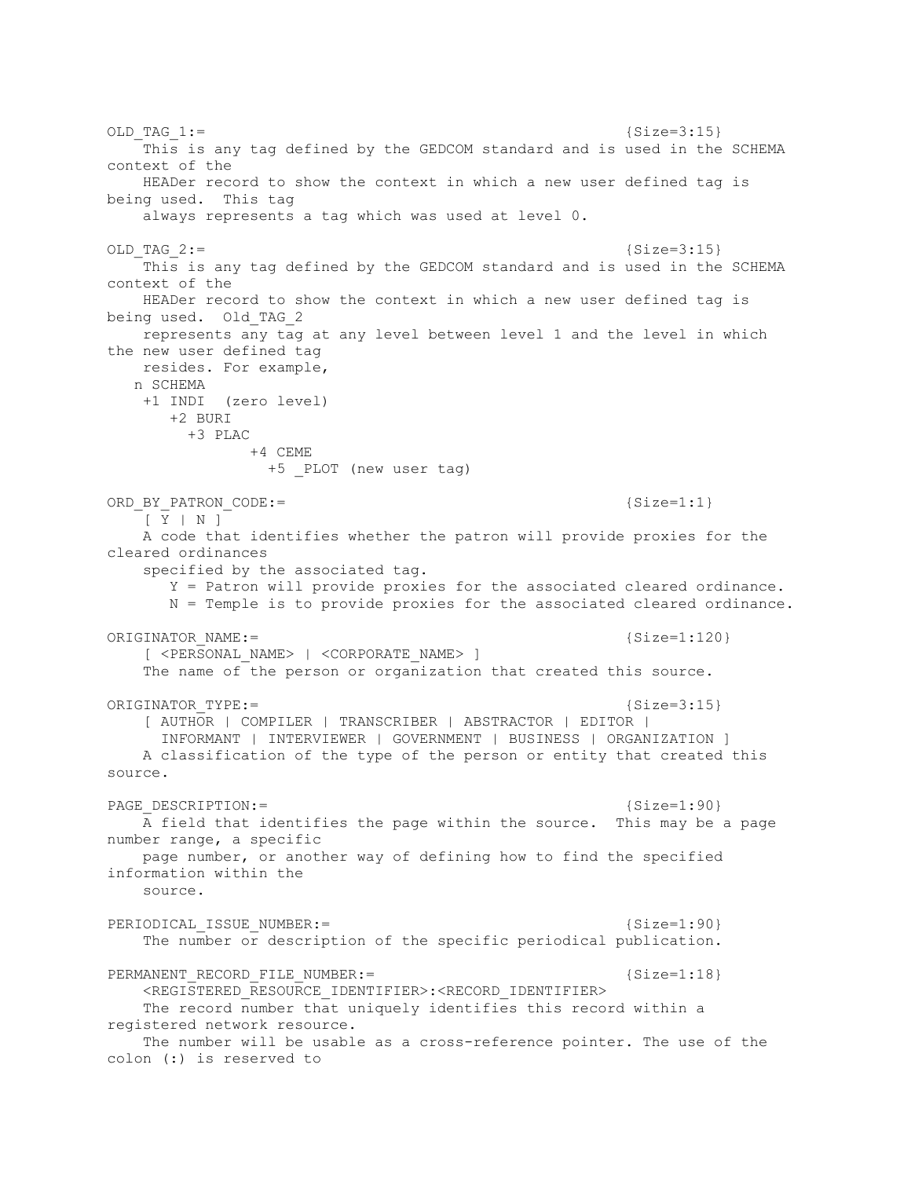OLD TAG  $1:=$  {Size=3:15} This is any tag defined by the GEDCOM standard and is used in the SCHEMA context of the HEADer record to show the context in which a new user defined tag is being used. This tag always represents a tag which was used at level 0. OLD TAG  $2:=$  {Size=3:15} This is any tag defined by the GEDCOM standard and is used in the SCHEMA context of the HEADer record to show the context in which a new user defined tag is being used. Old\_TAG\_2 represents any tag at any level between level 1 and the level in which the new user defined tag resides. For example, n SCHEMA +1 INDI (zero level) +2 BURI +3 PLAC +4 CEME +5 PLOT (new user tag) ORD\_BY\_PATRON\_CODE:=  ${Size=1:1}$  [ Y | N ] A code that identifies whether the patron will provide proxies for the cleared ordinances specified by the associated tag. Y = Patron will provide proxies for the associated cleared ordinance. N = Temple is to provide proxies for the associated cleared ordinance. ORIGINATOR NAME:= {Size=1:120} [ <PERSONAL\_NAME> | <CORPORATE\_NAME> ] The name of the person or organization that created this source. ORIGINATOR TYPE:=  ${Size=3:15}$  [ AUTHOR | COMPILER | TRANSCRIBER | ABSTRACTOR | EDITOR | INFORMANT | INTERVIEWER | GOVERNMENT | BUSINESS | ORGANIZATION ] A classification of the type of the person or entity that created this source. PAGE DESCRIPTION:=  ${Size=1:90}$  A field that identifies the page within the source. This may be a page number range, a specific page number, or another way of defining how to find the specified information within the source. PERIODICAL ISSUE NUMBER:= {Size=1:90} The number or description of the specific periodical publication. PERMANENT RECORD FILE NUMBER: =  ${Size=1:18}$  <REGISTERED\_RESOURCE\_IDENTIFIER>:<RECORD\_IDENTIFIER> The record number that uniquely identifies this record within a registered network resource. The number will be usable as a cross-reference pointer. The use of the colon (:) is reserved to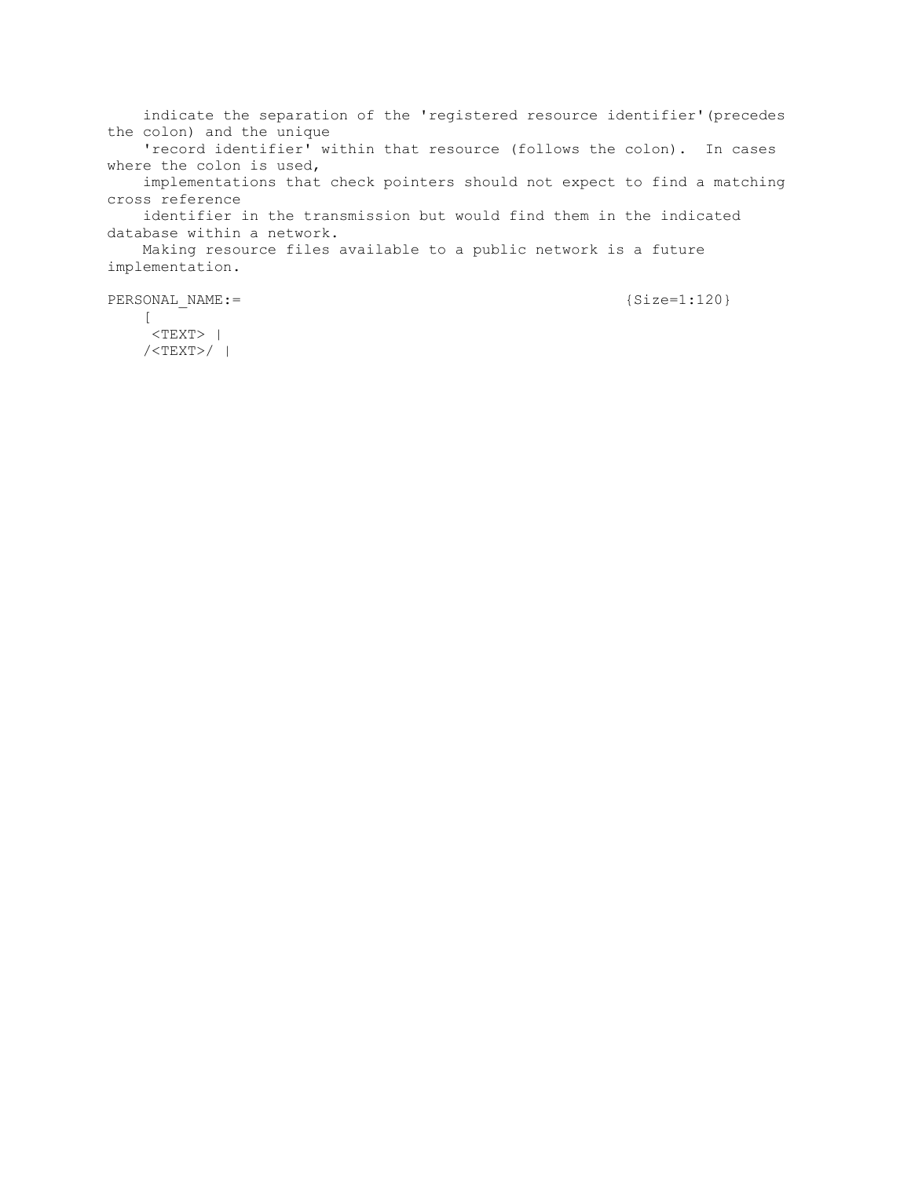indicate the separation of the 'registered resource identifier'(precedes the colon) and the unique 'record identifier' within that resource (follows the colon). In cases where the colon is used, implementations that check pointers should not expect to find a matching cross reference identifier in the transmission but would find them in the indicated database within a network. Making resource files available to a public network is a future implementation. PERSONAL NAME:= {Size=1:120}

 $\lceil$  $<$ TEXT> | /<TEXT>/ |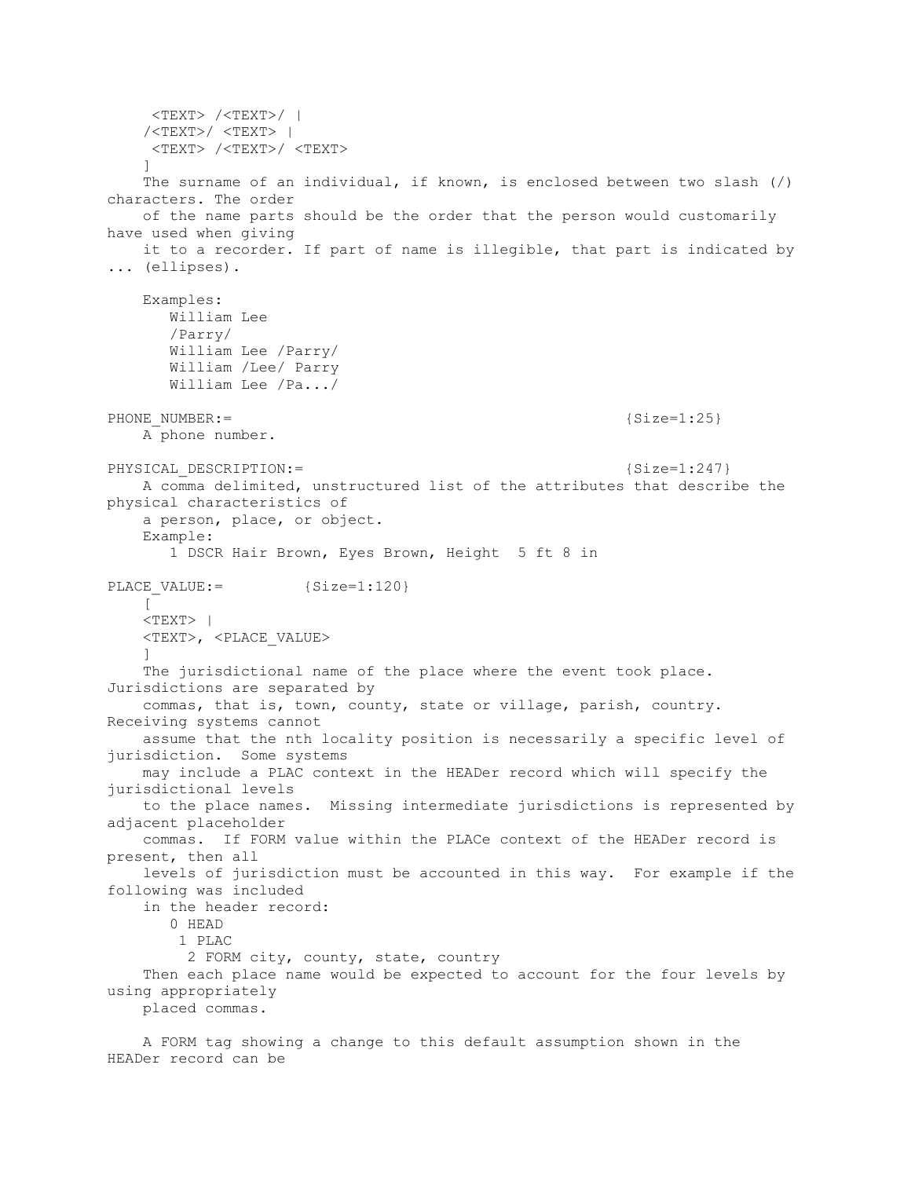<TEXT> /<TEXT>/ | /<TEXT>/ <TEXT> | <TEXT> /<TEXT>/ <TEXT> ] The surname of an individual, if known, is enclosed between two slash (/) characters. The order of the name parts should be the order that the person would customarily have used when giving it to a recorder. If part of name is illegible, that part is indicated by ... (ellipses). Examples: William Lee /Parry/ William Lee /Parry/ William /Lee/ Parry William Lee /Pa.../ PHONE NUMBER:= {Size=1:25} A phone number. PHYSICAL DESCRIPTION:= {Size=1:247} A comma delimited, unstructured list of the attributes that describe the physical characteristics of a person, place, or object. Example: 1 DSCR Hair Brown, Eyes Brown, Height 5 ft 8 in PLACE VALUE:= {Size=1:120}  $\lceil$  $<$ TEXT> | <TEXT>, <PLACE\_VALUE>  $\qquad \qquad$  The jurisdictional name of the place where the event took place. Jurisdictions are separated by commas, that is, town, county, state or village, parish, country. Receiving systems cannot assume that the nth locality position is necessarily a specific level of jurisdiction. Some systems may include a PLAC context in the HEADer record which will specify the jurisdictional levels to the place names. Missing intermediate jurisdictions is represented by adjacent placeholder commas. If FORM value within the PLACe context of the HEADer record is present, then all levels of jurisdiction must be accounted in this way. For example if the following was included in the header record: 0 HEAD 1 PLAC 2 FORM city, county, state, country Then each place name would be expected to account for the four levels by using appropriately placed commas.

 A FORM tag showing a change to this default assumption shown in the HEADer record can be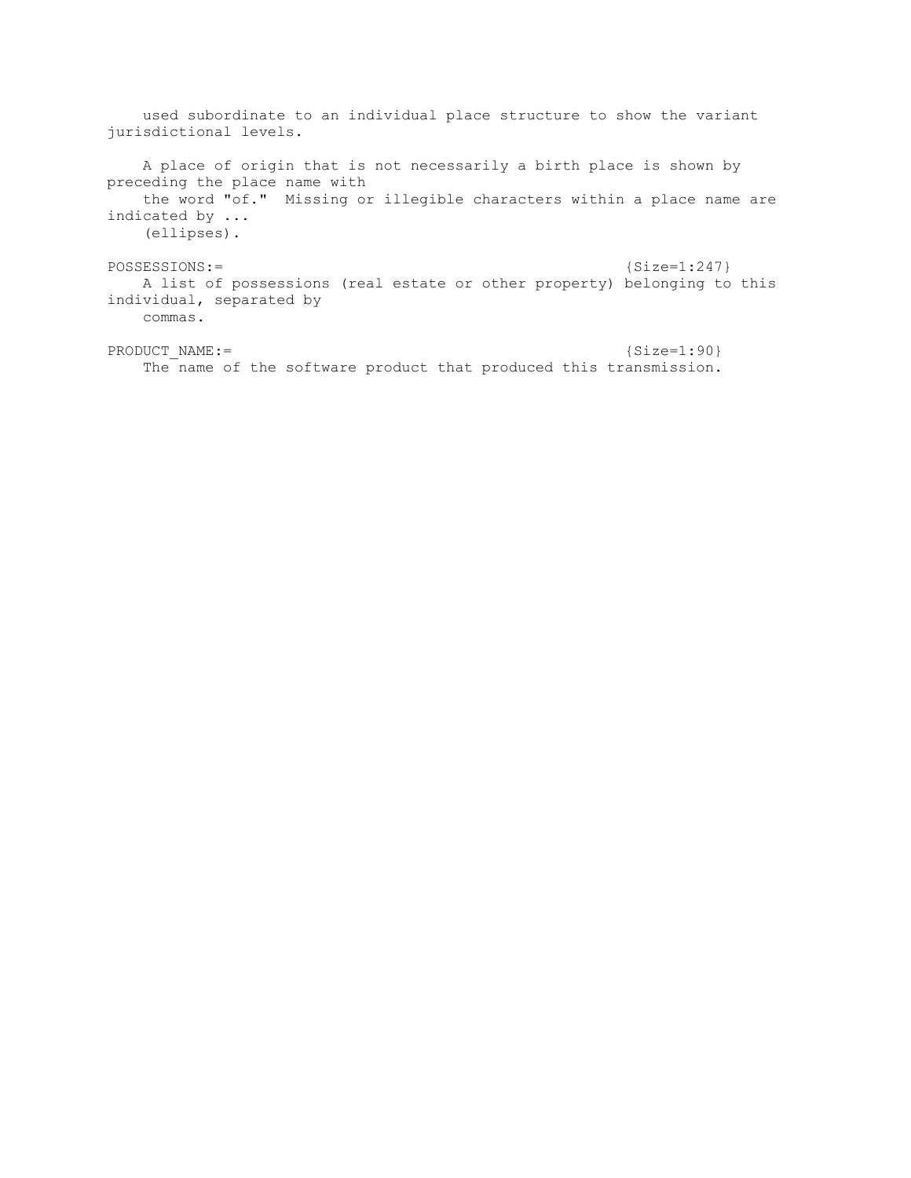used subordinate to an individual place structure to show the variant jurisdictional levels. A place of origin that is not necessarily a birth place is shown by preceding the place name with the word "of." Missing or illegible characters within a place name are indicated by ... (ellipses). POSSESSIONS:= {Size=1:247} A list of possessions (real estate or other property) belonging to this individual, separated by commas.

PRODUCT\_NAME:= {Size=1:90} The name of the software product that produced this transmission.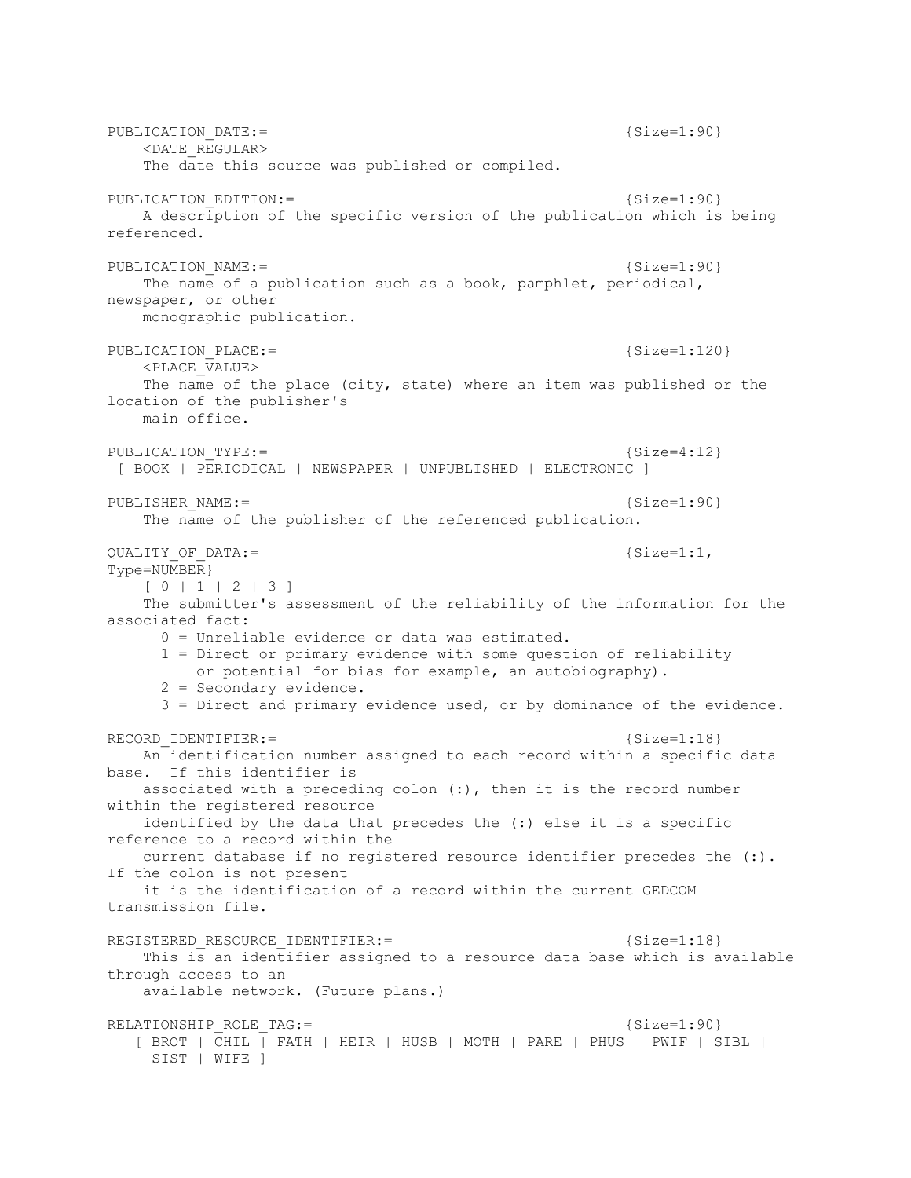PUBLICATION DATE:=  ${Size=1:90}$  <DATE\_REGULAR> The date this source was published or compiled. PUBLICATION EDITION:= {Size=1:90} A description of the specific version of the publication which is being referenced. PUBLICATION NAME:= {Size=1:90} The name of a publication such as a book, pamphlet, periodical, newspaper, or other monographic publication. PUBLICATION PLACE:= {Size=1:120} <PLACE\_VALUE> The name of the place (city, state) where an item was published or the location of the publisher's main office. PUBLICATION TYPE:= {Size=4:12} [ BOOK | PERIODICAL | NEWSPAPER | UNPUBLISHED | ELECTRONIC ] PUBLISHER\_NAME:= {Size=1:90} The name of the publisher of the referenced publication. QUALITY OF DATA:=  ${Size=1:1}$ , Type=NUMBER} [ 0 | 1 | 2 | 3 ] The submitter's assessment of the reliability of the information for the associated fact: 0 = Unreliable evidence or data was estimated. 1 = Direct or primary evidence with some question of reliability or potential for bias for example, an autobiography). 2 = Secondary evidence. 3 = Direct and primary evidence used, or by dominance of the evidence. RECORD\_IDENTIFIER: = {Size=1:18} An identification number assigned to each record within a specific data base. If this identifier is associated with a preceding colon (:), then it is the record number within the registered resource identified by the data that precedes the (:) else it is a specific reference to a record within the current database if no registered resource identifier precedes the (:). If the colon is not present it is the identification of a record within the current GEDCOM transmission file. REGISTERED RESOURCE IDENTIFIER:=  ${Size=1:18}$  This is an identifier assigned to a resource data base which is available through access to an available network. (Future plans.) RELATIONSHIP\_ROLE\_TAG:=  ${Size=1:90}$  $[$  BROT  $]$   $CHIL$  $]$   $FATH$   $|$  HEIR  $|$  HUSB  $|$  MOTH  $|$  PARE  $|$  PHUS  $|$  PWIF  $|$  SIBL  $|$ SIST | WIFE ]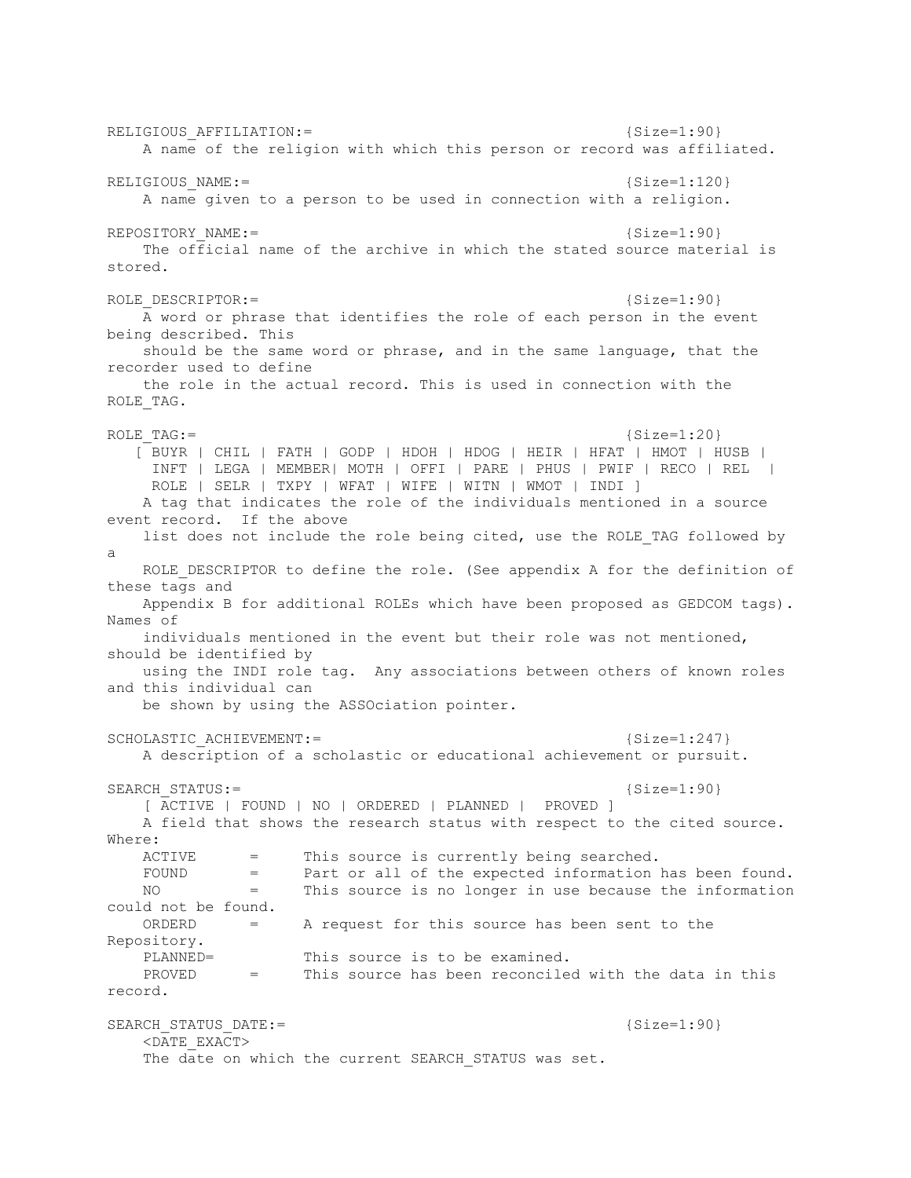RELIGIOUS AFFILIATION:=  ${Size=1:90}$  A name of the religion with which this person or record was affiliated. RELIGIOUS NAME:= {Size=1:120} A name given to a person to be used in connection with a religion. REPOSITORY NAME:= {Size=1:90} The official name of the archive in which the stated source material is stored. ROLE DESCRIPTOR:= {Size=1:90} A word or phrase that identifies the role of each person in the event being described. This should be the same word or phrase, and in the same language, that the recorder used to define the role in the actual record. This is used in connection with the ROLE TAG. ROLE TAG:=  ${Size=1:20}$  [ BUYR | CHIL | FATH | GODP | HDOH | HDOG | HEIR | HFAT | HMOT | HUSB | INFT | LEGA | MEMBER| MOTH | OFFI | PARE | PHUS | PWIF | RECO | REL | ROLE | SELR | TXPY | WFAT | WIFE | WITN | WMOT | INDI ] A tag that indicates the role of the individuals mentioned in a source event record. If the above list does not include the role being cited, use the ROLE TAG followed by a ROLE DESCRIPTOR to define the role. (See appendix A for the definition of these tags and Appendix B for additional ROLEs which have been proposed as GEDCOM tags). Names of individuals mentioned in the event but their role was not mentioned, should be identified by using the INDI role tag. Any associations between others of known roles and this individual can be shown by using the ASSOciation pointer. SCHOLASTIC ACHIEVEMENT:= {Size=1:247} A description of a scholastic or educational achievement or pursuit. SEARCH\_STATUS:= {Size=1:90} [ ACTIVE | FOUND | NO | ORDERED | PLANNED | PROVED ] A field that shows the research status with respect to the cited source. Where: ACTIVE = This source is currently being searched.<br>FOUND = Part or all of the expected information FOUND = Part or all of the expected information has been found. NO = This source is no longer in use because the information could not be found. ORDERD = A request for this source has been sent to the Repository. PLANNED= This source is to be examined. PROVED = This source has been reconciled with the data in this record. SEARCH\_STATUS\_DATE:=  ${Size=1:90}$  <DATE\_EXACT> The date on which the current SEARCH STATUS was set.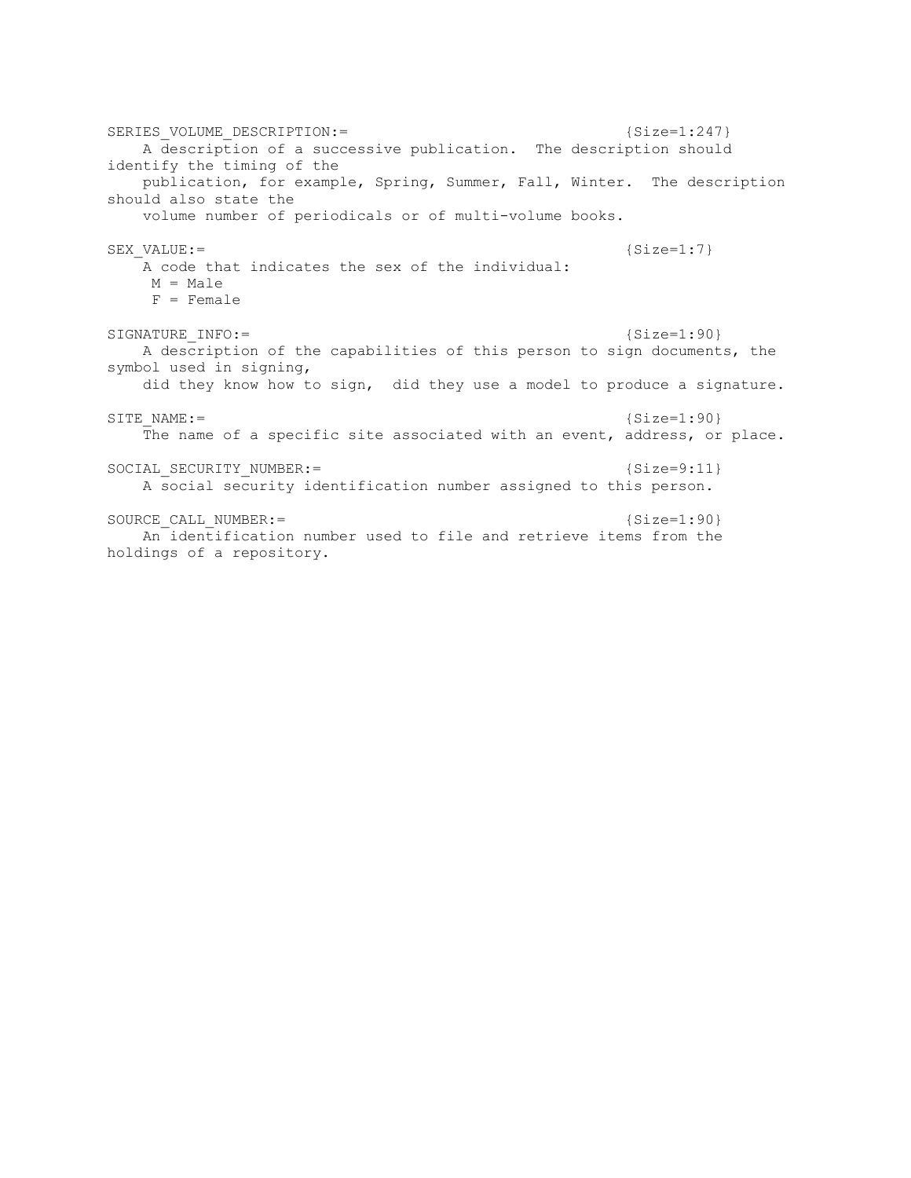SERIES VOLUME DESCRIPTION:=  ${Size=1:247}$  A description of a successive publication. The description should identify the timing of the publication, for example, Spring, Summer, Fall, Winter. The description should also state the volume number of periodicals or of multi-volume books. SEX\_VALUE:= {Size=1:7} A code that indicates the sex of the individual:  $M = Male$  F = Female SIGNATURE INFO:= {Size=1:90} A description of the capabilities of this person to sign documents, the symbol used in signing, did they know how to sign, did they use a model to produce a signature. SITE NAME:=  ${Size=1:90}$  The name of a specific site associated with an event, address, or place. SOCIAL SECURITY NUMBER: = {Size=9:11} A social security identification number assigned to this person. SOURCE CALL NUMBER:= {Size=1:90} An identification number used to file and retrieve items from the holdings of a repository.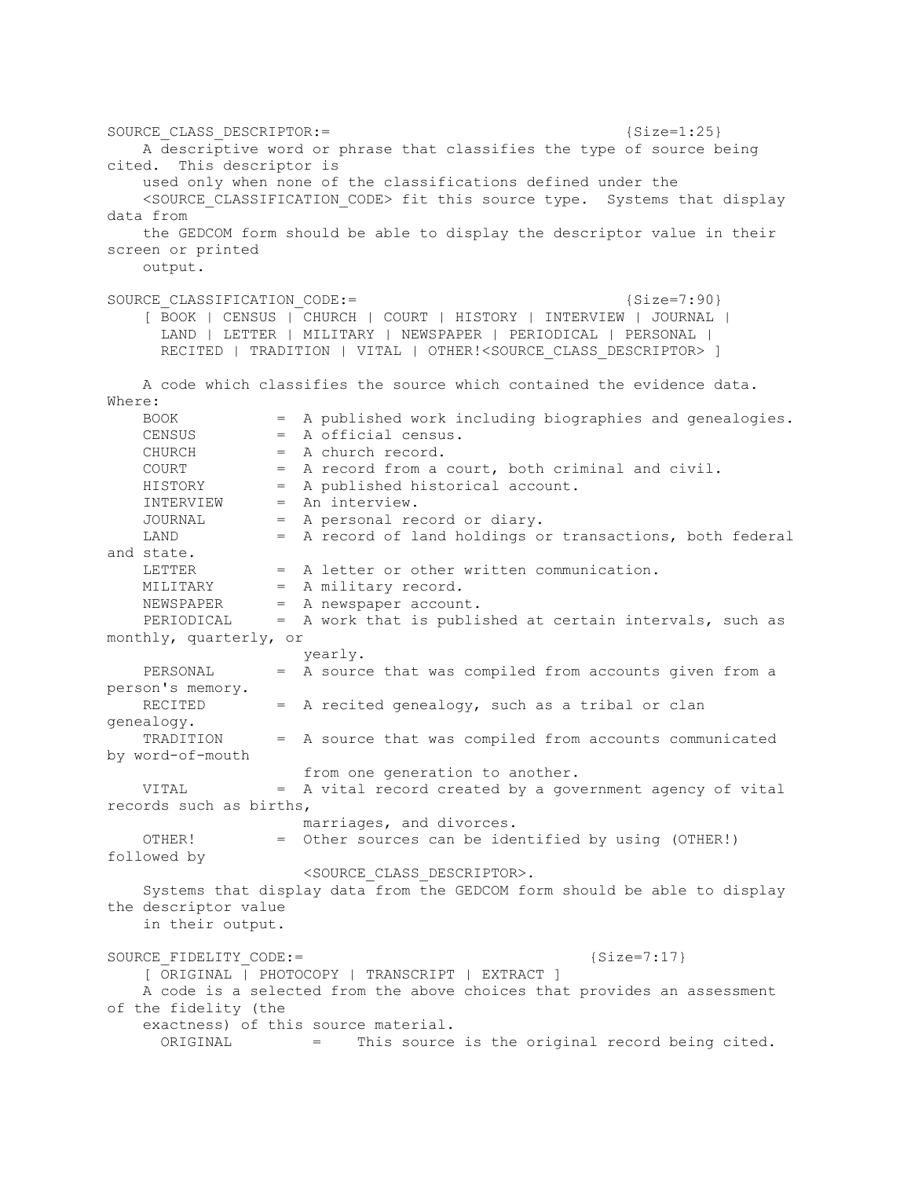SOURCE CLASS DESCRIPTOR:=  ${Size=1:25}$  A descriptive word or phrase that classifies the type of source being cited. This descriptor is used only when none of the classifications defined under the <SOURCE\_CLASSIFICATION\_CODE> fit this source type. Systems that display data from the GEDCOM form should be able to display the descriptor value in their screen or printed output. SOURCE CLASSIFICATION CODE:=  ${Size=7:90}$  [ BOOK | CENSUS | CHURCH | COURT | HISTORY | INTERVIEW | JOURNAL | LAND | LETTER | MILITARY | NEWSPAPER | PERIODICAL | PERSONAL | RECITED | TRADITION | VITAL | OTHER!<SOURCE\_CLASS\_DESCRIPTOR> ] A code which classifies the source which contained the evidence data. Where: BOOK = A published work including biographies and genealogies. CENSUS = A official census. CHURCH = A church record. COURT = A record from a court, both criminal and civil. HISTORY = A published historical account. INTERVIEW = An interview. JOURNAL = A personal record or diary. LAND = A record of land holdings or transactions, both federal and state. LETTER = A letter or other written communication.<br>MILITARY = A military record. MILITARY = A military record.<br>NEWSPAPER = A newspaper accoun = A newspaper account. NEWSFAFER = A HEWSPAPUL accounc.<br>PERIODICAL = A work that is published at certain intervals, such as monthly, quarterly, or yearly. PERSONAL = A source that was compiled from accounts given from a person's memory. RECITED = A recited genealogy, such as a tribal or clan genealogy. TRADITION = A source that was compiled from accounts communicated by word-of-mouth from one generation to another. VITAL = A vital record created by a government agency of vital records such as births, marriages, and divorces. OTHER! = Other sources can be identified by using (OTHER!) followed by <SOURCE\_CLASS\_DESCRIPTOR>. Systems that display data from the GEDCOM form should be able to display the descriptor value in their output. SOURCE FIDELITY CODE:= {Size=7:17} [ ORIGINAL | PHOTOCOPY | TRANSCRIPT | EXTRACT ] A code is a selected from the above choices that provides an assessment of the fidelity (the exactness) of this source material. ORIGINAL = This source is the original record being cited.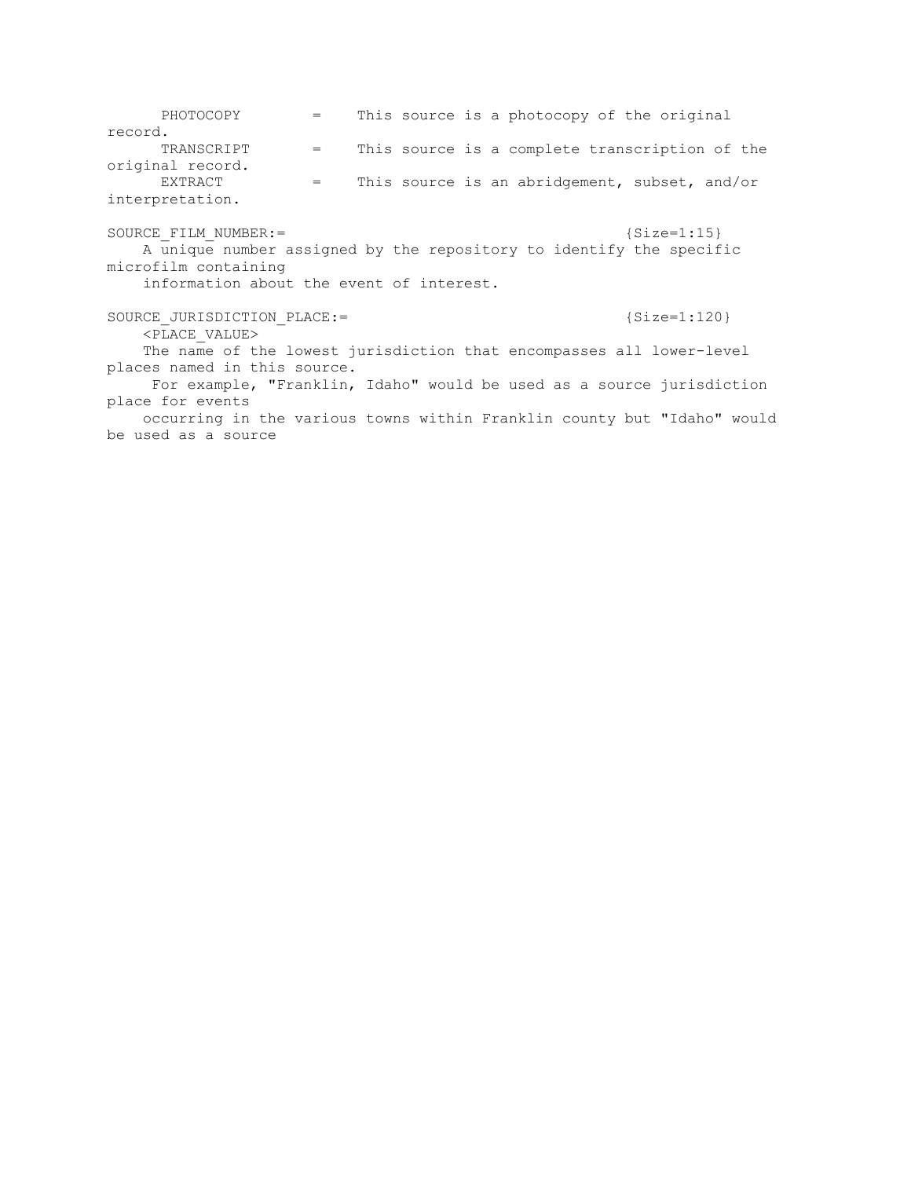PHOTOCOPY = This source is a photocopy of the original record. TRANSCRIPT = This source is a complete transcription of the original record. EXTRACT = This source is an abridgement, subset, and/or interpretation. SOURCE FILM NUMBER:= {Size=1:15} A unique number assigned by the repository to identify the specific microfilm containing information about the event of interest. SOURCE JURISDICTION PLACE:=  ${Size=1:120}$  $\overline{P_{\text{LACE}}}$  VALUE> The name of the lowest jurisdiction that encompasses all lower-level places named in this source. For example, "Franklin, Idaho" would be used as a source jurisdiction place for events occurring in the various towns within Franklin county but "Idaho" would be used as a source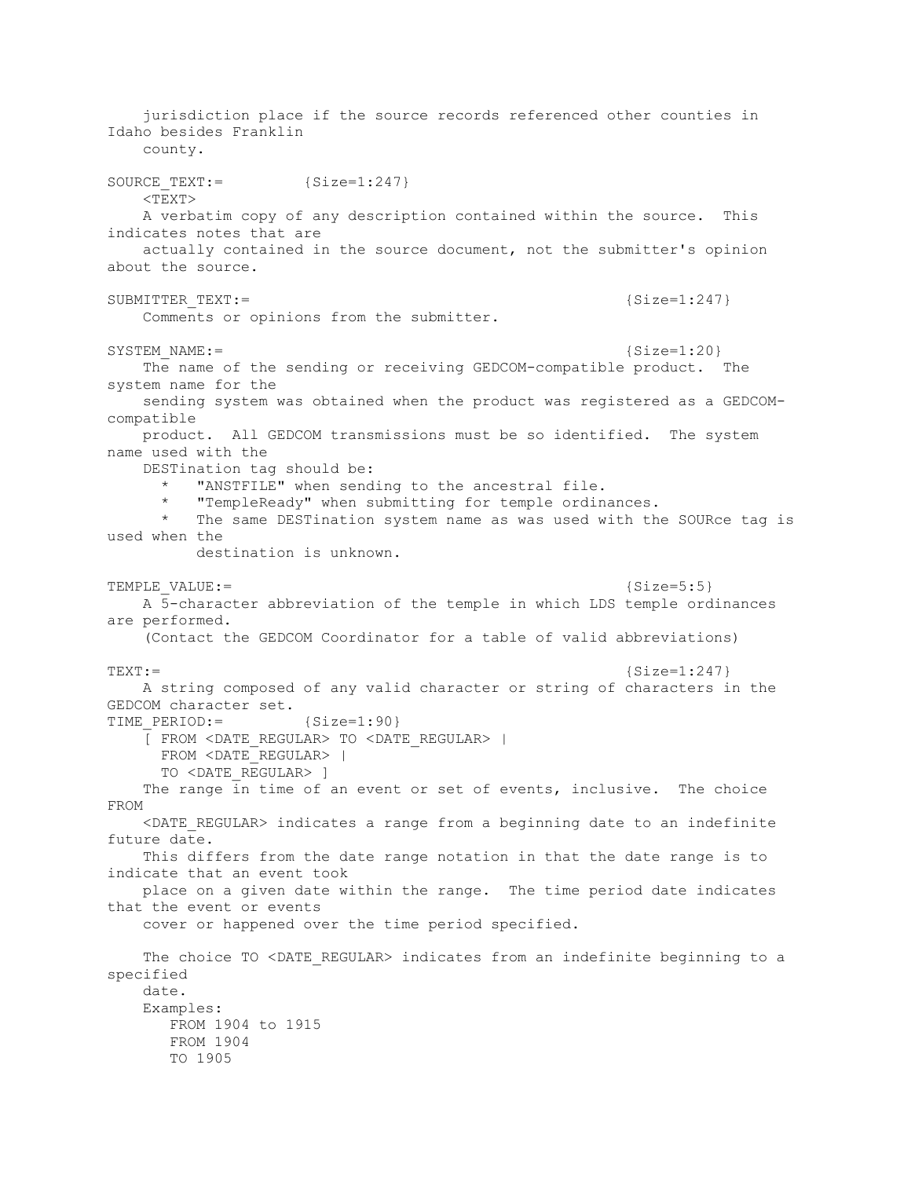jurisdiction place if the source records referenced other counties in Idaho besides Franklin county. SOURCE TEXT:= {Size=1:247} <TEXT> A verbatim copy of any description contained within the source. This indicates notes that are actually contained in the source document, not the submitter's opinion about the source. SUBMITTER TEXT:=  ${Size=1:247}$  Comments or opinions from the submitter. SYSTEM\_NAME:= {Size=1:20} The name of the sending or receiving GEDCOM-compatible product. The system name for the sending system was obtained when the product was registered as a GEDCOMcompatible product. All GEDCOM transmissions must be so identified. The system name used with the DESTination tag should be: "ANSTFILE" when sending to the ancestral file. "TempleReady" when submitting for temple ordinances. The same DESTination system name as was used with the SOURce tag is used when the destination is unknown. TEMPLE VALUE:=  ${Size=5:5}$  A 5-character abbreviation of the temple in which LDS temple ordinances are performed. (Contact the GEDCOM Coordinator for a table of valid abbreviations)  $\texttt{TEXT} :=$  {Size=1:247} A string composed of any valid character or string of characters in the GEDCOM character set. TIME PERIOD:= {Size=1:90} [ FROM <DATE\_REGULAR> TO <DATE\_REGULAR> | FROM <DATE\_REGULAR> | TO <DATE\_REGULAR> ] The range in time of an event or set of events, inclusive. The choice FROM <DATE\_REGULAR> indicates a range from a beginning date to an indefinite future date. This differs from the date range notation in that the date range is to indicate that an event took place on a given date within the range. The time period date indicates that the event or events cover or happened over the time period specified. The choice TO <DATE REGULAR> indicates from an indefinite beginning to a specified date. Examples: FROM 1904 to 1915 FROM 1904 TO 1905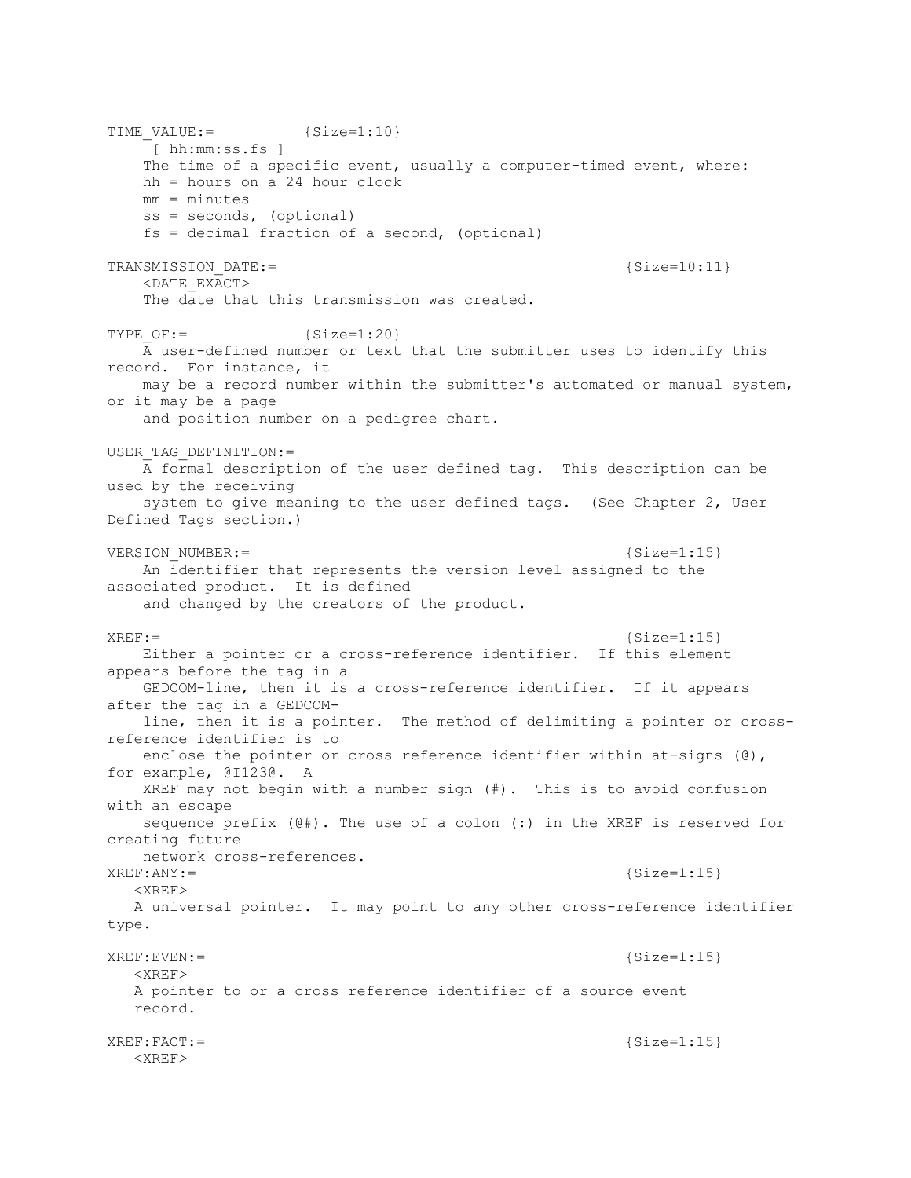TIME  $VALUE :=$  {Size=1:10} [ hh:mm:ss.fs ] The time of a specific event, usually a computer-timed event, where: hh = hours on a 24 hour clock mm = minutes ss = seconds, (optional) fs = decimal fraction of a second, (optional) TRANSMISSION DATE:= {Size=10:11} <DATE\_EXACT> The date that this transmission was created. TYPE  $OF: =$  {Size=1:20} A user-defined number or text that the submitter uses to identify this record. For instance, it may be a record number within the submitter's automated or manual system, or it may be a page and position number on a pedigree chart. USER\_TAG\_DEFINITION:= A formal description of the user defined tag. This description can be used by the receiving system to give meaning to the user defined tags. (See Chapter 2, User Defined Tags section.) VERSION NUMBER:=  ${Size=1:15}$  An identifier that represents the version level assigned to the associated product. It is defined and changed by the creators of the product.  $XREF:=$  {Size=1:15} Either a pointer or a cross-reference identifier. If this element appears before the tag in a GEDCOM-line, then it is a cross-reference identifier. If it appears after the tag in a GEDCOM line, then it is a pointer. The method of delimiting a pointer or crossreference identifier is to enclose the pointer or cross reference identifier within at-signs ( $\theta$ ), for example, @I123@. A XREF may not begin with a number sign (#). This is to avoid confusion with an escape sequence prefix (@#). The use of a colon (:) in the XREF is reserved for creating future network cross-references.  $XREF:ANY:=$  {Size=1:15} <XREF> A universal pointer. It may point to any other cross-reference identifier type. XREF:EVEN:= {Size=1:15} <XREF> A pointer to or a cross reference identifier of a source event record. XREF:FACT:= {Size=1:15} <XREF>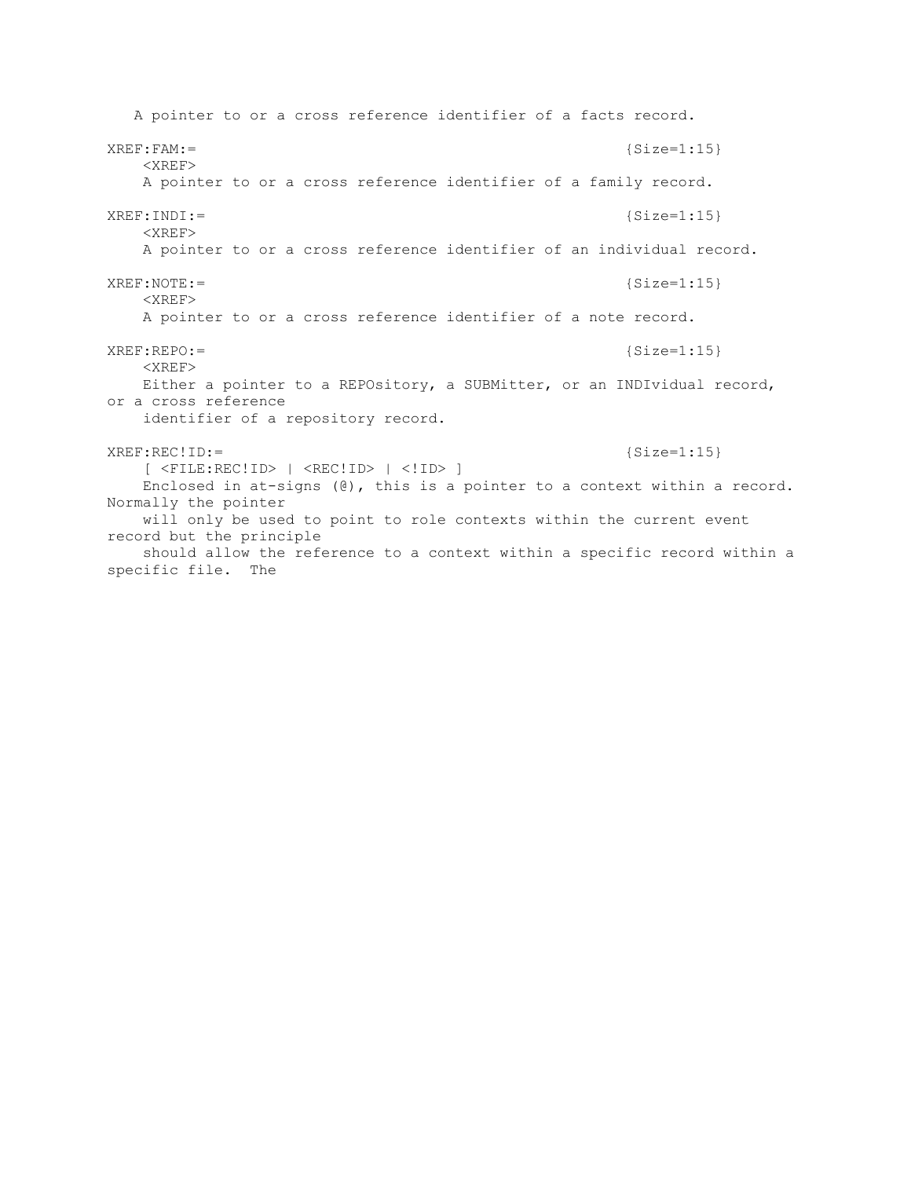A pointer to or a cross reference identifier of a facts record. XREF:FAM:= {Size=1:15} <XREF> A pointer to or a cross reference identifier of a family record.  $XREF: INDI: =$  {Size=1:15} <XREF> A pointer to or a cross reference identifier of an individual record. XREF:NOTE:= {Size=1:15} <XREF> A pointer to or a cross reference identifier of a note record. XREF:REPO:= {Size=1:15}  $<$  $XREF$  $>$  Either a pointer to a REPOsitory, a SUBMitter, or an INDIvidual record, or a cross reference identifier of a repository record. XREF:REC!ID:= {Size=1:15} [ <FILE:REC!ID> | <REC!ID> | <!ID> ] Enclosed in at-signs (@), this is a pointer to a context within a record. Normally the pointer will only be used to point to role contexts within the current event record but the principle should allow the reference to a context within a specific record within a specific file. The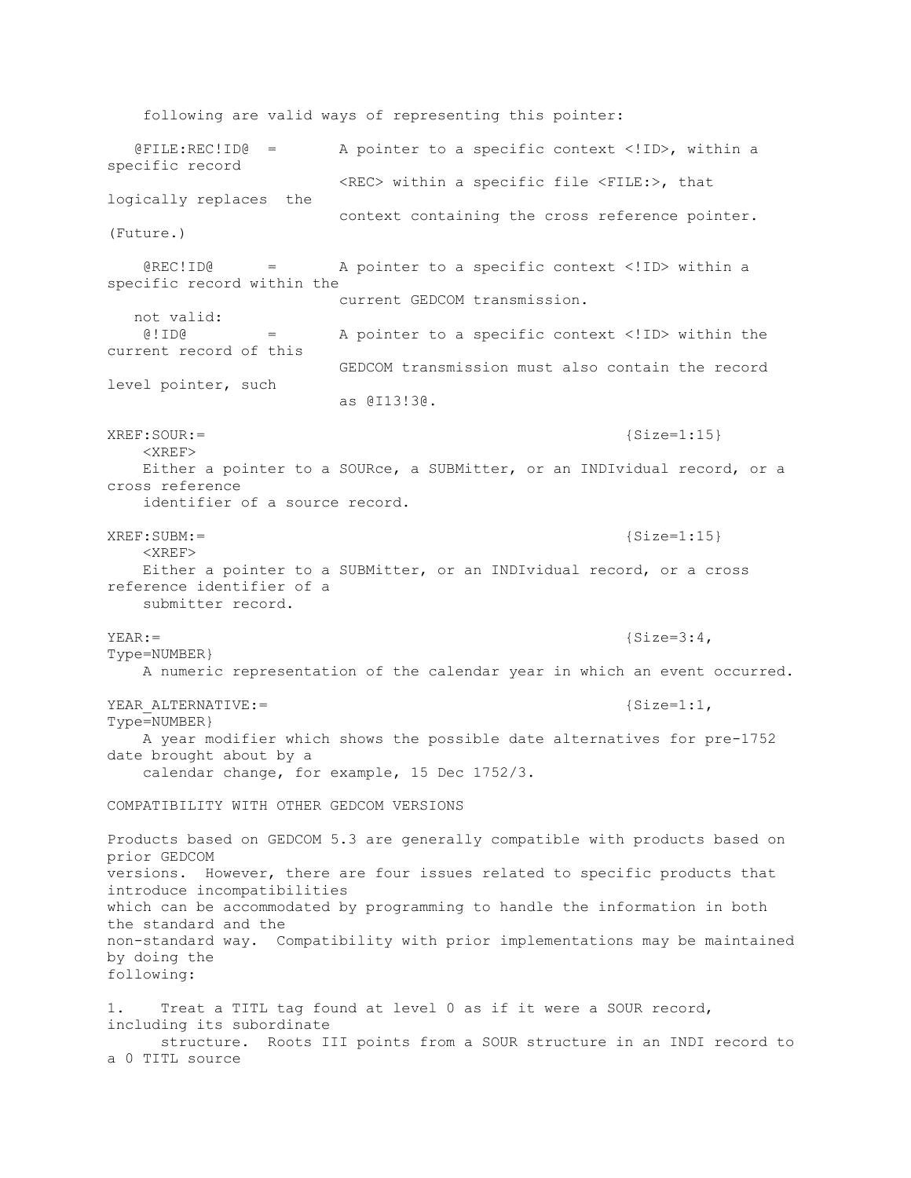following are valid ways of representing this pointer: @FILE:REC!ID@ = A pointer to a specific context <!ID>, within a specific record <REC> within a specific file <FILE:>, that logically replaces the context containing the cross reference pointer. (Future.) @REC!ID@ = A pointer to a specific context <!ID> within a specific record within the current GEDCOM transmission. not valid: @!ID@ = A pointer to a specific context <!ID> within the current record of this GEDCOM transmission must also contain the record level pointer, such as @I13!3@. XREF: SOUR: = {Size=1:15} <XREF> Either a pointer to a SOURce, a SUBMitter, or an INDIvidual record, or a cross reference identifier of a source record. XREF: SUBM: =  ${Size=1:15}$  <XREF> Either a pointer to a SUBMitter, or an INDIvidual record, or a cross reference identifier of a submitter record.  $YEAR :=$  {Size=3:4, Type=NUMBER} A numeric representation of the calendar year in which an event occurred. YEAR ALTERNATIVE:=  ${Size=1:1}$ , Type=NUMBER} A year modifier which shows the possible date alternatives for pre-1752 date brought about by a calendar change, for example, 15 Dec 1752/3. COMPATIBILITY WITH OTHER GEDCOM VERSIONS Products based on GEDCOM 5.3 are generally compatible with products based on prior GEDCOM versions. However, there are four issues related to specific products that introduce incompatibilities which can be accommodated by programming to handle the information in both the standard and the non-standard way. Compatibility with prior implementations may be maintained by doing the following: 1. Treat a TITL tag found at level 0 as if it were a SOUR record, including its subordinate structure. Roots III points from a SOUR structure in an INDI record to a 0 TITL source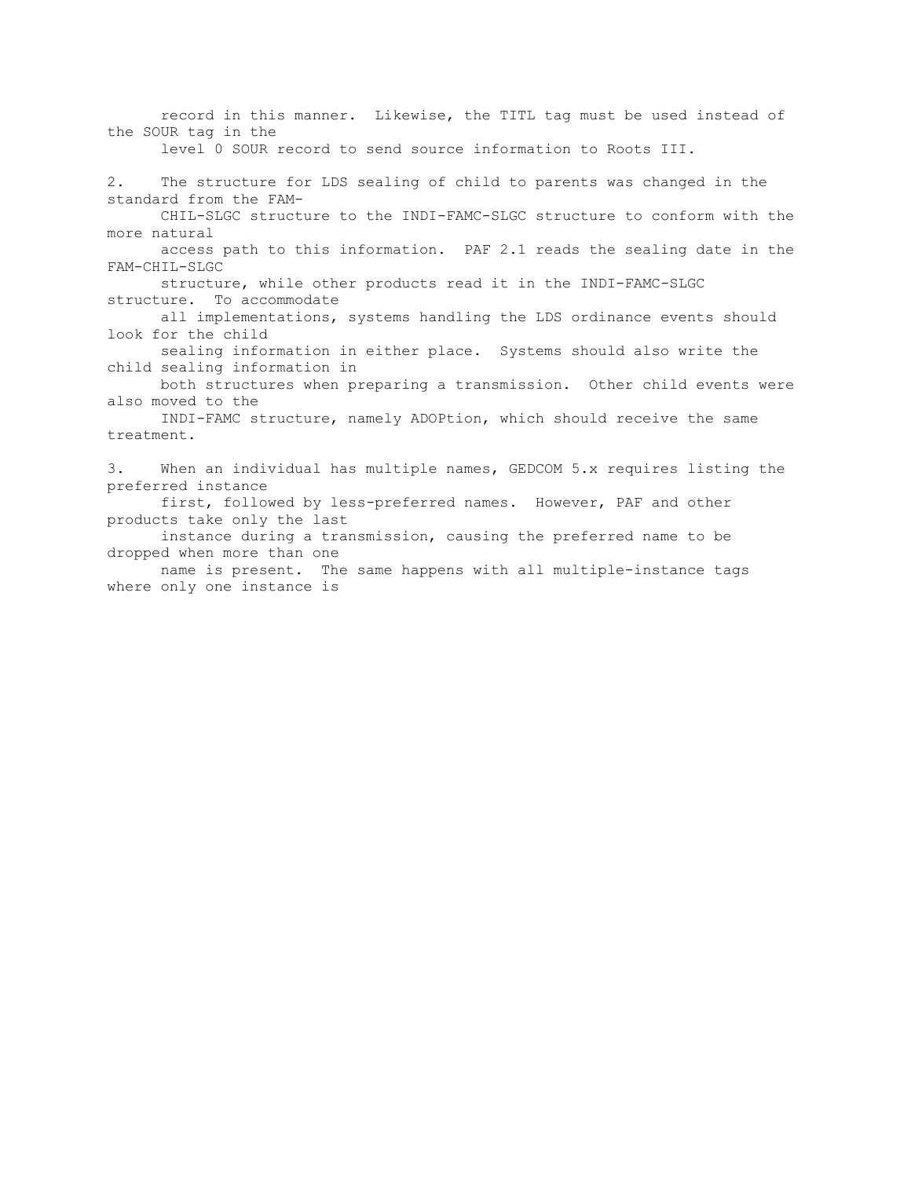record in this manner. Likewise, the TITL tag must be used instead of the SOUR tag in the level 0 SOUR record to send source information to Roots III. 2. The structure for LDS sealing of child to parents was changed in the standard from the FAM- CHIL-SLGC structure to the INDI-FAMC-SLGC structure to conform with the more natural access path to this information. PAF 2.1 reads the sealing date in the FAM-CHIL-SLGC structure, while other products read it in the INDI-FAMC-SLGC structure. To accommodate all implementations, systems handling the LDS ordinance events should look for the child sealing information in either place. Systems should also write the child sealing information in both structures when preparing a transmission. Other child events were also moved to the INDI-FAMC structure, namely ADOPtion, which should receive the same treatment. 3. When an individual has multiple names, GEDCOM 5.x requires listing the preferred instance first, followed by less-preferred names. However, PAF and other products take only the last instance during a transmission, causing the preferred name to be dropped when more than one name is present. The same happens with all multiple-instance tags where only one instance is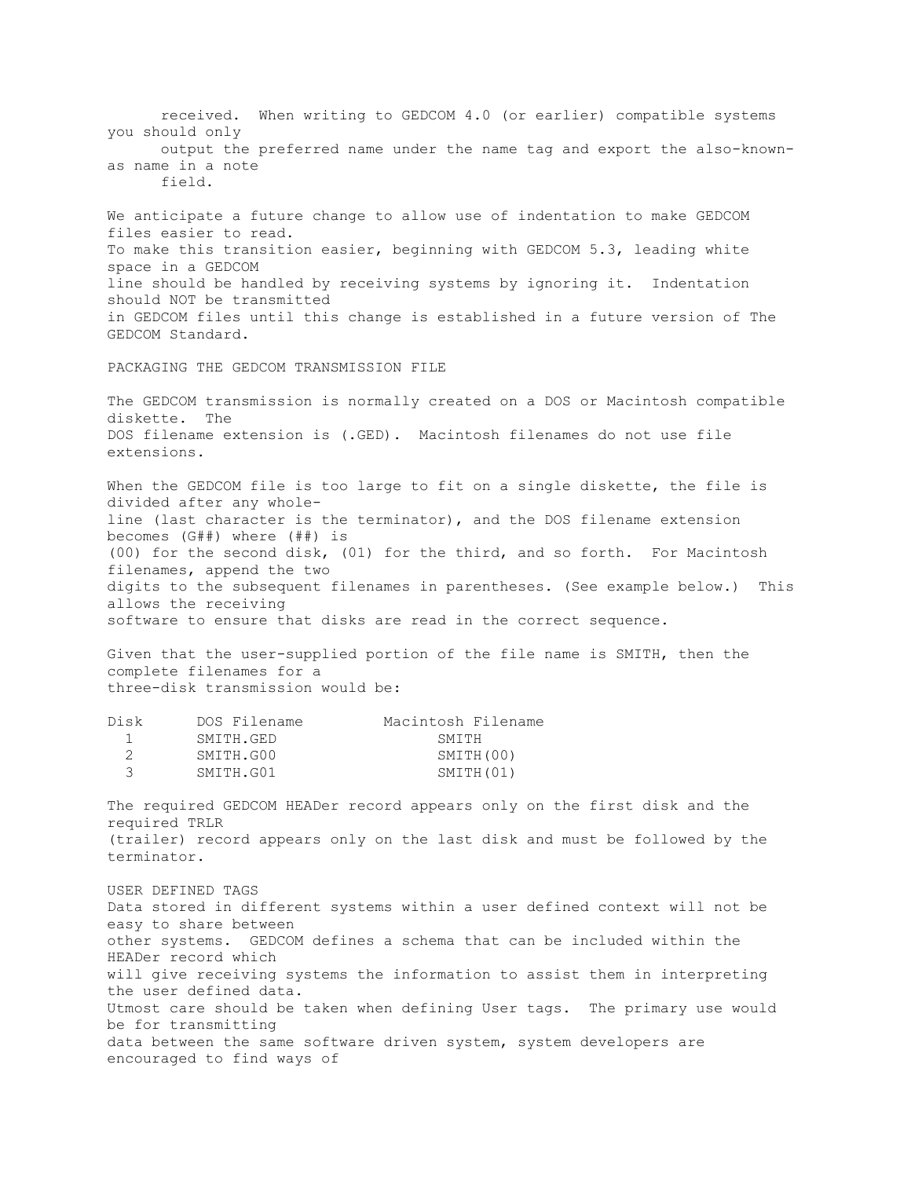received. When writing to GEDCOM 4.0 (or earlier) compatible systems you should only output the preferred name under the name tag and export the also-knownas name in a note field. We anticipate a future change to allow use of indentation to make GEDCOM files easier to read. To make this transition easier, beginning with GEDCOM 5.3, leading white space in a GEDCOM line should be handled by receiving systems by ignoring it. Indentation should NOT be transmitted in GEDCOM files until this change is established in a future version of The GEDCOM Standard. PACKAGING THE GEDCOM TRANSMISSION FILE The GEDCOM transmission is normally created on a DOS or Macintosh compatible diskette. The DOS filename extension is (.GED). Macintosh filenames do not use file extensions. When the GEDCOM file is too large to fit on a single diskette, the file is divided after any wholeline (last character is the terminator), and the DOS filename extension becomes (G##) where (##) is (00) for the second disk, (01) for the third, and so forth. For Macintosh filenames, append the two digits to the subsequent filenames in parentheses. (See example below.) This allows the receiving software to ensure that disks are read in the correct sequence. Given that the user-supplied portion of the file name is SMITH, then the complete filenames for a three-disk transmission would be: Disk DOS Filename Macintosh Filename 1 SMITH.GED SMITH 2 SMITH.G00 SMITH(00) 3 SMITH.G01 SMITH(01) The required GEDCOM HEADer record appears only on the first disk and the required TRLR (trailer) record appears only on the last disk and must be followed by the terminator. USER DEFINED TAGS Data stored in different systems within a user defined context will not be easy to share between other systems. GEDCOM defines a schema that can be included within the HEADer record which will give receiving systems the information to assist them in interpreting the user defined data. Utmost care should be taken when defining User tags. The primary use would be for transmitting data between the same software driven system, system developers are encouraged to find ways of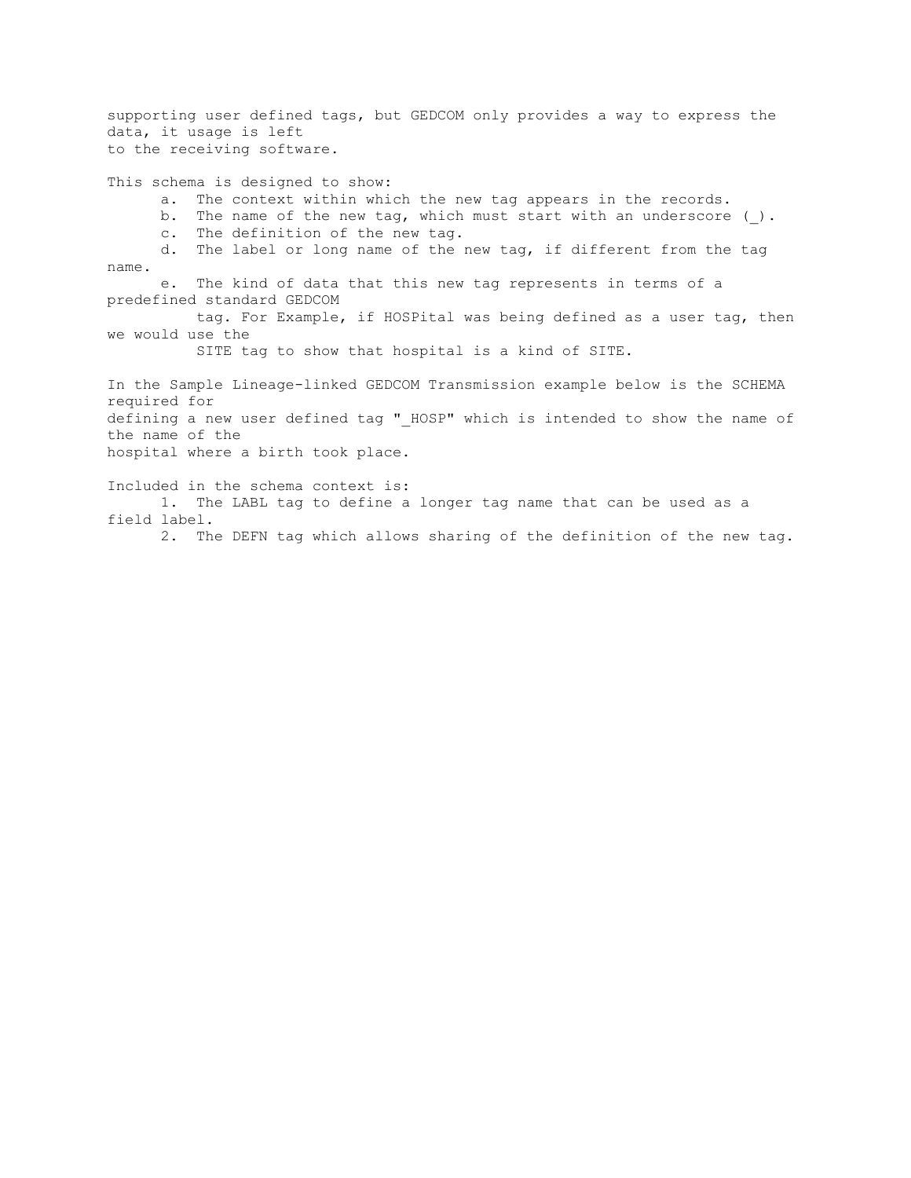supporting user defined tags, but GEDCOM only provides a way to express the data, it usage is left to the receiving software.

This schema is designed to show: a. The context within which the new tag appears in the records. b. The name of the new tag, which must start with an underscore (). c. The definition of the new tag. d. The label or long name of the new tag, if different from the tag name. e. The kind of data that this new tag represents in terms of a predefined standard GEDCOM tag. For Example, if HOSPital was being defined as a user tag, then we would use the SITE tag to show that hospital is a kind of SITE. In the Sample Lineage-linked GEDCOM Transmission example below is the SCHEMA required for defining a new user defined tag " HOSP" which is intended to show the name of the name of the hospital where a birth took place. Included in the schema context is: 1. The LABL tag to define a longer tag name that can be used as a field label. 2. The DEFN tag which allows sharing of the definition of the new tag.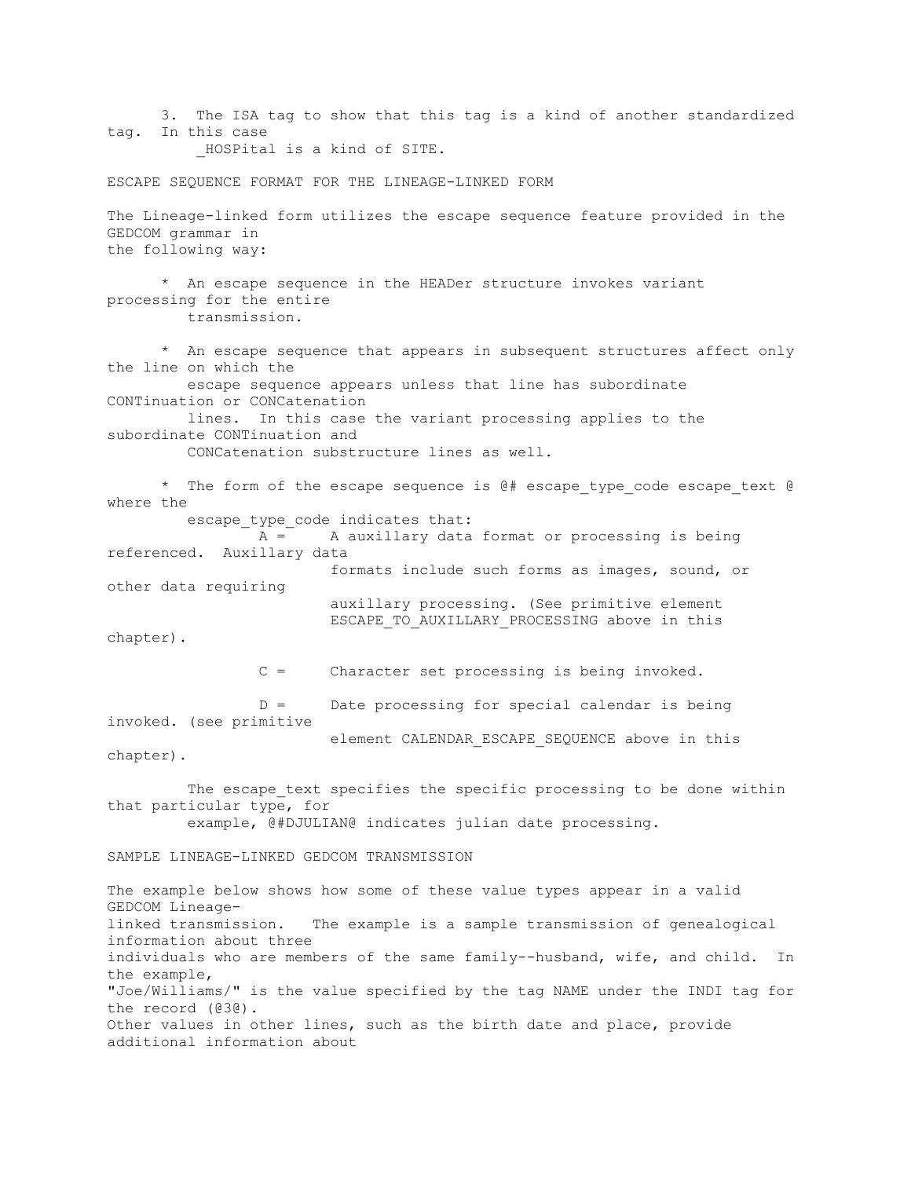3. The ISA tag to show that this tag is a kind of another standardized tag. In this case \_HOSPital is a kind of SITE. ESCAPE SEQUENCE FORMAT FOR THE LINEAGE-LINKED FORM The Lineage-linked form utilizes the escape sequence feature provided in the GEDCOM grammar in the following way: \* An escape sequence in the HEADer structure invokes variant processing for the entire transmission. \* An escape sequence that appears in subsequent structures affect only the line on which the escape sequence appears unless that line has subordinate CONTinuation or CONCatenation lines. In this case the variant processing applies to the subordinate CONTinuation and CONCatenation substructure lines as well. \* The form of the escape sequence is  $\theta$ # escape type code escape text  $\theta$ where the escape type code indicates that: A = A auxillary data format or processing is being referenced. Auxillary data formats include such forms as images, sound, or other data requiring auxillary processing. (See primitive element ESCAPE TO AUXILLARY PROCESSING above in this chapter). C = Character set processing is being invoked.  $D =$  Date processing for special calendar is being invoked. (see primitive element CALENDAR\_ESCAPE\_SEQUENCE above in this chapter). The escape text specifies the specific processing to be done within that particular type, for example, @#DJULIAN@ indicates julian date processing. SAMPLE LINEAGE-LINKED GEDCOM TRANSMISSION The example below shows how some of these value types appear in a valid GEDCOM Lineagelinked transmission. The example is a sample transmission of genealogical information about three individuals who are members of the same family--husband, wife, and child. In the example, "Joe/Williams/" is the value specified by the tag NAME under the INDI tag for the record (@3@). Other values in other lines, such as the birth date and place, provide additional information about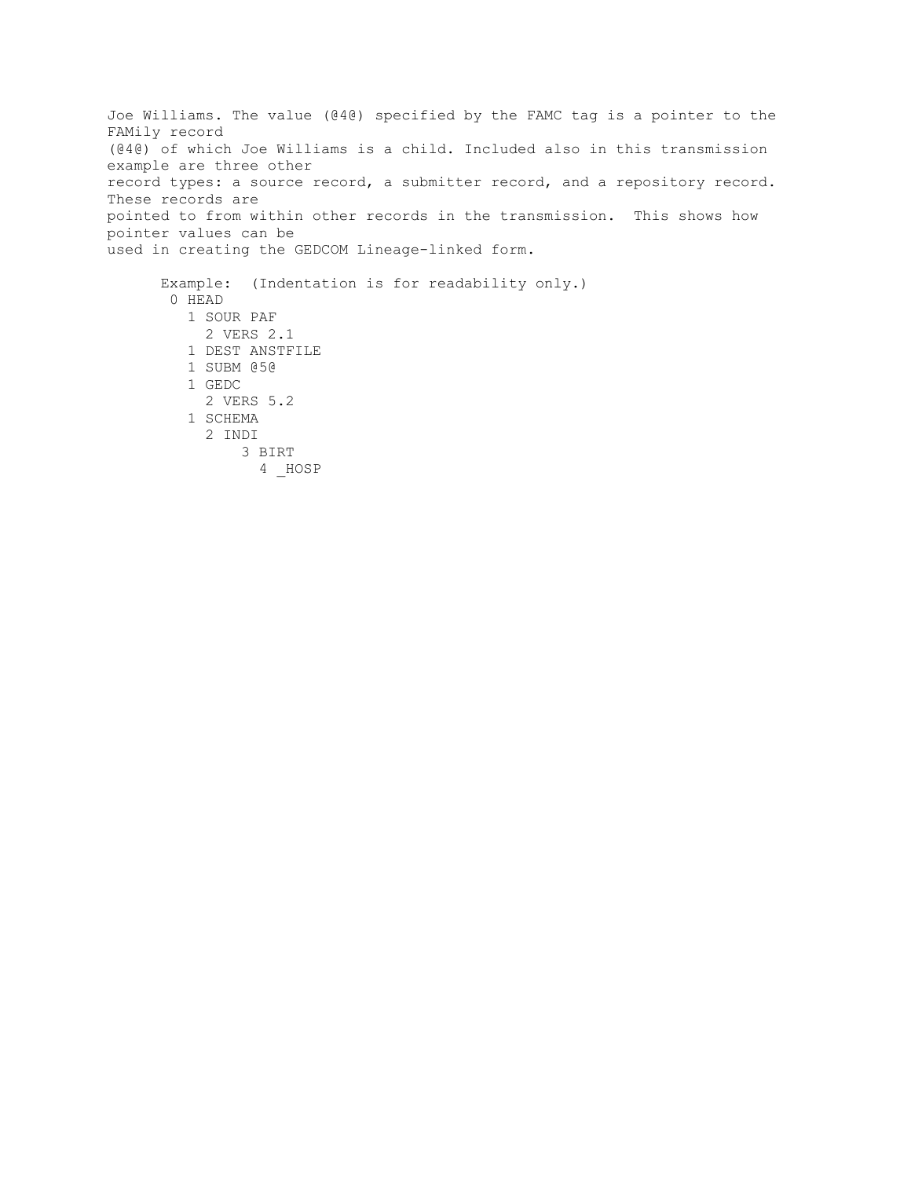Joe Williams. The value (@4@) specified by the FAMC tag is a pointer to the FAMily record (@4@) of which Joe Williams is a child. Included also in this transmission example are three other record types: a source record, a submitter record, and a repository record. These records are pointed to from within other records in the transmission. This shows how pointer values can be used in creating the GEDCOM Lineage-linked form. Example: (Indentation is for readability only.) 0 HEAD 1 SOUR PAF 2 VERS 2.1 1 DEST ANSTFILE 1 SUBM @5@ 1 GEDC

2 VERS 5.2

 3 BIRT 4 \_HOSP

 1 SCHEMA 2 INDI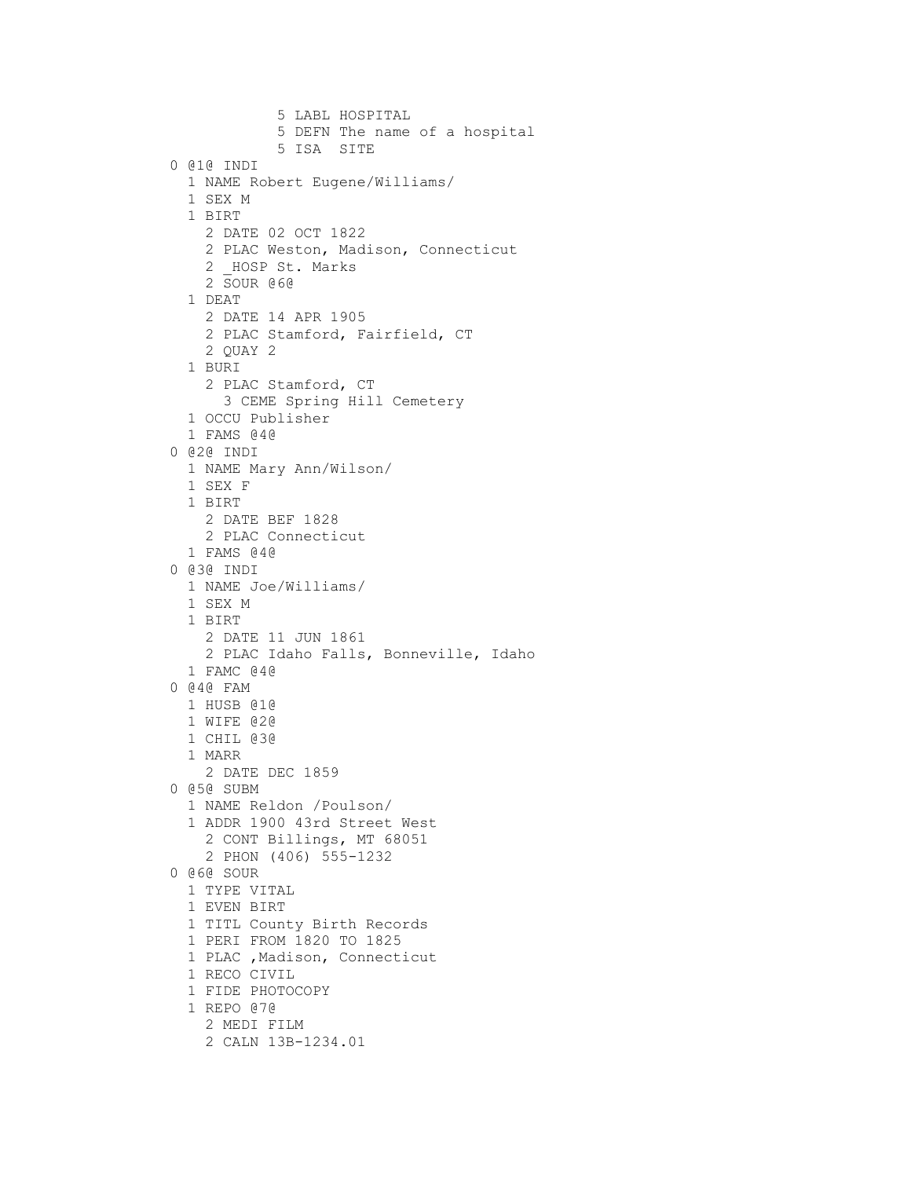```
 5 LABL HOSPITAL
            5 DEFN The name of a hospital
            5 ISA SITE
0 @1@ INDI
  1 NAME Robert Eugene/Williams/
  1 SEX M
  1 BIRT 
    2 DATE 02 OCT 1822
    2 PLAC Weston, Madison, Connecticut
   2 HOSP St. Marks
    2 SOUR @6@
  1 DEAT 
    2 DATE 14 APR 1905
    2 PLAC Stamford, Fairfield, CT
    2 QUAY 2
  1 BURI 
    2 PLAC Stamford, CT
      3 CEME Spring Hill Cemetery 
  1 OCCU Publisher
  1 FAMS @4@
0 @2@ INDI
  1 NAME Mary Ann/Wilson/
  1 SEX F
  1 BIRT
    2 DATE BEF 1828
    2 PLAC Connecticut
  1 FAMS @4@
0 @3@ INDI
  1 NAME Joe/Williams/
  1 SEX M
  1 BIRT
    2 DATE 11 JUN 1861
    2 PLAC Idaho Falls, Bonneville, Idaho
  1 FAMC @4@
0 @4@ FAM
 1 HUSB @1@
  1 WIFE @2@
  1 CHIL @3@
  1 MARR
    2 DATE DEC 1859
0 @5@ SUBM
  1 NAME Reldon /Poulson/
  1 ADDR 1900 43rd Street West
    2 CONT Billings, MT 68051
    2 PHON (406) 555-1232
0 @6@ SOUR
  1 TYPE VITAL
  1 EVEN BIRT
  1 TITL County Birth Records 
  1 PERI FROM 1820 TO 1825
 1 PLAC , Madison, Connecticut
  1 RECO CIVIL
  1 FIDE PHOTOCOPY
  1 REPO @7@
    2 MEDI FILM
    2 CALN 13B-1234.01
```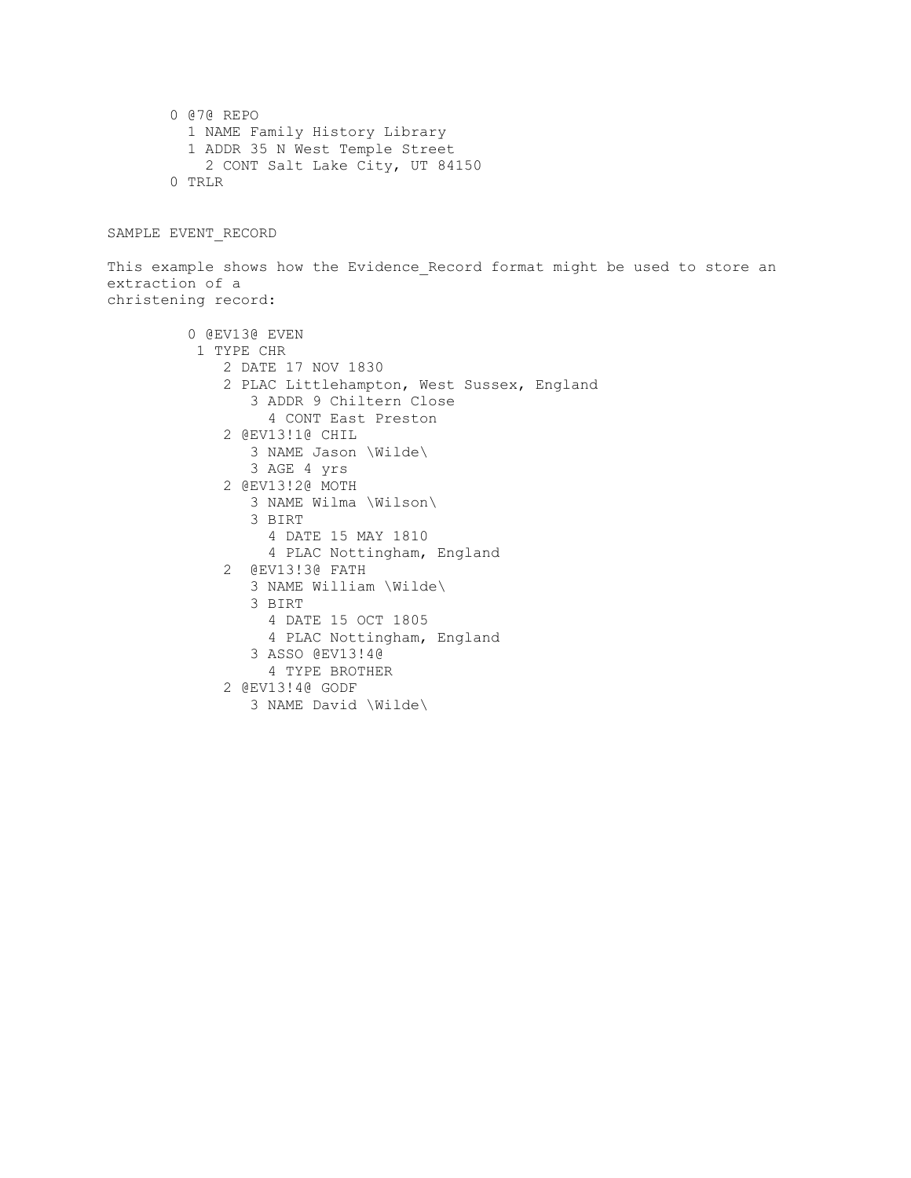0 @7@ REPO 1 NAME Family History Library 1 ADDR 35 N West Temple Street 2 CONT Salt Lake City, UT 84150 0 TRLR

SAMPLE EVENT\_RECORD

This example shows how the Evidence Record format might be used to store an extraction of a christening record:

```
 0 @EV13@ EVEN
1 TYPE CHR
    2 DATE 17 NOV 1830
    2 PLAC Littlehampton, West Sussex, England
       3 ADDR 9 Chiltern Close
         4 CONT East Preston
    2 @EV13!1@ CHIL
      3 NAME Jason \Wilde\
      3 AGE 4 yrs
    2 @EV13!2@ MOTH
       3 NAME Wilma \Wilson\
       3 BIRT
         4 DATE 15 MAY 1810
         4 PLAC Nottingham, England
    2 @EV13!3@ FATH
       3 NAME William \Wilde\
       3 BIRT
         4 DATE 15 OCT 1805
        4 PLAC Nottingham, England
       3 ASSO @EV13!4@
        4 TYPE BROTHER
    2 @EV13!4@ GODF
       3 NAME David \Wilde\
```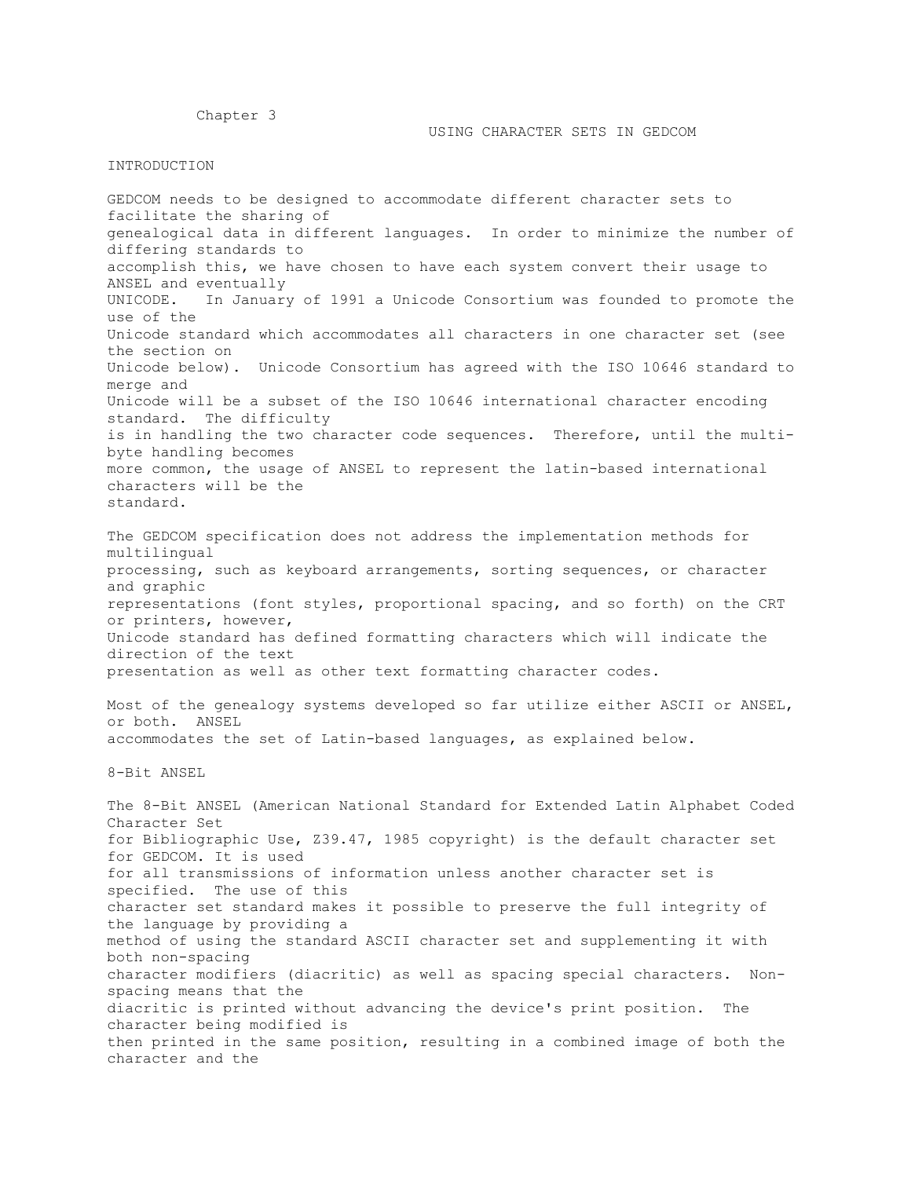Chapter 3

## INTRODUCTION

character and the

GEDCOM needs to be designed to accommodate different character sets to facilitate the sharing of genealogical data in different languages. In order to minimize the number of differing standards to accomplish this, we have chosen to have each system convert their usage to ANSEL and eventually UNICODE. In January of 1991 a Unicode Consortium was founded to promote the use of the Unicode standard which accommodates all characters in one character set (see the section on Unicode below). Unicode Consortium has agreed with the ISO 10646 standard to merge and Unicode will be a subset of the ISO 10646 international character encoding standard. The difficulty is in handling the two character code sequences. Therefore, until the multibyte handling becomes more common, the usage of ANSEL to represent the latin-based international characters will be the standard. The GEDCOM specification does not address the implementation methods for multilingual processing, such as keyboard arrangements, sorting sequences, or character and graphic representations (font styles, proportional spacing, and so forth) on the CRT or printers, however, Unicode standard has defined formatting characters which will indicate the direction of the text presentation as well as other text formatting character codes. Most of the genealogy systems developed so far utilize either ASCII or ANSEL, or both. ANSEL accommodates the set of Latin-based languages, as explained below. 8-Bit ANSEL The 8-Bit ANSEL (American National Standard for Extended Latin Alphabet Coded Character Set for Bibliographic Use, Z39.47, 1985 copyright) is the default character set for GEDCOM. It is used for all transmissions of information unless another character set is specified. The use of this character set standard makes it possible to preserve the full integrity of the language by providing a

method of using the standard ASCII character set and supplementing it with both non-spacing character modifiers (diacritic) as well as spacing special characters. Nonspacing means that the diacritic is printed without advancing the device's print position. The character being modified is then printed in the same position, resulting in a combined image of both the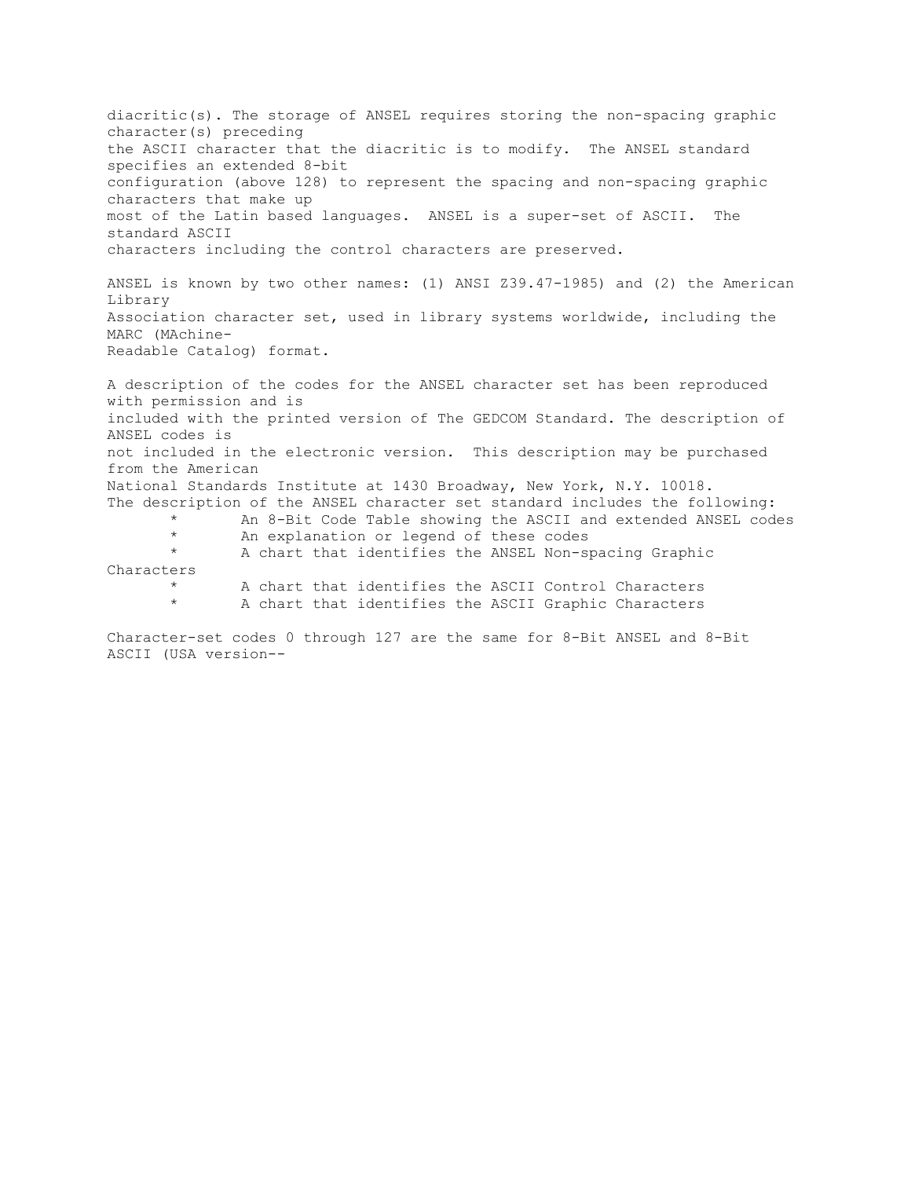diacritic(s). The storage of ANSEL requires storing the non-spacing graphic character(s) preceding the ASCII character that the diacritic is to modify. The ANSEL standard specifies an extended 8-bit configuration (above 128) to represent the spacing and non-spacing graphic characters that make up most of the Latin based languages. ANSEL is a super-set of ASCII. The standard ASCII characters including the control characters are preserved. ANSEL is known by two other names: (1) ANSI Z39.47-1985) and (2) the American Library Association character set, used in library systems worldwide, including the MARC (MAchine-Readable Catalog) format. A description of the codes for the ANSEL character set has been reproduced with permission and is included with the printed version of The GEDCOM Standard. The description of ANSEL codes is not included in the electronic version. This description may be purchased from the American National Standards Institute at 1430 Broadway, New York, N.Y. 10018. The description of the ANSEL character set standard includes the following: An 8-Bit Code Table showing the ASCII and extended ANSEL codes An explanation or legend of these codes \* A chart that identifies the ANSEL Non-spacing Graphic Characters \* A chart that identifies the ASCII Control Characters A chart that identifies the ASCII Graphic Characters

Character-set codes 0 through 127 are the same for 8-Bit ANSEL and 8-Bit ASCII (USA version--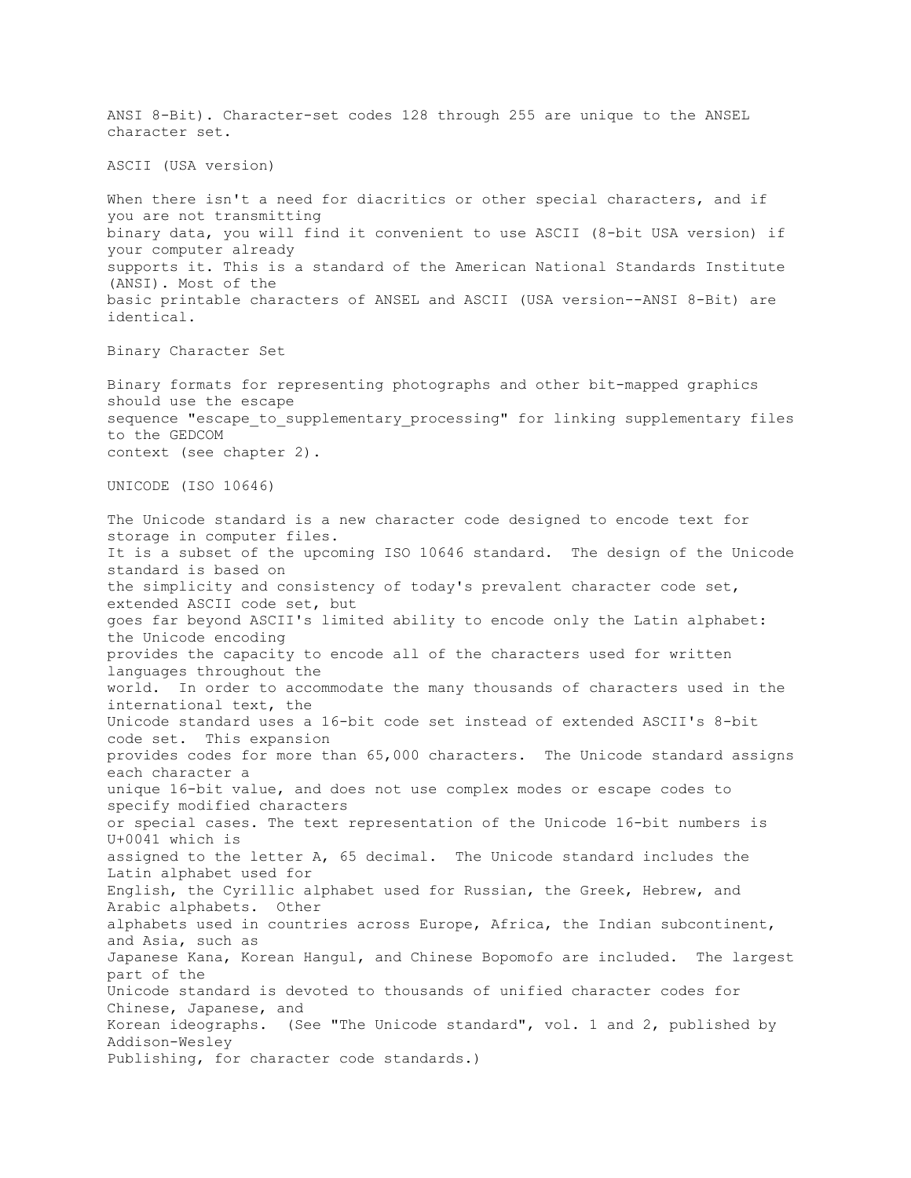ANSI 8-Bit). Character-set codes 128 through 255 are unique to the ANSEL character set. ASCII (USA version) When there isn't a need for diacritics or other special characters, and if you are not transmitting binary data, you will find it convenient to use ASCII (8-bit USA version) if your computer already supports it. This is a standard of the American National Standards Institute (ANSI). Most of the basic printable characters of ANSEL and ASCII (USA version--ANSI 8-Bit) are identical. Binary Character Set Binary formats for representing photographs and other bit-mapped graphics should use the escape sequence "escape to supplementary processing" for linking supplementary files to the GEDCOM context (see chapter 2). UNICODE (ISO 10646) The Unicode standard is a new character code designed to encode text for storage in computer files. It is a subset of the upcoming ISO 10646 standard. The design of the Unicode standard is based on the simplicity and consistency of today's prevalent character code set, extended ASCII code set, but goes far beyond ASCII's limited ability to encode only the Latin alphabet: the Unicode encoding provides the capacity to encode all of the characters used for written languages throughout the world. In order to accommodate the many thousands of characters used in the international text, the Unicode standard uses a 16-bit code set instead of extended ASCII's 8-bit code set. This expansion provides codes for more than 65,000 characters. The Unicode standard assigns each character a unique 16-bit value, and does not use complex modes or escape codes to specify modified characters or special cases. The text representation of the Unicode 16-bit numbers is U+0041 which is assigned to the letter A, 65 decimal. The Unicode standard includes the Latin alphabet used for English, the Cyrillic alphabet used for Russian, the Greek, Hebrew, and Arabic alphabets. Other alphabets used in countries across Europe, Africa, the Indian subcontinent, and Asia, such as Japanese Kana, Korean Hangul, and Chinese Bopomofo are included. The largest part of the Unicode standard is devoted to thousands of unified character codes for Chinese, Japanese, and Korean ideographs. (See "The Unicode standard", vol. 1 and 2, published by Addison-Wesley Publishing, for character code standards.)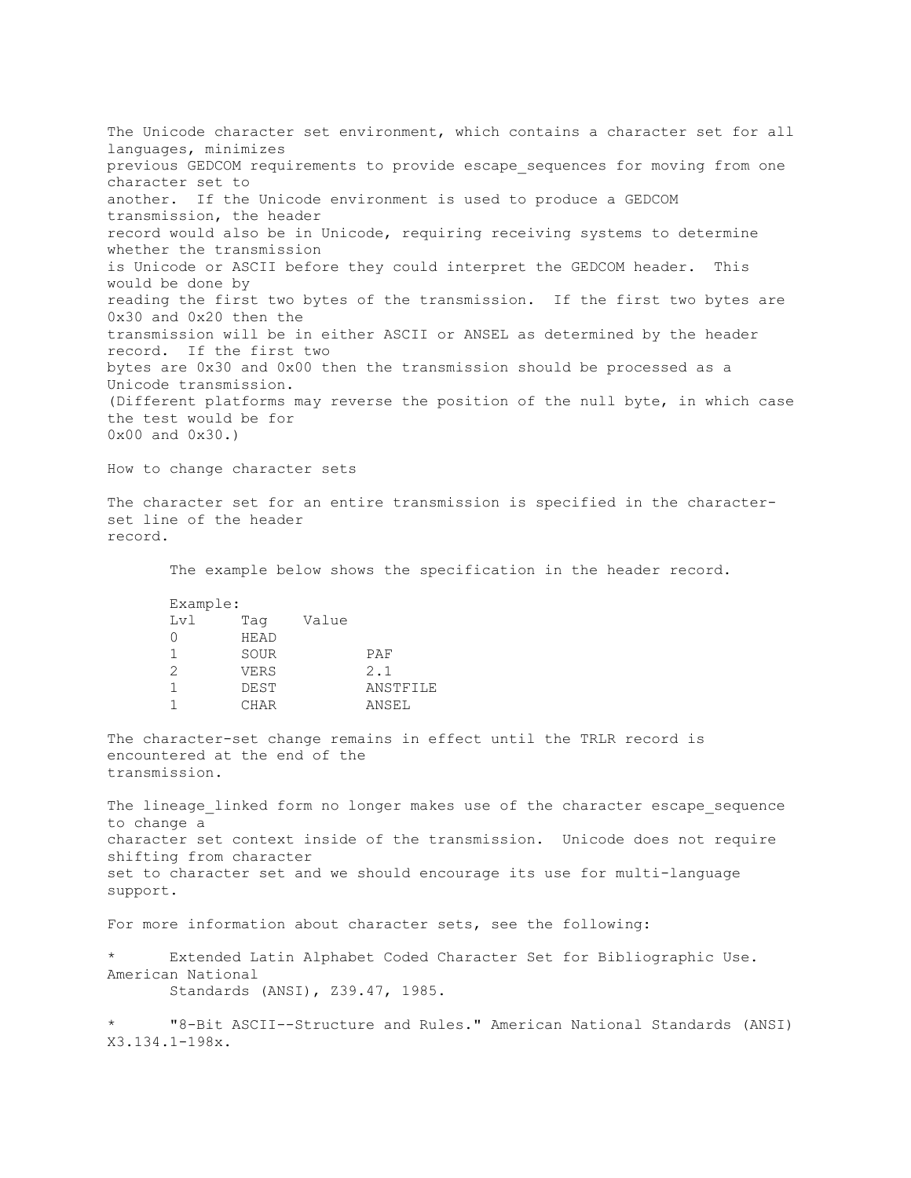The Unicode character set environment, which contains a character set for all languages, minimizes previous GEDCOM requirements to provide escape sequences for moving from one character set to another. If the Unicode environment is used to produce a GEDCOM transmission, the header record would also be in Unicode, requiring receiving systems to determine whether the transmission is Unicode or ASCII before they could interpret the GEDCOM header. This would be done by reading the first two bytes of the transmission. If the first two bytes are 0x30 and 0x20 then the transmission will be in either ASCII or ANSEL as determined by the header record. If the first two bytes are 0x30 and 0x00 then the transmission should be processed as a Unicode transmission. (Different platforms may reverse the position of the null byte, in which case the test would be for 0x00 and 0x30.) How to change character sets

The character set for an entire transmission is specified in the characterset line of the header record.

The example below shows the specification in the header record.

 Example: Lvl Tag Value 0 HEAD 1 SOUR PAF 2 VERS 2.1 1 DEST ANSTFILE 1 CHAR ANSEL

The character-set change remains in effect until the TRLR record is encountered at the end of the transmission.

The lineage linked form no longer makes use of the character escape sequence to change a character set context inside of the transmission. Unicode does not require shifting from character set to character set and we should encourage its use for multi-language support.

For more information about character sets, see the following:

Extended Latin Alphabet Coded Character Set for Bibliographic Use. American National Standards (ANSI), Z39.47, 1985.

\* "8-Bit ASCII--Structure and Rules." American National Standards (ANSI) X3.134.1-198x.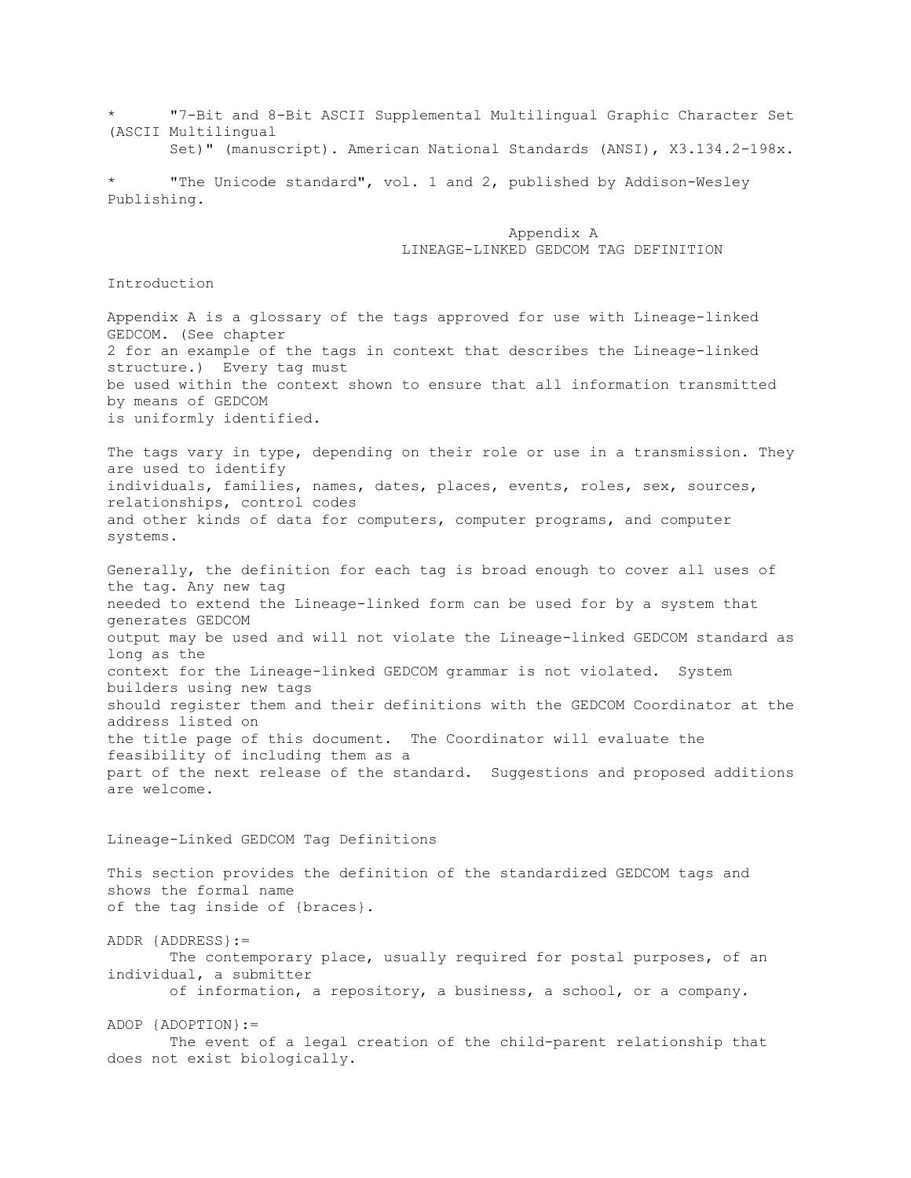\* "7-Bit and 8-Bit ASCII Supplemental Multilingual Graphic Character Set (ASCII Multilingual

Set)" (manuscript). American National Standards (ANSI), X3.134.2-198x.

"The Unicode standard", vol. 1 and 2, published by Addison-Wesley Publishing.

> Appendix A LINEAGE-LINKED GEDCOM TAG DEFINITION

## Introduction

Appendix A is a glossary of the tags approved for use with Lineage-linked GEDCOM. (See chapter 2 for an example of the tags in context that describes the Lineage-linked structure.) Every tag must be used within the context shown to ensure that all information transmitted by means of GEDCOM is uniformly identified.

The tags vary in type, depending on their role or use in a transmission. They are used to identify individuals, families, names, dates, places, events, roles, sex, sources, relationships, control codes and other kinds of data for computers, computer programs, and computer systems.

Generally, the definition for each tag is broad enough to cover all uses of the tag. Any new tag needed to extend the Lineage-linked form can be used for by a system that generates GEDCOM output may be used and will not violate the Lineage-linked GEDCOM standard as long as the context for the Lineage-linked GEDCOM grammar is not violated. System builders using new tags should register them and their definitions with the GEDCOM Coordinator at the address listed on the title page of this document. The Coordinator will evaluate the feasibility of including them as a part of the next release of the standard. Suggestions and proposed additions are welcome.

## Lineage-Linked GEDCOM Tag Definitions

This section provides the definition of the standardized GEDCOM tags and shows the formal name of the tag inside of {braces}.

ADDR {ADDRESS}:= The contemporary place, usually required for postal purposes, of an individual, a submitter of information, a repository, a business, a school, or a company.

ADOP {ADOPTION}:=

 The event of a legal creation of the child-parent relationship that does not exist biologically.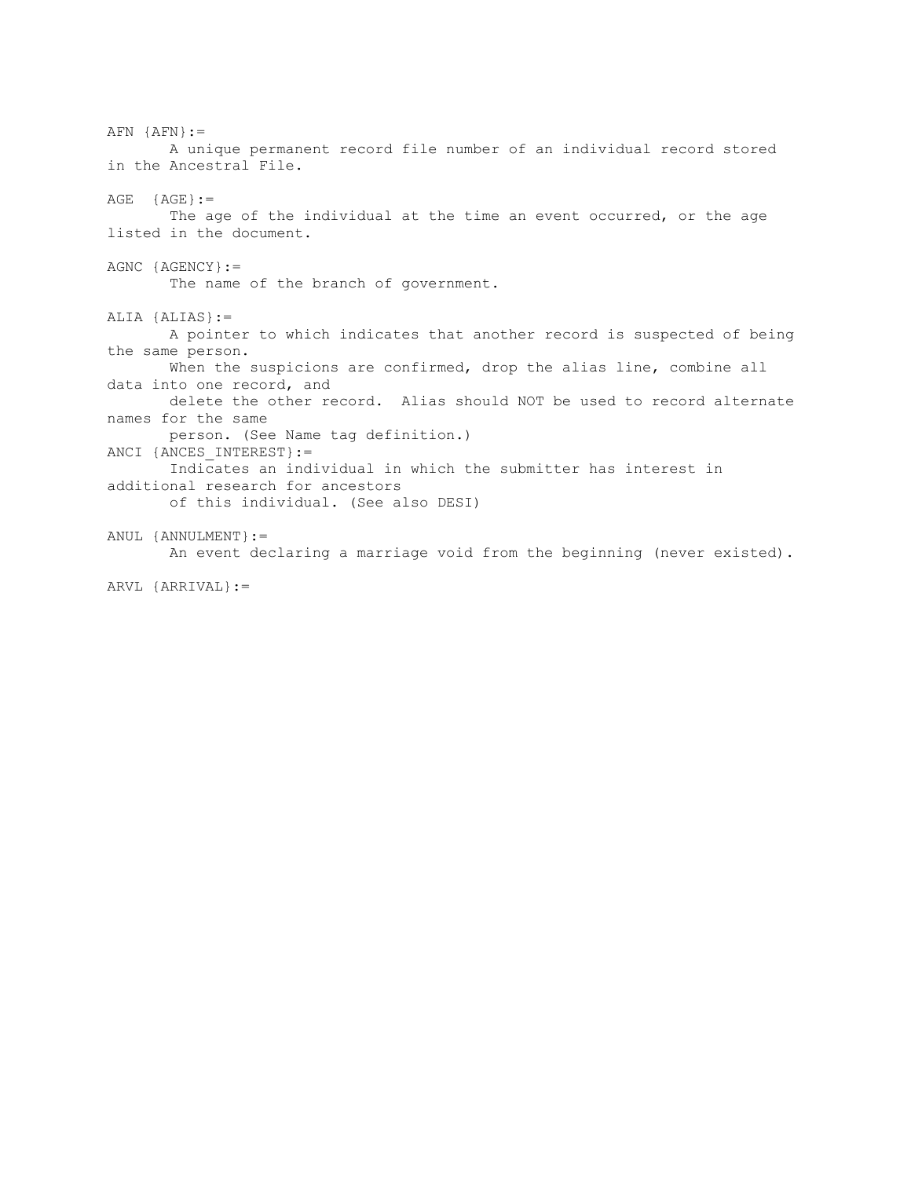$AFN$  { $AFN$ } := A unique permanent record file number of an individual record stored in the Ancestral File.  $AGE$  {AGE} := The age of the individual at the time an event occurred, or the age listed in the document. AGNC {AGENCY}:= The name of the branch of government. ALIA {ALIAS}:= A pointer to which indicates that another record is suspected of being the same person. When the suspicions are confirmed, drop the alias line, combine all data into one record, and delete the other record. Alias should NOT be used to record alternate names for the same person. (See Name tag definition.) ANCI {ANCES INTEREST} := Indicates an individual in which the submitter has interest in additional research for ancestors of this individual. (See also DESI) ANUL {ANNULMENT}:= An event declaring a marriage void from the beginning (never existed). ARVL {ARRIVAL}:=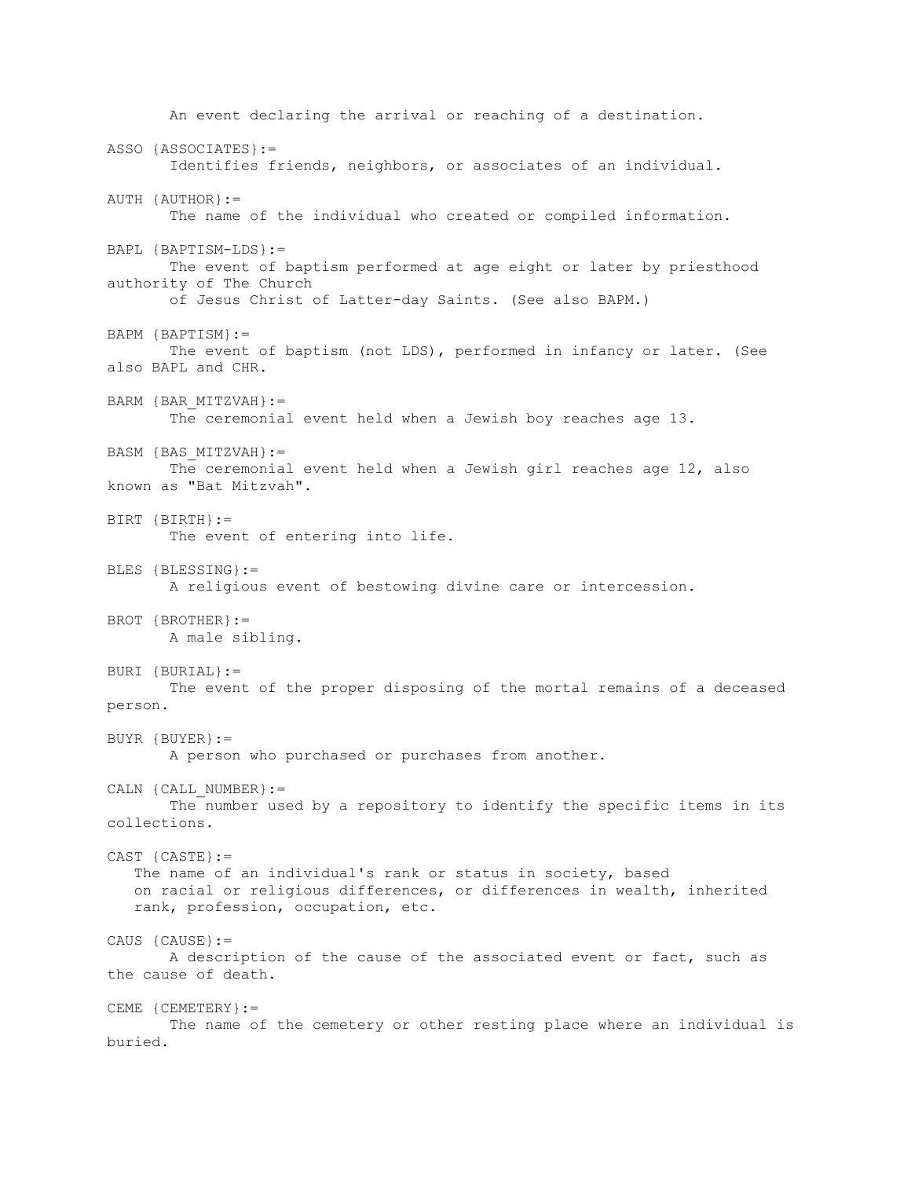An event declaring the arrival or reaching of a destination. ASSO {ASSOCIATES}:= Identifies friends, neighbors, or associates of an individual. AUTH {AUTHOR}:= The name of the individual who created or compiled information. BAPL {BAPTISM-LDS}:= The event of baptism performed at age eight or later by priesthood authority of The Church of Jesus Christ of Latter-day Saints. (See also BAPM.) BAPM {BAPTISM}:= The event of baptism (not LDS), performed in infancy or later. (See also BAPL and CHR. BARM {BAR\_MITZVAH}:= The ceremonial event held when a Jewish boy reaches age 13. BASM {BAS\_MITZVAH}:= The ceremonial event held when a Jewish girl reaches age 12, also known as "Bat Mitzvah". BIRT {BIRTH}:= The event of entering into life. BLES {BLESSING}:= A religious event of bestowing divine care or intercession. BROT {BROTHER}:= A male sibling. BURI {BURIAL}:= The event of the proper disposing of the mortal remains of a deceased person. BUYR {BUYER}:= A person who purchased or purchases from another. CALN {CALL NUMBER}:= The number used by a repository to identify the specific items in its collections. CAST {CASTE}:= The name of an individual's rank or status in society, based on racial or religious differences, or differences in wealth, inherited rank, profession, occupation, etc. CAUS {CAUSE}:= A description of the cause of the associated event or fact, such as the cause of death. CEME {CEMETERY}:= The name of the cemetery or other resting place where an individual is buried.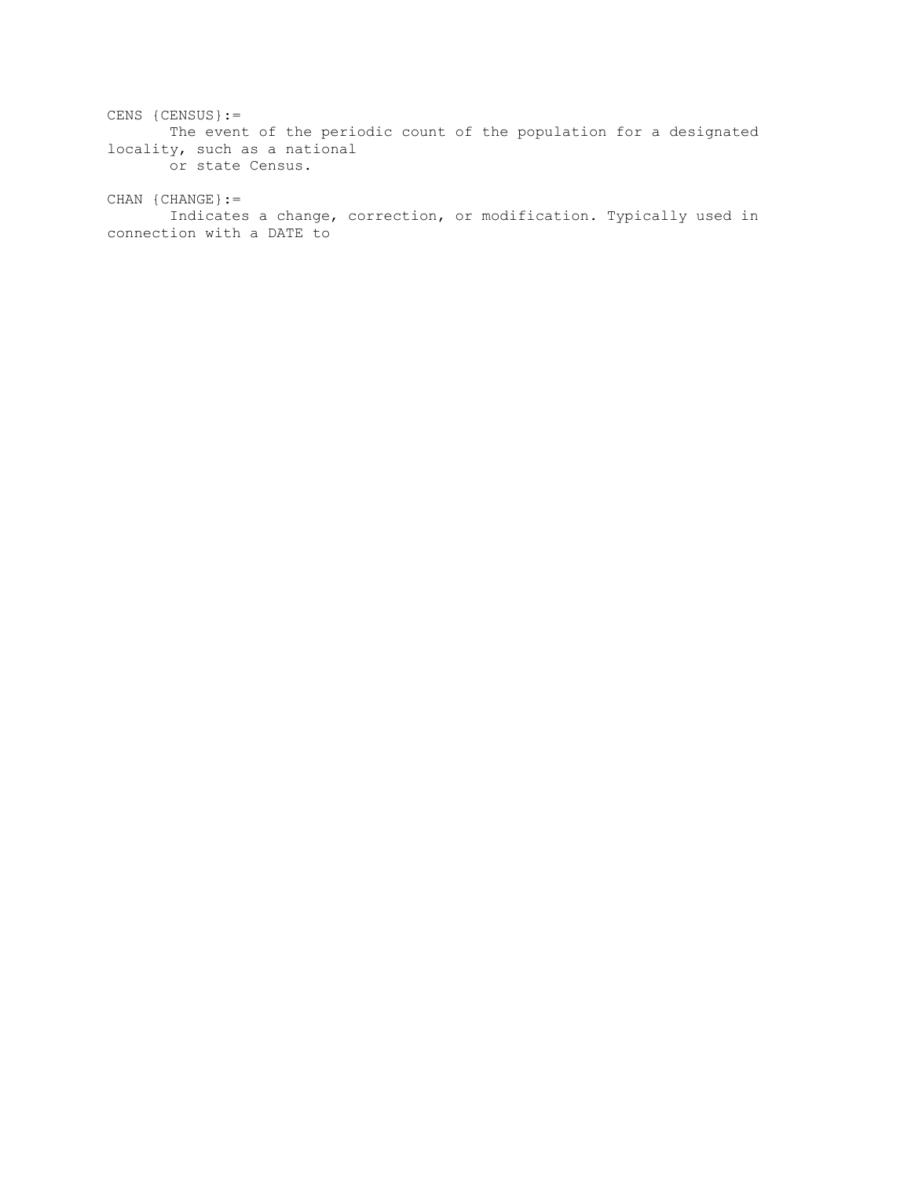CENS {CENSUS}:= The event of the periodic count of the population for a designated locality, such as a national or state Census.

CHAN {CHANGE}:= Indicates a change, correction, or modification. Typically used in connection with a DATE to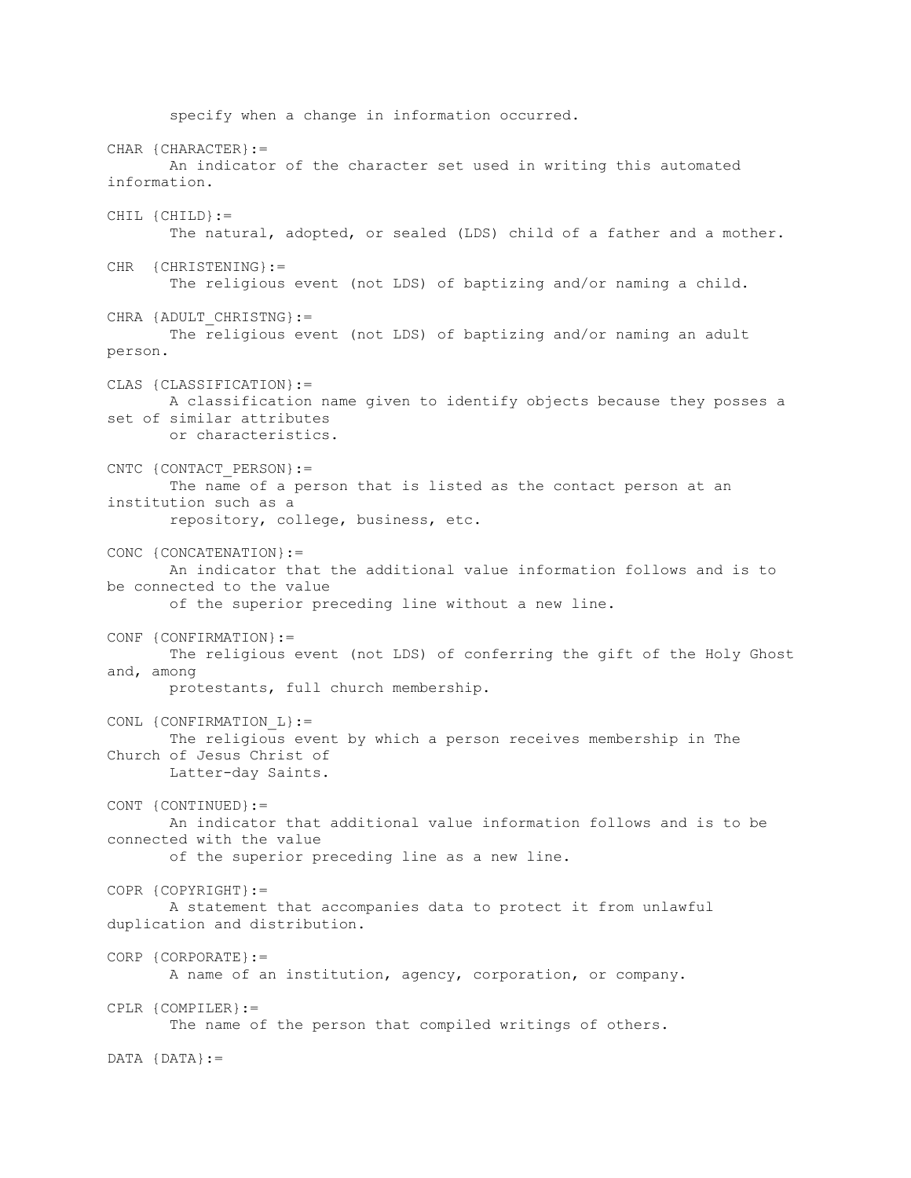specify when a change in information occurred. CHAR {CHARACTER}:= An indicator of the character set used in writing this automated information. CHIL {CHILD}:= The natural, adopted, or sealed (LDS) child of a father and a mother. CHR {CHRISTENING}:= The religious event (not LDS) of baptizing and/or naming a child. CHRA {ADULT CHRISTNG}:= The religious event (not LDS) of baptizing and/or naming an adult person. CLAS {CLASSIFICATION}:= A classification name given to identify objects because they posses a set of similar attributes or characteristics. CNTC {CONTACT\_PERSON}:= The name of a person that is listed as the contact person at an institution such as a repository, college, business, etc. CONC {CONCATENATION}:= An indicator that the additional value information follows and is to be connected to the value of the superior preceding line without a new line. CONF {CONFIRMATION}:= The religious event (not LDS) of conferring the gift of the Holy Ghost and, among protestants, full church membership. CONL {CONFIRMATION\_L}:= The religious event by which a person receives membership in The Church of Jesus Christ of Latter-day Saints. CONT {CONTINUED}:= An indicator that additional value information follows and is to be connected with the value of the superior preceding line as a new line. COPR {COPYRIGHT}:= A statement that accompanies data to protect it from unlawful duplication and distribution. CORP {CORPORATE}:= A name of an institution, agency, corporation, or company. CPLR {COMPILER}:= The name of the person that compiled writings of others. DATA {DATA}:=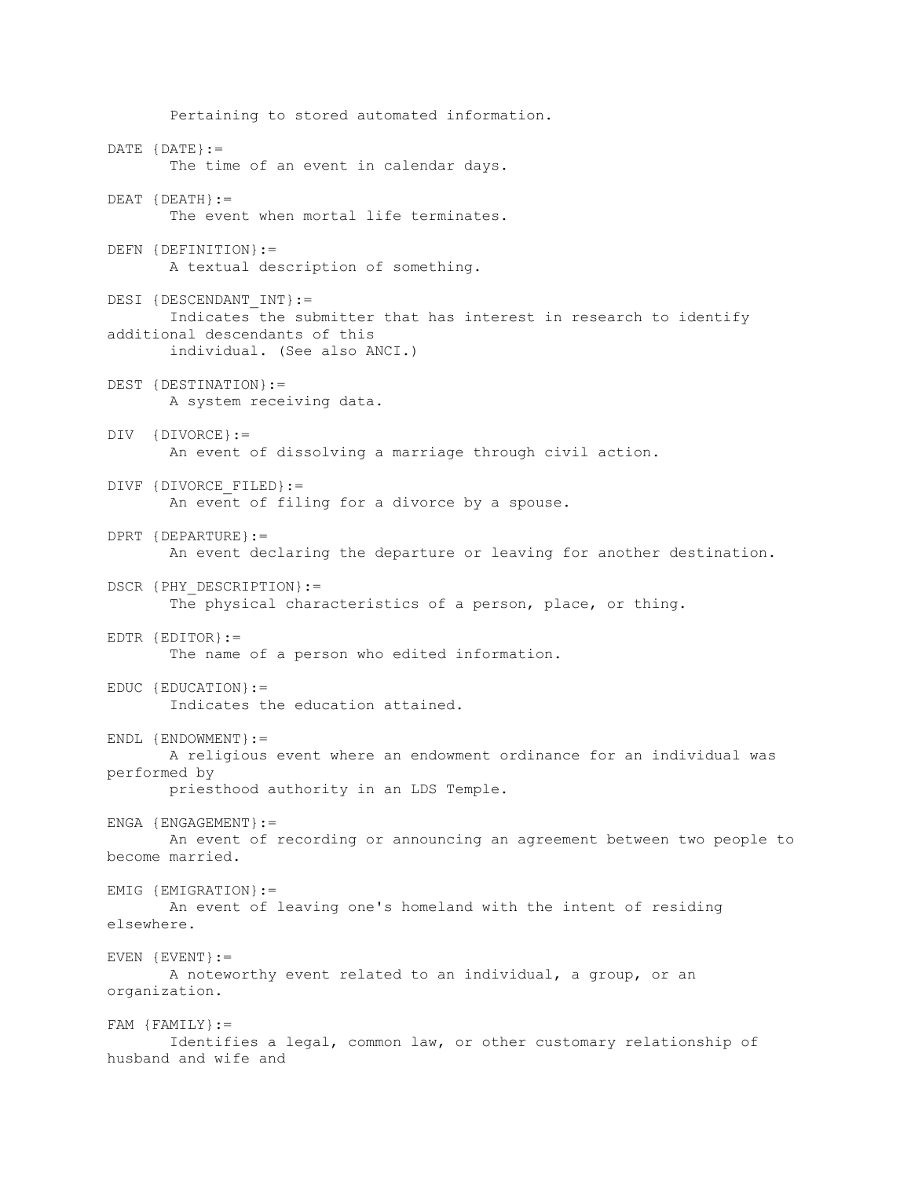Pertaining to stored automated information. DATE {DATE}:= The time of an event in calendar days. DEAT {DEATH}:= The event when mortal life terminates. DEFN {DEFINITION}:= A textual description of something. DESI {DESCENDANT\_INT}:= Indicates the submitter that has interest in research to identify additional descendants of this individual. (See also ANCI.) DEST {DESTINATION}:= A system receiving data. DIV {DIVORCE}:= An event of dissolving a marriage through civil action. DIVF {DIVORCE\_FILED}:= An event of filing for a divorce by a spouse. DPRT {DEPARTURE}:= An event declaring the departure or leaving for another destination. DSCR {PHY DESCRIPTION}:= The physical characteristics of a person, place, or thing. EDTR {EDITOR}:= The name of a person who edited information. EDUC {EDUCATION}:= Indicates the education attained. ENDL {ENDOWMENT}:= A religious event where an endowment ordinance for an individual was performed by priesthood authority in an LDS Temple. ENGA {ENGAGEMENT}:= An event of recording or announcing an agreement between two people to become married. EMIG {EMIGRATION}:= An event of leaving one's homeland with the intent of residing elsewhere. EVEN {EVENT}:= A noteworthy event related to an individual, a group, or an organization. FAM {FAMILY}:= Identifies a legal, common law, or other customary relationship of husband and wife and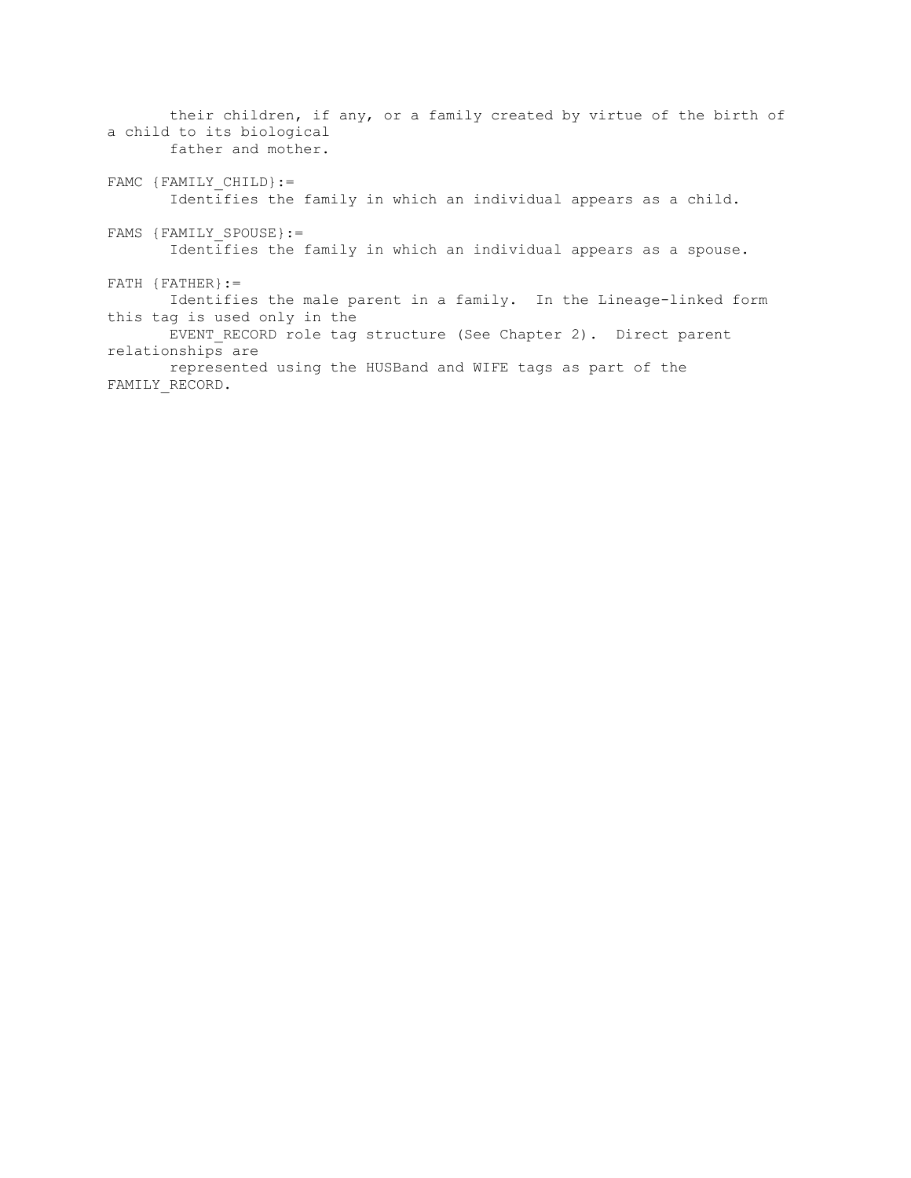their children, if any, or a family created by virtue of the birth of a child to its biological father and mother. FAMC {FAMILY CHILD}:= Identifies the family in which an individual appears as a child. FAMS {FAMILY SPOUSE}:= Identifies the family in which an individual appears as a spouse.  $FATH$  { $FATHER$ } := Identifies the male parent in a family. In the Lineage-linked form this tag is used only in the EVENT RECORD role tag structure (See Chapter 2). Direct parent relationships are represented using the HUSBand and WIFE tags as part of the FAMILY\_RECORD.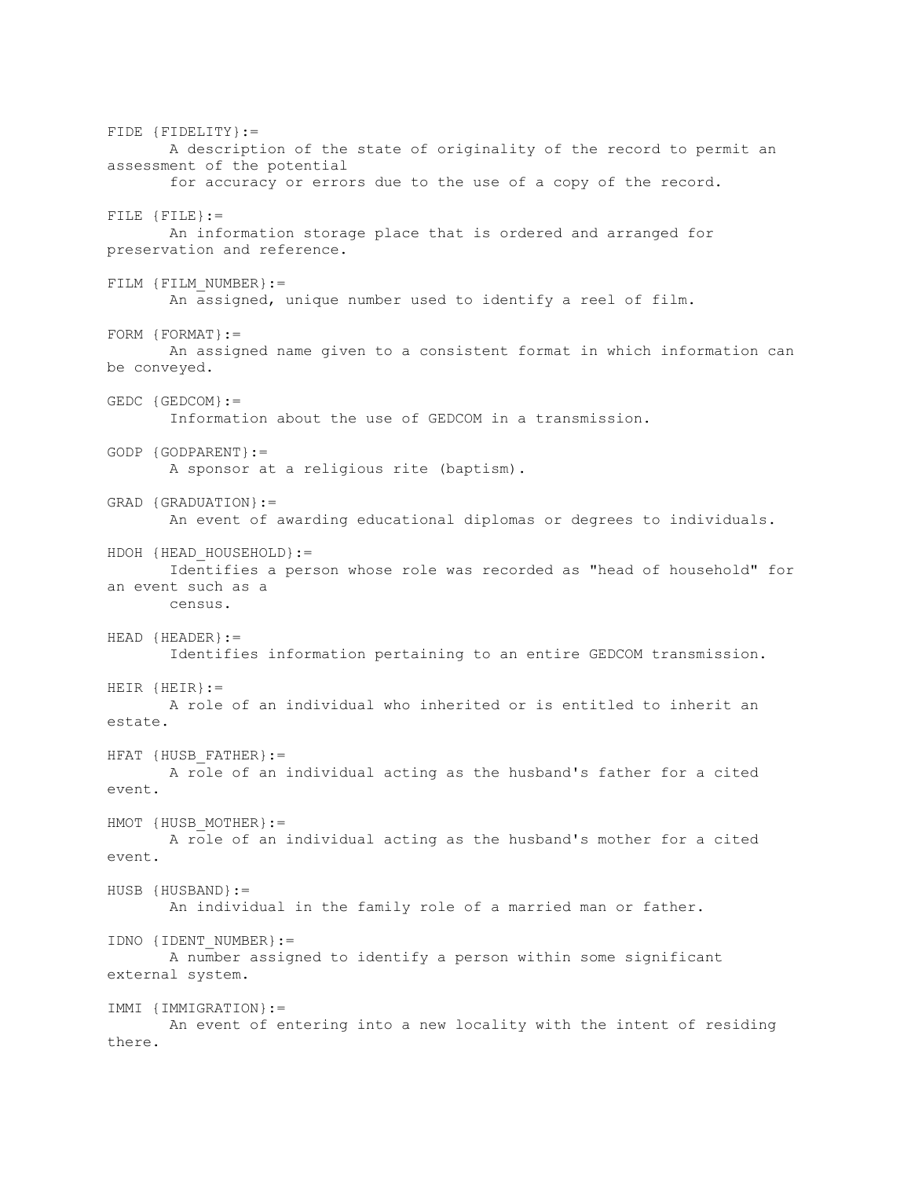FIDE {FIDELITY}:= A description of the state of originality of the record to permit an assessment of the potential for accuracy or errors due to the use of a copy of the record. FILE {FILE}:= An information storage place that is ordered and arranged for preservation and reference. FILM {FILM\_NUMBER}:= An assigned, unique number used to identify a reel of film. FORM {FORMAT}:= An assigned name given to a consistent format in which information can be conveyed. GEDC {GEDCOM}:= Information about the use of GEDCOM in a transmission. GODP {GODPARENT}:= A sponsor at a religious rite (baptism). GRAD {GRADUATION}:= An event of awarding educational diplomas or degrees to individuals. HDOH {HEAD HOUSEHOLD}:= Identifies a person whose role was recorded as "head of household" for an event such as a census. HEAD {HEADER}:= Identifies information pertaining to an entire GEDCOM transmission. HEIR {HEIR}:= A role of an individual who inherited or is entitled to inherit an estate. HFAT {HUSB\_FATHER}:= A role of an individual acting as the husband's father for a cited event. HMOT {HUSB MOTHER}:= A role of an individual acting as the husband's mother for a cited event. HUSB {HUSBAND}:= An individual in the family role of a married man or father. IDNO {IDENT\_NUMBER}:= A number assigned to identify a person within some significant external system. IMMI {IMMIGRATION}:= An event of entering into a new locality with the intent of residing there.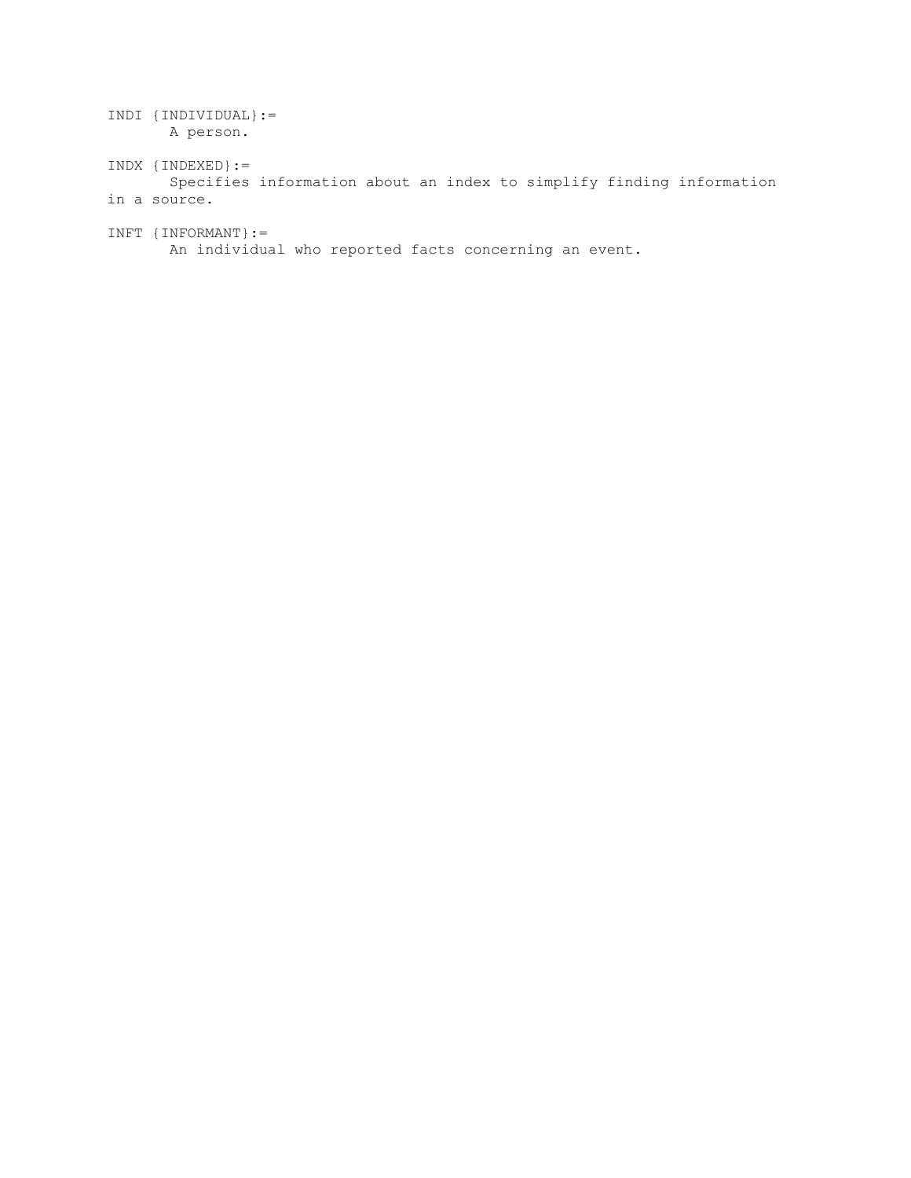| $INDI$ {INDIVIDUAL} :=<br>A person.                                                         |
|---------------------------------------------------------------------------------------------|
| $INDX$ {INDEXED} :=<br>Specifies information about an index to simplify finding information |
| in a source.                                                                                |
| $INFT$ {INFORMANT} :=<br>An individual who reported facts concerning an event.              |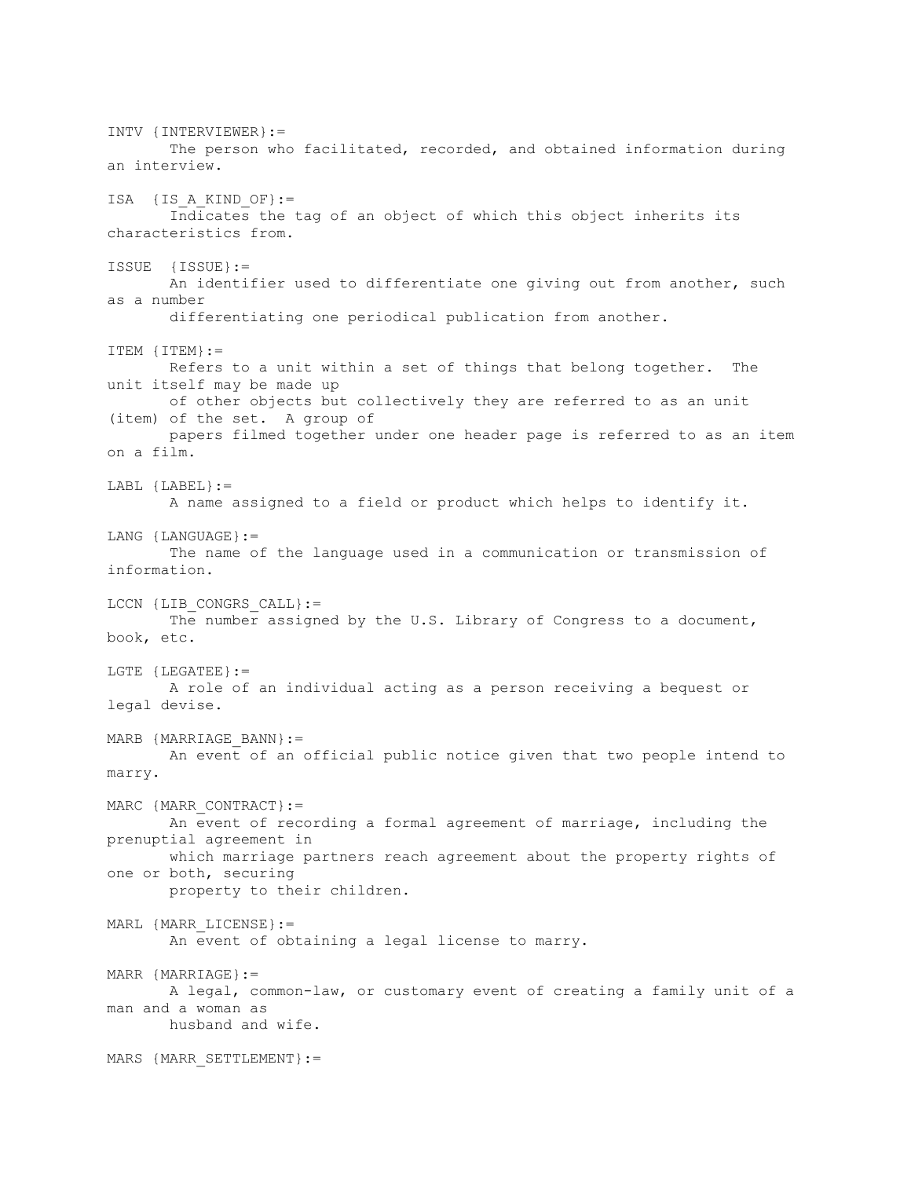INTV {INTERVIEWER}:= The person who facilitated, recorded, and obtained information during an interview. ISA  $\{IS A KIND OF\}:=$  Indicates the tag of an object of which this object inherits its characteristics from. ISSUE {ISSUE}:= An identifier used to differentiate one giving out from another, such as a number differentiating one periodical publication from another. ITEM {ITEM}:= Refers to a unit within a set of things that belong together. The unit itself may be made up of other objects but collectively they are referred to as an unit (item) of the set. A group of papers filmed together under one header page is referred to as an item on a film. LABL {LABEL}:= A name assigned to a field or product which helps to identify it. LANG {LANGUAGE}:= The name of the language used in a communication or transmission of information. LCCN {LIB CONGRS CALL}:= The number assigned by the U.S. Library of Congress to a document, book, etc. LGTE {LEGATEE}:= A role of an individual acting as a person receiving a bequest or legal devise. MARB {MARRIAGE\_BANN}:= An event of an official public notice given that two people intend to marry. MARC {MARR CONTRACT} := An event of recording a formal agreement of marriage, including the prenuptial agreement in which marriage partners reach agreement about the property rights of one or both, securing property to their children. MARL {MARR\_LICENSE}:= An event of obtaining a legal license to marry. MARR {MARRIAGE}:= A legal, common-law, or customary event of creating a family unit of a man and a woman as husband and wife. MARS {MARR SETTLEMENT} :=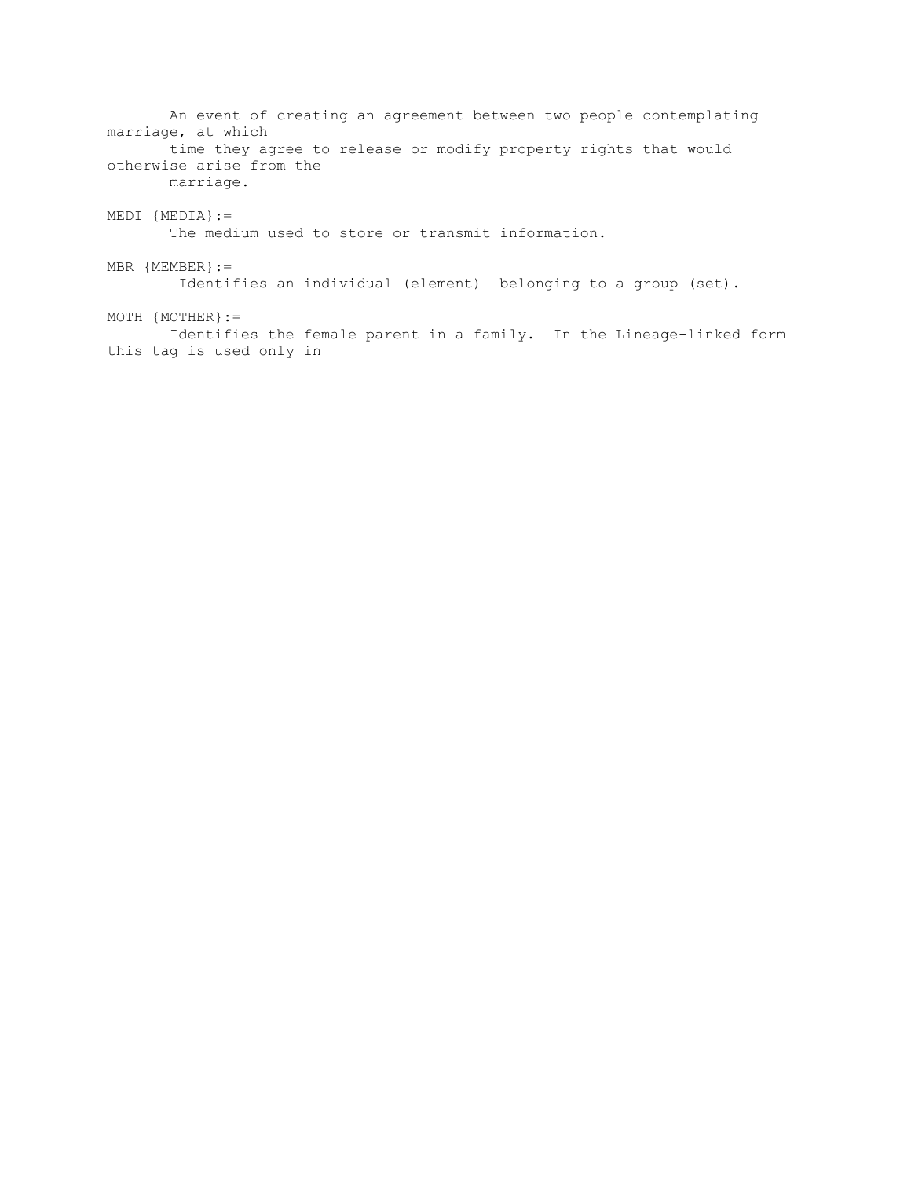An event of creating an agreement between two people contemplating marriage, at which time they agree to release or modify property rights that would otherwise arise from the marriage. MEDI {MEDIA}:= The medium used to store or transmit information.  $MBR$  {MEMBER} := Identifies an individual (element) belonging to a group (set).  $MOTH$   ${MOTHER}$  := Identifies the female parent in a family. In the Lineage-linked form this tag is used only in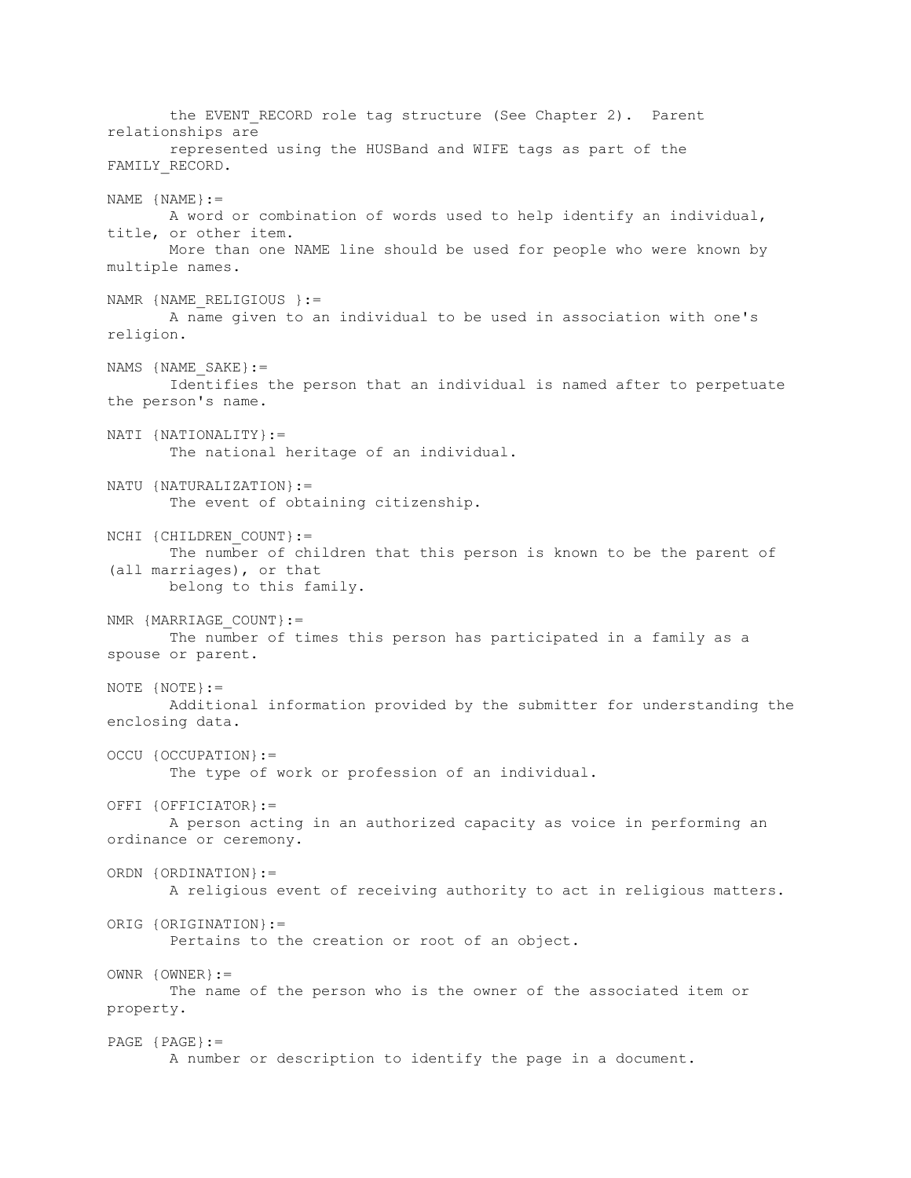the EVENT RECORD role tag structure (See Chapter 2). Parent relationships are represented using the HUSBand and WIFE tags as part of the FAMILY\_RECORD. NAME  $\{NAME\}$ : = A word or combination of words used to help identify an individual, title, or other item. More than one NAME line should be used for people who were known by multiple names. NAMR {NAME RELIGIOUS }:= A name given to an individual to be used in association with one's religion. NAMS {NAME SAKE}:= Identifies the person that an individual is named after to perpetuate the person's name. NATI {NATIONALITY}:= The national heritage of an individual. NATU {NATURALIZATION}:= The event of obtaining citizenship. NCHI {CHILDREN COUNT}:= The number of children that this person is known to be the parent of (all marriages), or that belong to this family. NMR {MARRIAGE COUNT}:= The number of times this person has participated in a family as a spouse or parent. NOTE {NOTE}:= Additional information provided by the submitter for understanding the enclosing data. OCCU {OCCUPATION}:= The type of work or profession of an individual. OFFI {OFFICIATOR}:= A person acting in an authorized capacity as voice in performing an ordinance or ceremony. ORDN {ORDINATION}:= A religious event of receiving authority to act in religious matters. ORIG {ORIGINATION}:= Pertains to the creation or root of an object. OWNR {OWNER}:= The name of the person who is the owner of the associated item or property. PAGE {PAGE}:= A number or description to identify the page in a document.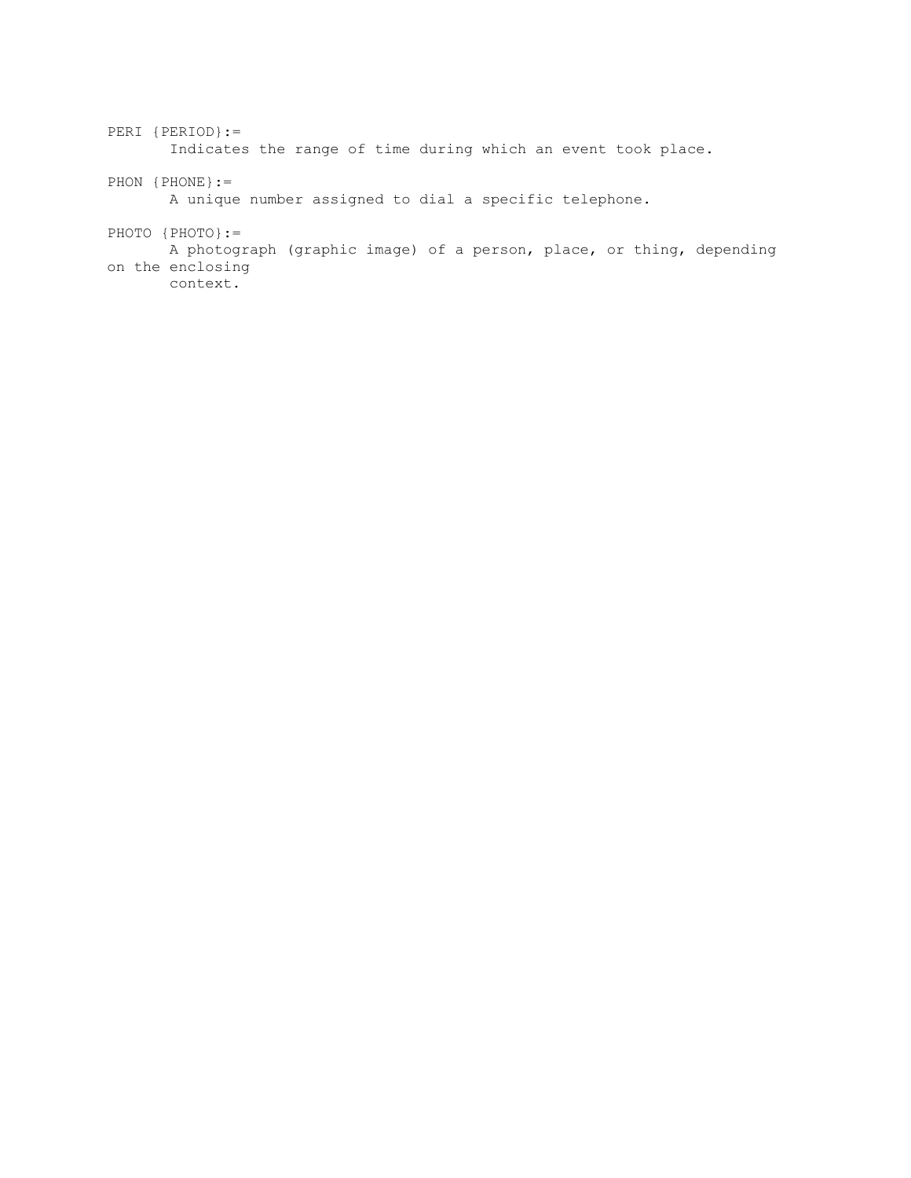PERI {PERIOD}:= Indicates the range of time during which an event took place. PHON {PHONE}:= A unique number assigned to dial a specific telephone. PHOTO {PHOTO}:= A photograph (graphic image) of a person, place, or thing, depending on the enclosing context.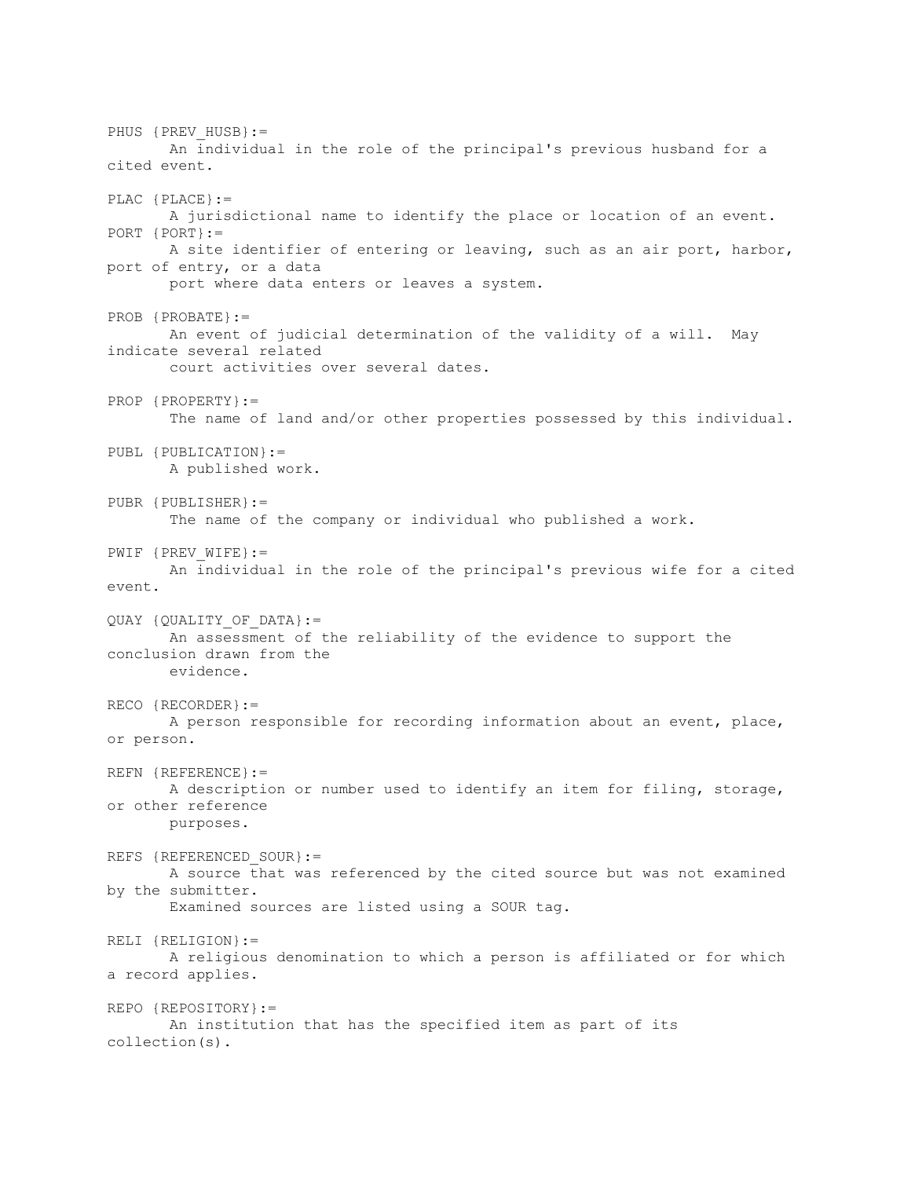PHUS {PREV HUSB}:= An individual in the role of the principal's previous husband for a cited event. PLAC {PLACE}:= A jurisdictional name to identify the place or location of an event. PORT {PORT}:= A site identifier of entering or leaving, such as an air port, harbor, port of entry, or a data port where data enters or leaves a system. PROB {PROBATE}:= An event of judicial determination of the validity of a will. May indicate several related court activities over several dates. PROP {PROPERTY}:= The name of land and/or other properties possessed by this individual. PUBL {PUBLICATION}:= A published work. PUBR {PUBLISHER}:= The name of the company or individual who published a work. PWIF {PREV WIFE}:= An individual in the role of the principal's previous wife for a cited event. QUAY {QUALITY\_OF\_DATA}:= An assessment of the reliability of the evidence to support the conclusion drawn from the evidence. RECO {RECORDER}:= A person responsible for recording information about an event, place, or person. REFN {REFERENCE}:= A description or number used to identify an item for filing, storage, or other reference purposes. REFS {REFERENCED SOUR}:= A source that was referenced by the cited source but was not examined by the submitter. Examined sources are listed using a SOUR tag. RELI {RELIGION}:= A religious denomination to which a person is affiliated or for which a record applies. REPO {REPOSITORY}:= An institution that has the specified item as part of its collection(s).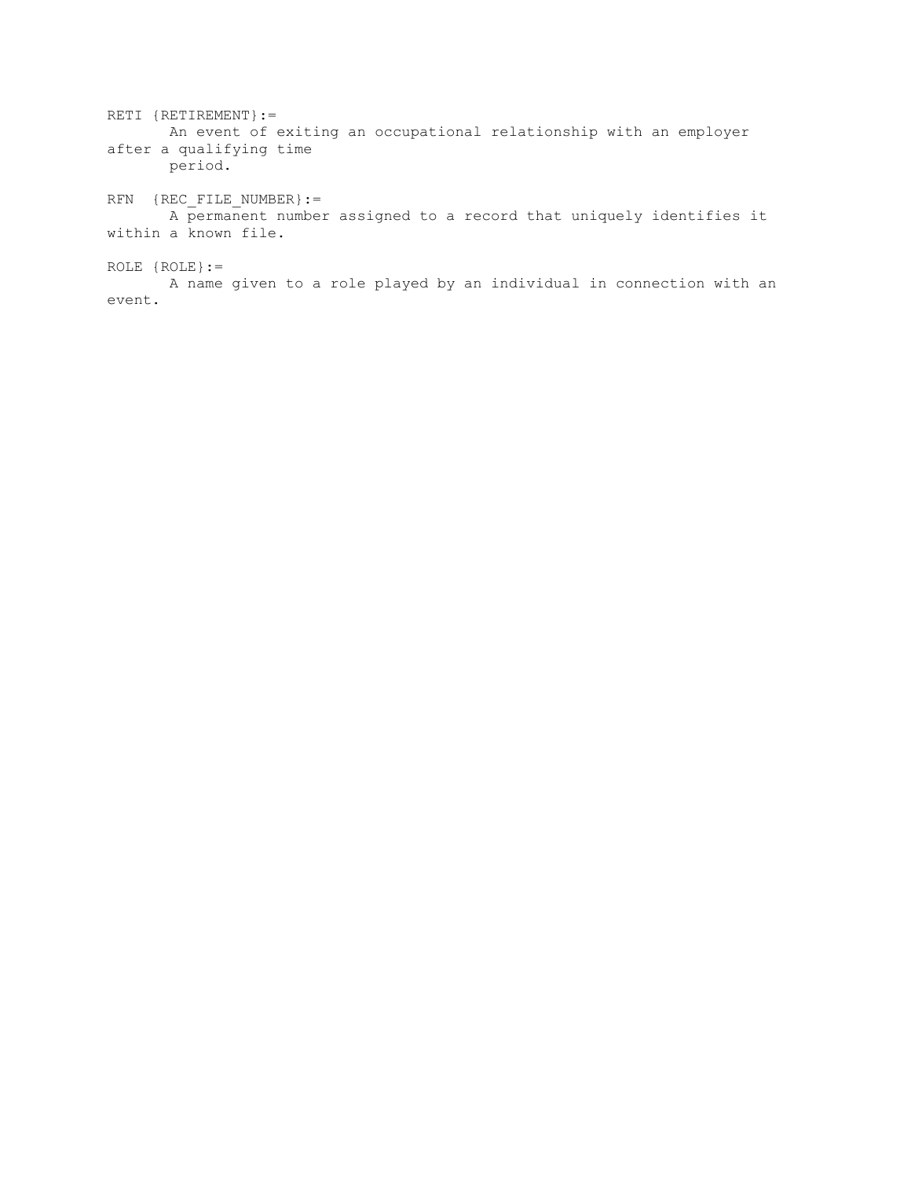RETI {RETIREMENT} := An event of exiting an occupational relationship with an employer after a qualifying time period. RFN {REC\_FILE\_NUMBER}:= A permanent number assigned to a record that uniquely identifies it within a known file.

ROLE {ROLE}:=

 A name given to a role played by an individual in connection with an event.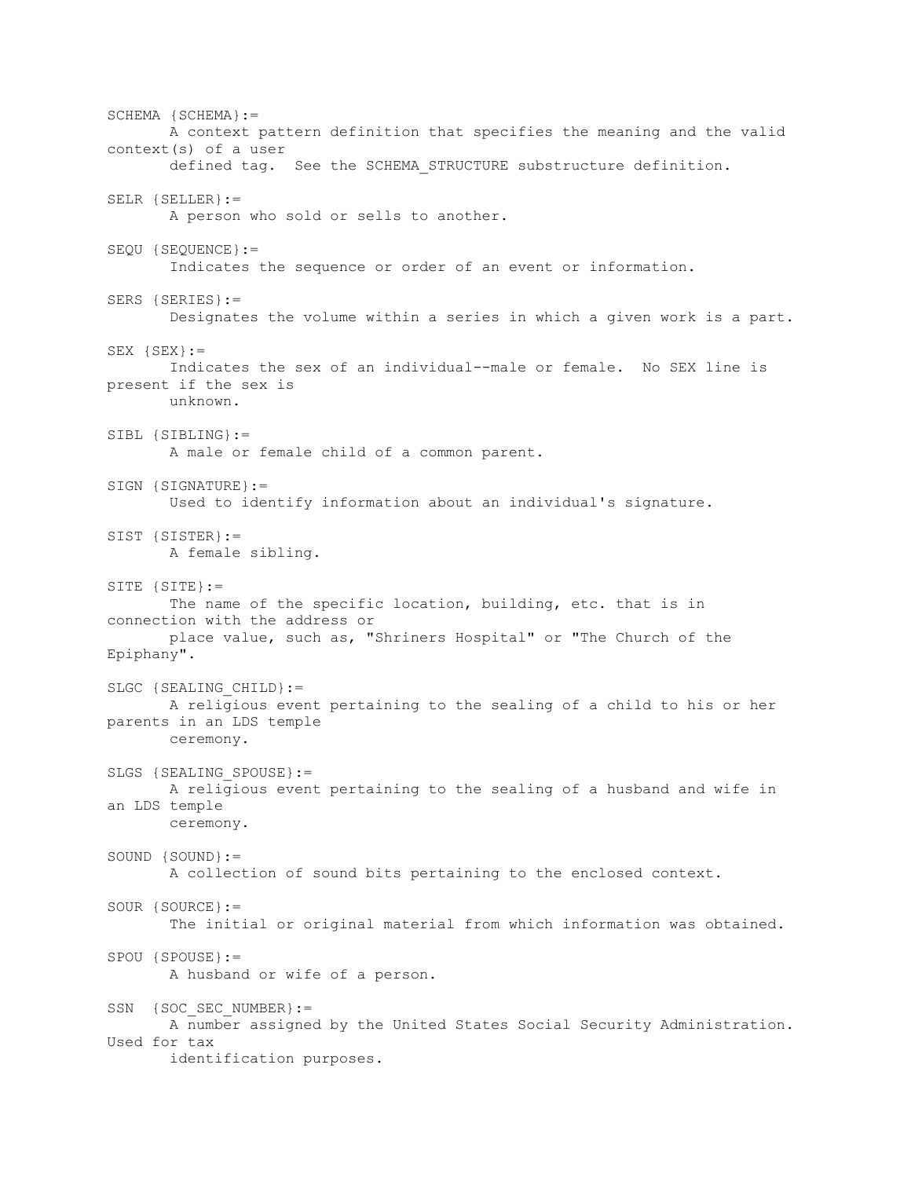SCHEMA {SCHEMA}:= A context pattern definition that specifies the meaning and the valid context(s) of a user defined tag. See the SCHEMA\_STRUCTURE substructure definition. SELR {SELLER}:= A person who sold or sells to another. SEQU {SEQUENCE}:= Indicates the sequence or order of an event or information. SERS {SERIES}:= Designates the volume within a series in which a given work is a part. SEX  ${SEX}$ := Indicates the sex of an individual--male or female. No SEX line is present if the sex is unknown. SIBL {SIBLING}:= A male or female child of a common parent. SIGN {SIGNATURE}:= Used to identify information about an individual's signature. SIST {SISTER}:= A female sibling. SITE {SITE}:= The name of the specific location, building, etc. that is in connection with the address or place value, such as, "Shriners Hospital" or "The Church of the Epiphany". SLGC {SEALING CHILD}:= A religious event pertaining to the sealing of a child to his or her parents in an LDS temple ceremony. SLGS {SEALING SPOUSE}:= A religious event pertaining to the sealing of a husband and wife in an LDS temple ceremony. SOUND {SOUND}:= A collection of sound bits pertaining to the enclosed context. SOUR {SOURCE}:= The initial or original material from which information was obtained. SPOU {SPOUSE}:= A husband or wife of a person. SSN {SOC\_SEC\_NUMBER}:= A number assigned by the United States Social Security Administration. Used for tax identification purposes.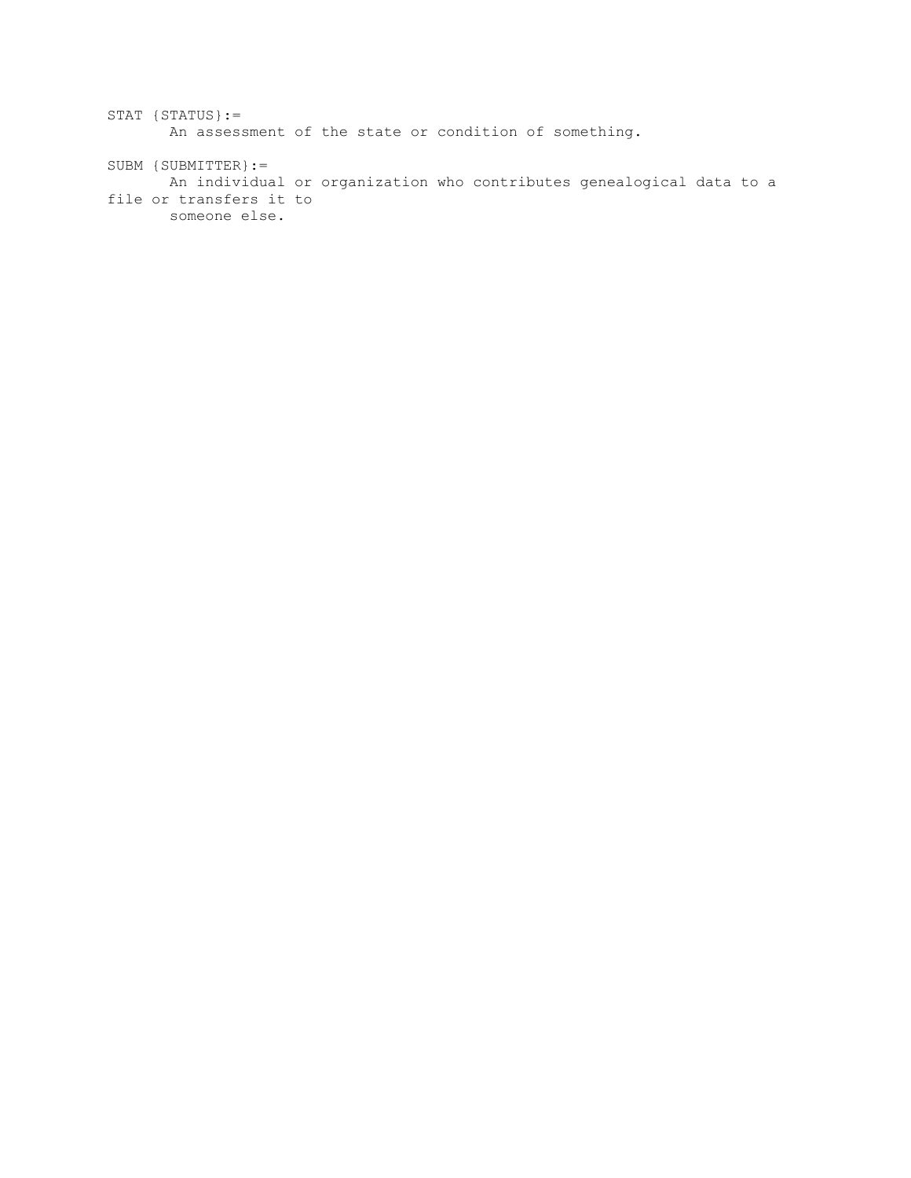```
STAT {STATUS}:=
       An assessment of the state or condition of something.
SUBM {SUBMITTER}:=
       An individual or organization who contributes genealogical data to a 
file or transfers it to
       someone else.
```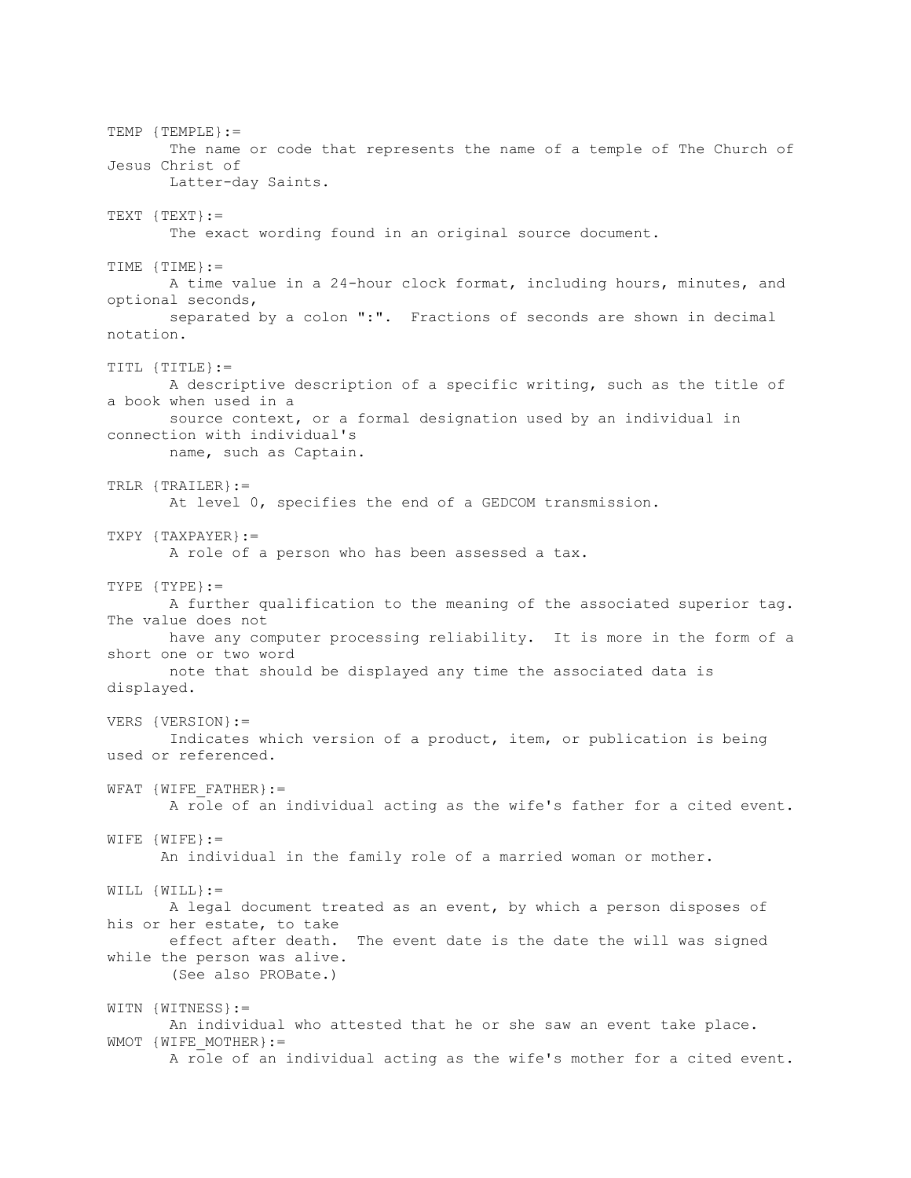TEMP {TEMPLE}:= The name or code that represents the name of a temple of The Church of Jesus Christ of Latter-day Saints.  $TEXT$   ${TEXT}$  := The exact wording found in an original source document. TIME {TIME}:= A time value in a 24-hour clock format, including hours, minutes, and optional seconds, separated by a colon ":". Fractions of seconds are shown in decimal notation. TITL {TITLE}:= A descriptive description of a specific writing, such as the title of a book when used in a source context, or a formal designation used by an individual in connection with individual's name, such as Captain. TRLR {TRAILER}:= At level 0, specifies the end of a GEDCOM transmission. TXPY {TAXPAYER}:= A role of a person who has been assessed a tax. TYPE {TYPE}:= A further qualification to the meaning of the associated superior tag. The value does not have any computer processing reliability. It is more in the form of a short one or two word note that should be displayed any time the associated data is displayed. VERS {VERSION}:= Indicates which version of a product, item, or publication is being used or referenced. WFAT  $\{WIFEFATHER\}:=$  A role of an individual acting as the wife's father for a cited event. WIFE {WIFE}:= An individual in the family role of a married woman or mother. WILL {WILL}:= A legal document treated as an event, by which a person disposes of his or her estate, to take effect after death. The event date is the date the will was signed while the person was alive. (See also PROBate.) WITN {WITNESS}:= An individual who attested that he or she saw an event take place. WMOT {WIFE MOTHER}:= A role of an individual acting as the wife's mother for a cited event.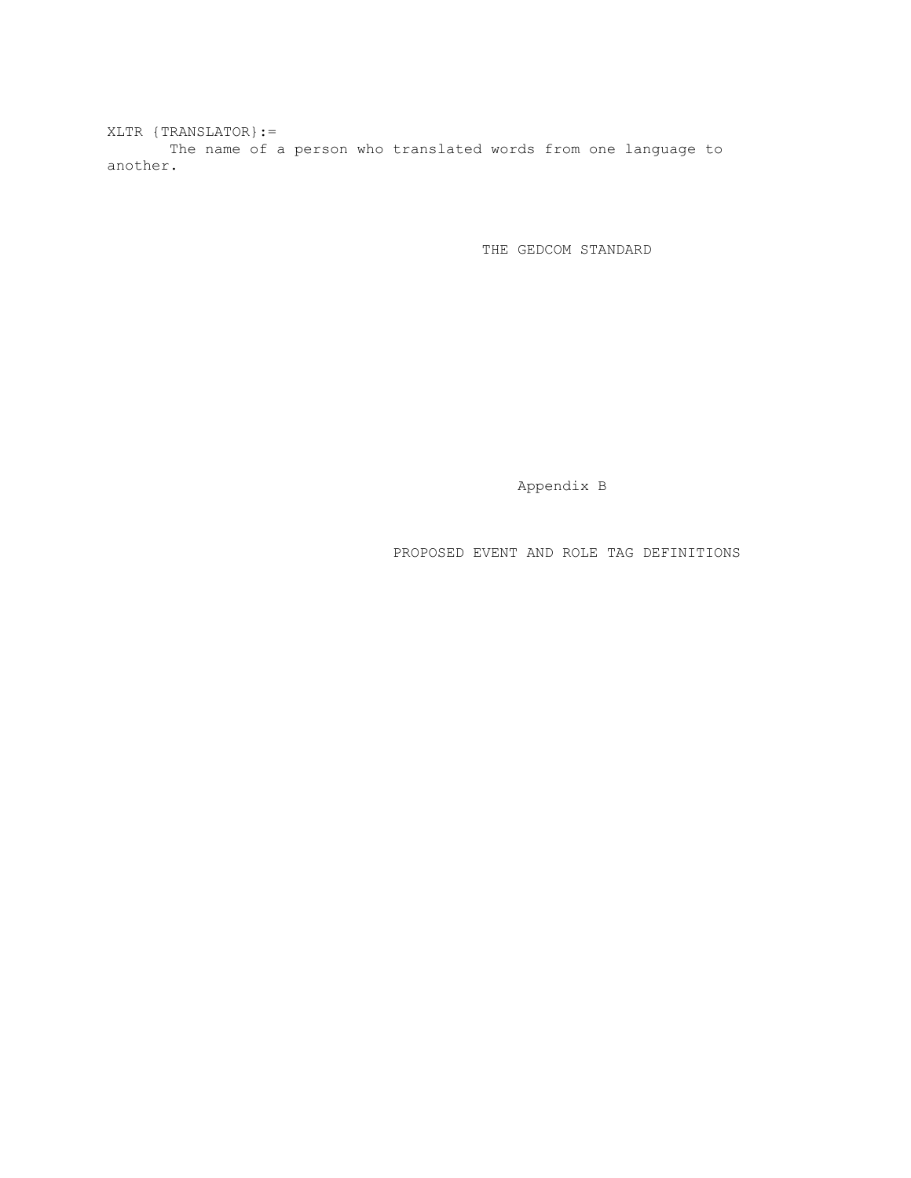XLTR {TRANSLATOR}:= The name of a person who translated words from one language to another.

THE GEDCOM STANDARD

Appendix B

PROPOSED EVENT AND ROLE TAG DEFINITIONS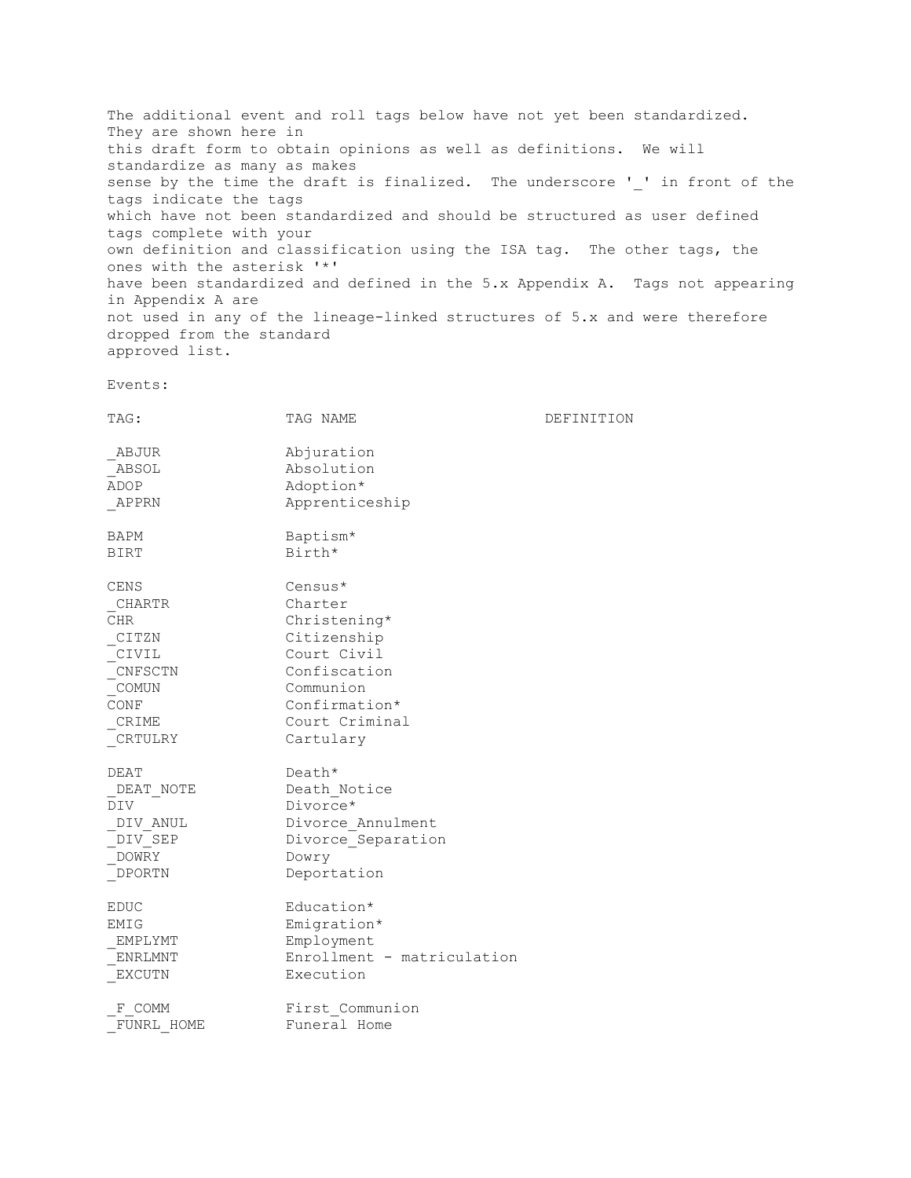The additional event and roll tags below have not yet been standardized. They are shown here in this draft form to obtain opinions as well as definitions. We will standardize as many as makes sense by the time the draft is finalized. The underscore ' ' in front of the tags indicate the tags which have not been standardized and should be structured as user defined tags complete with your own definition and classification using the ISA tag. The other tags, the ones with the asterisk '\*' have been standardized and defined in the 5.x Appendix A. Tags not appearing in Appendix A are not used in any of the lineage-linked structures of 5.x and were therefore dropped from the standard approved list.

Events:

| TAG:                                                                                            | TAG NAME                                                                                                                                      | DEFINITION |
|-------------------------------------------------------------------------------------------------|-----------------------------------------------------------------------------------------------------------------------------------------------|------------|
| ABJUR<br>ABSOL<br>ADOP<br>APPRN                                                                 | Abjuration<br>Absolution<br>Adoption*<br>Apprenticeship                                                                                       |            |
| BAPM<br><b>BIRT</b>                                                                             | Baptism*<br>Birth*                                                                                                                            |            |
| <b>CENS</b><br>CHARTR<br>CHR.<br>CITZN<br>CIVIL<br>CNFSCTN<br>COMUN<br>CONF<br>CRIME<br>CRTULRY | Census*<br>Charter<br>Christening*<br>Citizenship<br>Court Civil<br>Confiscation<br>Communion<br>Confirmation*<br>Court Criminal<br>Cartulary |            |
| DEAT<br>DEAT NOTE<br><b>DIV</b><br>DIV ANUL<br>DIV SEP<br>DOWRY<br>DPORTN                       | Death*<br>Death Notice<br>Divorce*<br>Divorce Annulment<br>Divorce Separation<br>Dowry<br>Deportation                                         |            |
| EDUC<br>EMIG<br>EMPLYMT<br>ENRLMNT<br><b>EXCUTN</b>                                             | Education*<br>Emigration*<br>Employment<br>Enrollment - matriculation<br>Execution                                                            |            |
| F COMM<br>FUNRL HOME                                                                            | First Communion<br>Funeral Home                                                                                                               |            |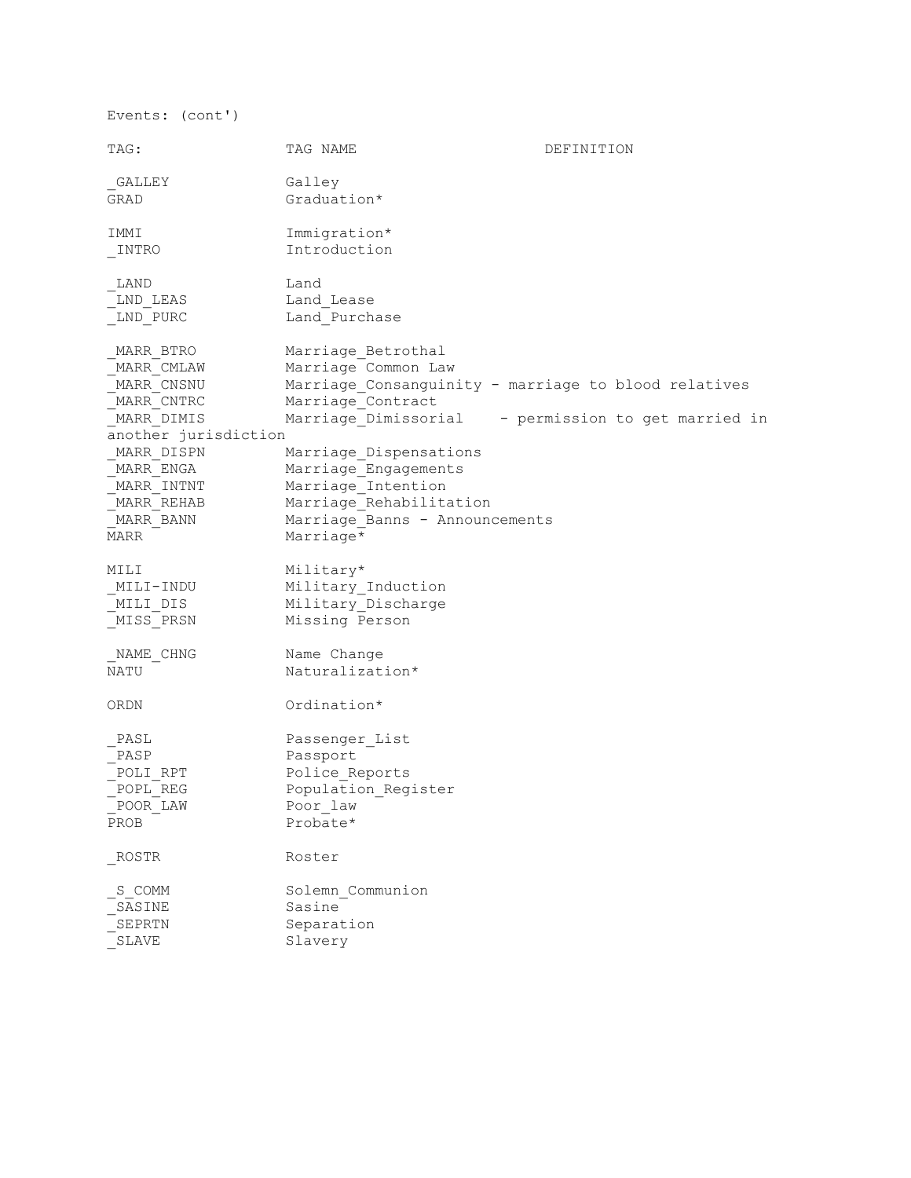TAG: TAG NAME DEFINITION GALLEY Galley GRAD Graduation\* IMMI Immigration\* \_INTRO Introduction LAND Land LND LEAS Land Lease LND PURC Land Purchase MARR BTRO Marriage Betrothal MARR CMLAW Marriage Common Law MARR CNSNU Marriage Consanguinity - marriage to blood relatives MARR CNTRC Marriage Contract MARR DIMIS Marriage Dimissorial - permission to get married in another jurisdiction MARR DISPN Marriage Dispensations MARR ENGA Marriage Engagements MARR INTNT Marriage Intention MARR REHAB Marriage Rehabilitation MARR\_BANN Marriage\_Banns - Announcements MARR Marriage\* MILI Military\* \_MILI-INDU Military\_Induction MILI DIS Military Discharge \_MISS\_PRSN Missing Person NAME CHNG Name Change NATU Naturalization\* ORDN Ordination\* \_PASL Passenger\_List<br>\_PASP Passport \_PASP Passport<br>\_POLI\_RPT Police\_Re<br>POPL\_REG Population POLI RPT Police Reports POPL REG Population Register  $P$ oor $L$ aw PROB Probate\* ROSTR Roster \_S\_COMM Solemn Communion \_SASINE Sasine -<br>SEPRTN Separation \_<br>SLAVE Slavery

Events: (cont')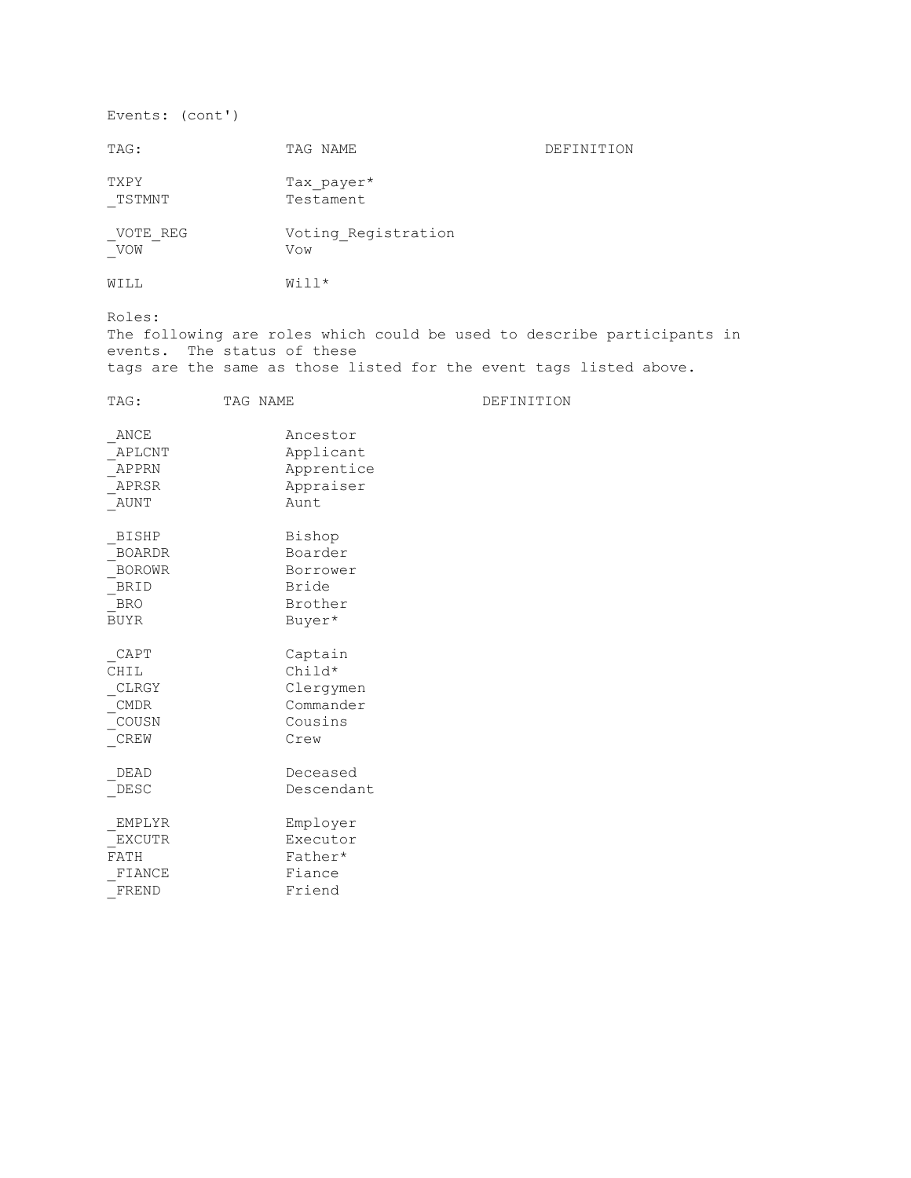Events: (cont')

| TAG:                                                                         | TAG NAME                                                       | DEFINITION                                                                                                                                    |
|------------------------------------------------------------------------------|----------------------------------------------------------------|-----------------------------------------------------------------------------------------------------------------------------------------------|
| TXPY<br>TSTMNT                                                               | Tax payer*<br>Testament                                        |                                                                                                                                               |
| VOTE REG<br>VOW                                                              | Voting Registration<br>Vow                                     |                                                                                                                                               |
| WILL                                                                         | Will*                                                          |                                                                                                                                               |
| Roles:<br>events. The status of these                                        |                                                                | The following are roles which could be used to describe participants in<br>tags are the same as those listed for the event tags listed above. |
| TAG NAME<br>TAG:                                                             |                                                                | DEFINITION                                                                                                                                    |
| ANCE<br>APLCNT<br>APPRN<br>APRSR<br>AUNT                                     | Ancestor<br>Applicant<br>Apprentice<br>Appraiser<br>Aunt       |                                                                                                                                               |
| <b>BISHP</b><br><b>BOARDR</b><br><b>BOROWR</b><br>BRID<br>BRO<br><b>BUYR</b> | Bishop<br>Boarder<br>Borrower<br>Bride<br>Brother<br>Buyer*    |                                                                                                                                               |
| CAPT<br>CHIL<br>CLRGY<br>CMDR<br>COUSN<br>CREW                               | Captain<br>Child*<br>Clergymen<br>Commander<br>Cousins<br>Crew |                                                                                                                                               |
| DEAD<br>DESC                                                                 | Deceased<br>Descendant                                         |                                                                                                                                               |
| EMPLYR<br>EXCUTR<br>FATH<br>FIANCE<br>FREND                                  | Employer<br>Executor<br>Father*<br>Fiance<br>Friend            |                                                                                                                                               |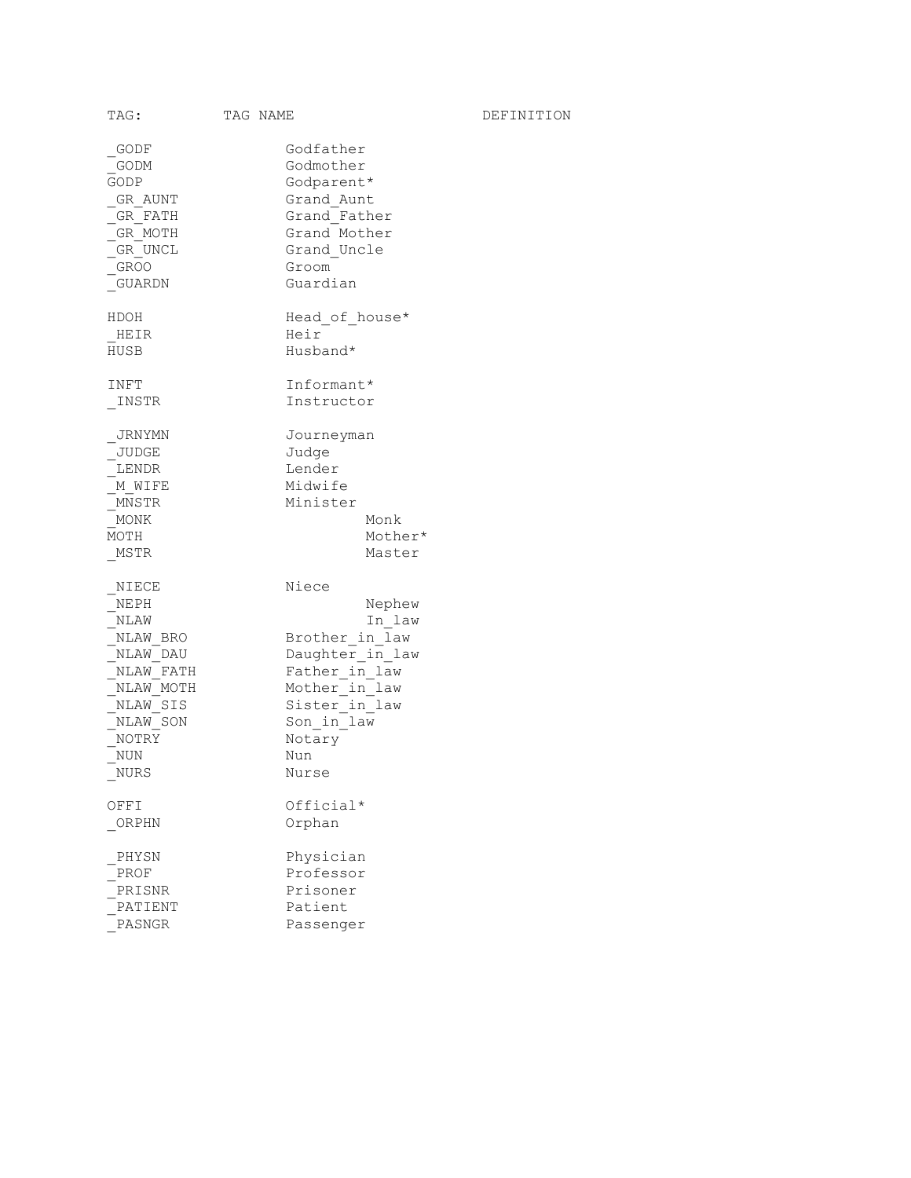| TAG:                                                                                                                    | TAG NAME |                                                                                                                                                           | DEFINITION |
|-------------------------------------------------------------------------------------------------------------------------|----------|-----------------------------------------------------------------------------------------------------------------------------------------------------------|------------|
| GODF<br>GODM<br>GODP<br>GR AUNT<br>GR FATH<br>GR MOTH<br>GR UNCL<br>GROO<br>GUARDN                                      |          | Godfather<br>Godmother<br>Godparent*<br>Grand Aunt<br>Grand Father<br>Grand Mother<br>Grand Uncle<br>Groom<br>Guardian                                    |            |
| HDOH<br>HEIR<br>HUSB                                                                                                    |          | Head of house*<br>Heir<br>Husband*                                                                                                                        |            |
| INFT<br>INSTR                                                                                                           |          | Informant*<br>Instructor                                                                                                                                  |            |
| JRNYMN<br>JUDGE<br>LENDR<br>M WIFE<br>MNSTR<br>MONK<br>MOTH<br>MSTR                                                     |          | Journeyman<br>Judge<br>Lender<br>Midwife<br>Minister<br>Monk<br>Mother*<br>Master                                                                         |            |
| NIECE<br>NEPH<br>NLAW<br>NLAW BRO<br>NLAW DAU<br>NLAW FATH<br>NLAW MOTH<br>NLAW SIS<br>NLAW SON<br>NOTRY<br>NUN<br>NURS |          | Niece<br>Nephew<br>In law<br>Brother in law<br>Daughter in law<br>Father in law<br>Mother in law<br>Sister in law<br>Son in law<br>Notary<br>Nun<br>Nurse |            |
| OFFI<br>ORPHN                                                                                                           |          | Official*<br>Orphan                                                                                                                                       |            |
| PHYSN<br>PROF<br>PRISNR<br>PATIENT<br>PASNGR                                                                            |          | Physician<br>Professor<br>Prisoner<br>Patient<br>Passenger                                                                                                |            |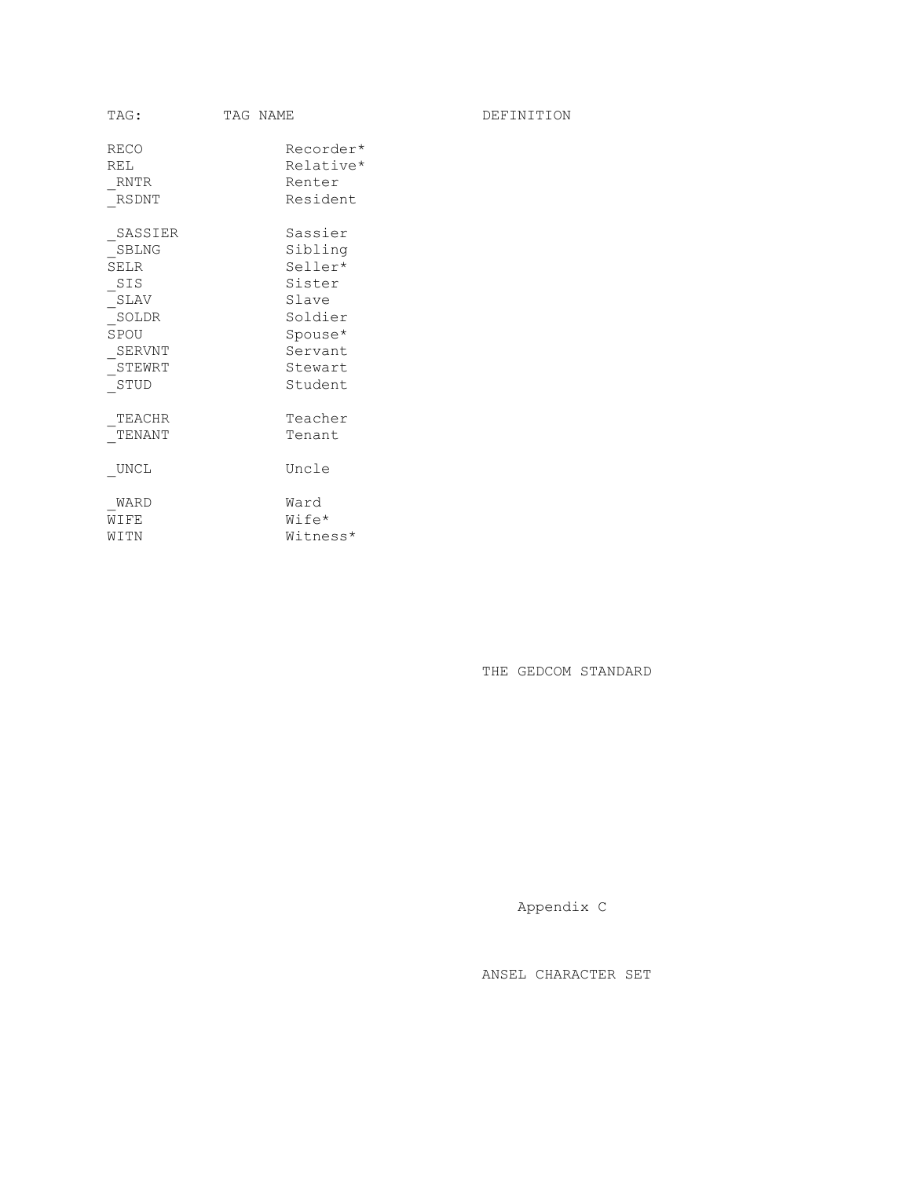| TAG:                                                                                        | TAG NAME                                                                                                | DEFINITION |
|---------------------------------------------------------------------------------------------|---------------------------------------------------------------------------------------------------------|------------|
| <b>RECO</b><br>REL<br><b>RNTR</b><br>RSDNT                                                  | Recorder*<br>Relative*<br>Renter<br>Resident                                                            |            |
| SASSIER<br>SBLNG<br><b>SELR</b><br>SIS<br>SLAV<br>SOLDR<br>SPOU<br>SERVNT<br>STEWRT<br>STUD | Sassier<br>Sibling<br>Seller*<br>Sister<br>Slave<br>Soldier<br>Spouse*<br>Servant<br>Stewart<br>Student |            |
| TEACHR<br>TENANT<br>UNCL                                                                    | Teacher<br>Tenant<br>Uncle                                                                              |            |
| WARD<br>WIFE<br>WITN                                                                        | Ward<br>Wife*<br>Witness*                                                                               |            |

THE GEDCOM STANDARD

Appendix C

ANSEL CHARACTER SET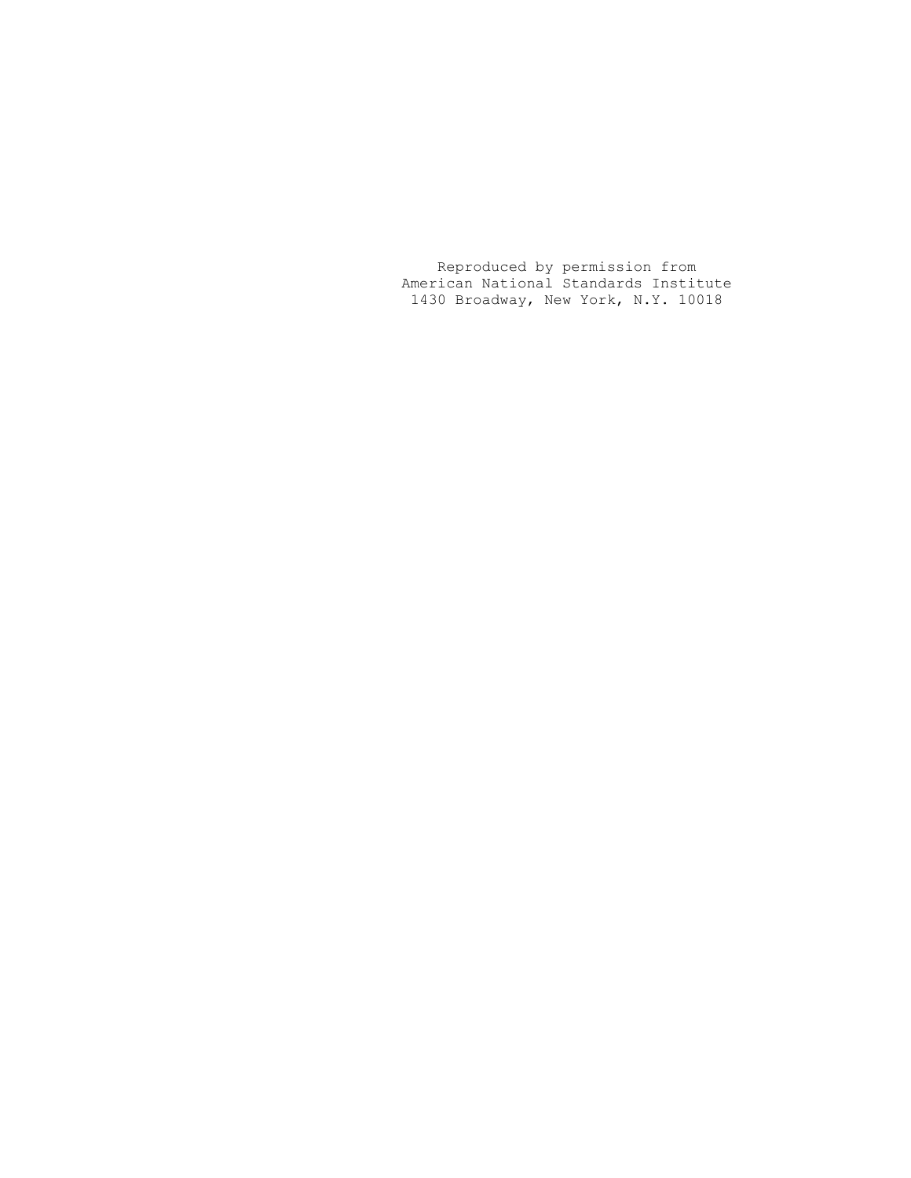Reproduced by permission from American National Standards Institute 1430 Broadway, New York, N.Y. 10018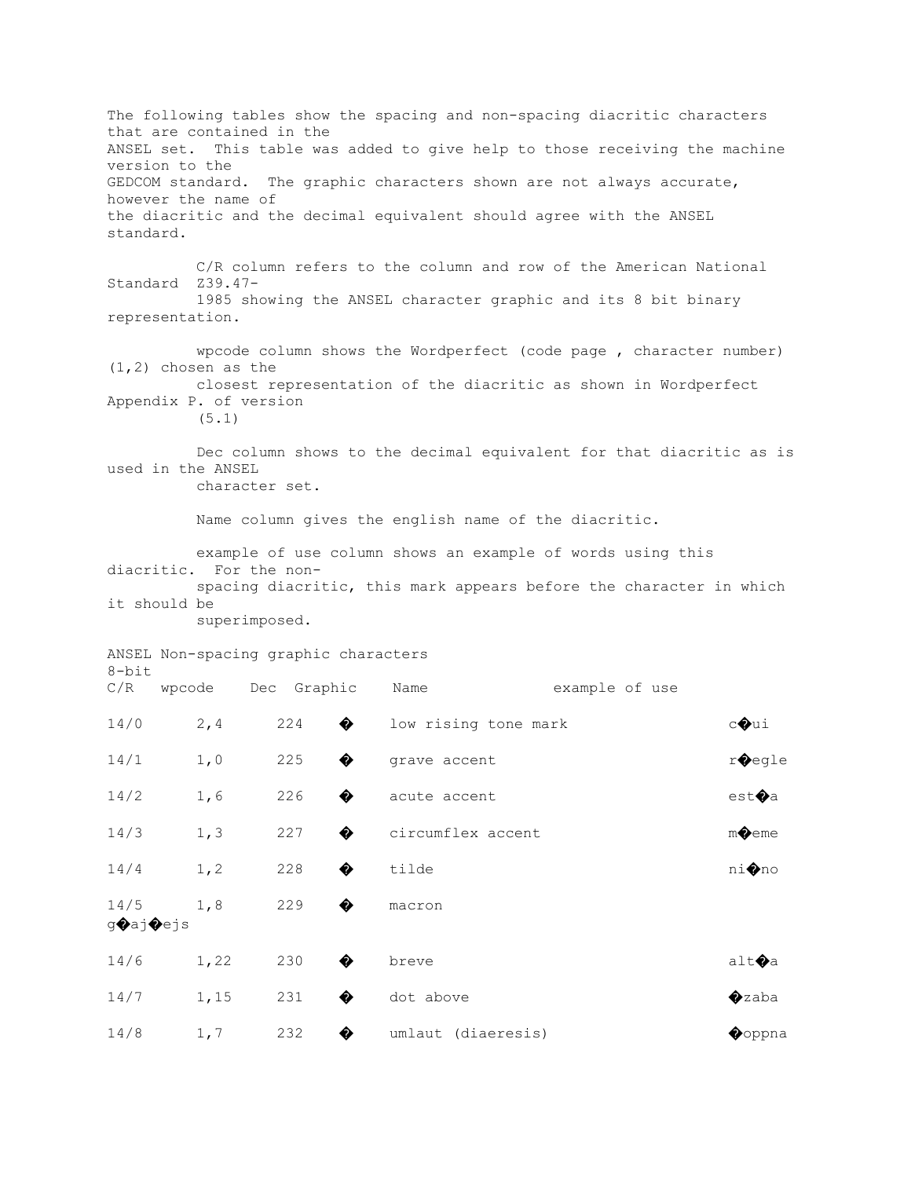The following tables show the spacing and non-spacing diacritic characters that are contained in the ANSEL set. This table was added to give help to those receiving the machine version to the GEDCOM standard. The graphic characters shown are not always accurate, however the name of the diacritic and the decimal equivalent should agree with the ANSEL standard. C/R column refers to the column and row of the American National Standard Z39.47- 1985 showing the ANSEL character graphic and its 8 bit binary representation. wpcode column shows the Wordperfect (code page , character number) (1,2) chosen as the closest representation of the diacritic as shown in Wordperfect Appendix P. of version (5.1) Dec column shows to the decimal equivalent for that diacritic as is used in the ANSEL character set. Name column gives the english name of the diacritic. example of use column shows an example of words using this diacritic. For the non spacing diacritic, this mark appears before the character in which it should be superimposed. ANSEL Non-spacing graphic characters 8-bit C/R wpcode Dec Graphic Name example of use  $14/0$  2,4 224  $\bullet$  low rising tone mark c $\bullet$ ui  $14/1$  1,0 225  $\bullet$  grave accent r $\bullet$ egle  $14/2$  1,6 226  $\bullet$  acute accent est $\bullet$ a 14/3 1,3 227  $\bullet$  circumflex accent m $\bullet$ eme  $14/4$  1,2 228  $\bullet$  tilde ni $\bullet$ no 14/5 1,8 229  $\bullet$  macron g�aj�ejs  $14/6$  1,22 230  $\bullet$  breve and to alt $\bullet$ a  $14/7$  1,15 231  $\bullet$  dot above  $\bullet$  231  $\bullet$  $14/8$  1,7 232  $\bullet$  umlaut (diaeresis)  $\bullet$  Oppna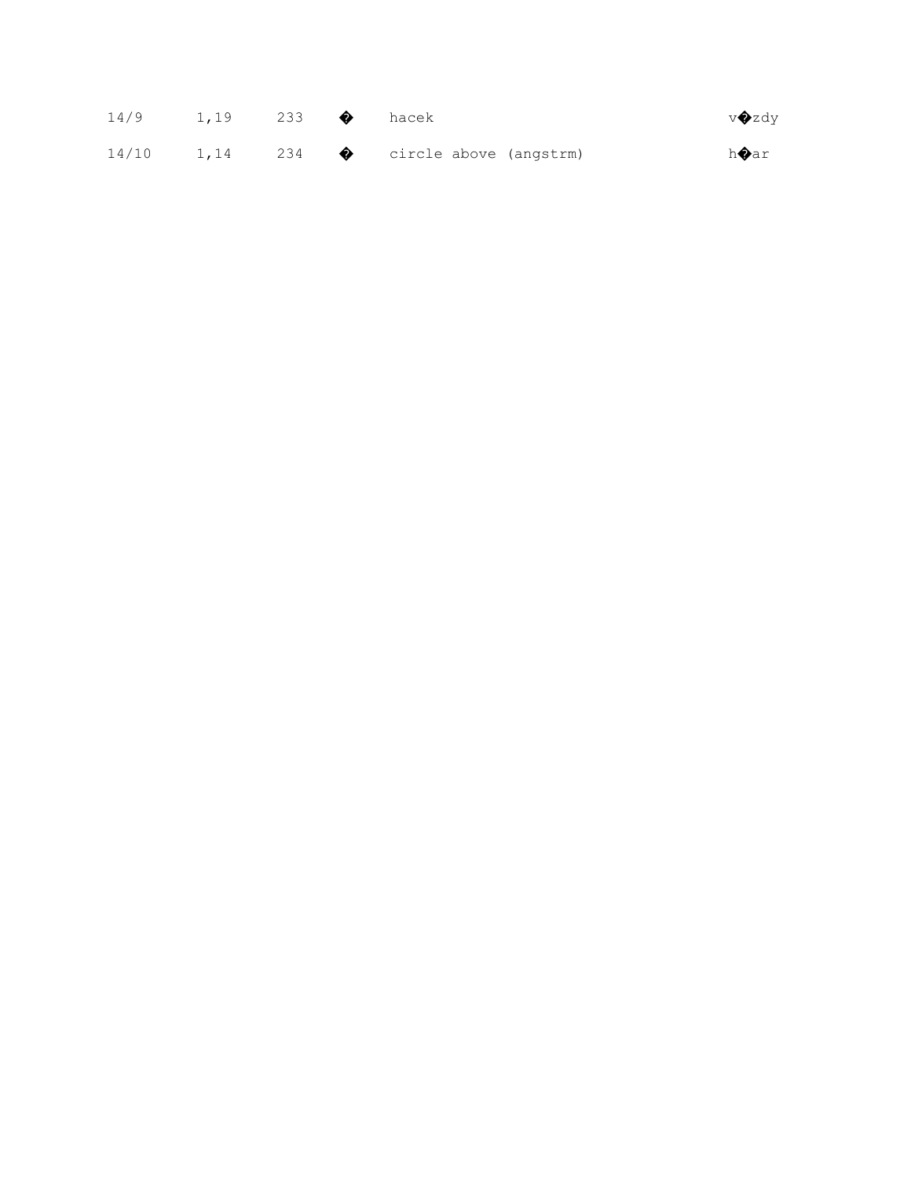| 14/9 | 1,19 233 $\bullet$ hacek |  |                                                   | v◆zdy         |
|------|--------------------------|--|---------------------------------------------------|---------------|
|      |                          |  | $14/10$ 1,14 234 $\bullet$ circle above (angstrm) | h <b>O</b> ar |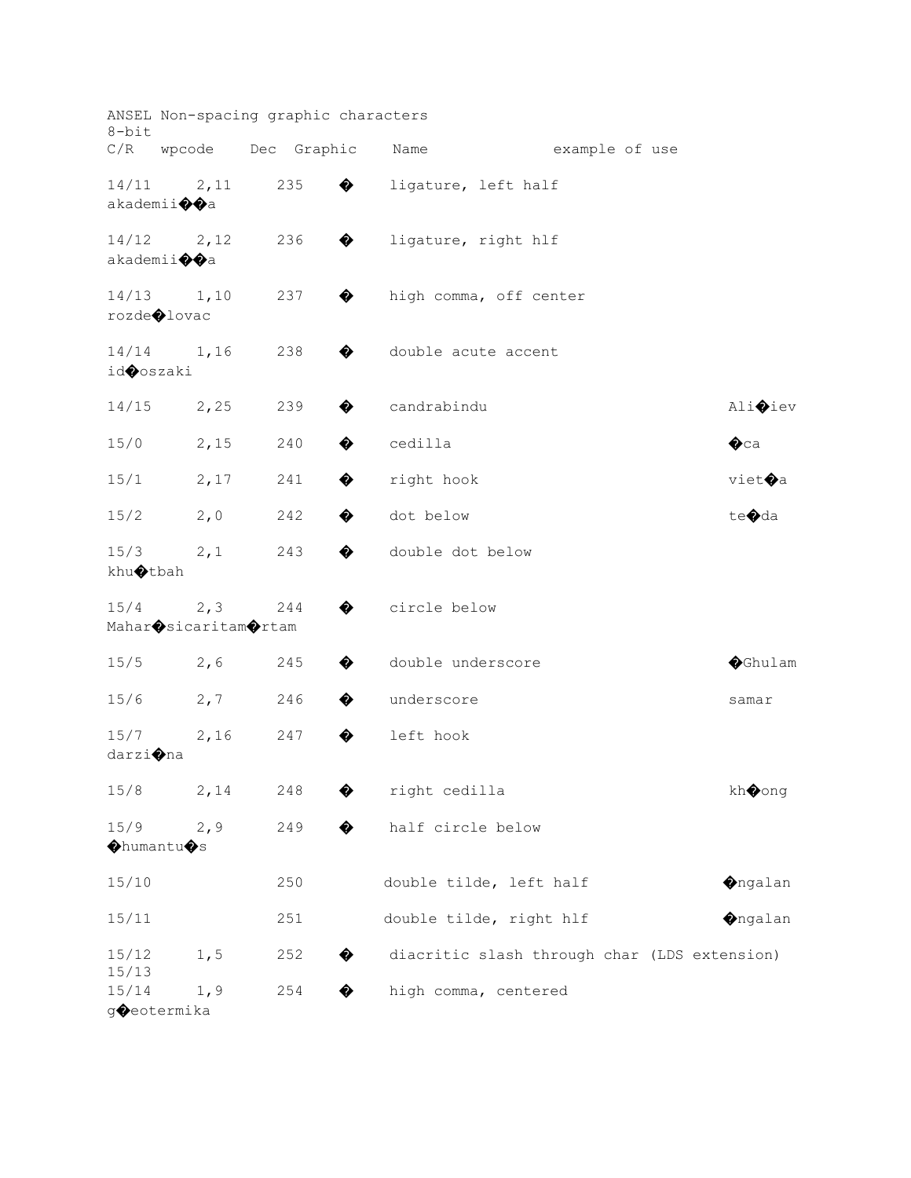| $8 - bit$                   |                                                    | ANSEL Non-spacing graphic characters |   |                   |                                              |                |                  |  |
|-----------------------------|----------------------------------------------------|--------------------------------------|---|-------------------|----------------------------------------------|----------------|------------------|--|
|                             | C/R wpcode                                         | Dec Graphic                          |   | Name              |                                              | example of use |                  |  |
| 14/11                       | 2,11<br>akademii $\lozenge$ a                      | 235                                  | ♦ |                   | ligature, left half                          |                |                  |  |
|                             | $14/12$ 2,12<br>akademii $\lozenge$ a              | 236                                  | ♦ |                   | ligature, right hlf                          |                |                  |  |
| 14/13                       | 1,10<br>rozde◆lovac                                | 237                                  | ♦ |                   | high comma, off center                       |                |                  |  |
| id <b>O</b> oszaki          | $14/14$ 1,16                                       | 238                                  | ♦ |                   | double acute accent                          |                |                  |  |
| 14/15                       | 2,25                                               | 239                                  | ♦ | candrabindu       |                                              |                | Ali <b>♦</b> iev |  |
| 15/0                        | 2,15                                               | 240                                  | ♦ | cedilla           |                                              |                | $\bullet$ ca     |  |
| 15/1                        | 2,17                                               | 241                                  | ♦ | right hook        |                                              |                | viet <b>O</b> a  |  |
| 15/2                        | 2,0                                                | 242                                  | ♦ | dot below         |                                              |                | te�da            |  |
| 15/3<br>khu $\bigcirc$ tbah | 2,1                                                | 243                                  | ♦ | double dot below  |                                              |                |                  |  |
| 15/4                        | 2, 3<br>Mahar $\bigcirc$ sicaritam $\bigcirc$ rtam | 244                                  | ♦ | circle below      |                                              |                |                  |  |
| 15/5                        | 2,6                                                | 245                                  | ♦ | double underscore |                                              |                | <b>O</b> Ghulam  |  |
| 15/6                        | 2, 7                                               | 246                                  | ♦ | underscore        |                                              |                | samar            |  |
| 15/7<br>darzi�na            | 2,16                                               | 247                                  | ♦ | left hook         |                                              |                |                  |  |
| 15/8                        | 2,14                                               | 248                                  | ♦ | right cedilla     |                                              |                | kh�ong           |  |
| 15/9<br>OhumantuOs          | 2, 9                                               | 249                                  | ♦ | half circle below |                                              |                |                  |  |
| 15/10                       |                                                    | 250                                  |   |                   | double tilde, left half                      |                | <b>O</b> ngalan  |  |
| 15/11                       |                                                    | 251                                  |   |                   | double tilde, right hlf                      |                | <b>O</b> ngalan  |  |
| 15/12<br>15/13              | 1, 5                                               | 252                                  | ♦ |                   | diacritic slash through char (LDS extension) |                |                  |  |
| 15/14                       | 1,9<br>g�eotermika                                 | 254                                  | � |                   | high comma, centered                         |                |                  |  |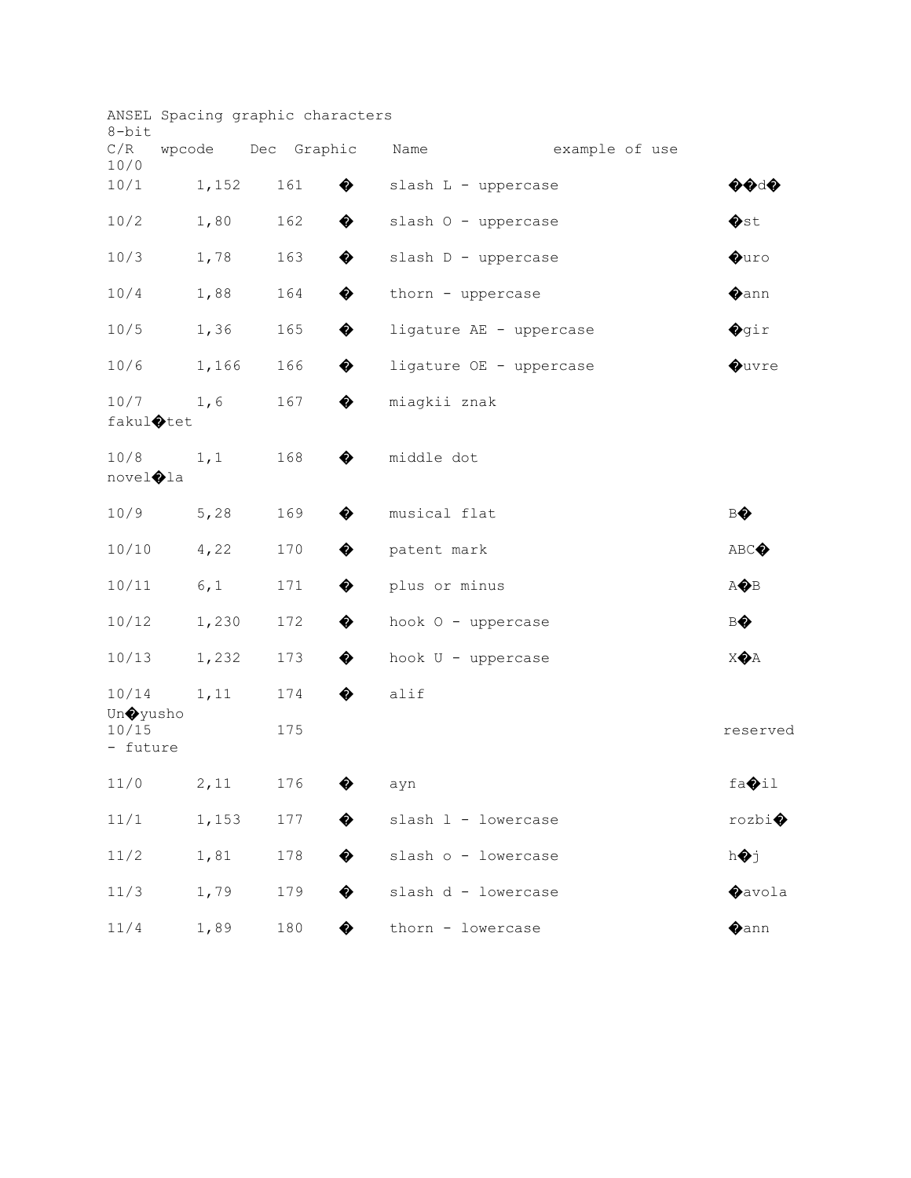| 8-bit                        | ANSEL Spacing graphic characters |     |   |                         |                |                |
|------------------------------|----------------------------------|-----|---|-------------------------|----------------|----------------|
| C/R<br>10/0                  | wpcode Dec Graphic               |     |   | Name                    | example of use |                |
| 10/1                         | 1,152                            | 161 | ♦ | slash L - uppercase     |                | ♦♦ા♦           |
| 10/2                         | 1,80                             | 162 | ♦ | slash O - uppercase     |                | $\bullet$ st   |
| 10/3                         | 1,78                             | 163 | ♦ | slash D - uppercase     |                | $\bullet$ uro  |
| 10/4                         | 1,88                             | 164 | ♦ | thorn - uppercase       |                | $\bigcirc$ ann |
| 10/5                         | 1,36                             | 165 | ♦ | ligature AE - uppercase |                | $\bigcirc$ gir |
| 10/6                         | 1,166                            | 166 | ♦ | ligature OE - uppercase |                | <b>Quvre</b>   |
| 10/7<br>fakul $\bigcirc$ tet | 1,6                              | 167 | ♦ | miagkii znak            |                |                |
| 10/8<br>novel�la             | 1, 1                             | 168 | ♦ | middle dot              |                |                |
| 10/9                         | 5,28                             | 169 | ♦ | musical flat            |                | BO             |
| 10/10                        | 4,22                             | 170 | ♦ | patent mark             |                | ABC            |
| 10/11                        | 6,1                              | 171 | ♦ | plus or minus           |                | AOB            |
| 10/12                        | 1,230                            | 172 | ♦ | hook 0 - uppercase      |                | BO             |
| 10/13                        | 1,232                            | 173 | ♦ | hook U - uppercase      |                | <b>XOA</b>     |
| 10/14<br>Un�yusho            | 1,11                             | 174 | ♦ | alif                    |                |                |
| 10/15<br>- future            |                                  | 175 |   |                         |                | reserved       |
| 11/0                         | 2,11                             | 176 | ♦ | ayn                     |                | fa <b>Oil</b>  |
| 11/1                         | 1,153                            | 177 | ♦ | slash 1 - lowercase     |                | rozbi          |
| 11/2                         | 1,81                             | 178 | ♦ | slash o - lowercase     |                | hoj            |
| 11/3                         | 1,79                             | 179 | ♦ | slash d - lowercase     |                | <b>O</b> avola |
| 11/4                         | 1,89                             | 180 | ♦ | thorn - lowercase       |                | $\bigcirc$ ann |